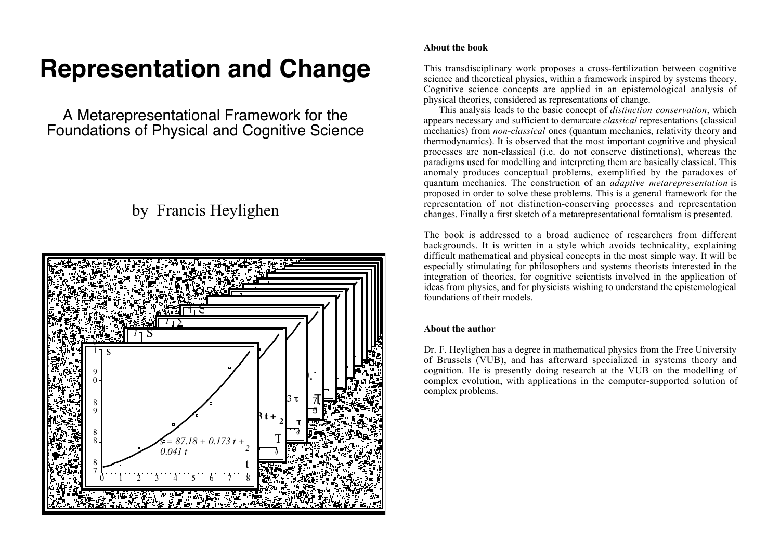# **Representation and Change**

A Metarepresentational Framework for the Foundations of Physical and Cognitive Science

# by Francis Heylighen



#### **About the book**

This transdisciplinary work proposes a cross-fertilization between cognitive science and theoretical physics, within a framework inspired by systems theory. Cognitive science concepts are applied in an epistemological analysis of physical theories, considered as representations of change.

This analysis leads to the basic concept of *distinction conservation*, which appears necessary and sufficient to demarcate *classical* representations (classical mechanics) from *non-classical* ones (quantum mechanics, relativity theory and thermodynamics). It is observed that the most important cognitive and physical processes are non-classical (i.e. do not conserve distinctions), whereas the paradigms used for modelling and interpreting them are basically classical. This anomaly produces conceptual problems, exemplified by the paradoxes of quantum mechanics. The construction of an *adaptive metarepresentation* is proposed in order to solve these problems. This is a general framework for the representation of not distinction-conserving processes and representation changes. Finally a first sketch of a metarepresentational formalism is presented.

The book is addressed to a broad audience of researchers from differentbackgrounds. It is written in a style which avoids technicality, explaining difficult mathematical and physical concepts in the most simple way. It will be especially stimulating for philosophers and systems theorists interested in the integration of theories, for cognitive scientists involved in the application of ideas from physics, and for physicists wishing to understand the epistemological foundations of their models.

## **About the author**

Dr. F. Heylighen has a degree in mathematical physics from the Free University of Brussels (VUB), and has afterward specialized in systems theory and cognition. He is presently doing research at the VUB on the modelling of complex evolution, with applications in the computer-supported solution of complex problems.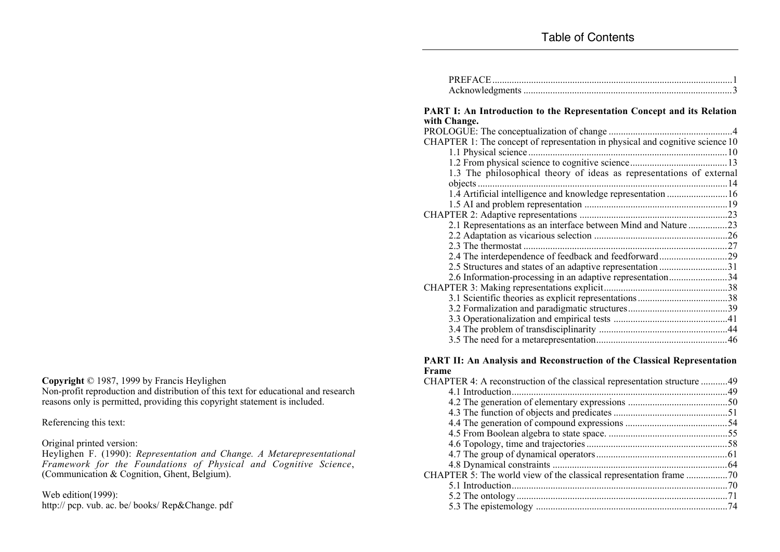#### **PART I: An Introduction to the Representation Concept and its Relation with Change.**

| CHAPTER 1: The concept of representation in physical and cognitive science 10 |     |
|-------------------------------------------------------------------------------|-----|
| 1.1 Physical science                                                          | 10  |
|                                                                               |     |
| 1.3 The philosophical theory of ideas as representations of external          |     |
| objects                                                                       | 14  |
| 1.4 Artificial intelligence and knowledge representation  16                  |     |
|                                                                               |     |
|                                                                               | .23 |
| 2.1 Representations as an interface between Mind and Nature 23                |     |
|                                                                               | .26 |
| 2.3 The thermostat                                                            | .27 |
| 2.4 The interdependence of feedback and feedforward                           | .29 |
| 2.5 Structures and states of an adaptive representation 31                    |     |
| 2.6 Information-processing in an adaptive representation34                    |     |
|                                                                               |     |
|                                                                               |     |
|                                                                               |     |
|                                                                               |     |
|                                                                               | 44  |
|                                                                               |     |

#### **PART II: An Analysis and Reconstruction of the Classical Representation Frame**

| CHAPTER 4: A reconstruction of the classical representation structure 49 |  |
|--------------------------------------------------------------------------|--|
|                                                                          |  |
|                                                                          |  |
|                                                                          |  |
|                                                                          |  |
|                                                                          |  |
|                                                                          |  |
|                                                                          |  |
|                                                                          |  |
|                                                                          |  |
|                                                                          |  |
|                                                                          |  |
|                                                                          |  |
|                                                                          |  |

**Copyright** © 1987, 1999 by Francis Heylighen

Non-profit reproduction and distribution of this text for educational and research reasons only is permitted, providing this copyright statement is included.

Referencing this text:

Original printed version:

Heylighen F. (1990): *Representation and Change. A Metarepresentational Framework for the Foundations of Physical and Cognitive Science*, (Communication & Cognition, Ghent, Belgium).

## Web edition(1999):

http:// pcp. vub. ac. be/ books/ Rep&Change. pdf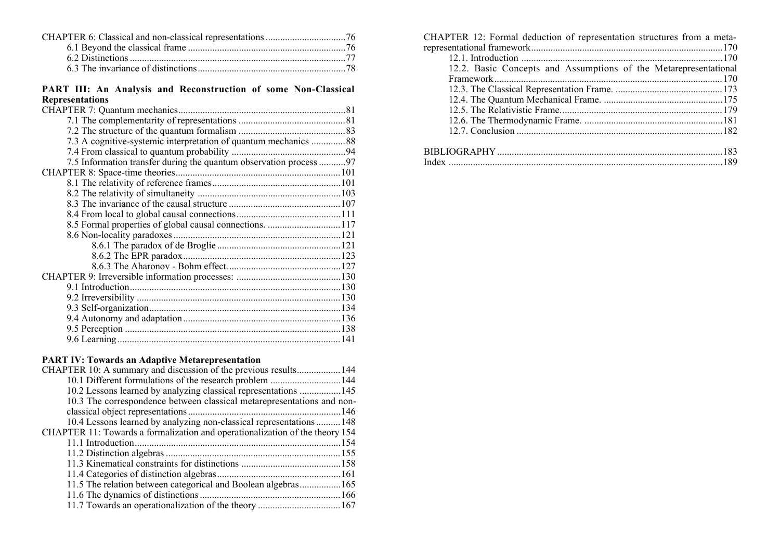#### **PART III: An Analysis and Reconstruction of some Non-Classical Representations**

| 7.5 Information transfer during the quantum observation process 97 |  |
|--------------------------------------------------------------------|--|
|                                                                    |  |
|                                                                    |  |
|                                                                    |  |
|                                                                    |  |
|                                                                    |  |
|                                                                    |  |
|                                                                    |  |
|                                                                    |  |
|                                                                    |  |
|                                                                    |  |
|                                                                    |  |
|                                                                    |  |
|                                                                    |  |
|                                                                    |  |
|                                                                    |  |
|                                                                    |  |
|                                                                    |  |

# **PART IV: Towards an Adaptive Metarepresentation**

| 10.2 Lessons learned by analyzing classical representations 145              |  |
|------------------------------------------------------------------------------|--|
| 10.3 The correspondence between classical metarepresentations and non-       |  |
|                                                                              |  |
| 10.4 Lessons learned by analyzing non-classical representations  148         |  |
| CHAPTER 11: Towards a formalization and operationalization of the theory 154 |  |
|                                                                              |  |
|                                                                              |  |
|                                                                              |  |
|                                                                              |  |
| 11.5 The relation between categorical and Boolean algebras165                |  |
|                                                                              |  |
|                                                                              |  |

| CHAPTER 12: Formal deduction of representation structures from a meta- |  |
|------------------------------------------------------------------------|--|
|                                                                        |  |
|                                                                        |  |
| 12.2. Basic Concepts and Assumptions of the Metarepresentational       |  |
|                                                                        |  |
|                                                                        |  |
|                                                                        |  |
|                                                                        |  |
|                                                                        |  |
|                                                                        |  |
|                                                                        |  |
|                                                                        |  |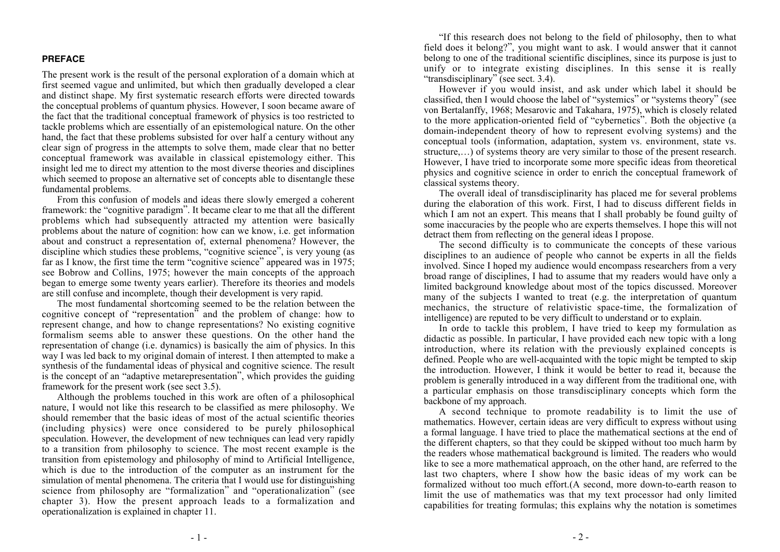#### **PREFACE**

The present work is the result of the personal exploration of a domain which at first seemed vague and unlimited, but which then gradually developed a clear and distinct shape. My first systematic research efforts were directed towards the conceptual problems of quantum physics. However, I soon became aware of the fact that the traditional conceptual framework of physics is too restricted to tackle problems which are essentially of an epistemological nature. On the other hand, the fact that these problems subsisted for over half a century without any clear sign of progress in the attempts to solve them, made clear that no better conceptual framework was available in classical epistemology either. This insight led me to direct my attention to the most diverse theories and disciplines which seemed to propose an alternative set of concepts able to disentangle these fundamental problems.

From this confusion of models and ideas there slowly emerged a coherent framework: the "cognitive paradigm". It became clear to me that all the different problems which had subsequently attracted my attention were basically problems about the nature of cognition: how can we know, i.e. get information about and construct a representation of, external phenomena? However, the discipline which studies these problems, "cognitive science", is very young (as far as I know, the first time the term "cognitive science" appeared was in 1975; see Bobrow and Collins, 1975; however the main concepts of the approach began to emerge some twenty years earlier). Therefore its theories and models are still confuse and incomplete, though their development is very rapid.

The most fundamental shortcoming seemed to be the relation between the cognitive concept of "representation" and the problem of change: how to represent change, and how to change representations? No existing cognitive formalism seems able to answer these questions. On the other hand the representation of change (i.e. dynamics) is basically the aim of physics. In this way I was led back to my original domain of interest. I then attempted to make a synthesis of the fundamental ideas of physical and cognitive science. The result is the concept of an "adaptive metarepresentation", which provides the guiding framework for the present work (see sect 3.5).

Although the problems touched in this work are often of a philosophical nature, I would not like this research to be classified as mere philosophy. We should remember that the basic ideas of most of the actual scientific theories (including physics) were once considered to be purely philosophical speculation. However, the development of new techniques can lead very rapidly to a transition from philosophy to science. The most recent example is the transition from epistemology and philosophy of mind to Artificial Intelligence, which is due to the introduction of the computer as an instrument for the simulation of mental phenomena. The criteria that I would use for distinguishing science from philosophy are "formalization" and "operationalization" (see chapter 3). How the present approach leads to a formalization and operationalization is explained in chapter 11.

"If this research does not belong to the field of philosophy, then to what field does it belong?", you might want to ask. I would answer that it cannot belong to one of the traditional scientific disciplines, since its purpose is just to unify or to integrate existing disciplines. In this sense it is really "transdisciplinary" (see sect. 3.4).

However if you would insist, and ask under which label it should be classified, then I would choose the label of "systemics" or "systems theory" (see von Bertalanffy, 1968; Mesarovic and Takahara, 1975), which is closely related to the more application-oriented field of "cybernetics". Both the objective (a domain-independent theory of how to represent evolving systems) and the conceptual tools (information, adaptation, system vs. environment, state vs. structure,…) of systems theory are very similar to those of the present research. However, I have tried to incorporate some more specific ideas from theoretical physics and cognitive science in order to enrich the conceptual framework of classical systems theory.

The overall ideal of transdisciplinarity has placed me for several problems during the elaboration of this work. First, I had to discuss different fields in which I am not an expert. This means that I shall probably be found guilty of some inaccuracies by the people who are experts themselves. I hope this will not detract them from reflecting on the general ideas I propose.

The second difficulty is to communicate the concepts of these various disciplines to an audience of people who cannot be experts in all the fields involved. Since I hoped my audience would encompass researchers from a very broad range of disciplines, I had to assume that my readers would have only a limited background knowledge about most of the topics discussed. Moreover many of the subjects I wanted to treat (e.g. the interpretation of quantum mechanics, the structure of relativistic space-time, the formalization of intelligence) are reputed to be very difficult to understand or to explain.

In orde to tackle this problem, I have tried to keep my formulation as didactic as possible. In particular, I have provided each new topic with a long introduction, where its relation with the previously explained concepts is defined. People who are well-acquainted with the topic might be tempted to skip the introduction. However, I think it would be better to read it, because the problem is generally introduced in a way different from the traditional one, with a particular emphasis on those transdisciplinary concepts which form the backbone of my approach.

A second technique to promote readability is to limit the use of mathematics. However, certain ideas are very difficult to express without using a formal language. I have tried to place the mathematical sections at the end of the different chapters, so that they could be skipped without too much harm by the readers whose mathematical background is limited. The readers who would like to see a more mathematical approach, on the other hand, are referred to the last two chapters, where I show how the basic ideas of my work can be formalized without too much effort.(A second, more down-to-earth reason to limit the use of mathematics was that my text processor had only limited capabilities for treating formulas; this explains why the notation is sometimes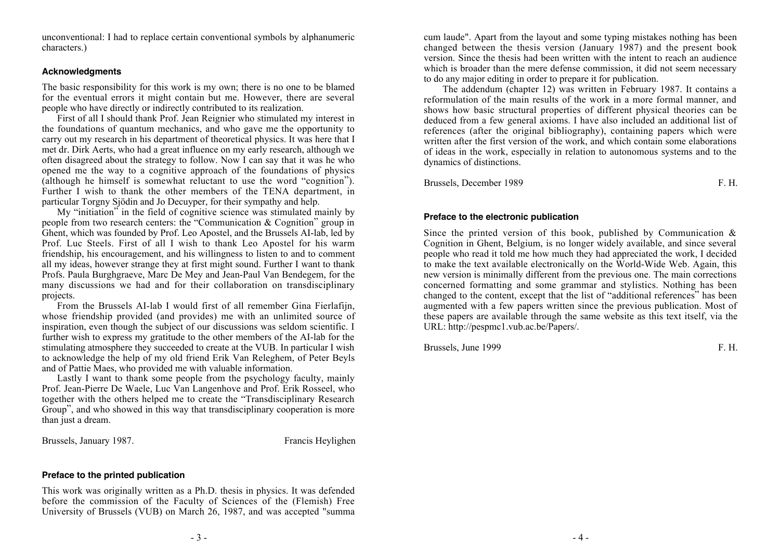unconventional: I had to replace certain conventional symbols by alphanumeric characters.)

#### **Acknowledgments**

The basic responsibility for this work is my own; there is no one to be blamed for the eventual errors it might contain but me. However, there are several people who have directly or indirectly contributed to its realization.

First of all I should thank Prof. Jean Reignier who stimulated my interest in the foundations of quantum mechanics, and who gave me the opportunity to carry out my research in his department of theoretical physics. It was here that I met dr. Dirk Aerts, who had a great influence on my early research, although we often disagreed about the strategy to follow. Now I can say that it was he who opened me the way to a cognitive approach of the foundations of physics (although he himself is somewhat reluctant to use the word "cognition"). Further I wish to thank the other members of the TENA department, in particular Torgny Sjödin and Jo Decuyper, for their sympathy and help.

My "initiation" in the field of cognitive science was stimulated mainly by people from two research centers: the "Communication & Cognition" group in Ghent, which was founded by Prof. Leo Apostel, and the Brussels AI-lab, led by Prof. Luc Steels. First of all I wish to thank Leo Apostel for his warm friendship, his encouragement, and his willingness to listen to and to comment all my ideas, however strange they at first might sound. Further I want to thank Profs. Paula Burghgraeve, Marc De Mey and Jean-Paul Van Bendegem, for the many discussions we had and for their collaboration on transdisciplinary projects.

From the Brussels AI-lab I would first of all remember Gina Fierlafijn, whose friendship provided (and provides) me with an unlimited source of inspiration, even though the subject of our discussions was seldom scientific. I further wish to express my gratitude to the other members of the AI-lab for the stimulating atmosphere they succeeded to create at the VUB. In particular I wish to acknowledge the help of my old friend Erik Van Releghem, of Peter Beyls and of Pattie Maes, who provided me with valuable information.

Lastly I want to thank some people from the psychology faculty, mainly Prof. Jean-Pierre De Waele, Luc Van Langenhove and Prof. Erik Rosseel, who together with the others helped me to create the "Transdisciplinary Research Group", and who showed in this way that transdisciplinary cooperation is more than just a dream.

Brussels, January 1987. Francis Heylighen

#### **Preface to the printed publication**

This work was originally written as a Ph.D. thesis in physics. It was defended before the commission of the Faculty of Sciences of the (Flemish) Free University of Brussels (VUB) on March 26, 1987, and was accepted "summa

cum laude". Apart from the layout and some typing mistakes nothing has been changed between the thesis version (January 1987) and the present book version. Since the thesis had been written with the intent to reach an audiencewhich is broader than the mere defense commission, it did not seem necessary to do any major editing in order to prepare it for publication.

 The addendum (chapter 12) was written in February 1987. It contains a reformulation of the main results of the work in a more formal manner, and shows how basic structural properties of different physical theories can be deduced from a few general axioms. I have also included an additional list of references (after the original bibliography), containing papers which were written after the first version of the work, and which contain some elaborations of ideas in the work, especially in relation to autonomous systems and to the dynamics of distinctions.

Brussels, December 1989 F. H.

# **Preface to the electronic publication**

Since the printed version of this book, published by Communication  $\&$ Cognition in Ghent, Belgium, is no longer widely available, and since several people who read it told me how much they had appreciated the work, I decided to make the text available electronically on the World-Wide Web. Again, this new version is minimally different from the previous one. The main corrections concerned formatting and some grammar and stylistics. Nothing has been changed to the content, except that the list of "additional references" has been augmented with a few papers written since the previous publication. Most of these papers are available through the same website as this text itself, via the URL: http://pespmc1.vub.ac.be/Papers/.

Brussels, June 1999 **F. H.**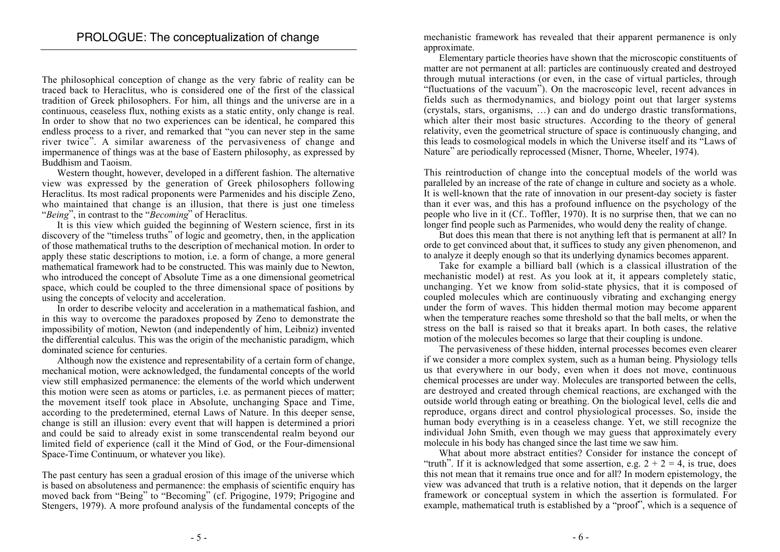The philosophical conception of change as the very fabric of reality can be traced back to Heraclitus, who is considered one of the first of the classical tradition of Greek philosophers. For him, all things and the universe are in a continuous, ceaseless flux, nothing exists as a static entity, only change is real. In order to show that no two experiences can be identical, he compared this endless process to a river, and remarked that "you can never step in the same river twice". A similar awareness of the pervasiveness of change and impermanence of things was at the base of Eastern philosophy, as expressed by Buddhism and Taoism.

Western thought, however, developed in a different fashion. The alternative view was expressed by the generation of Greek philosophers following Heraclitus. Its most radical proponents were Parmenides and his disciple Zeno, who maintained that change is an illusion, that there is just one timeless "*Being*", in contrast to the "*Becoming*" of Heraclitus.

It is this view which guided the beginning of Western science, first in its discovery of the "timeless truths" of logic and geometry, then, in the application of those mathematical truths to the description of mechanical motion. In order to apply these static descriptions to motion, i.e. a form of change, a more general mathematical framework had to be constructed. This was mainly due to Newton, who introduced the concept of Absolute Time as a one dimensional geometrical space, which could be coupled to the three dimensional space of positions by using the concepts of velocity and acceleration.

In order to describe velocity and acceleration in a mathematical fashion, and in this way to overcome the paradoxes proposed by Zeno to demonstrate the impossibility of motion, Newton (and independently of him, Leibniz) invented the differential calculus. This was the origin of the mechanistic paradigm, which dominated science for centuries.

Although now the existence and representability of a certain form of change, mechanical motion, were acknowledged, the fundamental concepts of the world view still emphasized permanence: the elements of the world which underwent this motion were seen as atoms or particles, i.e. as permanent pieces of matter; the movement itself took place in Absolute, unchanging Space and Time, according to the predetermined, eternal Laws of Nature. In this deeper sense, change is still an illusion: every event that will happen is determined a priori and could be said to already exist in some transcendental realm beyond our limited field of experience (call it the Mind of God, or the Four-dimensional Space-Time Continuum, or whatever you like).

The past century has seen a gradual erosion of this image of the universe which is based on absoluteness and permanence: the emphasis of scientific enquiry has moved back from "Being" to "Becoming" (cf. Prigogine, 1979; Prigogine and Stengers, 1979). A more profound analysis of the fundamental concepts of the mechanistic framework has revealed that their apparent permanence is only approximate.

Elementary particle theories have shown that the microscopic constituents of matter are not permanent at all: particles are continuously created and destroyed through mutual interactions (or even, in the case of virtual particles, through "fluctuations of the vacuum"). On the macroscopic level, recent advances in fields such as thermodynamics, and biology point out that larger systems (crystals, stars, organisms, …) can and do undergo drastic transformations, which alter their most basic structures. According to the theory of general relativity, even the geometrical structure of space is continuously changing, and this leads to cosmological models in which the Universe itself and its "Laws of Nature" are periodically reprocessed (Misner, Thorne, Wheeler, 1974).

This reintroduction of change into the conceptual models of the world was paralleled by an increase of the rate of change in culture and society as a whole. It is well-known that the rate of innovation in our present-day society is faster than it ever was, and this has a profound influence on the psychology of the people who live in it (Cf.. Toffler, 1970). It is no surprise then, that we can no longer find people such as Parmenides, who would deny the reality of change.

But does this mean that there is not anything left that is permanent at all? In orde to get convinced about that, it suffices to study any given phenomenon, and to analyze it deeply enough so that its underlying dynamics becomes apparent.

Take for example a billiard ball (which is a classical illustration of the mechanistic model) at rest. As you look at it, it appears completely static, unchanging. Yet we know from solid-state physics, that it is composed of coupled molecules which are continuously vibrating and exchanging energy under the form of waves. This hidden thermal motion may become apparent when the temperature reaches some threshold so that the ball melts, or when the stress on the ball is raised so that it breaks apart. In both cases, the relative motion of the molecules becomes so large that their coupling is undone.

The pervasiveness of these hidden, internal processes becomes even clearer if we consider a more complex system, such as a human being. Physiology tells us that everywhere in our body, even when it does not move, continuous chemical processes are under way. Molecules are transported between the cells, are destroyed and created through chemical reactions, are exchanged with the outside world through eating or breathing. On the biological level, cells die and reproduce, organs direct and control physiological processes. So, inside the human body everything is in a ceaseless change. Yet, we still recognize the individual John Smith, even though we may guess that approximately every molecule in his body has changed since the last time we saw him.

What about more abstract entities? Consider for instance the concept of "truth". If it is acknowledged that some assertion, e.g.  $2 + 2 = 4$ , is true, does this not mean that it remains true once and for all? In modern epistemology, the view was advanced that truth is a relative notion, that it depends on the larger framework or conceptual system in which the assertion is formulated. For example, mathematical truth is established by a "proof", which is a sequence of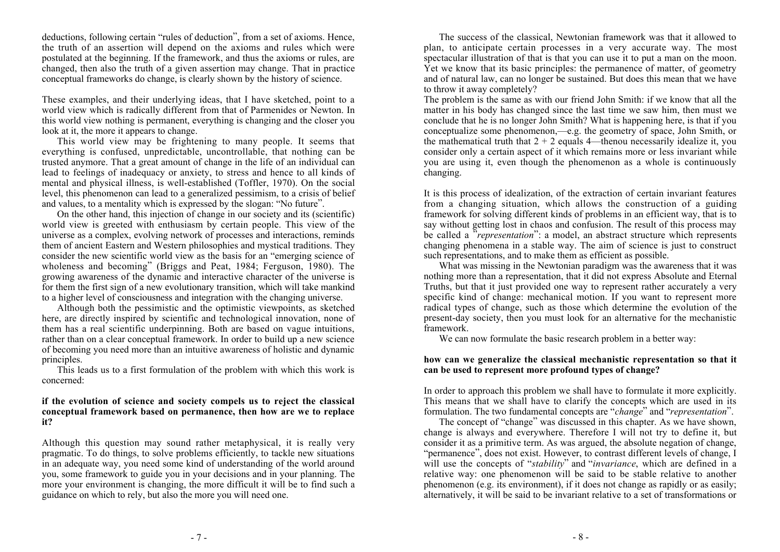deductions, following certain "rules of deduction", from a set of axioms. Hence, the truth of an assertion will depend on the axioms and rules which were postulated at the beginning. If the framework, and thus the axioms or rules, are changed, then also the truth of a given assertion may change. That in practice conceptual frameworks do change, is clearly shown by the history of science.

These examples, and their underlying ideas, that I have sketched, point to a world view which is radically different from that of Parmenides or Newton. In this world view nothing is permanent, everything is changing and the closer you look at it, the more it appears to change.

This world view may be frightening to many people. It seems that everything is confused, unpredictable, uncontrollable, that nothing can be trusted anymore. That a great amount of change in the life of an individual can lead to feelings of inadequacy or anxiety, to stress and hence to all kinds of mental and physical illness, is well-established (Toffler, 1970). On the social level, this phenomenon can lead to a generalized pessimism, to a crisis of belief and values, to a mentality which is expressed by the slogan: "No future".

On the other hand, this injection of change in our society and its (scientific) world view is greeted with enthusiasm by certain people. This view of the universe as a complex, evolving network of processes and interactions, reminds them of ancient Eastern and Western philosophies and mystical traditions. They consider the new scientific world view as the basis for an "emerging science of wholeness and becoming" (Briggs and Peat, 1984; Ferguson, 1980). The growing awareness of the dynamic and interactive character of the universe is for them the first sign of a new evolutionary transition, which will take mankind to a higher level of consciousness and integration with the changing universe.

Although both the pessimistic and the optimistic viewpoints, as sketched here, are directly inspired by scientific and technological innovation, none of them has a real scientific underpinning. Both are based on vague intuitions, rather than on a clear conceptual framework. In order to build up a new science of becoming you need more than an intuitive awareness of holistic and dynamic principles.

This leads us to a first formulation of the problem with which this work is concerned:

#### **if the evolution of science and society compels us to reject the classical conceptual framework based on permanence, then how are we to replace it?**

Although this question may sound rather metaphysical, it is really very pragmatic. To do things, to solve problems efficiently, to tackle new situations in an adequate way, you need some kind of understanding of the world around you, some framework to guide you in your decisions and in your planning. The more your environment is changing, the more difficult it will be to find such a guidance on which to rely, but also the more you will need one.

The success of the classical, Newtonian framework was that it allowed to plan, to anticipate certain processes in a very accurate way. The most spectacular illustration of that is that you can use it to put a man on the moon. Yet we know that its basic principles: the permanence of matter, of geometry and of natural law, can no longer be sustained. But does this mean that we have to throw it away completely?

The problem is the same as with our friend John Smith: if we know that all the matter in his body has changed since the last time we saw him, then must we conclude that he is no longer John Smith? What is happening here, is that if you conceptualize some phenomenon,—e.g. the geometry of space, John Smith, or the mathematical truth that  $2 + 2$  equals 4—thenou necessarily idealize it, you consider only a certain aspect of it which remains more or less invariant while you are using it, even though the phenomenon as a whole is continuously changing.

It is this process of idealization, of the extraction of certain invariant features from a changing situation, which allows the construction of a guiding framework for solving different kinds of problems in an efficient way, that is to say without getting lost in chaos and confusion. The result of this process may be called a "*representation*": a model, an abstract structure which represents changing phenomena in a stable way. The aim of science is just to construct such representations, and to make them as efficient as possible.

What was missing in the Newtonian paradigm was the awareness that it was nothing more than a representation, that it did not express Absolute and Eternal Truths, but that it just provided one way to represent rather accurately a very specific kind of change: mechanical motion. If you want to represent more radical types of change, such as those which determine the evolution of the present-day society, then you must look for an alternative for the mechanistic framework.

We can now formulate the basic research problem in a better way:

#### **how can we generalize the classical mechanistic representation so that it can be used to represent more profound types of change?**

In order to approach this problem we shall have to formulate it more explicitly. This means that we shall have to clarify the concepts which are used in its formulation. The two fundamental concepts are "*change*" and "*representation*".

The concept of "change" was discussed in this chapter. As we have shown, change is always and everywhere. Therefore I will not try to define it, but consider it as a primitive term. As was argued, the absolute negation of change, "permanence", does not exist. However, to contrast different levels of change, I will use the concepts of "*stability*" and "*invariance*, which are defined in a relative way: one phenomenon will be said to be stable relative to another phenomenon (e.g. its environment), if it does not change as rapidly or as easily; alternatively, it will be said to be invariant relative to a set of transformations or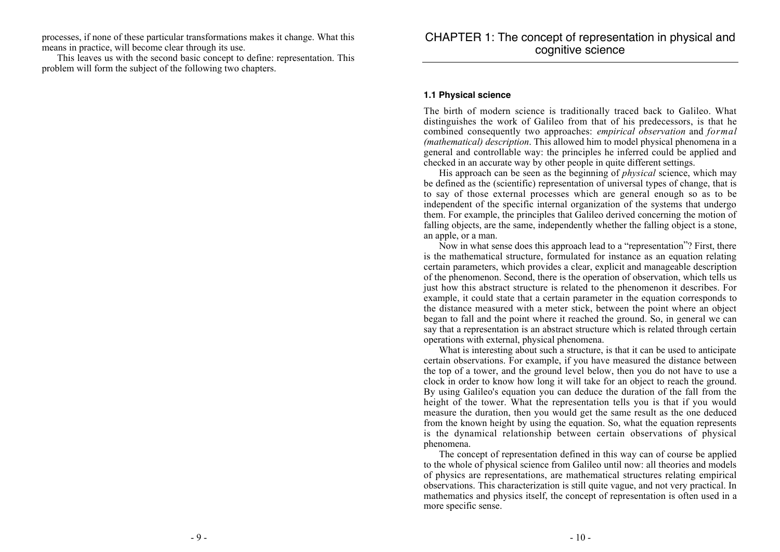processes, if none of these particular transformations makes it change. What this means in practice, will become clear through its use.

This leaves us with the second basic concept to define: representation. This problem will form the subject of the following two chapters.

# CHAPTER 1: The concept of representation in physical and cognitive science

#### **1.1 Physical science**

The birth of modern science is traditionally traced back to Galileo. What distinguishes the work of Galileo from that of his predecessors, is that he combined consequently two approaches: *empirical observation* and *formal (mathematical) description*. This allowed him to model physical phenomena in a general and controllable way: the principles he inferred could be applied and checked in an accurate way by other people in quite different settings.

His approach can be seen as the beginning of *physical* science, which may be defined as the (scientific) representation of universal types of change, that is to say of those external processes which are general enough so as to be independent of the specific internal organization of the systems that undergo them. For example, the principles that Galileo derived concerning the motion of falling objects, are the same, independently whether the falling object is a stone, an apple, or a man.

Now in what sense does this approach lead to a "representation"? First, there is the mathematical structure, formulated for instance as an equation relating certain parameters, which provides a clear, explicit and manageable description of the phenomenon. Second, there is the operation of observation, which tells us just how this abstract structure is related to the phenomenon it describes. For example, it could state that a certain parameter in the equation corresponds to the distance measured with a meter stick, between the point where an object began to fall and the point where it reached the ground. So, in general we can say that a representation is an abstract structure which is related through certain operations with external, physical phenomena.

What is interesting about such a structure, is that it can be used to anticipate certain observations. For example, if you have measured the distance between the top of a tower, and the ground level below, then you do not have to use a clock in order to know how long it will take for an object to reach the ground. By using Galileo's equation you can deduce the duration of the fall from the height of the tower. What the representation tells you is that if you would measure the duration, then you would get the same result as the one deduced from the known height by using the equation. So, what the equation represents is the dynamical relationship between certain observations of physical phenomena.

The concept of representation defined in this way can of course be applied to the whole of physical science from Galileo until now: all theories and models of physics are representations, are mathematical structures relating empirical observations. This characterization is still quite vague, and not very practical. In mathematics and physics itself, the concept of representation is often used in a more specific sense.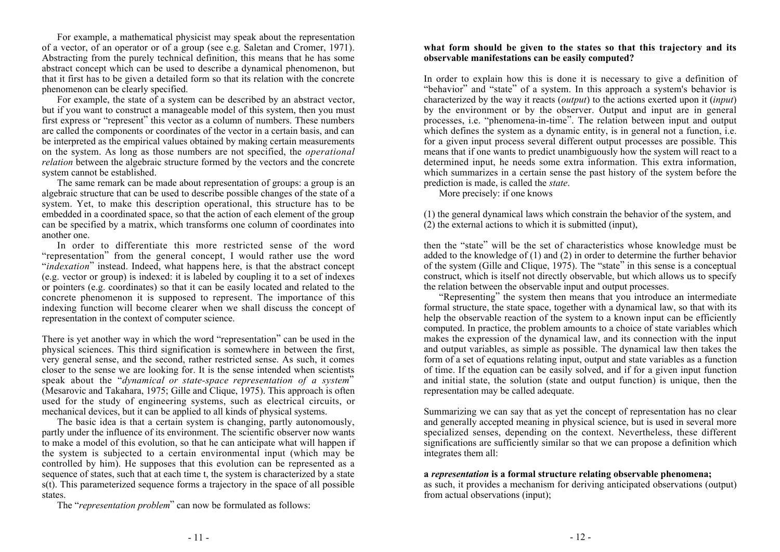For example, a mathematical physicist may speak about the representation of a vector, of an operator or of a group (see e.g. Saletan and Cromer, 1971). Abstracting from the purely technical definition, this means that he has some abstract concept which can be used to describe a dynamical phenomenon, but that it first has to be given a detailed form so that its relation with the concrete phenomenon can be clearly specified.

For example, the state of a system can be described by an abstract vector, but if you want to construct a manageable model of this system, then you must first express or "represent" this vector as a column of numbers. These numbers are called the components or coordinates of the vector in a certain basis, and can be interpreted as the empirical values obtained by making certain measurements on the system. As long as those numbers are not specified, the *operational relation* between the algebraic structure formed by the vectors and the concrete system cannot be established.

The same remark can be made about representation of groups: a group is an algebraic structure that can be used to describe possible changes of the state of a system. Yet, to make this description operational, this structure has to be embedded in a coordinated space, so that the action of each element of the group can be specified by a matrix, which transforms one column of coordinates into another one.

In order to differentiate this more restricted sense of the word"representation" from the general concept, I would rather use the word "*indexation*" instead. Indeed, what happens here, is that the abstract concept (e.g. vector or group) is indexed: it is labeled by coupling it to a set of indexes or pointers (e.g. coordinates) so that it can be easily located and related to the concrete phenomenon it is supposed to represent. The importance of this indexing function will become clearer when we shall discuss the concept of representation in the context of computer science.

There is yet another way in which the word "representation" can be used in the physical sciences. This third signification is somewhere in between the first, very general sense, and the second, rather restricted sense. As such, it comes closer to the sense we are looking for. It is the sense intended when scientists speak about the "*dynamical or state-space representation of a system*" (Mesarovic and Takahara, 1975; Gille and Clique, 1975). This approach is often used for the study of engineering systems, such as electrical circuits, or mechanical devices, but it can be applied to all kinds of physical systems.

The basic idea is that a certain system is changing, partly autonomously, partly under the influence of its environment. The scientific observer now wants to make a model of this evolution, so that he can anticipate what will happen if the system is subjected to a certain environmental input (which may be controlled by him). He supposes that this evolution can be represented as a sequence of states, such that at each time t, the system is characterized by a state s(t). This parameterized sequence forms a trajectory in the space of all possible states.

The "*representation problem*" can now be formulated as follows:

#### **what form should be given to the states so that this trajectory and its observable manifestations can be easily computed?**

In order to explain how this is done it is necessary to give a definition of "behavior" and "state" of a system. In this approach a system's behavior is characterized by the way it reacts (*output*) to the actions exerted upon it (*input*) by the environment or by the observer. Output and input are in general processes, i.e. "phenomena-in-time". The relation between input and output which defines the system as a dynamic entity, is in general not a function, i.e. for a given input process several different output processes are possible. This means that if one wants to predict unambiguously how the system will react to a determined input, he needs some extra information. This extra information, which summarizes in a certain sense the past history of the system before the prediction is made, is called the *state*.

More precisely: if one knows

(1) the general dynamical laws which constrain the behavior of the system, and (2) the external actions to which it is submitted (input),

then the "state" will be the set of characteristics whose knowledge must be added to the knowledge of (1) and (2) in order to determine the further behavior of the system (Gille and Clique, 1975). The "state" in this sense is a conceptual construct, which is itself not directly observable, but which allows us to specify the relation between the observable input and output processes.

"Representing" the system then means that you introduce an intermediate formal structure, the state space, together with a dynamical law, so that with its help the observable reaction of the system to a known input can be efficiently computed. In practice, the problem amounts to a choice of state variables which makes the expression of the dynamical law, and its connection with the input and output variables, as simple as possible. The dynamical law then takes the form of a set of equations relating input, output and state variables as a function of time. If the equation can be easily solved, and if for a given input function and initial state, the solution (state and output function) is unique, then the representation may be called adequate.

Summarizing we can say that as yet the concept of representation has no clear and generally accepted meaning in physical science, but is used in several more specialized senses, depending on the context. Nevertheless, these different significations are sufficiently similar so that we can propose a definition which integrates them all:

#### **<sup>a</sup>***representation* **is a formal structure relating observable phenomena;**

as such, it provides a mechanism for deriving anticipated observations (output) from actual observations (input);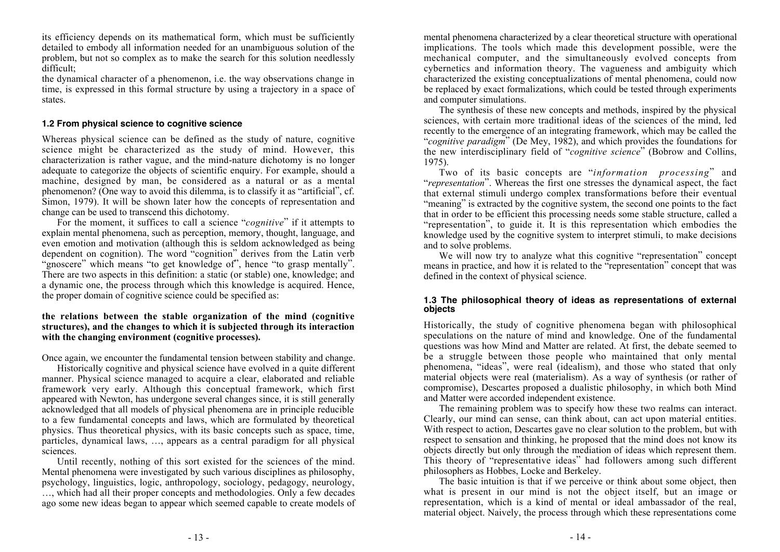its efficiency depends on its mathematical form, which must be sufficiently detailed to embody all information needed for an unambiguous solution of the problem, but not so complex as to make the search for this solution needlessly difficult;

the dynamical character of a phenomenon, i.e. the way observations change in time, is expressed in this formal structure by using a trajectory in a space of states.

#### **1.2 From physical science to cognitive science**

Whereas physical science can be defined as the study of nature, cognitive science might be characterized as the study of mind. However, this characterization is rather vague, and the mind-nature dichotomy is no longer adequate to categorize the objects of scientific enquiry. For example, should a machine, designed by man, be considered as a natural or as a mental <sup>p</sup>henomenon? (One way to avoid this dilemma, is to classify it as "artificial", cf. Simon, 1979). It will be shown later how the concepts of representation and change can be used to transcend this dichotomy.

For the moment, it suffices to call a science "*cognitive*" if it attempts to explain mental phenomena, such as perception, memory, thought, language, and even emotion and motivation (although this is seldom acknowledged as being dependent on cognition). The word "cognition" derives from the Latin verb "gnoscere" which means "to get knowledge of", hence "to grasp mentally". There are two aspects in this definition: a static (or stable) one, knowledge; and a dynamic one, the process through which this knowledge is acquired. Hence, the proper domain of cognitive science could be specified as:

#### **the relations between the stable organization of the mind (cognitive structures), and the changes to which it is subjected through its interaction with the changing environment (cognitive processes).**

Once again, we encounter the fundamental tension between stability and change.

Historically cognitive and physical science have evolved in a quite different manner. Physical science managed to acquire a clear, elaborated and reliable framework very early. Although this conceptual framework, which first appeared with Newton, has undergone several changes since, it is still generally acknowledged that all models of physical phenomena are in principle reducible to a few fundamental concepts and laws, which are formulated by theoretical physics. Thus theoretical physics, with its basic concepts such as space, time, particles, dynamical laws, …, appears as a central paradigm for all physical sciences.

Until recently, nothing of this sort existed for the sciences of the mind. Mental phenomena were investigated by such various disciplines as philosophy, psychology, linguistics, logic, anthropology, sociology, pedagogy, neurology, …, which had all their proper concepts and methodologies. Only a few decades ago some new ideas began to appear which seemed capable to create models of

mental phenomena characterized by a clear theoretical structure with operational implications. The tools which made this development possible, were the mechanical computer, and the simultaneously evolved concepts from cybernetics and information theory. The vagueness and ambiguity which characterized the existing conceptualizations of mental phenomena, could now be replaced by exact formalizations, which could be tested through experiments and computer simulations.

The synthesis of these new concepts and methods, inspired by the physical sciences, with certain more traditional ideas of the sciences of the mind, led recently to the emergence of an integrating framework, which may be called the "*cognitive paradigm*" (De Mey, 1982), and which provides the foundations for the new interdisciplinary field of "*cognitive science*" (Bobrow and Collins, 1975).

Two of its basic concepts are "*information processing*" and "*representation*". Whereas the first one stresses the dynamical aspect, the fact that external stimuli undergo complex transformations before their eventual "meaning" is extracted by the cognitive system, the second one points to the fact that in order to be efficient this processing needs some stable structure, called a "representation", to guide it. It is this representation which embodies the knowledge used by the cognitive system to interpret stimuli, to make decisions and to solve problems.

We will now try to analyze what this cognitive "representation" concept means in practice, and how it is related to the "representation" concept that was defined in the context of physical science.

#### **1.3 The philosophical theory of ideas as representations of external objects**

Historically, the study of cognitive phenomena began with philosophical speculations on the nature of mind and knowledge. One of the fundamental questions was how Mind and Matter are related. At first, the debate seemed to be a struggle between those people who maintained that only mental <sup>p</sup>henomena, "ideas", were real (idealism), and those who stated that only material objects were real (materialism). As a way of synthesis (or rather of compromise), Descartes proposed a dualistic philosophy, in which both Mind and Matter were accorded independent existence.

The remaining problem was to specify how these two realms can interact. Clearly, our mind can sense, can think about, can act upon material entities. With respect to action, Descartes gave no clear solution to the problem, but with respect to sensation and thinking, he proposed that the mind does not know its objects directly but only through the mediation of ideas which represent them. This theory of "representative ideas" had followers among such different philosophers as Hobbes, Locke and Berkeley.

The basic intuition is that if we perceive or think about some object, then what is present in our mind is not the object itself, but an image or representation, which is a kind of mental or ideal ambassador of the real, material object. Naively, the process through which these representations come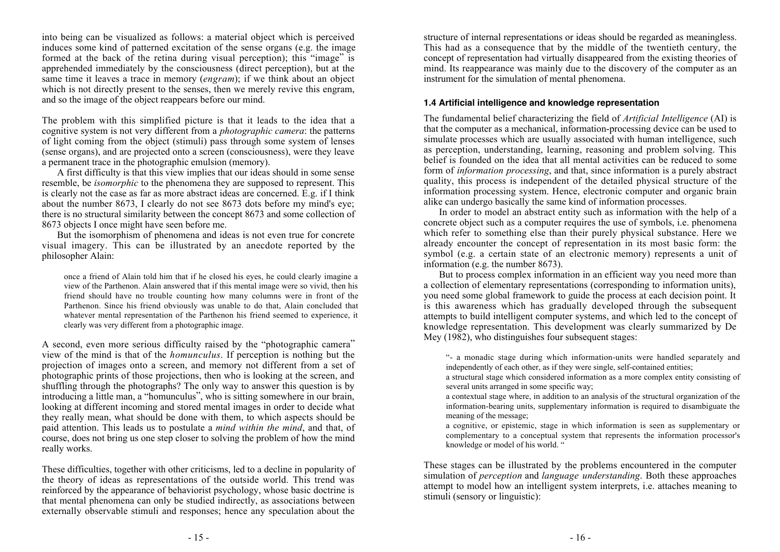into being can be visualized as follows: a material object which is perceived induces some kind of patterned excitation of the sense organs (e.g. the image formed at the back of the retina during visual perception); this "image" is apprehended immediately by the consciousness (direct perception), but at the same time it leaves a trace in memory (*engram*); if we think about an object which is not directly present to the senses, then we merely revive this engram, and so the image of the object reappears before our mind.

The problem with this simplified picture is that it leads to the idea that a cognitive system is not very different from a *photographic camera*: the patterns of light coming from the object (stimuli) pass through some system of lenses (sense organs), and are projected onto a screen (consciousness), were they leave a permanent trace in the photographic emulsion (memory).

A first difficulty is that this view implies that our ideas should in some sense resemble, be *isomorphic* to the phenomena they are supposed to represent. This is clearly not the case as far as more abstract ideas are concerned. E.g. if I think about the number 8673, I clearly do not see 8673 dots before my mind's eye; there is no structural similarity between the concept 8673 and some collection of 8673 objects I once might have seen before me.

But the isomorphism of phenomena and ideas is not even true for concrete visual imagery. This can be illustrated by an anecdote reported by the philosopher Alain:

once a friend of Alain told him that if he closed his eyes, he could clearly imagine a view of the Parthenon. Alain answered that if this mental image were so vivid, then his friend should have no trouble counting how many columns were in front of the Parthenon. Since his friend obviously was unable to do that, Alain concluded that whatever mental representation of the Parthenon his friend seemed to experience, it clearly was very different from a photographic image.

A second, even more serious difficulty raised by the "photographic camera" view of the mind is that of the *homunculus*. If perception is nothing but the projection of images onto a screen, and memory not different from a set of photographic prints of those projections, then who is looking at the screen, and shuffling through the photographs? The only way to answer this question is by introducing a little man, a "homunculus", who is sitting somewhere in our brain, looking at different incoming and stored mental images in order to decide what they really mean, what should be done with them, to which aspects should be paid attention. This leads us to postulate a *mind within the mind*, and that, of course, does not bring us one step closer to solving the problem of how the mind really works.

These difficulties, together with other criticisms, led to a decline in popularity of the theory of ideas as representations of the outside world. This trend was reinforced by the appearance of behaviorist psychology, whose basic doctrine is that mental phenomena can only be studied indirectly, as associations between externally observable stimuli and responses; hence any speculation about the

structure of internal representations or ideas should be regarded as meaningless. This had as a consequence that by the middle of the twentieth century, the concept of representation had virtually disappeared from the existing theories of mind. Its reappearance was mainly due to the discovery of the computer as an instrument for the simulation of mental phenomena.

#### **1.4 Artificial intelligence and knowledge representation**

The fundamental belief characterizing the field of *Artificial Intelligence* (AI) is that the computer as a mechanical, information-processing device can be used to simulate processes which are usually associated with human intelligence, such as perception, understanding, learning, reasoning and problem solving. This belief is founded on the idea that all mental activities can be reduced to some form of *information processing*, and that, since information is a purely abstract quality, this process is independent of the detailed physical structure of the information processing system. Hence, electronic computer and organic brain alike can undergo basically the same kind of information processes.

In order to model an abstract entity such as information with the help of a concrete object such as a computer requires the use of symbols, i.e. phenomena which refer to something else than their purely physical substance. Here we already encounter the concept of representation in its most basic form: the symbol (e.g. a certain state of an electronic memory) represents a unit of information (e.g. the number 8673).

But to process complex information in an efficient way you need more than a collection of elementary representations (corresponding to information units), you need some global framework to guide the process at each decision point. It is this awareness which has gradually developed through the subsequent attempts to build intelligent computer systems, and which led to the concept of knowledge representation. This development was clearly summarized by De Mey (1982), who distinguishes four subsequent stages:

"- a monadic stage during which information-units were handled separately and independently of each other, as if they were single, self-contained entities;

a structural stage which considered information as a more complex entity consisting of several units arranged in some specific way;

- a contextual stage where, in addition to an analysis of the structural organization of the information-bearing units, supplementary information is required to disambiguate the meaning of the message;
- a cognitive, or epistemic, stage in which information is seen as supplementary or complementary to a conceptual system that represents the information processor's knowledge or model of his world. "

These stages can be illustrated by the problems encountered in the computer simulation of *perception* and *language understanding*. Both these approaches attempt to model how an intelligent system interprets, i.e. attaches meaning to stimuli (sensory or linguistic):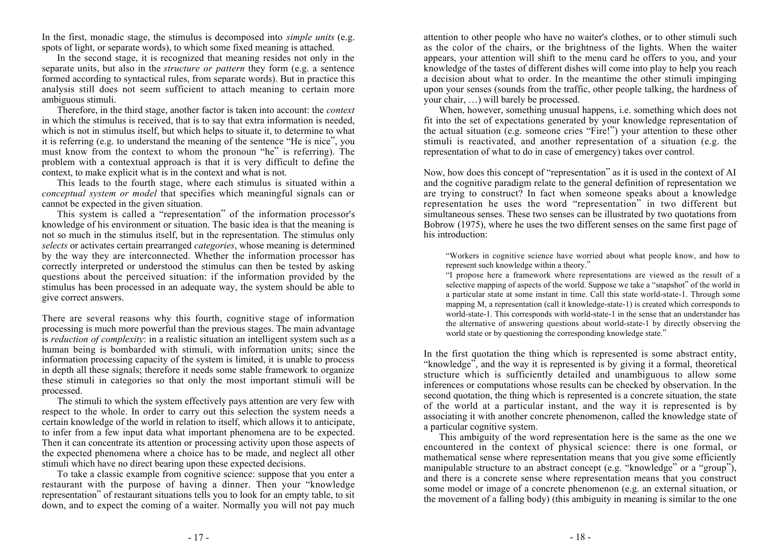In the first, monadic stage, the stimulus is decomposed into *simple units* (e.g. spots of light, or separate words), to which some fixed meaning is attached.

In the second stage, it is recognized that meaning resides not only in the separate units, but also in the *structure or pattern* they form (e.g. a sentence formed according to syntactical rules, from separate words). But in practice this analysis still does not seem sufficient to attach meaning to certain more ambiguous stimuli.

Therefore, in the third stage, another factor is taken into account: the *context* in which the stimulus is received, that is to say that extra information is needed, which is not in stimulus itself, but which helps to situate it, to determine to what it is referring (e.g. to understand the meaning of the sentence "He is nice", you must know from the context to whom the pronoun "he" is referring). The problem with a contextual approach is that it is very difficult to define the context, to make explicit what is in the context and what is not.

This leads to the fourth stage, where each stimulus is situated within a *conceptual system or model* that specifies which meaningful signals can or cannot be expected in the given situation.

This system is called a "representation" of the information processor's knowledge of his environment or situation. The basic idea is that the meaning is not so much in the stimulus itself, but in the representation. The stimulus only *selects* or activates certain prearranged *categories*, whose meaning is determined by the way they are interconnected. Whether the information processor has correctly interpreted or understood the stimulus can then be tested by asking questions about the perceived situation: if the information provided by the stimulus has been processed in an adequate way, the system should be able to give correct answers.

There are several reasons why this fourth, cognitive stage of information processing is much more powerful than the previous stages. The main advantage is *reduction of complexity*: in a realistic situation an intelligent system such as a human being is bombarded with stimuli, with information units; since the information processing capacity of the system is limited, it is unable to process in depth all these signals; therefore it needs some stable framework to organize these stimuli in categories so that only the most important stimuli will be processed.

The stimuli to which the system effectively pays attention are very few with respect to the whole. In order to carry out this selection the system needs a certain knowledge of the world in relation to itself, which allows it to anticipate, to infer from a few input data what important phenomena are to be expected. Then it can concentrate its attention or processing activity upon those aspects of the expected phenomena where a choice has to be made, and neglect all other stimuli which have no direct bearing upon these expected decisions.

To take a classic example from cognitive science: suppose that you enter a restaurant with the purpose of having a dinner. Then your "knowledge representation" of restaurant situations tells you to look for an empty table, to sit down, and to expect the coming of a waiter. Normally you will not pay much

attention to other people who have no waiter's clothes, or to other stimuli such as the color of the chairs, or the brightness of the lights. When the waiter appears, your attention will shift to the menu card he offers to you, and your knowledge of the tastes of different dishes will come into play to help you reach a decision about what to order. In the meantime the other stimuli impinging upon your senses (sounds from the traffic, other people talking, the hardness of your chair, …) will barely be processed.

When, however, something unusual happens, i.e. something which does not fit into the set of expectations generated by your knowledge representation of the actual situation (e.g. someone cries "Fire!") your attention to these other stimuli is reactivated, and another representation of a situation (e.g. the representation of what to do in case of emergency) takes over control.

Now, how does this concept of "representation" as it is used in the context of AI and the cognitive paradigm relate to the general definition of representation we are trying to construct? In fact when someone speaks about a knowledge representation he uses the word "representation" in two different but simultaneous senses. These two senses can be illustrated by two quotations from Bobrow (1975), where he uses the two different senses on the same first page of his introduction:

"Workers in cognitive science have worried about what people know, and how to represent such knowledge within a theory."

"I propose here a framework where representations are viewed as the result of a selective mapping of aspects of the world. Suppose we take a "snapshot" of the world in a particular state at some instant in time. Call this state world-state-1. Through some mapping M, a representation (call it knowledge-state-1) is created which corresponds to world-state-1. This corresponds with world-state-1 in the sense that an understander has the alternative of answering questions about world-state-1 by directly observing the world state or by questioning the corresponding knowledge state."

In the first quotation the thing which is represented is some abstract entity, "knowledge", and the way it is represented is by giving it a formal, theoretical structure which is sufficiently detailed and unambiguous to allow some inferences or computations whose results can be checked by observation. In the second quotation, the thing which is represented is a concrete situation, the state of the world at a particular instant, and the way it is represented is by associating it with another concrete phenomenon, called the knowledge state of a particular cognitive system.

This ambiguity of the word representation here is the same as the one we encountered in the context of physical science: there is one formal, or mathematical sense where representation means that you give some efficiently manipulable structure to an abstract concept (e.g. "knowledge" or a "group"), and there is a concrete sense where representation means that you construct some model or image of a concrete phenomenon (e.g. an external situation, or the movement of a falling body) (this ambiguity in meaning is similar to the one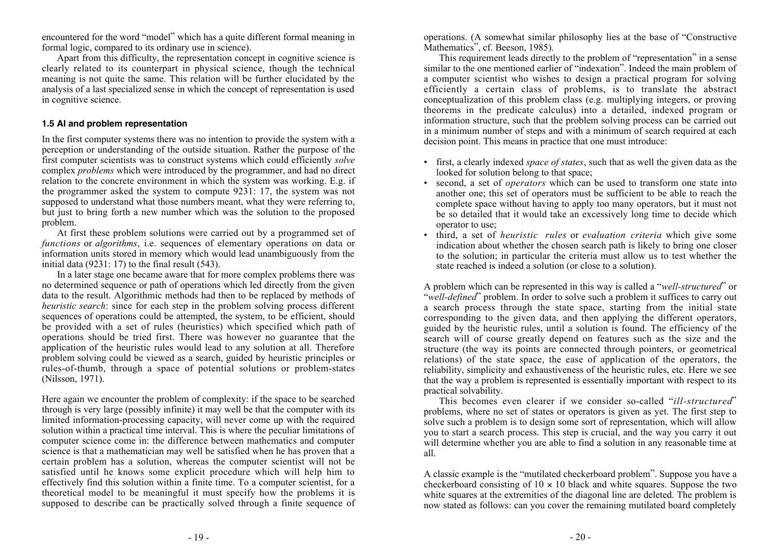encountered for the word "model" which has a quite different formal meaning in formal logic, compared to its ordinary use in science).

Apart from this difficulty, the representation concept in cognitive science is clearly related to its counterpart in physical science, though the technical meaning is not quite the same. This relation will be further elucidated by the analysis of a last specialized sense in which the concept of representation is used in cognitive science.

#### **1.5 AI and problem representation**

In the first computer systems there was no intention to provide the system with a perception or understanding of the outside situation. Rather the purpose of the first computer scientists was to construct systems which could efficiently *solve* complex *problems* which were introduced by the programmer, and had no direct relation to the concrete environment in which the system was working. E.g. if the programmer asked the system to compute 9231: 17, the system was not supposed to understand what those numbers meant, what they were referring to, but just to bring forth a new number which was the solution to the proposed problem.

At first these problem solutions were carried out by a programmed set of *functions* or *algorithms*, i.e. sequences of elementary operations on data or information units stored in memory which would lead unambiguously from the initial data (9231: 17) to the final result (543).

In a later stage one became aware that for more complex problems there was no determined sequence or path of operations which led directly from the given data to the result. Algorithmic methods had then to be replaced by methods of *heuristic search*: since for each step in the problem solving process different sequences of operations could be attempted, the system, to be efficient, should be provided with a set of rules (heuristics) which specified which path of operations should be tried first. There was however no guarantee that the application of the heuristic rules would lead to any solution at all. Therefore problem solving could be viewed as a search, guided by heuristic principles or rules-of-thumb, through a space of potential solutions or problem-states (Nilsson, 1971).

Here again we encounter the problem of complexity: if the space to be searched through is very large (possibly infinite) it may well be that the computer with its limited information-processing capacity, will never come up with the required solution within a practical time interval. This is where the peculiar limitations of computer science come in: the difference between mathematics and computer science is that a mathematician may well be satisfied when he has proven that a certain problem has a solution, whereas the computer scientist will not be satisfied until he knows some explicit procedure which will help him to effectively find this solution within a finite time. To a computer scientist, for a theoretical model to be meaningful it must specify how the problems it is supposed to describe can be practically solved through a finite sequence of operations. (A somewhat similar philosophy lies at the base of "Constructive Mathematics", cf. Beeson, 1985).

This requirement leads directly to the problem of "representation" in a sense similar to the one mentioned earlier of "indexation". Indeed the main problem of a computer scientist who wishes to design a practical program for solving efficiently a certain class of problems, is to translate the abstract conceptualization of this problem class (e.g. multiplying integers, or proving theorems in the predicate calculus) into a detailed, indexed program or information structure, such that the problem solving process can be carried out in a minimum number of steps and with a minimum of search required at each decision point. This means in practice that one must introduce:

- first, a clearly indexed *space of states*, such that as well the given data as the looked for solution belong to that space;
- second, a set of *operators* which can be used to transform one state into another one; this set of operators must be sufficient to be able to reach the complete space without having to apply too many operators, but it must not be so detailed that it would take an excessively long time to decide which operator to use;
- • third, a set of *heuristic rules* or *evaluation criteria* which give some indication about whether the chosen search path is likely to bring one closer to the solution; in particular the criteria must allow us to test whether the state reached is indeed a solution (or close to a solution).

A problem which can be represented in this way is called a "*well-structured*" or "*well-defined*" problem. In order to solve such a problem it suffices to carry out a search process through the state space, starting from the initial state corresponding to the given data, and then applying the different operators, guided by the heuristic rules, until a solution is found. The efficiency of the search will of course greatly depend on features such as the size and the structure (the way its points are connected through pointers, or geometrical relations) of the state space, the ease of application of the operators, the reliability, simplicity and exhaustiveness of the heuristic rules, etc. Here we see that the way a problem is represented is essentially important with respect to its practical solvability.

This becomes even clearer if we consider so-called "*ill-structured*"problems, where no set of states or operators is given as yet. The first step to solve such a problem is to design some sort of representation, which will allow you to start a search process. This step is crucial, and the way you carry it out will determine whether you are able to find a solution in any reasonable time at all.

A classic example is the "mutilated checkerboard problem". Suppose you have a checkerboard consisting of  $10 \times 10$  black and white squares. Suppose the two white squares at the extremities of the diagonal line are deleted. The problem is now stated as follows: can you cover the remaining mutilated board completely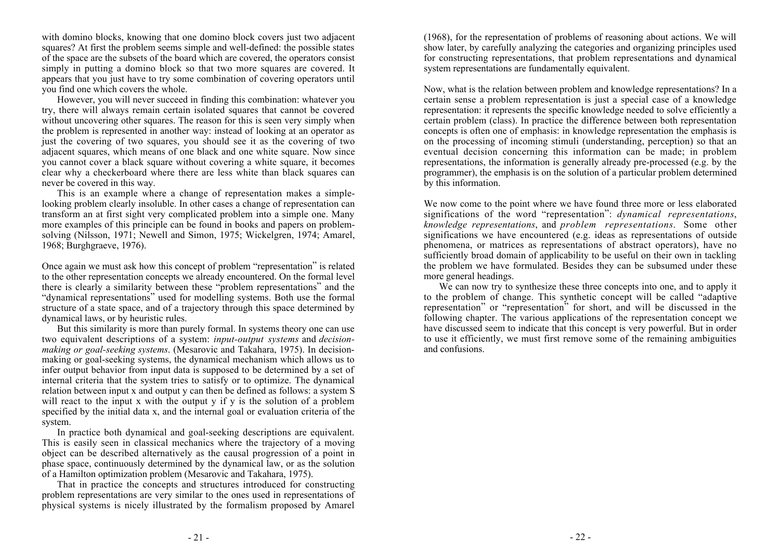with domino blocks, knowing that one domino block covers just two adjacent squares? At first the problem seems simple and well-defined: the possible states of the space are the subsets of the board which are covered, the operators consist simply in putting a domino block so that two more squares are covered. It appears that you just have to try some combination of covering operators until you find one which covers the whole.

However, you will never succeed in finding this combination: whatever you try, there will always remain certain isolated squares that cannot be covered without uncovering other squares. The reason for this is seen very simply when the problem is represented in another way: instead of looking at an operator as just the covering of two squares, you should see it as the covering of two adjacent squares, which means of one black and one white square. Now since you cannot cover a black square without covering a white square, it becomes clear why a checkerboard where there are less white than black squares can never be covered in this way.

This is an example where a change of representation makes a simplelooking problem clearly insoluble. In other cases a change of representation can transform an at first sight very complicated problem into a simple one. Many more examples of this principle can be found in books and papers on problemsolving (Nilsson, 1971; Newell and Simon, 1975; Wickelgren, 1974; Amarel, 1968; Burghgraeve, 1976).

Once again we must ask how this concept of problem "representation" is related to the other representation concepts we already encountered. On the formal level there is clearly a similarity between these "problem representations" and the "dynamical representations" used for modelling systems. Both use the formal structure of a state space, and of a trajectory through this space determined by dynamical laws, or by heuristic rules.

But this similarity is more than purely formal. In systems theory one can use two equivalent descriptions of a system: *input-output systems* and *decisionmaking or goal-seeking systems*. (Mesarovic and Takahara, 1975). In decisionmaking or goal-seeking systems, the dynamical mechanism which allows us to infer output behavior from input data is supposed to be determined by a set of internal criteria that the system tries to satisfy or to optimize. The dynamical relation between input x and output y can then be defined as follows: a system S will react to the input x with the output y if y is the solution of a problem specified by the initial data x, and the internal goal or evaluation criteria of the system.

In practice both dynamical and goal-seeking descriptions are equivalent. This is easily seen in classical mechanics where the trajectory of a moving object can be described alternatively as the causal progression of a point in phase space, continuously determined by the dynamical law, or as the solution of a Hamilton optimization problem (Mesarovic and Takahara, 1975).

That in practice the concepts and structures introduced for constructing problem representations are very similar to the ones used in representations of physical systems is nicely illustrated by the formalism proposed by Amarel

(1968), for the representation of problems of reasoning about actions. We will show later, by carefully analyzing the categories and organizing principles used for constructing representations, that problem representations and dynamical system representations are fundamentally equivalent.

Now, what is the relation between problem and knowledge representations? In a certain sense a problem representation is just a special case of a knowledge representation: it represents the specific knowledge needed to solve efficiently a certain problem (class). In practice the difference between both representation concepts is often one of emphasis: in knowledge representation the emphasis is on the processing of incoming stimuli (understanding, perception) so that an eventual decision concerning this information can be made; in problem representations, the information is generally already pre-processed (e.g. by the programmer), the emphasis is on the solution of a particular problem determined by this information.

We now come to the point where we have found three more or less elaborated significations of the word "representation": *dynamical representations*, *knowledge representations*, and *problem representations*. Some other significations we have encountered (e.g. ideas as representations of outside phenomena, or matrices as representations of abstract operators), have no sufficiently broad domain of applicability to be useful on their own in tackling the problem we have formulated. Besides they can be subsumed under these more general headings.

We can now try to synthesize these three concepts into one, and to apply it to the problem of change. This synthetic concept will be called "adaptive representation" or "representation" for short, and will be discussed in the following chapter. The various applications of the representation concept we have discussed seem to indicate that this concept is very powerful. But in order to use it efficiently, we must first remove some of the remaining ambiguities and confusions.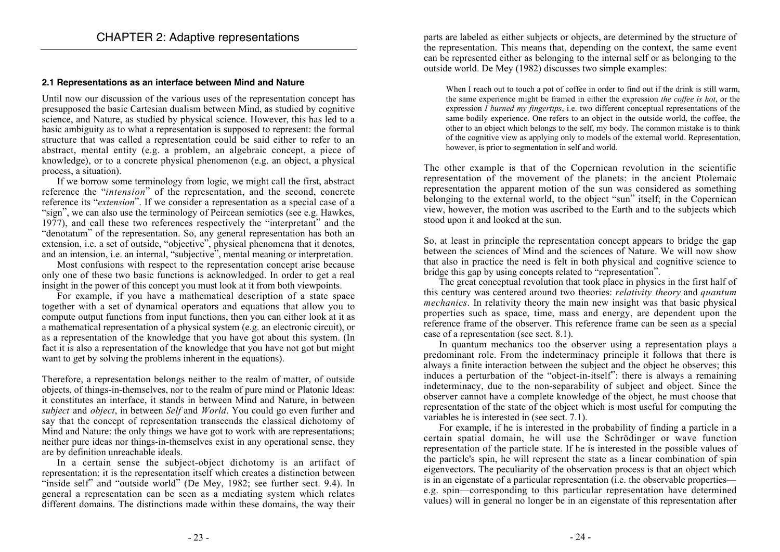#### **2.1 Representations as an interface between Mind and Nature**

Until now our discussion of the various uses of the representation concept has presupposed the basic Cartesian dualism between Mind, as studied by cognitive science, and Nature, as studied by physical science. However, this has led to a basic ambiguity as to what a representation is supposed to represent: the formal structure that was called a representation could be said either to refer to an abstract, mental entity (e.g. a problem, an algebraic concept, a piece of knowledge), or to a concrete physical phenomenon (e.g. an object, a physical process, a situation).

If we borrow some terminology from logic, we might call the first, abstract reference the "*intension*" of the representation, and the second, concrete reference its "*extension*". If we consider a representation as a special case of a "sign", we can also use the terminology of Peircean semiotics (see e.g. Hawkes, 1977), and call these two references respectively the "interpretant" and the "denotatum" of the representation. So, any general representation has both an extension, i.e. a set of outside, "objective", physical phenomena that it denotes, and an intension, i.e. an internal, "subjective", mental meaning or interpretation.

Most confusions with respect to the representation concept arise because only one of these two basic functions is acknowledged. In order to get a real insight in the power of this concept you must look at it from both viewpoints.

For example, if you have a mathematical description of a state space together with a set of dynamical operators and equations that allow you to compute output functions from input functions, then you can either look at it as a mathematical representation of a physical system (e.g. an electronic circuit), or as a representation of the knowledge that you have got about this system. (In fact it is also a representation of the knowledge that you have not got but might want to get by solving the problems inherent in the equations).

Therefore, a representation belongs neither to the realm of matter, of outside objects, of things-in-themselves, nor to the realm of pure mind or Platonic Ideas: it constitutes an interface, it stands in between Mind and Nature, in between *subject* and *object*, in between *Self* and *World*. You could go even further and say that the concept of representation transcends the classical dichotomy of Mind and Nature: the only things we have got to work with are representations; neither pure ideas nor things-in-themselves exist in any operational sense, they are by definition unreachable ideals.

In a certain sense the subject-object dichotomy is an artifact of representation: it is the representation itself which creates a distinction between "inside self" and "outside world" (De Mey, 1982; see further sect. 9.4). In general a representation can be seen as a mediating system which relates different domains. The distinctions made within these domains, the way their parts are labeled as either subjects or objects, are determined by the structure of the representation. This means that, depending on the context, the same event can be represented either as belonging to the internal self or as belonging to the outside world. De Mey (1982) discusses two simple examples:

When I reach out to touch a pot of coffee in order to find out if the drink is still warm. the same experience might be framed in either the expression *the coffee is hot*, or the expression *I burned my fingertips*, i.e. two different conceptual representations of the same bodily experience. One refers to an object in the outside world, the coffee, the other to an object which belongs to the self, my body. The common mistake is to think of the cognitive view as applying only to models of the external world. Representation, however, is prior to segmentation in self and world.

The other example is that of the Copernican revolution in the scientific representation of the movement of the planets: in the ancient Ptolemaic representation the apparent motion of the sun was considered as something belonging to the external world, to the object "sun" itself; in the Copernican view, however, the motion was ascribed to the Earth and to the subjects which stood upon it and looked at the sun.

So, at least in principle the representation concept appears to bridge the gap between the sciences of Mind and the sciences of Nature. We will now showthat also in practice the need is felt in both physical and cognitive science to bridge this gap by using concepts related to "representation".

The great conceptual revolution that took place in physics in the first half of this century was centered around two theories: *relativity theory* and *quantum mechanics*. In relativity theory the main new insight was that basic physical properties such as space, time, mass and energy, are dependent upon the reference frame of the observer. This reference frame can be seen as a special case of a representation (see sect. 8.1).

In quantum mechanics too the observer using a representation plays a predominant role. From the indeterminacy principle it follows that there is always a finite interaction between the subject and the object he observes; this induces a perturbation of the "object-in-itself": there is always a remaining indeterminacy, due to the non-separability of subject and object. Since the observer cannot have a complete knowledge of the object, he must choose that representation of the state of the object which is most useful for computing the variables he is interested in (see sect. 7.1).

For example, if he is interested in the probability of finding a particle in a certain spatial domain, he will use the Schrödinger or wave function representation of the particle state. If he is interested in the possible values of the particle's spin, he will represent the state as a linear combination of spin eigenvectors. The peculiarity of the observation process is that an object which is in an eigenstate of a particular representation (i.e. the observable properties e.g. spin—corresponding to this particular representation have determined values) will in general no longer be in an eigenstate of this representation after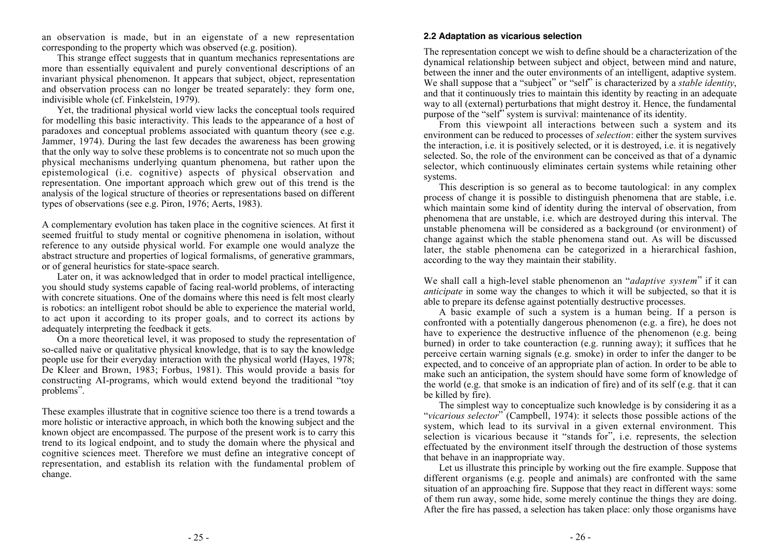an observation is made, but in an eigenstate of a new representation corresponding to the property which was observed (e.g. position).

This strange effect suggests that in quantum mechanics representations are more than essentially equivalent and purely conventional descriptions of an invariant physical phenomenon. It appears that subject, object, representation and observation process can no longer be treated separately: they form one, indivisible whole (cf. Finkelstein, 1979).

Yet, the traditional physical world view lacks the conceptual tools required for modelling this basic interactivity. This leads to the appearance of a host of paradoxes and conceptual problems associated with quantum theory (see e.g. Jammer, 1974). During the last few decades the awareness has been growing that the only way to solve these problems is to concentrate not so much upon the physical mechanisms underlying quantum phenomena, but rather upon the epistemological (i.e. cognitive) aspects of physical observation and representation. One important approach which grew out of this trend is the analysis of the logical structure of theories or representations based on different types of observations (see e.g. Piron, 1976; Aerts, 1983).

A complementary evolution has taken place in the cognitive sciences. At first it seemed fruitful to study mental or cognitive phenomena in isolation, without reference to any outside physical world. For example one would analyze the abstract structure and properties of logical formalisms, of generative grammars, or of general heuristics for state-space search.

Later on, it was acknowledged that in order to model practical intelligence, you should study systems capable of facing real-world problems, of interacting with concrete situations. One of the domains where this need is felt most clearly is robotics: an intelligent robot should be able to experience the material world, to act upon it according to its proper goals, and to correct its actions by adequately interpreting the feedback it gets.

On a more theoretical level, it was proposed to study the representation of so-called naive or qualitative physical knowledge, that is to say the knowledge people use for their everyday interaction with the physical world (Hayes, 1978; De Kleer and Brown, 1983; Forbus, 1981). This would provide a basis for constructing AI-programs, which would extend beyond the traditional "toy problems".

These examples illustrate that in cognitive science too there is a trend towards a more holistic or interactive approach, in which both the knowing subject and the known object are encompassed. The purpose of the present work is to carry this trend to its logical endpoint, and to study the domain where the physical and cognitive sciences meet. Therefore we must define an integrative concept of representation, and establish its relation with the fundamental problem of change.

#### **2.2 Adaptation as vicarious selection**

The representation concept we wish to define should be a characterization of the dynamical relationship between subject and object, between mind and nature, between the inner and the outer environments of an intelligent, adaptive system. We shall suppose that a "subject" or "self" is characterized by a *stable identity*, and that it continuously tries to maintain this identity by reacting in an adequate way to all (external) perturbations that might destroy it. Hence, the fundamental purpose of the "self" system is survival: maintenance of its identity.

From this viewpoint all interactions between such a system and its environment can be reduced to processes of *selection*: either the system survives the interaction, i.e. it is positively selected, or it is destroyed, i.e. it is negatively selected. So, the role of the environment can be conceived as that of a dynamic selector, which continuously eliminates certain systems while retaining other systems.

This description is so general as to become tautological: in any complex process of change it is possible to distinguish phenomena that are stable, i.e. which maintain some kind of identity during the interval of observation, from phenomena that are unstable, i.e. which are destroyed during this interval. The unstable phenomena will be considered as a background (or environment) of change against which the stable phenomena stand out. As will be discussed later, the stable phenomena can be categorized in a hierarchical fashion, according to the way they maintain their stability.

We shall call a high-level stable phenomenon an "*adaptive system*" if it can *anticipate* in some way the changes to which it will be subjected, so that it is able to prepare its defense against potentially destructive processes.

A basic example of such a system is a human being. If a person is confronted with a potentially dangerous phenomenon (e.g. a fire), he does not have to experience the destructive influence of the phenomenon (e.g. being burned) in order to take counteraction (e.g. running away); it suffices that he perceive certain warning signals (e.g. smoke) in order to infer the danger to be expected, and to conceive of an appropriate plan of action. In order to be able to make such an anticipation, the system should have some form of knowledge of the world (e.g. that smoke is an indication of fire) and of its self (e.g. that it can be killed by fire).

The simplest way to conceptualize such knowledge is by considering it as a "*vicarious selector*" (Campbell, 1974): it selects those possible actions of the system, which lead to its survival in a given external environment. This selection is vicarious because it "stands for", i.e. represents, the selection effectuated by the environment itself through the destruction of those systems that behave in an inappropriate way.

Let us illustrate this principle by working out the fire example. Suppose that different organisms (e.g. people and animals) are confronted with the same situation of an approaching fire. Suppose that they react in different ways: some of them run away, some hide, some merely continue the things they are doing. After the fire has passed, a selection has taken place: only those organisms have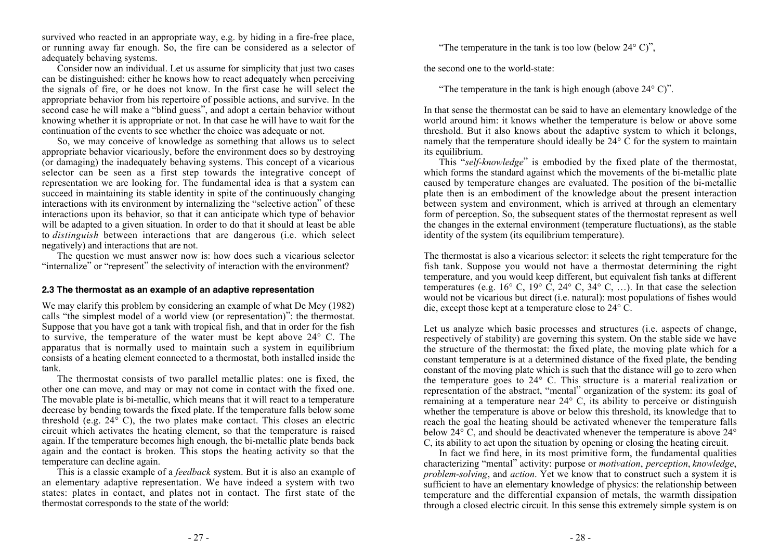survived who reacted in an appropriate way, e.g. by hiding in a fire-free place, or running away far enough. So, the fire can be considered as a selector of adequately behaving systems.

Consider now an individual. Let us assume for simplicity that just two cases can be distinguished: either he knows how to react adequately when perceiving the signals of fire, or he does not know. In the first case he will select the appropriate behavior from his repertoire of possible actions, and survive. In the second case he will make a "blind guess", and adopt a certain behavior without knowing whether it is appropriate or not. In that case he will have to wait for the continuation of the events to see whether the choice was adequate or not.

So, we may conceive of knowledge as something that allows us to select appropriate behavior vicariously, before the environment does so by destroying (or damaging) the inadequately behaving systems. This concept of a vicarious selector can be seen as a first step towards the integrative concept of representation we are looking for. The fundamental idea is that a system can succeed in maintaining its stable identity in spite of the continuously changing interactions with its environment by internalizing the "selective action" of these interactions upon its behavior, so that it can anticipate which type of behavior will be adapted to a given situation. In order to do that it should at least be able to *distinguish* between interactions that are dangerous (i.e. which select negatively) and interactions that are not.

The question we must answer now is: how does such a vicarious selector "internalize" or "represent" the selectivity of interaction with the environment?

#### **2.3 The thermostat as an example of an adaptive representation**

We may clarify this problem by considering an example of what De Mey (1982) calls "the simplest model of a world view (or representation)": the thermostat. Suppose that you have got a tank with tropical fish, and that in order for the fish to survive, the temperature of the water must be kept above 24° C. The apparatus that is normally used to maintain such a system in equilibrium consists of a heating element connected to a thermostat, both installed inside the tank.

The thermostat consists of two parallel metallic plates: one is fixed, the other one can move, and may or may not come in contact with the fixed one. The movable plate is bi-metallic, which means that it will react to a temperature decrease by bending towards the fixed plate. If the temperature falls below some threshold (e.g. 24° C), the two plates make contact. This closes an electric circuit which activates the heating element, so that the temperature is raised again. If the temperature becomes high enough, the bi-metallic plate bends back again and the contact is broken. This stops the heating activity so that the temperature can decline again.

This is a classic example of a *feedback* system. But it is also an example of an elementary adaptive representation. We have indeed a system with two states: plates in contact, and plates not in contact. The first state of the thermostat corresponds to the state of the world:

"The temperature in the tank is too low (below  $24^{\circ}$  C)".

the second one to the world-state:

"The temperature in the tank is high enough (above  $24^{\circ}$  C)".

In that sense the thermostat can be said to have an elementary knowledge of the world around him: it knows whether the temperature is below or above some threshold. But it also knows about the adaptive system to which it belongs, namely that the temperature should ideally be  $24^{\circ}$  C for the system to maintain its equilibrium.

This "*self-knowledge*" is embodied by the fixed plate of the thermostat, which forms the standard against which the movements of the bi-metallic plate caused by temperature changes are evaluated. The position of the bi-metallic plate then is an embodiment of the knowledge about the present interaction between system and environment, which is arrived at through an elementary form of perception. So, the subsequent states of the thermostat represent as well the changes in the external environment (temperature fluctuations), as the stable identity of the system (its equilibrium temperature).

The thermostat is also a vicarious selector: it selects the right temperature for the fish tank. Suppose you would not have a thermostat determining the right temperature, and you would keep different, but equivalent fish tanks at different temperatures (e.g.  $16^{\circ}$  C,  $19^{\circ}$  C,  $24^{\circ}$  C,  $34^{\circ}$  C, ...). In that case the selection would not be vicarious but direct (i.e. natural): most populations of fishes would die, except those kept at a temperature close to  $24^{\circ}$  C.

Let us analyze which basic processes and structures (i.e. aspects of change, respectively of stability) are governing this system. On the stable side we have the structure of the thermostat: the fixed plate, the moving plate which for a constant temperature is at a determined distance of the fixed plate, the bending constant of the moving plate which is such that the distance will go to zero when the temperature goes to 24° C. This structure is a material realization or representation of the abstract, "mental" organization of the system: its goal of remaining at a temperature near 24° C, its ability to perceive or distinguish whether the temperature is above or below this threshold, its knowledge that to reach the goal the heating should be activated whenever the temperature falls below 24° C, and should be deactivated whenever the temperature is above 24° C, its ability to act upon the situation by opening or closing the heating circuit.

In fact we find here, in its most primitive form, the fundamental qualities characterizing "mental" activity: purpose or *motivation*, *perception*, *knowledge*, *problem-solving*, and *action*. Yet we know that to construct such a system it is sufficient to have an elementary knowledge of physics: the relationship between temperature and the differential expansion of metals, the warmth dissipation through a closed electric circuit. In this sense this extremely simple system is on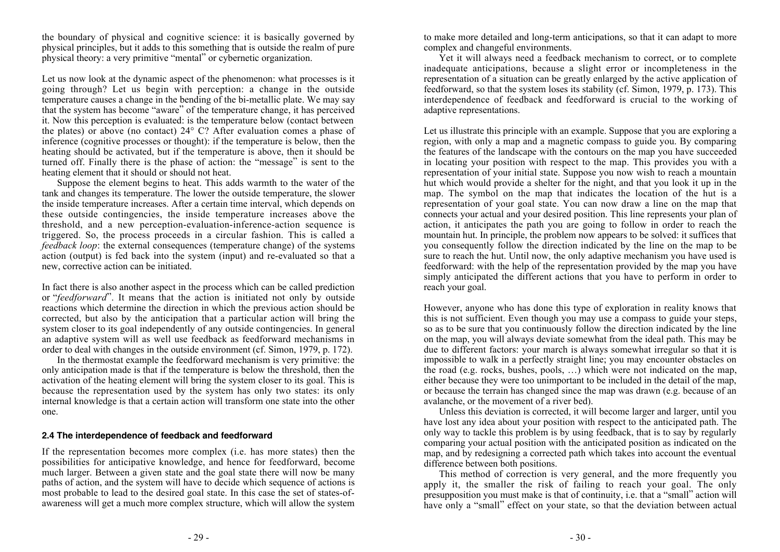the boundary of physical and cognitive science: it is basically governed by physical principles, but it adds to this something that is outside the realm of pure <sup>p</sup>hysical theory: a very primitive "mental" or cybernetic organization.

Let us now look at the dynamic aspect of the phenomenon: what processes is it going through? Let us begin with perception: a change in the outside temperature causes a change in the bending of the bi-metallic plate. We may say that the system has become "aware" of the temperature change, it has perceived it. Now this perception is evaluated: is the temperature below (contact between the plates) or above (no contact) 24° C? After evaluation comes a phase of inference (cognitive processes or thought): if the temperature is below, then the heating should be activated, but if the temperature is above, then it should be turned off. Finally there is the phase of action: the "message" is sent to the heating element that it should or should not heat.

Suppose the element begins to heat. This adds warmth to the water of the tank and changes its temperature. The lower the outside temperature, the slower the inside temperature increases. After a certain time interval, which depends on these outside contingencies, the inside temperature increases above the threshold, and a new perception-evaluation-inference-action sequence is triggered. So, the process proceeds in a circular fashion. This is called a *feedback loop*: the external consequences (temperature change) of the systems action (output) is fed back into the system (input) and re-evaluated so that a new, corrective action can be initiated.

In fact there is also another aspect in the process which can be called prediction or "*feedforward*". It means that the action is initiated not only by outside reactions which determine the direction in which the previous action should be corrected, but also by the anticipation that a particular action will bring the system closer to its goal independently of any outside contingencies. In general an adaptive system will as well use feedback as feedforward mechanisms in order to deal with changes in the outside environment (cf. Simon, 1979, p. 172).

In the thermostat example the feedforward mechanism is very primitive: the only anticipation made is that if the temperature is below the threshold, then the activation of the heating element will bring the system closer to its goal. This is because the representation used by the system has only two states: its only internal knowledge is that a certain action will transform one state into the other one.

#### **2.4 The interdependence of feedback and feedforward**

If the representation becomes more complex (i.e. has more states) then the possibilities for anticipative knowledge, and hence for feedforward, become much larger. Between a given state and the goal state there will now be many paths of action, and the system will have to decide which sequence of actions is most probable to lead to the desired goal state. In this case the set of states-ofawareness will get a much more complex structure, which will allow the system

to make more detailed and long-term anticipations, so that it can adapt to more complex and changeful environments.

Yet it will always need a feedback mechanism to correct, or to complete inadequate anticipations, because a slight error or incompleteness in the representation of a situation can be greatly enlarged by the active application of feedforward, so that the system loses its stability (cf. Simon, 1979, p. 173). This interdependence of feedback and feedforward is crucial to the working of adaptive representations.

Let us illustrate this principle with an example. Suppose that you are exploring a region, with only a map and a magnetic compass to guide you. By comparing the features of the landscape with the contours on the map you have succeeded in locating your position with respect to the map. This provides you with a representation of your initial state. Suppose you now wish to reach a mountain hut which would provide a shelter for the night, and that you look it up in the map. The symbol on the map that indicates the location of the hut is a representation of your goal state. You can now draw a line on the map that connects your actual and your desired position. This line represents your plan of action, it anticipates the path you are going to follow in order to reach the mountain hut. In principle, the problem now appears to be solved: it suffices that you consequently follow the direction indicated by the line on the map to be sure to reach the hut. Until now, the only adaptive mechanism you have used is feedforward: with the help of the representation provided by the map you have simply anticipated the different actions that you have to perform in order to reach your goal.

However, anyone who has done this type of exploration in reality knows that this is not sufficient. Even though you may use a compass to guide your steps, so as to be sure that you continuously follow the direction indicated by the line on the map, you will always deviate somewhat from the ideal path. This may be due to different factors: your march is always somewhat irregular so that it is impossible to walk in a perfectly straight line; you may encounter obstacles on the road (e.g. rocks, bushes, pools, …) which were not indicated on the map, either because they were too unimportant to be included in the detail of the map, or because the terrain has changed since the map was drawn (e.g. because of an avalanche, or the movement of a river bed).

Unless this deviation is corrected, it will become larger and larger, until you have lost any idea about your position with respect to the anticipated path. The only way to tackle this problem is by using feedback, that is to say by regularly comparing your actual position with the anticipated position as indicated on the map, and by redesigning a corrected path which takes into account the eventual difference between both positions.

This method of correction is very general, and the more frequently you apply it, the smaller the risk of failing to reach your goal. The only presupposition you must make is that of continuity, i.e. that a "small" action will have only a "small" effect on your state, so that the deviation between actual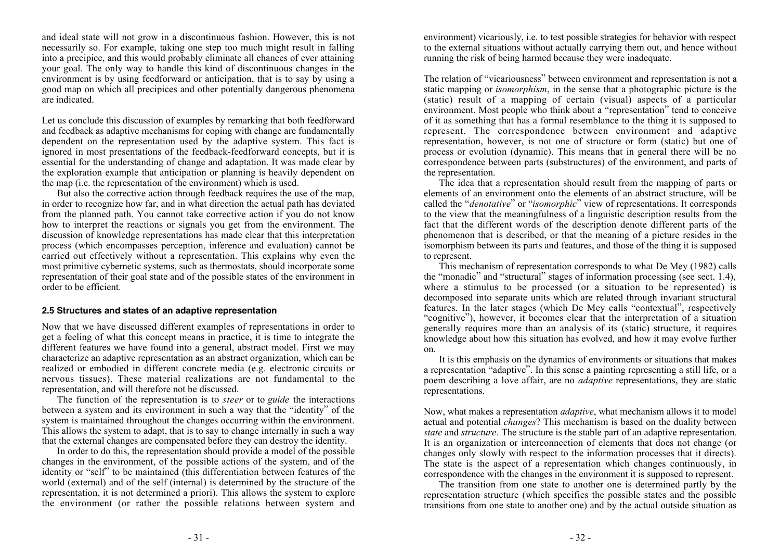and ideal state will not grow in a discontinuous fashion. However, this is not necessarily so. For example, taking one step too much might result in falling into a precipice, and this would probably eliminate all chances of ever attaining your goal. The only way to handle this kind of discontinuous changes in the environment is by using feedforward or anticipation, that is to say by using a good map on which all precipices and other potentially dangerous phenomena are indicated.

Let us conclude this discussion of examples by remarking that both feedforward and feedback as adaptive mechanisms for coping with change are fundamentally dependent on the representation used by the adaptive system. This fact is ignored in most presentations of the feedback-feedforward concepts, but it is essential for the understanding of change and adaptation. It was made clear by the exploration example that anticipation or planning is heavily dependent on the map (i.e. the representation of the environment) which is used.

But also the corrective action through feedback requires the use of the map, in order to recognize how far, and in what direction the actual path has deviated from the planned path. You cannot take corrective action if you do not know how to interpret the reactions or signals you get from the environment. The discussion of knowledge representations has made clear that this interpretation process (which encompasses perception, inference and evaluation) cannot be carried out effectively without a representation. This explains why even the most primitive cybernetic systems, such as thermostats, should incorporate some representation of their goal state and of the possible states of the environment in order to be efficient.

#### **2.5 Structures and states of an adaptive representation**

Now that we have discussed different examples of representations in order to get a feeling of what this concept means in practice, it is time to integrate the different features we have found into a general, abstract model. First we may characterize an adaptive representation as an abstract organization, which can be realized or embodied in different concrete media (e.g. electronic circuits or nervous tissues). These material realizations are not fundamental to the representation, and will therefore not be discussed.

The function of the representation is to *steer* or to *guide* the interactions between a system and its environment in such a way that the "identity" of the system is maintained throughout the changes occurring within the environment. This allows the system to adapt, that is to say to change internally in such a way that the external changes are compensated before they can destroy the identity.

In order to do this, the representation should provide a model of the possible changes in the environment, of the possible actions of the system, and of the identity or "self" to be maintained (this differentiation between features of the world (external) and of the self (internal) is determined by the structure of the representation, it is not determined a priori). This allows the system to explore the environment (or rather the possible relations between system and

environment) vicariously, i.e. to test possible strategies for behavior with respect to the external situations without actually carrying them out, and hence without running the risk of being harmed because they were inadequate.

The relation of "vicariousness" between environment and representation is not a static mapping or *isomorphism*, in the sense that a photographic picture is the (static) result of a mapping of certain (visual) aspects of a particular environment. Most people who think about a "representation" tend to conceive of it as something that has a formal resemblance to the thing it is supposed to represent. The correspondence between environment and adaptive representation, however, is not one of structure or form (static) but one of process or evolution (dynamic). This means that in general there will be no correspondence between parts (substructures) of the environment, and parts of the representation.

The idea that a representation should result from the mapping of parts or elements of an environment onto the elements of an abstract structure, will be called the "*denotative*" or "*isomorphic*" view of representations. It corresponds to the view that the meaningfulness of a linguistic description results from the fact that the different words of the description denote different parts of the phenomenon that is described, or that the meaning of a picture resides in the isomorphism between its parts and features, and those of the thing it is supposed to represent.

This mechanism of representation corresponds to what De Mey (1982) calls the "monadic" and "structural" stages of information processing (see sect. 1.4), where a stimulus to be processed (or a situation to be represented) is decomposed into separate units which are related through invariant structural features. In the later stages (which De Mey calls "contextual", respectively "cognitive"), however, it becomes clear that the interpretation of a situation generally requires more than an analysis of its (static) structure, it requires knowledge about how this situation has evolved, and how it may evolve further on.

It is this emphasis on the dynamics of environments or situations that makes a representation "adaptive". In this sense a painting representing a still life, or a poem describing a love affair, are no *adaptive* representations, they are static representations.

Now, what makes a representation *adaptive*, what mechanism allows it to model actual and potential *changes*? This mechanism is based on the duality between *state* and *structure*. The structure is the stable part of an adaptive representation. It is an organization or interconnection of elements that does not change (or changes only slowly with respect to the information processes that it directs). The state is the aspect of a representation which changes continuously, in correspondence with the changes in the environment it is supposed to represent.

The transition from one state to another one is determined partly by the representation structure (which specifies the possible states and the possible transitions from one state to another one) and by the actual outside situation as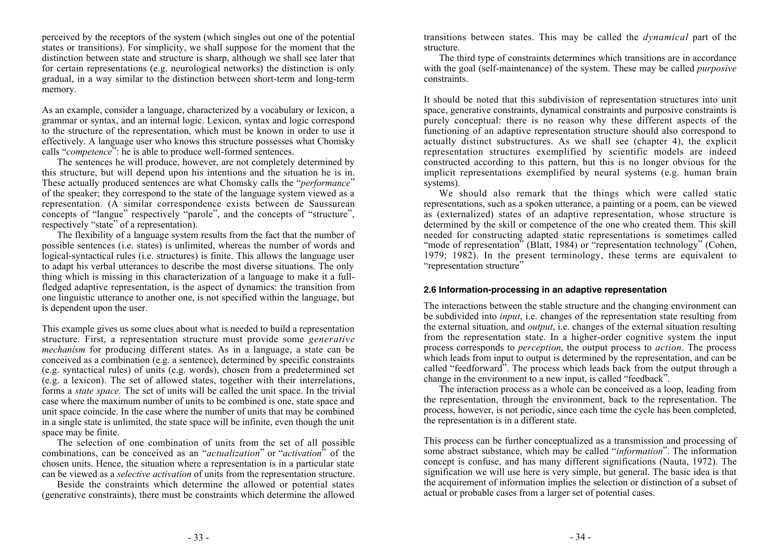perceived by the receptors of the system (which singles out one of the potential states or transitions). For simplicity, we shall suppose for the moment that the distinction between state and structure is sharp, although we shall see later that for certain representations (e.g. neurological networks) the distinction is only gradual, in a way similar to the distinction between short-term and long-term memory.

As an example, consider a language, characterized by a vocabulary or lexicon, a grammar or syntax, and an internal logic. Lexicon, syntax and logic correspond to the structure of the representation, which must be known in order to use it effectively. A language user who knows this structure possesses what Chomsky calls "*competence*": he is able to produce well-formed sentences.

The sentences he will produce, however, are not completely determined by this structure, but will depend upon his intentions and the situation he is in. These actually produced sentences are what Chomsky calls the "*performance*" of the speaker; they correspond to the state of the language system viewed as a representation. (A similar correspondence exists between de Saussurean concepts of "langue" respectively "parole", and the concepts of "structure", respectively "state" of a representation).

The flexibility of a language system results from the fact that the number of possible sentences (i.e. states) is unlimited, whereas the number of words and logical-syntactical rules (i.e. structures) is finite. This allows the language user to adapt his verbal utterances to describe the most diverse situations. The only thing which is missing in this characterization of a language to make it a fullfledged adaptive representation, is the aspect of dynamics: the transition from one linguistic utterance to another one, is not specified within the language, but is dependent upon the user.

This example gives us some clues about what is needed to build a representation structure. First, a representation structure must provide some *generative mechanism* for producing different states. As in a language, a state can be conceived as a combination (e.g. a sentence), determined by specific constraints (e.g. syntactical rules) of units (e.g. words), chosen from a predetermined set (e.g. a lexicon). The set of allowed states, together with their interrelations, forms a *state space.* The set of units will be called the unit space. In the trivial case where the maximum number of units to be combined is one, state space and unit space coincide. In the case where the number of units that may be combined in a single state is unlimited, the state space will be infinite, even though the unit space may be finite.

The selection of one combination of units from the set of all possible combinations, can be conceived as an "*actualization*" or "*activation*" of the chosen units. Hence, the situation where a representation is in a particular state can be viewed as a *selective activation* of units from the representation structure.

Beside the constraints which determine the allowed or potential states (generative constraints), there must be constraints which determine the allowed transitions between states. This may be called the *dynamical* part of the structure.

The third type of constraints determines which transitions are in accordance with the goal (self-maintenance) of the system. These may be called *purposive* constraints.

It should be noted that this subdivision of representation structures into unit space, generative constraints, dynamical constraints and purposive constraints is purely conceptual: there is no reason why these different aspects of the functioning of an adaptive representation structure should also correspond to actually distinct substructures. As we shall see (chapter 4), the explicit representation structures exemplified by scientific models are indeed constructed according to this pattern, but this is no longer obvious for the implicit representations exemplified by neural systems (e.g. human brain systems).

We should also remark that the things which were called static representations, such as a spoken utterance, a painting or a poem, can be viewed as (externalized) states of an adaptive representation, whose structure is determined by the skill or competence of the one who created them. This skill needed for constructing adapted static representations is sometimes called "mode of representation" (Blatt, 1984) or "representation technology" (Cohen, 1979; 1982). In the present terminology, these terms are equivalent to "representation structure"

#### **2.6 Information-processing in an adaptive representation**

The interactions between the stable structure and the changing environment can be subdivided into *input*, i.e. changes of the representation state resulting from the external situation, and *output*, i.e. changes of the external situation resulting from the representation state. In a higher-order cognitive system the input process corresponds to *perception*, the output process to *action*. The process which leads from input to output is determined by the representation, and can be called "feedforward". The process which leads back from the output through a change in the environment to a new input, is called "feedback".

The interaction process as a whole can be conceived as a loop, leading from the representation, through the environment, back to the representation. The process, however, is not periodic, since each time the cycle has been completed, the representation is in a different state.

This process can be further conceptualized as a transmission and processing of some abstract substance, which may be called "*information*". The information concept is confuse, and has many different significations (Nauta, 1972). The signification we will use here is very simple, but general. The basic idea is that the acquirement of information implies the selection or distinction of a subset of actual or probable cases from a larger set of potential cases.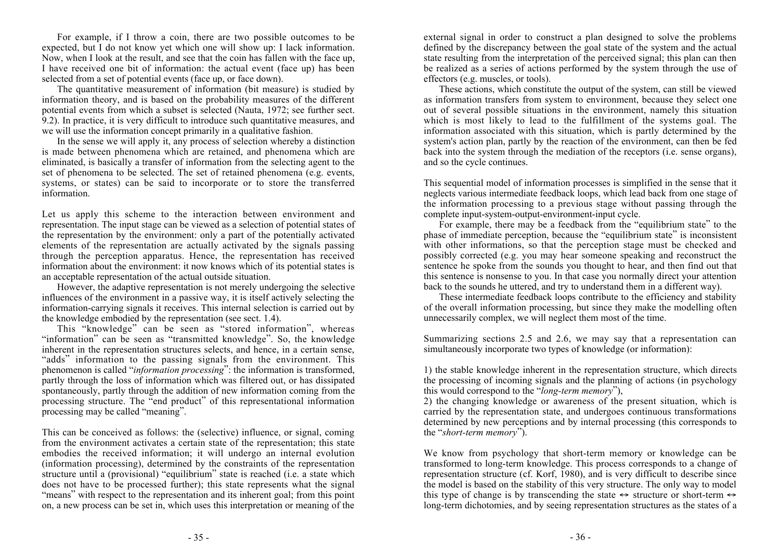For example, if I throw a coin, there are two possible outcomes to be expected, but I do not know yet which one will show up: I lack information. Now, when I look at the result, and see that the coin has fallen with the face up, I have received one bit of information: the actual event (face up) has been selected from a set of potential events (face up, or face down).

The quantitative measurement of information (bit measure) is studied by information theory, and is based on the probability measures of the different potential events from which a subset is selected (Nauta, 1972; see further sect. 9.2). In practice, it is very difficult to introduce such quantitative measures, and we will use the information concept primarily in a qualitative fashion.

In the sense we will apply it, any process of selection whereby a distinction is made between phenomena which are retained, and phenomena which are eliminated, is basically a transfer of information from the selecting agent to the set of phenomena to be selected. The set of retained phenomena (e.g. events, systems, or states) can be said to incorporate or to store the transferred information.

Let us apply this scheme to the interaction between environment and representation. The input stage can be viewed as a selection of potential states of the representation by the environment: only a part of the potentially activated elements of the representation are actually activated by the signals passing through the perception apparatus. Hence, the representation has received information about the environment: it now knows which of its potential states is an acceptable representation of the actual outside situation.

However, the adaptive representation is not merely undergoing the selective influences of the environment in a passive way, it is itself actively selecting the information-carrying signals it receives. This internal selection is carried out by the knowledge embodied by the representation (see sect. 1.4).

This "knowledge" can be seen as "stored information", whereas "information" can be seen as "transmitted knowledge". So, the knowledge inherent in the representation structures selects, and hence, in a certain sense, "adds" information to the passing signals from the environment. This <sup>p</sup>henomenon is called "*information processing*": the information is transformed, partly through the loss of information which was filtered out, or has dissipated spontaneously, partly through the addition of new information coming from the processing structure. The "end product" of this representational information processing may be called "meaning".

This can be conceived as follows: the (selective) influence, or signal, coming from the environment activates a certain state of the representation; this state embodies the received information; it will undergo an internal evolution (information processing), determined by the constraints of the representation structure until a (provisional) "equilibrium" state is reached (i.e. a state which does not have to be processed further); this state represents what the signal "means" with respect to the representation and its inherent goal; from this point on, a new process can be set in, which uses this interpretation or meaning of the

external signal in order to construct a plan designed to solve the problems defined by the discrepancy between the goal state of the system and the actual state resulting from the interpretation of the perceived signal; this plan can then be realized as a series of actions performed by the system through the use of effectors (e.g. muscles, or tools).

These actions, which constitute the output of the system, can still be viewed as information transfers from system to environment, because they select one out of several possible situations in the environment, namely this situation which is most likely to lead to the fulfillment of the systems goal. The information associated with this situation, which is partly determined by the system's action plan, partly by the reaction of the environment, can then be fed back into the system through the mediation of the receptors (i.e. sense organs), and so the cycle continues.

This sequential model of information processes is simplified in the sense that it neglects various intermediate feedback loops, which lead back from one stage of the information processing to a previous stage without passing through the complete input-system-output-environment-input cycle.

For example, there may be a feedback from the "equilibrium state" to the <sup>p</sup>hase of immediate perception, because the "equilibrium state" is inconsistent with other informations, so that the perception stage must be checked and possibly corrected (e.g. you may hear someone speaking and reconstruct the sentence he spoke from the sounds you thought to hear, and then find out that this sentence is nonsense to you. In that case you normally direct your attention back to the sounds he uttered, and try to understand them in a different way).

These intermediate feedback loops contribute to the efficiency and stability of the overall information processing, but since they make the modelling often unnecessarily complex, we will neglect them most of the time.

Summarizing sections 2.5 and 2.6, we may say that a representation can simultaneously incorporate two types of knowledge (or information):

1) the stable knowledge inherent in the representation structure, which directs the processing of incoming signals and the planning of actions (in psychology this would correspond to the "*long-term memory*"),

2) the changing knowledge or awareness of the present situation, which is carried by the representation state, and undergoes continuous transformations determined by new perceptions and by internal processing (this corresponds to the "*short-term memory*").

We know from psychology that short-term memory or knowledge can be transformed to long-term knowledge. This process corresponds to a change of representation structure (cf. Korf, 1980), and is very difficult to describe since the model is based on the stability of this very structure. The only way to model this type of change is by transcending the state  $\leftrightarrow$  structure or short-term  $\leftrightarrow$ long-term dichotomies, and by seeing representation structures as the states of a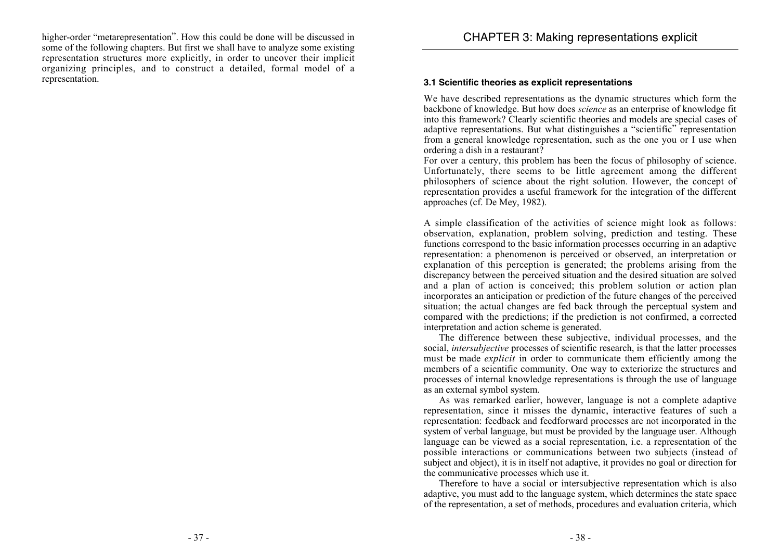higher-order "metarepresentation". How this could be done will be discussed in some of the following chapters. But first we shall have to analyze some existing representation structures more explicitly, in order to uncover their implicit organizing principles, and to construct a detailed, formal model of a representation.

#### **3.1 Scientific theories as explicit representations**

We have described representations as the dynamic structures which form the backbone of knowledge. But how does *science* as an enterprise of knowledge fit into this framework? Clearly scientific theories and models are special cases of adaptive representations. But what distinguishes a "scientific" representation from a general knowledge representation, such as the one you or I use when ordering a dish in a restaurant?

For over a century, this problem has been the focus of philosophy of science. Unfortunately, there seems to be little agreement among the different philosophers of science about the right solution. However, the concept of representation provides a useful framework for the integration of the different approaches (cf. De Mey, 1982).

A simple classification of the activities of science might look as follows: observation, explanation, problem solving, prediction and testing. These functions correspond to the basic information processes occurring in an adaptive representation: a phenomenon is perceived or observed, an interpretation or explanation of this perception is generated; the problems arising from the discrepancy between the perceived situation and the desired situation are solved and a plan of action is conceived; this problem solution or action plan incorporates an anticipation or prediction of the future changes of the perceived situation; the actual changes are fed back through the perceptual system and compared with the predictions; if the prediction is not confirmed, a corrected interpretation and action scheme is generated.

The difference between these subjective, individual processes, and the social, *intersubjective* processes of scientific research, is that the latter processes must be made *explicit* in order to communicate them efficiently among the members of a scientific community. One way to exteriorize the structures and processes of internal knowledge representations is through the use of language as an external symbol system.

As was remarked earlier, however, language is not a complete adaptive representation, since it misses the dynamic, interactive features of such a representation: feedback and feedforward processes are not incorporated in the system of verbal language, but must be provided by the language user. Although language can be viewed as a social representation, i.e. a representation of the possible interactions or communications between two subjects (instead of subject and object), it is in itself not adaptive, it provides no goal or direction for the communicative processes which use it.

Therefore to have a social or intersubjective representation which is also adaptive, you must add to the language system, which determines the state space of the representation, a set of methods, procedures and evaluation criteria, which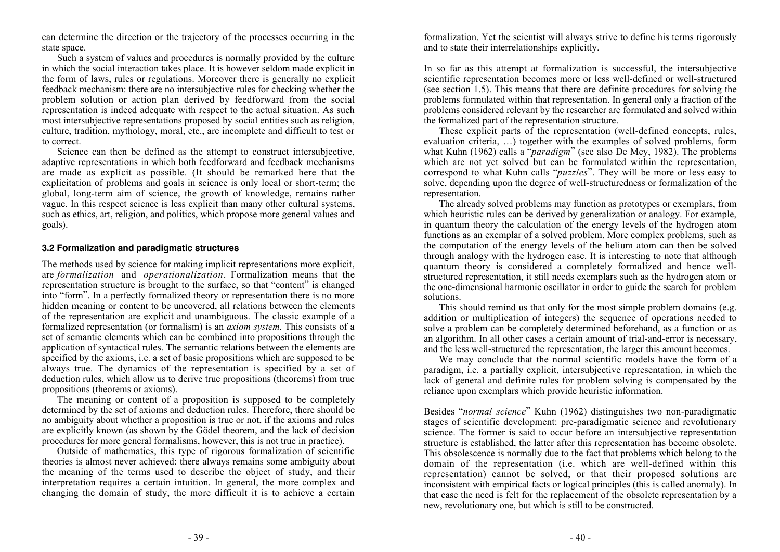can determine the direction or the trajectory of the processes occurring in the state space.

Such a system of values and procedures is normally provided by the culture in which the social interaction takes place. It is however seldom made explicit in the form of laws, rules or regulations. Moreover there is generally no explicit feedback mechanism: there are no intersubjective rules for checking whether the problem solution or action plan derived by feedforward from the social representation is indeed adequate with respect to the actual situation. As such most intersubjective representations proposed by social entities such as religion, culture, tradition, mythology, moral, etc., are incomplete and difficult to test or to correct.

Science can then be defined as the attempt to construct intersubjective, adaptive representations in which both feedforward and feedback mechanisms are made as explicit as possible. (It should be remarked here that the explicitation of problems and goals in science is only local or short-term; the global, long-term aim of science, the growth of knowledge, remains rather vague. In this respect science is less explicit than many other cultural systems, such as ethics, art, religion, and politics, which propose more general values and goals).

#### **3.2 Formalization and paradigmatic structures**

The methods used by science for making implicit representations more explicit, are *formalization* and *operationalization*. Formalization means that the representation structure is brought to the surface, so that "content" is changed into "form". In a perfectly formalized theory or representation there is no more hidden meaning or content to be uncovered, all relations between the elements of the representation are explicit and unambiguous. The classic example of a formalized representation (or formalism) is an *axiom system*. This consists of a set of semantic elements which can be combined into propositions through the application of syntactical rules. The semantic relations between the elements are specified by the axioms, i.e. a set of basic propositions which are supposed to be always true. The dynamics of the representation is specified by a set of deduction rules, which allow us to derive true propositions (theorems) from true propositions (theorems or axioms).

The meaning or content of a proposition is supposed to be completely determined by the set of axioms and deduction rules. Therefore, there should be no ambiguity about whether a proposition is true or not, if the axioms and rules are explicitly known (as shown by the Gödel theorem, and the lack of decision procedures for more general formalisms, however, this is not true in practice).

Outside of mathematics, this type of rigorous formalization of scientific theories is almost never achieved: there always remains some ambiguity about the meaning of the terms used to describe the object of study, and their interpretation requires a certain intuition. In general, the more complex and changing the domain of study, the more difficult it is to achieve a certain formalization. Yet the scientist will always strive to define his terms rigorously and to state their interrelationships explicitly.

In so far as this attempt at formalization is successful, the intersubjective scientific representation becomes more or less well-defined or well-structured (see section 1.5). This means that there are definite procedures for solving the problems formulated within that representation. In general only a fraction of the problems considered relevant by the researcher are formulated and solved within the formalized part of the representation structure.

These explicit parts of the representation (well-defined concepts, rules, evaluation criteria, …) together with the examples of solved problems, form what Kuhn (1962) calls a "*paradigm*" (see also De Mey, 1982). The problems which are not yet solved but can be formulated within the representation, correspond to what Kuhn calls "*puzzles*". They will be more or less easy to solve, depending upon the degree of well-structuredness or formalization of the representation.

The already solved problems may function as prototypes or exemplars, from which heuristic rules can be derived by generalization or analogy. For example, in quantum theory the calculation of the energy levels of the hydrogen atom functions as an exemplar of a solved problem. More complex problems, such as the computation of the energy levels of the helium atom can then be solved through analogy with the hydrogen case. It is interesting to note that although quantum theory is considered a completely formalized and hence wellstructured representation, it still needs exemplars such as the hydrogen atom or the one-dimensional harmonic oscillator in order to guide the search for problem solutions.

This should remind us that only for the most simple problem domains (e.g. addition or multiplication of integers) the sequence of operations needed to solve a problem can be completely determined beforehand, as a function or as an algorithm. In all other cases a certain amount of trial-and-error is necessary, and the less well-structured the representation, the larger this amount becomes.

We may conclude that the normal scientific models have the form of a paradigm, i.e. a partially explicit, intersubjective representation, in which the lack of general and definite rules for problem solving is compensated by the reliance upon exemplars which provide heuristic information.

Besides "*normal science*" Kuhn (1962) distinguishes two non-paradigmatic stages of scientific development: pre-paradigmatic science and revolutionary science. The former is said to occur before an intersubjective representation structure is established, the latter after this representation has become obsolete. This obsolescence is normally due to the fact that problems which belong to the domain of the representation (i.e. which are well-defined within this representation) cannot be solved, or that their proposed solutions are inconsistent with empirical facts or logical principles (this is called anomaly). In that case the need is felt for the replacement of the obsolete representation by a new, revolutionary one, but which is still to be constructed.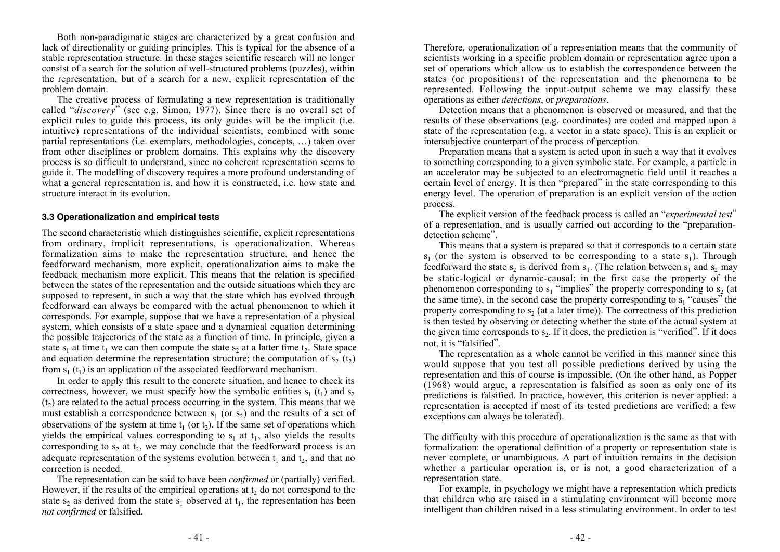Both non-paradigmatic stages are characterized by a great confusion and lack of directionality or guiding principles. This is typical for the absence of a stable representation structure. In these stages scientific research will no longer consist of a search for the solution of well-structured problems (puzzles), within the representation, but of a search for a new, explicit representation of the problem domain.

The creative process of formulating a new representation is traditionally called "*discovery*" (see e.g. Simon, 1977). Since there is no overall set of explicit rules to guide this process, its only guides will be the implicit (i.e. intuitive) representations of the individual scientists, combined with some partial representations (i.e. exemplars, methodologies, concepts, …) taken over from other disciplines or problem domains. This explains why the discovery process is so difficult to understand, since no coherent representation seems to guide it. The modelling of discovery requires a more profound understanding of what a general representation is, and how it is constructed, i.e. how state and structure interact in its evolution.

#### **3.3 Operationalization and empirical tests**

The second characteristic which distinguishes scientific, explicit representations from ordinary, implicit representations, is operationalization. Whereas formalization aims to make the representation structure, and hence the feedforward mechanism, more explicit, operationalization aims to make the feedback mechanism more explicit. This means that the relation is specified between the states of the representation and the outside situations which they are supposed to represent, in such a way that the state which has evolved through feedforward can always be compared with the actual phenomenon to which it corresponds. For example, suppose that we have a representation of a physical system, which consists of a state space and a dynamical equation determining the possible trajectories of the state as a function of time. In principle, given a state  $s_1$  at time  $t_1$  we can then compute the state  $s_2$  at a latter time  $t_2$ . State space and equation determine the representation structure; the computation of  $s<sub>2</sub> (t<sub>2</sub>)$ from  $s_1$  (t<sub>1</sub>) is an application of the associated feedforward mechanism.

In order to apply this result to the concrete situation, and hence to check its correctness, however, we must specify how the symbolic entities  $s_1$  (t<sub>1</sub>) and  $s_2$  $(t<sub>2</sub>)$  are related to the actual process occurring in the system. This means that we must establish a correspondence between  $s_1$  (or  $s_2$ ) and the results of a set of observations of the system at time  $t_1$  (or  $t_2$ ). If the same set of operations which yields the empirical values corresponding to  $s_1$  at  $t_1$ , also yields the results corresponding to  $s_2$  at  $t_2$ , we may conclude that the feedforward process is an adequate representation of the systems evolution between  $t_1$  and  $t_2$ , and that no correction is needed.

The representation can be said to have been *confirmed* or (partially) verified. However, if the results of the empirical operations at  $t<sub>2</sub>$  do not correspond to the state  $s_2$  as derived from the state  $s_1$  observed at  $t_1$ , the representation has been *not confirmed* or falsified.

Therefore, operationalization of a representation means that the community of scientists working in a specific problem domain or representation agree upon a set of operations which allow us to establish the correspondence between the states (or propositions) of the representation and the phenomena to be represented. Following the input-output scheme we may classify these operations as either *detections*, or *preparations*.

Detection means that a phenomenon is observed or measured, and that the results of these observations (e.g. coordinates) are coded and mapped upon a state of the representation (e.g. a vector in a state space). This is an explicit or intersubjective counterpart of the process of perception.

Preparation means that a system is acted upon in such a way that it evolves to something corresponding to a given symbolic state. For example, a particle in an accelerator may be subjected to an electromagnetic field until it reaches a certain level of energy. It is then "prepared" in the state corresponding to this energy level. The operation of preparation is an explicit version of the action process.

The explicit version of the feedback process is called an "*experimental test*" of a representation, and is usually carried out according to the "preparationdetection scheme".

This means that a system is prepared so that it corresponds to a certain state  $s<sub>1</sub>$  (or the system is observed to be corresponding to a state  $s<sub>1</sub>$ ). Through feedforward the state  $s_2$  is derived from  $s_1$ . (The relation between  $s_1$  and  $s_2$  may be static-logical or dynamic-causal: in the first case the property of the phenomenon corresponding to  $s_1$  "implies" the property corresponding to  $s_2$  (at the same time), in the second case the property corresponding to  $s<sub>1</sub>$  "causes" the property corresponding to  $s<sub>2</sub>$  (at a later time)). The correctness of this prediction is then tested by observing or detecting whether the state of the actual system at the given time corresponds to  $s<sub>2</sub>$ . If it does, the prediction is "verified". If it does not, it is "falsified".

The representation as a whole cannot be verified in this manner since this would suppose that you test all possible predictions derived by using the representation and this of course is impossible. (On the other hand, as Popper (1968) would argue, a representation is falsified as soon as only one of its predictions is falsified. In practice, however, this criterion is never applied: a representation is accepted if most of its tested predictions are verified; a few exceptions can always be tolerated).

The difficulty with this procedure of operationalization is the same as that with formalization: the operational definition of a property or representation state is never complete, or unambiguous. A part of intuition remains in the decision whether a particular operation is, or is not, a good characterization of a representation state.

For example, in psychology we might have a representation which predicts that children who are raised in a stimulating environment will become more intelligent than children raised in a less stimulating environment. In order to test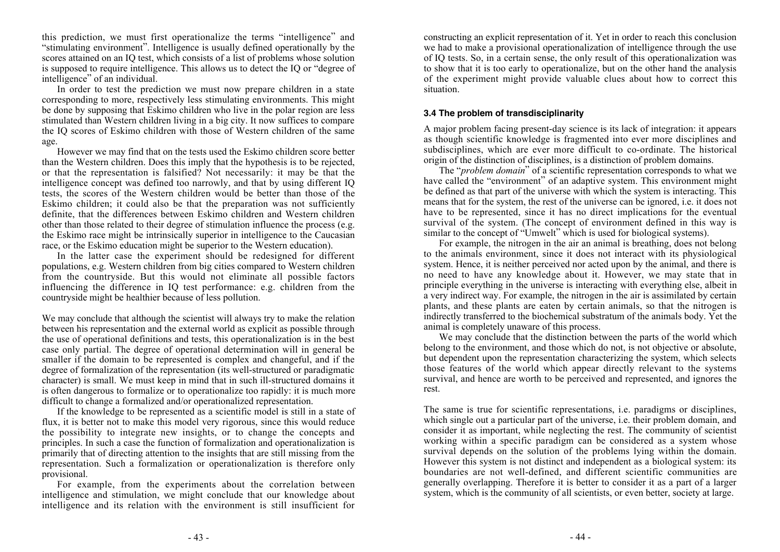this prediction, we must first operationalize the terms "intelligence" and "stimulating environment". Intelligence is usually defined operationally by the scores attained on an IQ test, which consists of a list of problems whose solution is supposed to require intelligence. This allows us to detect the IQ or "degree of intelligence" of an individual.

In order to test the prediction we must now prepare children in a state corresponding to more, respectively less stimulating environments. This might be done by supposing that Eskimo children who live in the polar region are less stimulated than Western children living in a big city. It now suffices to compare the IQ scores of Eskimo children with those of Western children of the same age.

However we may find that on the tests used the Eskimo children score better than the Western children. Does this imply that the hypothesis is to be rejected, or that the representation is falsified? Not necessarily: it may be that the intelligence concept was defined too narrowly, and that by using different IQ tests, the scores of the Western children would be better than those of the Eskimo children; it could also be that the preparation was not sufficiently definite, that the differences between Eskimo children and Western children other than those related to their degree of stimulation influence the process (e.g. the Eskimo race might be intrinsically superior in intelligence to the Caucasian race, or the Eskimo education might be superior to the Western education).

In the latter case the experiment should be redesigned for different populations, e.g. Western children from big cities compared to Western children from the countryside. But this would not eliminate all possible factors influencing the difference in IQ test performance: e.g. children from the countryside might be healthier because of less pollution.

We may conclude that although the scientist will always try to make the relation between his representation and the external world as explicit as possible through the use of operational definitions and tests, this operationalization is in the best case only partial. The degree of operational determination will in general be smaller if the domain to be represented is complex and changeful, and if the degree of formalization of the representation (its well-structured or paradigmatic character) is small. We must keep in mind that in such ill-structured domains it is often dangerous to formalize or to operationalize too rapidly: it is much more difficult to change a formalized and/or operationalized representation.

If the knowledge to be represented as a scientific model is still in a state of flux, it is better not to make this model very rigorous, since this would reduce the possibility to integrate new insights, or to change the concepts and principles. In such a case the function of formalization and operationalization is primarily that of directing attention to the insights that are still missing from the representation. Such a formalization or operationalization is therefore only provisional.

For example, from the experiments about the correlation between intelligence and stimulation, we might conclude that our knowledge about intelligence and its relation with the environment is still insufficient for

constructing an explicit representation of it. Yet in order to reach this conclusion we had to make a provisional operationalization of intelligence through the use of IQ tests. So, in a certain sense, the only result of this operationalization was to show that it is too early to operationalize, but on the other hand the analysis of the experiment might provide valuable clues about how to correct this situation.

#### **3.4 The problem of transdisciplinarity**

A major problem facing present-day science is its lack of integration: it appears as though scientific knowledge is fragmented into ever more disciplines and subdisciplines, which are ever more difficult to co-ordinate. The historical origin of the distinction of disciplines, is a distinction of problem domains.

The "*problem domain*" of a scientific representation corresponds to what we have called the "environment" of an adaptive system. This environment might be defined as that part of the universe with which the system is interacting. This means that for the system, the rest of the universe can be ignored, i.e. it does not have to be represented, since it has no direct implications for the eventual survival of the system. (The concept of environment defined in this way is similar to the concept of "Umwelt" which is used for biological systems).

For example, the nitrogen in the air an animal is breathing, does not belong to the animals environment, since it does not interact with its physiological system. Hence, it is neither perceived nor acted upon by the animal, and there is no need to have any knowledge about it. However, we may state that in principle everything in the universe is interacting with everything else, albeit in a very indirect way. For example, the nitrogen in the air is assimilated by certain plants, and these plants are eaten by certain animals, so that the nitrogen is indirectly transferred to the biochemical substratum of the animals body. Yet the animal is completely unaware of this process.

We may conclude that the distinction between the parts of the world which belong to the environment, and those which do not, is not objective or absolute, but dependent upon the representation characterizing the system, which selects those features of the world which appear directly relevant to the systems survival, and hence are worth to be perceived and represented, and ignores the rest.

The same is true for scientific representations, i.e. paradigms or disciplines, which single out a particular part of the universe, i.e. their problem domain, and consider it as important, while neglecting the rest. The community of scientist working within a specific paradigm can be considered as a system whose survival depends on the solution of the problems lying within the domain. However this system is not distinct and independent as a biological system: its boundaries are not well-defined, and different scientific communities are generally overlapping. Therefore it is better to consider it as a part of a larger system, which is the community of all scientists, or even better, society at large.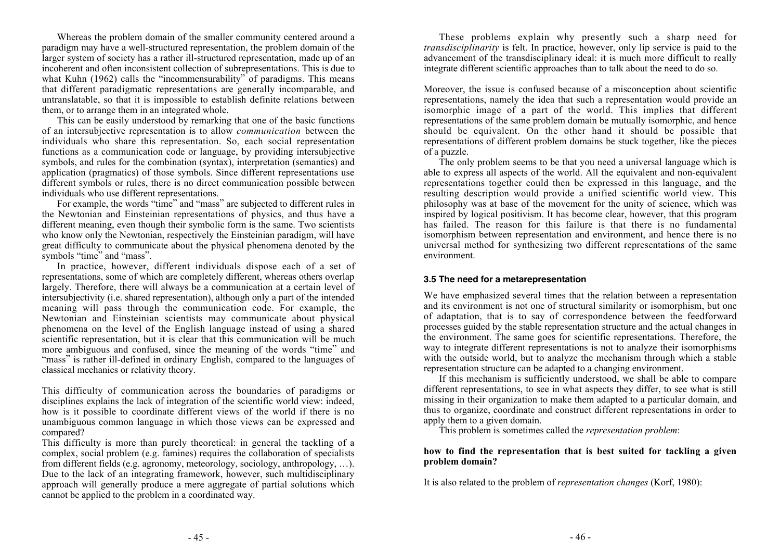Whereas the problem domain of the smaller community centered around a paradigm may have a well-structured representation, the problem domain of the larger system of society has a rather ill-structured representation, made up of an incoherent and often inconsistent collection of subrepresentations. This is due to what Kuhn (1962) calls the "incommensurability" of paradigms. This means that different paradigmatic representations are generally incomparable, and untranslatable, so that it is impossible to establish definite relations between them, or to arrange them in an integrated whole.

This can be easily understood by remarking that one of the basic functions of an intersubjective representation is to allow *communication* between the individuals who share this representation. So, each social representation functions as a communication code or language, by providing intersubjective symbols, and rules for the combination (syntax), interpretation (semantics) and application (pragmatics) of those symbols. Since different representations use different symbols or rules, there is no direct communication possible between individuals who use different representations.

For example, the words "time" and "mass" are subjected to different rules in the Newtonian and Einsteinian representations of physics, and thus have a different meaning, even though their symbolic form is the same. Two scientists who know only the Newtonian, respectively the Einsteinian paradigm, will have great difficulty to communicate about the physical phenomena denoted by the symbols "time" and "mass".

In practice, however, different individuals dispose each of a set of representations, some of which are completely different, whereas others overlap largely. Therefore, there will always be a communication at a certain level of intersubjectivity (i.e. shared representation), although only a part of the intended meaning will pass through the communication code. For example, the Newtonian and Einsteinian scientists may communicate about physical phenomena on the level of the English language instead of using a shared scientific representation, but it is clear that this communication will be much more ambiguous and confused, since the meaning of the words "time" and "mass" is rather ill-defined in ordinary English, compared to the languages of classical mechanics or relativity theory.

This difficulty of communication across the boundaries of paradigms or disciplines explains the lack of integration of the scientific world view: indeed, how is it possible to coordinate different views of the world if there is no unambiguous common language in which those views can be expressed and compared?

This difficulty is more than purely theoretical: in general the tackling of a complex, social problem (e.g. famines) requires the collaboration of specialists from different fields (e.g. agronomy, meteorology, sociology, anthropology, …). Due to the lack of an integrating framework, however, such multidisciplinary approach will generally produce a mere aggregate of partial solutions which cannot be applied to the problem in a coordinated way.

These problems explain why presently such a sharp need for *transdisciplinarity* is felt. In practice, however, only lip service is paid to the advancement of the transdisciplinary ideal: it is much more difficult to really integrate different scientific approaches than to talk about the need to do so.

Moreover, the issue is confused because of a misconception about scientific representations, namely the idea that such a representation would provide an isomorphic image of a part of the world. This implies that different representations of the same problem domain be mutually isomorphic, and hence should be equivalent. On the other hand it should be possible that representations of different problem domains be stuck together, like the pieces of a puzzle.

The only problem seems to be that you need a universal language which is able to express all aspects of the world. All the equivalent and non-equivalent representations together could then be expressed in this language, and the resulting description would provide a unified scientific world view. This philosophy was at base of the movement for the unity of science, which was inspired by logical positivism. It has become clear, however, that this program has failed. The reason for this failure is that there is no fundamental isomorphism between representation and environment, and hence there is no universal method for synthesizing two different representations of the same environment.

#### **3.5 The need for a metarepresentation**

We have emphasized several times that the relation between a representation and its environment is not one of structural similarity or isomorphism, but one of adaptation, that is to say of correspondence between the feedforward processes guided by the stable representation structure and the actual changes in the environment. The same goes for scientific representations. Therefore, the way to integrate different representations is not to analyze their isomorphisms with the outside world, but to analyze the mechanism through which a stable representation structure can be adapted to a changing environment.

If this mechanism is sufficiently understood, we shall be able to compare different representations, to see in what aspects they differ, to see what is still missing in their organization to make them adapted to a particular domain, and thus to organize, coordinate and construct different representations in order to apply them to a given domain.

This problem is sometimes called the *representation problem*:

#### **how to find the representation that is best suited for tackling a given problem domain?**

It is also related to the problem of *representation changes* (Korf, 1980):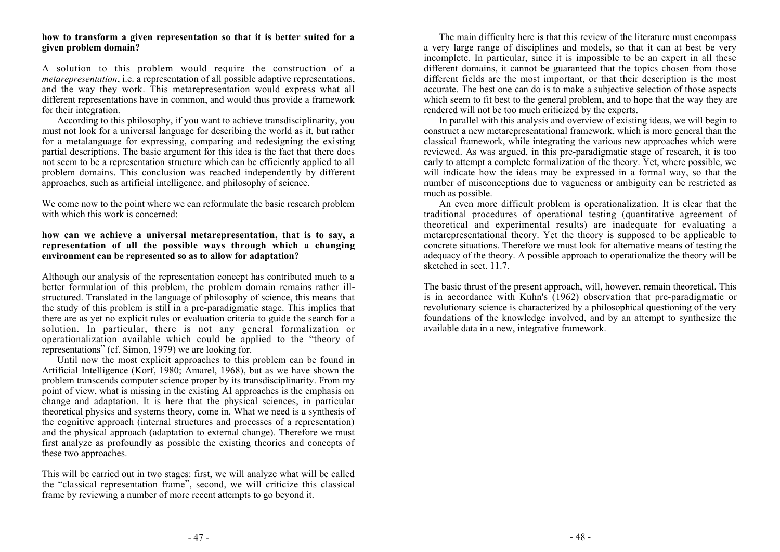#### **how to transform a given representation so that it is better suited for a given problem domain?**

A solution to this problem would require the construction of a *metarepresentation*, i.e. a representation of all possible adaptive representations. and the way they work. This metarepresentation would express what all different representations have in common, and would thus provide a framework for their integration.

According to this philosophy, if you want to achieve transdisciplinarity, you must not look for a universal language for describing the world as it, but rather for a metalanguage for expressing, comparing and redesigning the existing partial descriptions. The basic argument for this idea is the fact that there does not seem to be a representation structure which can be efficiently applied to all problem domains. This conclusion was reached independently by different approaches, such as artificial intelligence, and philosophy of science.

We come now to the point where we can reformulate the basic research problem with which this work is concerned:

#### **how can we achieve a universal metarepresentation, that is to say, a representation of all the possible ways through which a changing environment can be represented so as to allow for adaptation?**

Although our analysis of the representation concept has contributed much to a better formulation of this problem, the problem domain remains rather illstructured. Translated in the language of philosophy of science, this means that the study of this problem is still in a pre-paradigmatic stage. This implies that there are as yet no explicit rules or evaluation criteria to guide the search for a solution. In particular, there is not any general formalization or operationalization available which could be applied to the "theory of representations" (cf. Simon, 1979) we are looking for.

Until now the most explicit approaches to this problem can be found in Artificial Intelligence (Korf, 1980; Amarel, 1968), but as we have shown the problem transcends computer science proper by its transdisciplinarity. From my point of view, what is missing in the existing AI approaches is the emphasis on change and adaptation. It is here that the physical sciences, in particular theoretical physics and systems theory, come in. What we need is a synthesis of the cognitive approach (internal structures and processes of a representation) and the physical approach (adaptation to external change). Therefore we must first analyze as profoundly as possible the existing theories and concepts of these two approaches.

This will be carried out in two stages: first, we will analyze what will be called the "classical representation frame", second, we will criticize this classical frame by reviewing a number of more recent attempts to go beyond it.

The main difficulty here is that this review of the literature must encompass a very large range of disciplines and models, so that it can at best be very incomplete. In particular, since it is impossible to be an expert in all these different domains, it cannot be guaranteed that the topics chosen from those different fields are the most important, or that their description is the most accurate. The best one can do is to make a subjective selection of those aspects which seem to fit best to the general problem, and to hope that the way they are rendered will not be too much criticized by the experts.

In parallel with this analysis and overview of existing ideas, we will begin to construct a new metarepresentational framework, which is more general than the classical framework, while integrating the various new approaches which were reviewed. As was argued, in this pre-paradigmatic stage of research, it is too early to attempt a complete formalization of the theory. Yet, where possible, we will indicate how the ideas may be expressed in a formal way, so that the number of misconceptions due to vagueness or ambiguity can be restricted as much as possible.

An even more difficult problem is operationalization. It is clear that the traditional procedures of operational testing (quantitative agreement of theoretical and experimental results) are inadequate for evaluating a metarepresentational theory. Yet the theory is supposed to be applicable to concrete situations. Therefore we must look for alternative means of testing the adequacy of the theory. A possible approach to operationalize the theory will be sketched in sect. 11.7.

The basic thrust of the present approach, will, however, remain theoretical. This is in accordance with Kuhn's (1962) observation that pre-paradigmatic or revolutionary science is characterized by a philosophical questioning of the very foundations of the knowledge involved, and by an attempt to synthesize the available data in a new, integrative framework.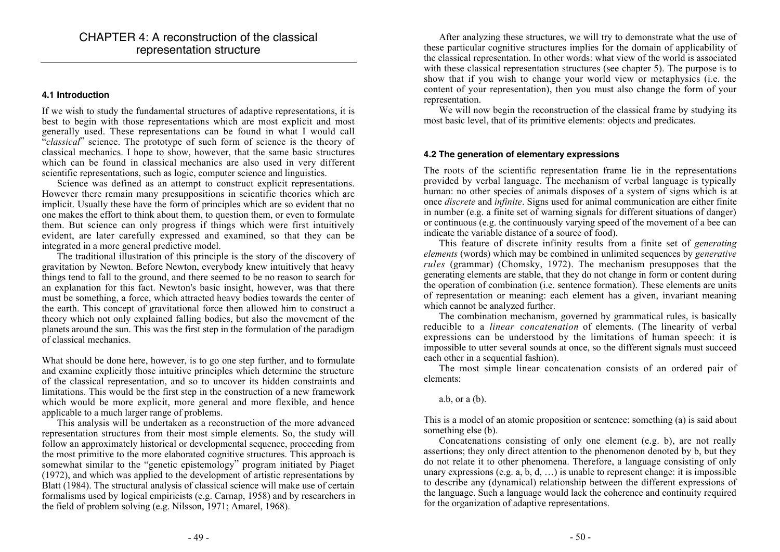#### **4.1 Introduction**

If we wish to study the fundamental structures of adaptive representations, it is best to begin with those representations which are most explicit and most generally used. These representations can be found in what I would call "*classical*" science. The prototype of such form of science is the theory of classical mechanics. I hope to show, however, that the same basic structures which can be found in classical mechanics are also used in very different scientific representations, such as logic, computer science and linguistics.

Science was defined as an attempt to construct explicit representations. However there remain many presuppositions in scientific theories which are implicit. Usually these have the form of principles which are so evident that no one makes the effort to think about them, to question them, or even to formulate them. But science can only progress if things which were first intuitively evident, are later carefully expressed and examined, so that they can be integrated in a more general predictive model.

The traditional illustration of this principle is the story of the discovery of gravitation by Newton. Before Newton, everybody knew intuitively that heavy things tend to fall to the ground, and there seemed to be no reason to search for an explanation for this fact. Newton's basic insight, however, was that there must be something, a force, which attracted heavy bodies towards the center of the earth. This concept of gravitational force then allowed him to construct a theory which not only explained falling bodies, but also the movement of the planets around the sun. This was the first step in the formulation of the paradigm of classical mechanics.

What should be done here, however, is to go one step further, and to formulate and examine explicitly those intuitive principles which determine the structure of the classical representation, and so to uncover its hidden constraints and limitations. This would be the first step in the construction of a new framework which would be more explicit, more general and more flexible, and hence applicable to a much larger range of problems.

This analysis will be undertaken as a reconstruction of the more advanced representation structures from their most simple elements. So, the study will follow an approximately historical or developmental sequence, proceeding from the most primitive to the more elaborated cognitive structures. This approach is somewhat similar to the "genetic epistemology" program initiated by Piaget (1972), and which was applied to the development of artistic representations by Blatt (1984). The structural analysis of classical science will make use of certain formalisms used by logical empiricists (e.g. Carnap, 1958) and by researchers in the field of problem solving (e.g. Nilsson, 1971; Amarel, 1968).

After analyzing these structures, we will try to demonstrate what the use of these particular cognitive structures implies for the domain of applicability of the classical representation. In other words: what view of the world is associated with these classical representation structures (see chapter 5). The purpose is to show that if you wish to change your world view or metaphysics (i.e. the content of your representation), then you must also change the form of your representation.

We will now begin the reconstruction of the classical frame by studying its most basic level, that of its primitive elements: objects and predicates.

#### **4.2 The generation of elementary expressions**

The roots of the scientific representation frame lie in the representations provided by verbal language. The mechanism of verbal language is typically human: no other species of animals disposes of a system of signs which is at once *discrete* and *infinite*. Signs used for animal communication are either finite in number (e.g. a finite set of warning signals for different situations of danger) or continuous (e.g. the continuously varying speed of the movement of a bee can indicate the variable distance of a source of food).

This feature of discrete infinity results from a finite set of *generating elements* (words) which may be combined in unlimited sequences by *generative rules* (grammar) (Chomsky, 1972). The mechanism presupposes that the generating elements are stable, that they do not change in form or content during the operation of combination (i.e. sentence formation). These elements are units of representation or meaning: each element has a given, invariant meaning which cannot be analyzed further.

The combination mechanism, governed by grammatical rules, is basically reducible to a *linear concatenation* of elements. (The linearity of verbal expressions can be understood by the limitations of human speech: it is impossible to utter several sounds at once, so the different signals must succeed each other in a sequential fashion).

The most simple linear concatenation consists of an ordered pair of elements:

a.b, or a (b).

This is a model of an atomic proposition or sentence: something (a) is said about something else (b).

Concatenations consisting of only one element (e.g. b), are not really assertions; they only direct attention to the phenomenon denoted by b, but they do not relate it to other phenomena. Therefore, a language consisting of only unary expressions (e.g.  $a, b, d, ...$ ) is unable to represent change: it is impossible to describe any (dynamical) relationship between the different expressions of the language. Such a language would lack the coherence and continuity required for the organization of adaptive representations.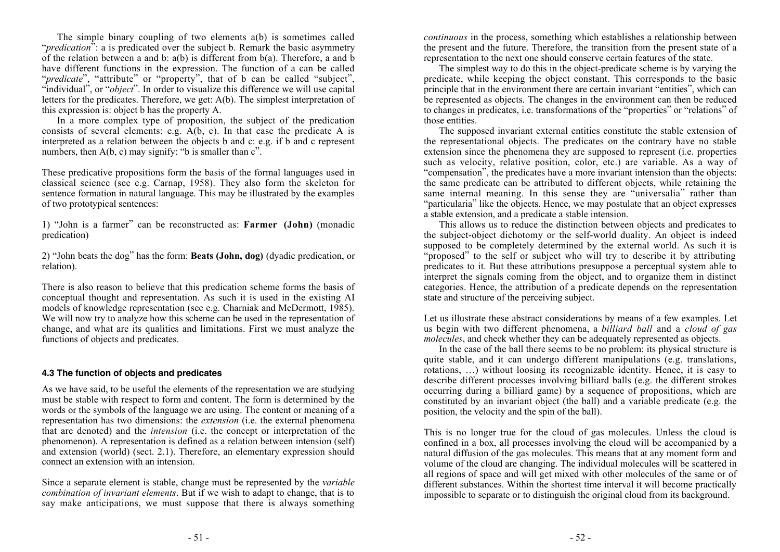The simple binary coupling of two elements a(b) is sometimes called "*predication*": a is predicated over the subject b. Remark the basic asymmetry of the relation between a and b:  $a(b)$  is different from  $b(a)$ . Therefore, a and b have different functions in the expression. The function of a can be called "*predicate*", "attribute" or "property", that of b can be called "subject", "individual", or "*object*". In order to visualize this difference we will use capital letters for the predicates. Therefore, we get: A(b). The simplest interpretation of this expression is: object b has the property A.

In a more complex type of proposition, the subject of the predication consists of several elements: e.g. A(b, c). In that case the predicate A is interpreted as a relation between the objects b and c: e.g. if b and c represent numbers, then  $A(b, c)$  may signify: "b is smaller than c".

These predicative propositions form the basis of the formal languages used in classical science (see e.g. Carnap, 1958). They also form the skeleton for sentence formation in natural language. This may be illustrated by the examples of two prototypical sentences:

1) "John is a farmer" can be reconstructed as: **Farmer (John)** (monadic predication)

2) "John beats the dog" has the form: **Beats (John, dog)** (dyadic predication, or relation).

There is also reason to believe that this predication scheme forms the basis of conceptual thought and representation. As such it is used in the existing AI models of knowledge representation (see e.g. Charniak and McDermott, 1985). We will now try to analyze how this scheme can be used in the representation of change, and what are its qualities and limitations. First we must analyze the functions of objects and predicates.

#### **4.3 The function of objects and predicates**

As we have said, to be useful the elements of the representation we are studying must be stable with respect to form and content. The form is determined by the words or the symbols of the language we are using. The content or meaning of a representation has two dimensions: the *extension* (i.e. the external phenomena that are denoted) and the *intension* (i.e. the concept or interpretation of the phenomenon). A representation is defined as a relation between intension (self) and extension (world) (sect. 2.1). Therefore, an elementary expression should connect an extension with an intension.

Since a separate element is stable, change must be represented by the *variable combination of invariant elements*. But if we wish to adapt to change, that is to say make anticipations, we must suppose that there is always something

*continuous* in the process, something which establishes a relationship between the present and the future. Therefore, the transition from the present state of a representation to the next one should conserve certain features of the state.

The simplest way to do this in the object-predicate scheme is by varying the predicate, while keeping the object constant. This corresponds to the basic principle that in the environment there are certain invariant "entities", which can be represented as objects. The changes in the environment can then be reduced to changes in predicates, i.e. transformations of the "properties" or "relations" of those entities.

The supposed invariant external entities constitute the stable extension of the representational objects. The predicates on the contrary have no stable extension since the phenomena they are supposed to represent (i.e. properties such as velocity, relative position, color, etc.) are variable. As a way of "compensation", the predicates have a more invariant intension than the objects: the same predicate can be attributed to different objects, while retaining the same internal meaning. In this sense they are "universalia" rather than "particularia" like the objects. Hence, we may postulate that an object expresses a stable extension, and a predicate a stable intension.

This allows us to reduce the distinction between objects and predicates to the subject-object dichotomy or the self-world duality. An object is indeed supposed to be completely determined by the external world. As such it is "proposed" to the self or subject who will try to describe it by attributing predicates to it. But these attributions presuppose a perceptual system able to interpret the signals coming from the object, and to organize them in distinct categories. Hence, the attribution of a predicate depends on the representation state and structure of the perceiving subject.

Let us illustrate these abstract considerations by means of a few examples. Let us begin with two different phenomena, a *billiard ball* and a *cloud of gas molecules*, and check whether they can be adequately represented as objects.

In the case of the ball there seems to be no problem: its physical structure is quite stable, and it can undergo different manipulations (e.g. translations, rotations, …) without loosing its recognizable identity. Hence, it is easy to describe different processes involving billiard balls (e.g. the different strokes occurring during a billiard game) by a sequence of propositions, which are constituted by an invariant object (the ball) and a variable predicate (e.g. the position, the velocity and the spin of the ball).

This is no longer true for the cloud of gas molecules. Unless the cloud is confined in a box, all processes involving the cloud will be accompanied by a natural diffusion of the gas molecules. This means that at any moment form and volume of the cloud are changing. The individual molecules will be scattered in all regions of space and will get mixed with other molecules of the same or of different substances. Within the shortest time interval it will become practically impossible to separate or to distinguish the original cloud from its background.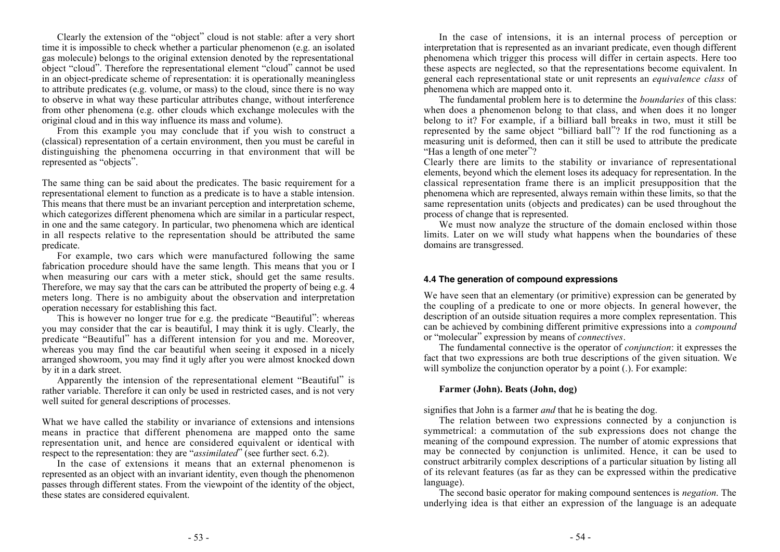Clearly the extension of the "object" cloud is not stable: after a very short time it is impossible to check whether a particular phenomenon (e.g. an isolated gas molecule) belongs to the original extension denoted by the representational object "cloud". Therefore the representational element "cloud" cannot be used in an object-predicate scheme of representation: it is operationally meaningless to attribute predicates (e.g. volume, or mass) to the cloud, since there is no way to observe in what way these particular attributes change, without interference from other phenomena (e.g. other clouds which exchange molecules with the original cloud and in this way influence its mass and volume).

From this example you may conclude that if you wish to construct a (classical) representation of a certain environment, then you must be careful in distinguishing the phenomena occurring in that environment that will be represented as "objects".

The same thing can be said about the predicates. The basic requirement for a representational element to function as a predicate is to have a stable intension. This means that there must be an invariant perception and interpretation scheme, which categorizes different phenomena which are similar in a particular respect, in one and the same category. In particular, two phenomena which are identical in all respects relative to the representation should be attributed the same predicate.

For example, two cars which were manufactured following the same fabrication procedure should have the same length. This means that you or I when measuring our cars with a meter stick, should get the same results. Therefore, we may say that the cars can be attributed the property of being e.g. 4 meters long. There is no ambiguity about the observation and interpretation operation necessary for establishing this fact.

This is however no longer true for e.g. the predicate "Beautiful": whereas you may consider that the car is beautiful, I may think it is ugly. Clearly, the predicate "Beautiful" has a different intension for you and me. Moreover, whereas you may find the car beautiful when seeing it exposed in a nicely arranged showroom, you may find it ugly after you were almost knocked down by it in a dark street.

Apparently the intension of the representational element "Beautiful" is rather variable. Therefore it can only be used in restricted cases, and is not very well suited for general descriptions of processes.

What we have called the stability or invariance of extensions and intensions means in practice that different phenomena are mapped onto the same representation unit, and hence are considered equivalent or identical with respect to the representation: they are "*assimilated*" (see further sect. 6.2).

In the case of extensions it means that an external phenomenon is represented as an object with an invariant identity, even though the phenomenon passes through different states. From the viewpoint of the identity of the object, these states are considered equivalent.

In the case of intensions, it is an internal process of perception or interpretation that is represented as an invariant predicate, even though different phenomena which trigger this process will differ in certain aspects. Here too these aspects are neglected, so that the representations become equivalent. In general each representational state or unit represents an *equivalence class* of phenomena which are mapped onto it.

The fundamental problem here is to determine the *boundaries* of this class: when does a phenomenon belong to that class, and when does it no longer belong to it? For example, if a billiard ball breaks in two, must it still be represented by the same object "billiard ball"? If the rod functioning as a measuring unit is deformed, then can it still be used to attribute the predicate "Has a length of one meter"?

Clearly there are limits to the stability or invariance of representational elements, beyond which the element loses its adequacy for representation. In the classical representation frame there is an implicit presupposition that the phenomena which are represented, always remain within these limits, so that the same representation units (objects and predicates) can be used throughout the process of change that is represented.

We must now analyze the structure of the domain enclosed within those limits. Later on we will study what happens when the boundaries of these domains are transgressed.

#### **4.4 The generation of compound expressions**

We have seen that an elementary (or primitive) expression can be generated by the coupling of a predicate to one or more objects. In general however, the description of an outside situation requires a more complex representation. This can be achieved by combining different primitive expressions into a *compound* or "molecular" expression by means of *connectives*.

The fundamental connective is the operator of *conjunction*: it expresses the fact that two expressions are both true descriptions of the given situation. We will symbolize the conjunction operator by a point (.). For example:

#### **Farmer (John). Beats (John, dog)**

signifies that John is a farmer *and* that he is beating the dog.

The relation between two expressions connected by a conjunction is symmetrical: a commutation of the sub expressions does not change the meaning of the compound expression. The number of atomic expressions that may be connected by conjunction is unlimited. Hence, it can be used to construct arbitrarily complex descriptions of a particular situation by listing all of its relevant features (as far as they can be expressed within the predicative language).

The second basic operator for making compound sentences is *negation*. The underlying idea is that either an expression of the language is an adequate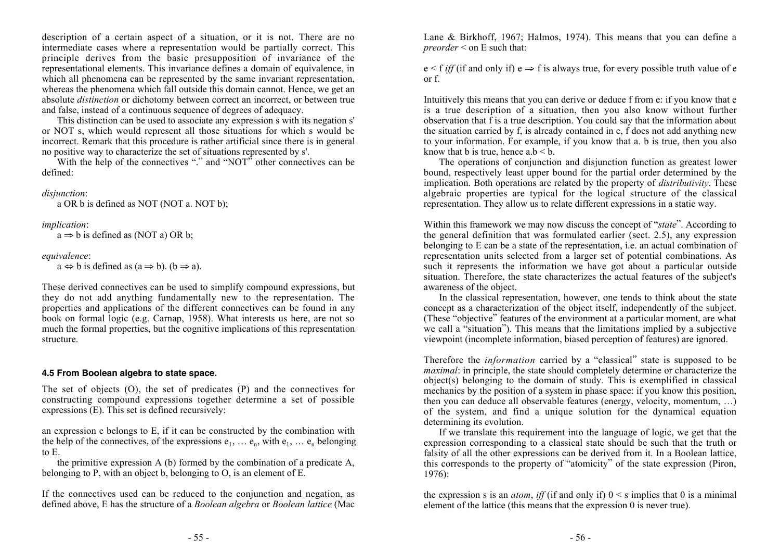description of a certain aspect of a situation, or it is not. There are no intermediate cases where a representation would be partially correct. This principle derives from the basic presupposition of invariance of the representational elements. This invariance defines a domain of equivalence, in which all phenomena can be represented by the same invariant representation. whereas the phenomena which fall outside this domain cannot. Hence, we get an absolute *distinction* or dichotomy between correct an incorrect, or between true and false, instead of a continuous sequence of degrees of adequacy.

This distinction can be used to associate any expression s with its negation s' or NOT s, which would represent all those situations for which s would be incorrect. Remark that this procedure is rather artificial since there is in general no positive way to characterize the set of situations represented by s'.

With the help of the connectives "." and "NOT" other connectives can be defined:

#### *disjunction*:

a OR b is defined as NOT (NOT a. NOT b);

#### *implication*:

 $a \Rightarrow b$  is defined as (NOT a) OR b;

#### *equivalence*:

 $a \Leftrightarrow b$  is defined as  $(a \Rightarrow b)$ .  $(b \Rightarrow a)$ .

These derived connectives can be used to simplify compound expressions, but they do not add anything fundamentally new to the representation. The properties and applications of the different connectives can be found in any book on formal logic (e.g. Carnap, 1958). What interests us here, are not so much the formal properties, but the cognitive implications of this representation structure.

#### **4.5 From Boolean algebra to state space.**

The set of objects (O), the set of predicates (P) and the connectives for constructing compound expressions together determine a set of possible expressions (E). This set is defined recursively:

an expression e belongs to E, if it can be constructed by the combination with the help of the connectives, of the expressions  $e_1, \ldots e_n$ , with  $e_1, \ldots e_n$  belonging to E.

the primitive expression A (b) formed by the combination of a predicate A, belonging to P, with an object b, belonging to O, is an element of E.

If the connectives used can be reduced to the conjunction and negation, as defined above, E has the structure of a *Boolean algebra* or *Boolean lattice* (Mac

Lane & Birkhoff, 1967; Halmos, 1974). This means that you can define a *preorder* < on E such that:

 $e \leq f$  *iff* (if and only if)  $e \Rightarrow f$  is always true, for every possible truth value of e or f.

Intuitively this means that you can derive or deduce f from e: if you know that e is a true description of a situation, then you also know without further observation that f is a true description. You could say that the information about the situation carried by f, is already contained in e, f does not add anything new to your information. For example, if you know that a. b is true, then you also know that b is true, hence  $a, b \leq b$ .

The operations of conjunction and disjunction function as greatest lower bound, respectively least upper bound for the partial order determined by the implication. Both operations are related by the property of *distributivity*. These algebraic properties are typical for the logical structure of the classical representation. They allow us to relate different expressions in a static way.

Within this framework we may now discuss the concept of "*state*". According to the general definition that was formulated earlier (sect. 2.5), any expression belonging to E can be a state of the representation, i.e. an actual combination of representation units selected from a larger set of potential combinations. As such it represents the information we have got about a particular outside situation. Therefore, the state characterizes the actual features of the subject's awareness of the object.

In the classical representation, however, one tends to think about the state concept as a characterization of the object itself, independently of the subject. (These "objective" features of the environment at a particular moment, are what we call a "situation"). This means that the limitations implied by a subjective viewpoint (incomplete information, biased perception of features) are ignored.

Therefore the *information* carried by a "classical" state is supposed to be *maximal*: in principle, the state should completely determine or characterize the object(s) belonging to the domain of study. This is exemplified in classical mechanics by the position of a system in phase space: if you know this position, then you can deduce all observable features (energy, velocity, momentum, …) of the system, and find a unique solution for the dynamical equation determining its evolution.

If we translate this requirement into the language of logic, we get that the expression corresponding to a classical state should be such that the truth or falsity of all the other expressions can be derived from it. In a Boolean lattice, this corresponds to the property of "atomicity" of the state expression (Piron, 1976):

the expression s is an *atom*, *iff* (if and only if)  $0 \le$  s implies that 0 is a minimal element of the lattice (this means that the expression 0 is never true).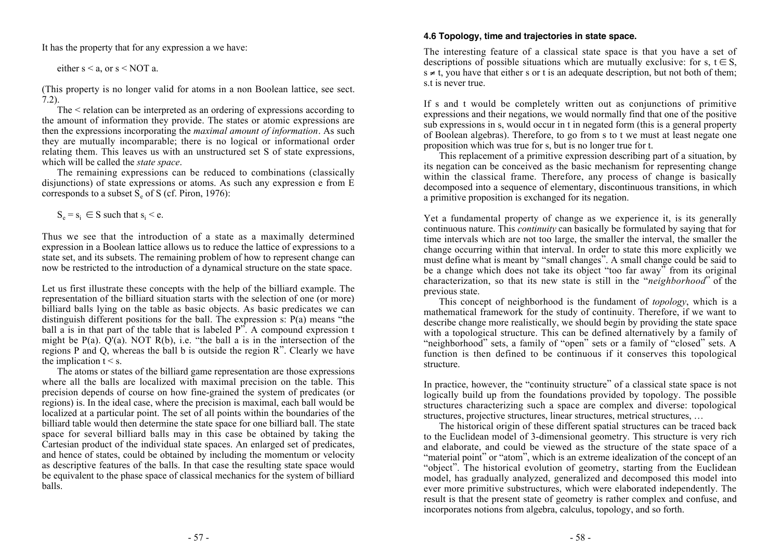It has the property that for any expression a we have:

either  $s \le a$ , or  $s \le \text{NOT } a$ .

(This property is no longer valid for atoms in a non Boolean lattice, see sect. 7.2).

The < relation can be interpreted as an ordering of expressions according to the amount of information they provide. The states or atomic expressions are then the expressions incorporating the *maximal amount of information*. As such they are mutually incomparable; there is no logical or informational order relating them. This leaves us with an unstructured set S of state expressions, which will be called the *state space*.

The remaining expressions can be reduced to combinations (classically disjunctions) of state expressions or atoms. As such any expression e from E corresponds to a subset  $\hat{S}_e$  of S (cf. Piron, 1976):

 $S_e = s_i \in S$  such that  $s_i \le e$ .

Thus we see that the introduction of a state as a maximally determined expression in a Boolean lattice allows us to reduce the lattice of expressions to a state set, and its subsets. The remaining problem of how to represent change can now be restricted to the introduction of a dynamical structure on the state space.

Let us first illustrate these concepts with the help of the billiard example. The representation of the billiard situation starts with the selection of one (or more) billiard balls lying on the table as basic objects. As basic predicates we can distinguish different positions for the ball. The expression s: P(a) means "the ball a is in that part of the table that is labeled P<sup>"</sup>. A compound expression t might be P(a). Q'(a). NOT R(b), i.e. "the ball a is in the intersection of the regions P and Q, whereas the ball b is outside the region R". Clearly we have the implication  $t \leq s$ .

The atoms or states of the billiard game representation are those expressions where all the balls are localized with maximal precision on the table. This precision depends of course on how fine-grained the system of predicates (or regions) is. In the ideal case, where the precision is maximal, each ball would be localized at a particular point. The set of all points within the boundaries of the billiard table would then determine the state space for one billiard ball. The state space for several billiard balls may in this case be obtained by taking the Cartesian product of the individual state spaces. An enlarged set of predicates, and hence of states, could be obtained by including the momentum or velocity as descriptive features of the balls. In that case the resulting state space would be equivalent to the phase space of classical mechanics for the system of billiard balls.

#### **4.6 Topology, time and trajectories in state space.**

The interesting feature of a classical state space is that you have a set of descriptions of possible situations which are mutually exclusive: for s,  $t \in S$ ,  $s \neq t$ , you have that either s or t is an adequate description, but not both of them; s.t is never true.

If s and t would be completely written out as conjunctions of primitive expressions and their negations, we would normally find that one of the positive sub expressions in s, would occur in t in negated form (this is a general property of Boolean algebras). Therefore, to go from s to t we must at least negate one proposition which was true for s, but is no longer true for t.

This replacement of a primitive expression describing part of a situation, by its negation can be conceived as the basic mechanism for representing change within the classical frame. Therefore, any process of change is basically decomposed into a sequence of elementary, discontinuous transitions, in which a primitive proposition is exchanged for its negation.

Yet a fundamental property of change as we experience it, is its generally continuous nature. This *continuity* can basically be formulated by saying that for time intervals which are not too large, the smaller the interval, the smaller the change occurring within that interval. In order to state this more explicitly we must define what is meant by "small changes". A small change could be said to be a change which does not take its object "too far away" from its original characterization, so that its new state is still in the "*neighborhood*" of the previous state.

This concept of neighborhood is the fundament of *topology*, which is a mathematical framework for the study of continuity. Therefore, if we want to describe change more realistically, we should begin by providing the state space with a topological structure. This can be defined alternatively by a family of "neighborhood" sets, a family of "open" sets or a family of "closed" sets. A function is then defined to be continuous if it conserves this topological structure.

In practice, however, the "continuity structure" of a classical state space is not logically build up from the foundations provided by topology. The possible structures characterizing such a space are complex and diverse: topological structures, projective structures, linear structures, metrical structures, …

The historical origin of these different spatial structures can be traced back to the Euclidean model of 3-dimensional geometry. This structure is very rich and elaborate, and could be viewed as the structure of the state space of a "material point" or "atom", which is an extreme idealization of the concept of an "object". The historical evolution of geometry, starting from the Euclidean model, has gradually analyzed, generalized and decomposed this model into ever more primitive substructures, which were elaborated independently. The result is that the present state of geometry is rather complex and confuse, and incorporates notions from algebra, calculus, topology, and so forth.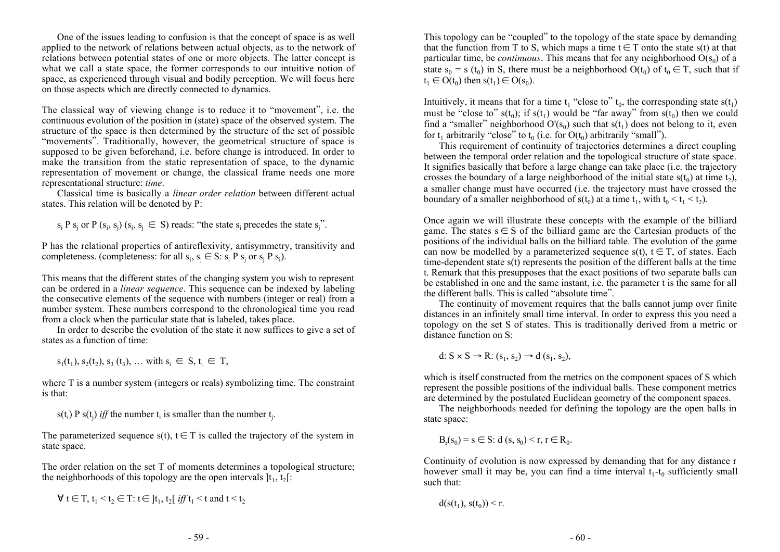One of the issues leading to confusion is that the concept of space is as well applied to the network of relations between actual objects, as to the network of relations between potential states of one or more objects. The latter concept is what we call a state space, the former corresponds to our intuitive notion of space, as experienced through visual and bodily perception. We will focus here on those aspects which are directly connected to dynamics.

The classical way of viewing change is to reduce it to "movement", i.e. the continuous evolution of the position in (state) space of the observed system. The structure of the space is then determined by the structure of the set of possible "movements". Traditionally, however, the geometrical structure of space is supposed to be given beforehand, i.e. before change is introduced. In order to make the transition from the static representation of space, to the dynamic representation of movement or change, the classical frame needs one more representational structure: *time*.

Classical time is basically a *linear order relation* between different actual states. This relation will be denoted by P:

 $s_i$  P  $s_j$  or P  $(s_i, s_j)$   $(s_i, s_j \in S)$  reads: "the state  $s_j$  precedes the state  $s_i$ ".

P has the relational properties of antireflexivity, antisymmetry, transitivity and completeness. (completeness: for all  $s_i$ ,  $s_i \in S$ :  $s_i$  P  $s_i$  or  $s_i$  P  $s_i$ ).

This means that the different states of the changing system you wish to represent can be ordered in a *linear sequence*. This sequence can be indexed by labeling the consecutive elements of the sequence with numbers (integer or real) from a number system. These numbers correspond to the chronological time you read from a clock when the particular state that is labeled, takes place.

In order to describe the evolution of the state it now suffices to give a set of states as a function of time:

 $s_1(t_1), s_2(t_2), s_3(t_3), \ldots$  with  $s_i \in S, t_i \in T$ ,

where T is a number system (integers or reals) symbolizing time. The constraint is that:

 $s(t_i)$  P  $s(t_j)$  *iff* the number  $t_i$  is smaller than the number  $t_j$ .

The parameterized sequence  $s(t)$ ,  $t \in T$  is called the trajectory of the system in state space.

The order relation on the set T of moments determines a topological structure; the neighborhoods of this topology are the open intervals  $]t_1, t_2[$ :

 $\forall$  t  $\in$  T,  $t_1$  <  $t_2$   $\in$  T: t  $\in$  ] $t_1$ ,  $t_2$ [ *iff*  $t_1$  < t and t <  $t_2$ 

This topology can be "coupled" to the topology of the state space by demanding that the function from T to S, which maps a time  $t \in T$  onto the state s(t) at that particular time, be *continuous*. This means that for any neighborhood  $O(s_0)$  of a state  $s_0 = s(t_0)$  in S, there must be a neighborhood  $O(t_0)$  of  $t_0 \in T$ , such that if  $t_1 \in O(t_0)$  then  $s(t_1) \in O(s_0)$ .

Intuitively, it means that for a time  $t_1$  "close to"  $t_0$ , the corresponding state  $s(t_1)$ must be "close to"  $s(t_0)$ ; if  $s(t_1)$  would be "far away" from  $s(t_0)$  then we could find a "smaller" neighborhood  $O'(s_0)$  such that  $s(t_1)$  does not belong to it, even for t<sub>1</sub> arbitrarily "close" to t<sub>0</sub> (i.e. for  $O(t_0)$  arbitrarily "small").

This requirement of continuity of trajectories determines a direct coupling between the temporal order relation and the topological structure of state space. It signifies basically that before a large change can take place (i.e. the trajectory crosses the boundary of a large neighborhood of the initial state  $s(t_0)$  at time  $t_2$ ), a smaller change must have occurred (i.e. the trajectory must have crossed the boundary of a smaller neighborhood of  $s(t_0)$  at a time  $t_1$ , with  $t_0 \le t_1 \le t_2$ ).

Once again we will illustrate these concepts with the example of the billiard game. The states  $s \in S$  of the billiard game are the Cartesian products of the positions of the individual balls on the billiard table. The evolution of the game can now be modelled by a parameterized sequence  $s(t)$ ,  $t \in T$ , of states. Each time-dependent state s(t) represents the position of the different balls at the time t. Remark that this presupposes that the exact positions of two separate balls can be established in one and the same instant, i.e. the parameter t is the same for all the different balls. This is called "absolute time".

The continuity of movement requires that the balls cannot jump over finite distances in an infinitely small time interval. In order to express this you need a topology on the set S of states. This is traditionally derived from a metric or distance function on S<sup>-</sup>

d:  $S \times S \rightarrow R$ :  $(s_1, s_2) \rightarrow d (s_1, s_2)$ ,

which is itself constructed from the metrics on the component spaces of S which represent the possible positions of the individual balls. These component metrics are determined by the postulated Euclidean geometry of the component spaces.

The neighborhoods needed for defining the topology are the open balls in state space:

 $B_r(s_0) = s \in S: d(s, s_0) \le r, r \in R_0.$ 

Continuity of evolution is now expressed by demanding that for any distance r however small it may be, you can find a time interval  $t_1-t_0$  sufficiently small such that:

$$
d(s(t_1), s(t_0)) \leq r.
$$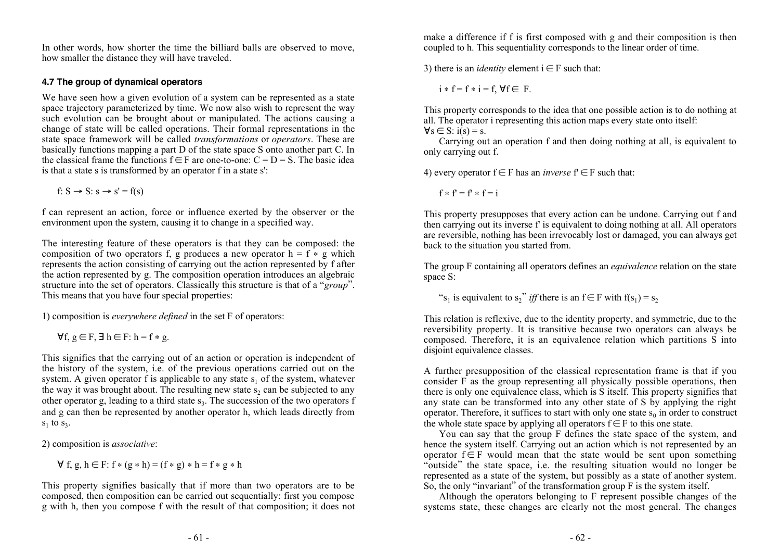In other words, how shorter the time the billiard balls are observed to move, how smaller the distance they will have traveled.

#### **4.7 The group of dynamical operators**

We have seen how a given evolution of a system can be represented as a state space trajectory parameterized by time. We now also wish to represent the way such evolution can be brought about or manipulated. The actions causing a change of state will be called operations. Their formal representations in the state space framework will be called *transformations* or *operators*. These are basically functions mapping a part D of the state space S onto another part C. In the classical frame the functions  $f \in F$  are one-to-one:  $C = D = S$ . The basic idea is that a state s is transformed by an operator f in a state s':

f:  $S \rightarrow S$ :  $s \rightarrow s' = f(s)$ 

f can represent an action, force or influence exerted by the observer or the environment upon the system, causing it to change in a specified way.

The interesting feature of these operators is that they can be composed: the composition of two operators f, g produces a new operator  $h = f * g$  which represents the action consisting of carrying out the action represented by f after the action represented by g. The composition operation introduces an algebraic structure into the set of operators. Classically this structure is that of a "*group*". This means that you have four special properties:

1) composition is *everywhere defined* in the set F of operators:

 $\forall f, g \in F, \exists h \in F$ :  $h = f * g$ .

This signifies that the carrying out of an action or operation is independent of the history of the system, i.e. of the previous operations carried out on the system. A given operator f is applicable to any state  $s_1$  of the system, whatever the way it was brought about. The resulting new state  $s_2$  can be subjected to any other operator g, leading to a third state  $s_3$ . The succession of the two operators f and g can then be represented by another operator h, which leads directly from  $s_1$  to  $s_3$ .

2) composition is *associative*:

$$
\forall f, g, h \in F: f * (g * h) = (f * g) * h = f * g * h
$$

This property signifies basically that if more than two operators are to be composed, then composition can be carried out sequentially: first you compose g with h, then you compose f with the result of that composition; it does not make a difference if f is first composed with g and their composition is then coupled to h. This sequentiality corresponds to the linear order of time.

3) there is an *identity* element  $i \in F$  such that:

 $i * f = f * i = f, \forall f \in F.$ 

This property corresponds to the idea that one possible action is to do nothing at all. The operator i representing this action maps every state onto itself:  $\forall s \in S: i(s) = s$ .

Carrying out an operation f and then doing nothing at all, is equivalent to only carrying out f.

4) every operator  $f \in F$  has an *inverse*  $f \in F$  such that:

 $f * f = f * f = i$ 

This property presupposes that every action can be undone. Carrying out f and then carrying out its inverse f' is equivalent to doing nothing at all. All operators are reversible, nothing has been irrevocably lost or damaged, you can always get back to the situation you started from.

The group F containing all operators defines an *equivalence* relation on the state space S:

"s<sub>1</sub> is equivalent to s<sub>2</sub>" *iff* there is an  $f \in F$  with  $f(s_1) = s_2$ 

This relation is reflexive, due to the identity property, and symmetric, due to the reversibility property. It is transitive because two operators can always be composed. Therefore, it is an equivalence relation which partitions S into disjoint equivalence classes.

A further presupposition of the classical representation frame is that if you consider F as the group representing all physically possible operations, then there is only one equivalence class, which is S itself. This property signifies that any state can be transformed into any other state of S by applying the right operator. Therefore, it suffices to start with only one state  $s_0$  in order to construct the whole state space by applying all operators  $f \in F$  to this one state.

You can say that the group F defines the state space of the system, and hence the system itself. Carrying out an action which is not represented by an operator  $f \in F$  would mean that the state would be sent upon something "outside" the state space, i.e. the resulting situation would no longer be represented as a state of the system, but possibly as a state of another system. So, the only "invariant" of the transformation group F is the system itself.

Although the operators belonging to F represent possible changes of the systems state, these changes are clearly not the most general. The changes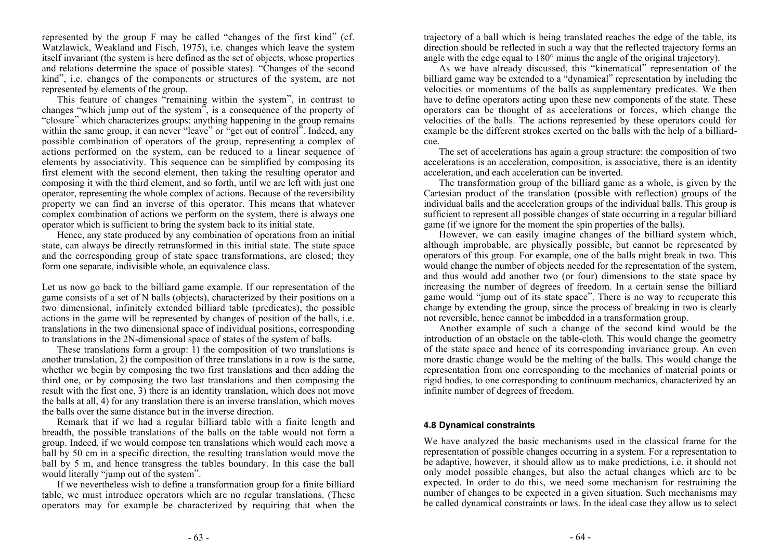represented by the group F may be called "changes of the first kind" (cf. Watzlawick, Weakland and Fisch, 1975), i.e. changes which leave the system itself invariant (the system is here defined as the set of objects, whose properties and relations determine the space of possible states). "Changes of the second kind", i.e. changes of the components or structures of the system, are not represented by elements of the group.

This feature of changes "remaining within the system", in contrast to changes "which jump out of the system", is a consequence of the property of "closure" which characterizes groups: anything happening in the group remains within the same group, it can never "leave" or "get out of control". Indeed, any possible combination of operators of the group, representing a complex of actions performed on the system, can be reduced to a linear sequence of elements by associativity. This sequence can be simplified by composing its first element with the second element, then taking the resulting operator and composing it with the third element, and so forth, until we are left with just one operator, representing the whole complex of actions. Because of the reversibility property we can find an inverse of this operator. This means that whatever complex combination of actions we perform on the system, there is always one operator which is sufficient to bring the system back to its initial state.

Hence, any state produced by any combination of operations from an initial state, can always be directly retransformed in this initial state. The state space and the corresponding group of state space transformations, are closed; they form one separate, indivisible whole, an equivalence class.

Let us now go back to the billiard game example. If our representation of the game consists of a set of N balls (objects), characterized by their positions on a two dimensional, infinitely extended billiard table (predicates), the possible actions in the game will be represented by changes of position of the balls, i.e. translations in the two dimensional space of individual positions, corresponding to translations in the 2N-dimensional space of states of the system of balls.

These translations form a group:  $\overline{1}$ ) the composition of two translations is another translation, 2) the composition of three translations in a row is the same, whether we begin by composing the two first translations and then adding the third one, or by composing the two last translations and then composing the result with the first one, 3) there is an identity translation, which does not move the balls at all, 4) for any translation there is an inverse translation, which moves the balls over the same distance but in the inverse direction.

Remark that if we had a regular billiard table with a finite length and breadth, the possible translations of the balls on the table would not form a group. Indeed, if we would compose ten translations which would each move a ball by 50 cm in a specific direction, the resulting translation would move the ball by 5 m, and hence transgress the tables boundary. In this case the ball would literally "jump out of the system".

If we nevertheless wish to define a transformation group for a finite billiard table, we must introduce operators which are no regular translations. (These operators may for example be characterized by requiring that when the

trajectory of a ball which is being translated reaches the edge of the table, its direction should be reflected in such a way that the reflected trajectory forms an angle with the edge equal to 180° minus the angle of the original trajectory).

As we have already discussed, this "kinematical" representation of the billiard game way be extended to a "dynamical" representation by including the velocities or momentums of the balls as supplementary predicates. We then have to define operators acting upon these new components of the state. These operators can be thought of as accelerations or forces, which change the velocities of the balls. The actions represented by these operators could for example be the different strokes exerted on the balls with the help of a billiardcue.

The set of accelerations has again a group structure: the composition of two accelerations is an acceleration, composition, is associative, there is an identity acceleration, and each acceleration can be inverted.

The transformation group of the billiard game as a whole, is given by the Cartesian product of the translation (possible with reflection) groups of the individual balls and the acceleration groups of the individual balls. This group is sufficient to represent all possible changes of state occurring in a regular billiard game (if we ignore for the moment the spin properties of the balls).

However, we can easily imagine changes of the billiard system which, although improbable, are physically possible, but cannot be represented by operators of this group. For example, one of the balls might break in two. This would change the number of objects needed for the representation of the system, and thus would add another two (or four) dimensions to the state space by increasing the number of degrees of freedom. In a certain sense the billiard game would "jump out of its state space". There is no way to recuperate this change by extending the group, since the process of breaking in two is clearly not reversible, hence cannot be imbedded in a transformation group.

Another example of such a change of the second kind would be the introduction of an obstacle on the table-cloth. This would change the geometry of the state space and hence of its corresponding invariance group. An even more drastic change would be the melting of the balls. This would change the representation from one corresponding to the mechanics of material points or rigid bodies, to one corresponding to continuum mechanics, characterized by an infinite number of degrees of freedom.

#### **4.8 Dynamical constraints**

We have analyzed the basic mechanisms used in the classical frame for the representation of possible changes occurring in a system. For a representation to be adaptive, however, it should allow us to make predictions, i.e. it should not only model possible changes, but also the actual changes which are to be expected. In order to do this, we need some mechanism for restraining the number of changes to be expected in a given situation. Such mechanisms may be called dynamical constraints or laws. In the ideal case they allow us to select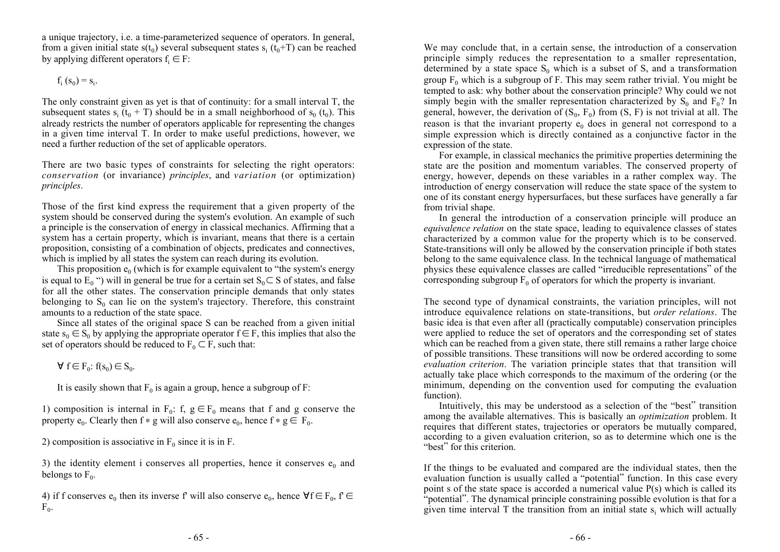a unique trajectory, i.e. a time-parameterized sequence of operators. In general, from a given initial state  $s(t_0)$  several subsequent states s<sub>i</sub>  $(t_0+T)$  can be reached by applying different operators  $f_i \in F$ :

 $f_i (s_0) = s_i.$ 

The only constraint given as yet is that of continuity: for a small interval T, the subsequent states s<sub>i</sub>  $(t_0 + T)$  should be in a small neighborhood of s<sub>0</sub> (t<sub>0</sub>). This already restricts the number of operators applicable for representing the changes in a given time interval T. In order to make useful predictions, however, we need a further reduction of the set of applicable operators.

There are two basic types of constraints for selecting the right operators: *conservation* (or invariance) *principles*, and *variation* (or optimization) *principles*.

Those of the first kind express the requirement that a given property of the system should be conserved during the system's evolution. An example of such a principle is the conservation of energy in classical mechanics. Affirming that a system has a certain property, which is invariant, means that there is a certain proposition, consisting of a combination of objects, predicates and connectives, which is implied by all states the system can reach during its evolution.

This proposition  $e_0$  (which is for example equivalent to "the system's energy is equal to  $E_0$  ") will in general be true for a certain set  $S_0 \subset S$  of states, and false for all the other states. The conservation principle demands that only states belonging to  $S_0$  can lie on the system's trajectory. Therefore, this constraint amounts to a reduction of the state space.

Since all states of the original space S can be reached from a given initial state  $s_0 \in S_0$  by applying the appropriate operator  $f \in F$ , this implies that also the set of operators should be reduced to  $F_0 \subset F,$  such that:

 $\forall$  f  $\in$  F<sub>0</sub>: f(s<sub>0</sub>)  $\in$  S<sub>0</sub>.

It is easily shown that  $F_0$  is again a group, hence a subgroup of F:

1) composition is internal in  $F_0$ : f,  $g \in F_0$  means that f and g conserve the property  $e_0$ . Clearly then f  $*$  g will also conserve  $e_0$ , hence f  $*$  g  $\in$   $F_0$ .

2) composition is associative in  $F_0$  since it is in F.

3) the identity element i conserves all properties, hence it conserves  $e_0$  and belongs to  $F_0$ .

4) if f conserves  $e_0$  then its inverse f' will also conserve  $e_0$ , hence  $\forall f \in F_0$ ,  $f \in$  $F_0$ .

We may conclude that, in a certain sense, the introduction of a conservation principle simply reduces the representation to a smaller representation, determined by a state space  $S_0$  which is a subset of S, and a transformation group  $F_0$  which is a subgroup of F. This may seem rather trivial. You might be tempted to ask: why bother about the conservation principle? Why could we not simply begin with the smaller representation characterized by  $S_0$  and  $F_0$ ? In general, however, the derivation of  $(S_0, F_0)$  from  $(S, F)$  is not trivial at all. The reason is that the invariant property  $e_0$  does in general not correspond to a simple expression which is directly contained as a conjunctive factor in the expression of the state.

For example, in classical mechanics the primitive properties determining the state are the position and momentum variables. The conserved property of energy, however, depends on these variables in a rather complex way. The introduction of energy conservation will reduce the state space of the system to one of its constant energy hypersurfaces, but these surfaces have generally a far from trivial shape.

In general the introduction of a conservation principle will produce an *equivalence relation* on the state space, leading to equivalence classes of states characterized by a common value for the property which is to be conserved. State-transitions will only be allowed by the conservation principle if both states belong to the same equivalence class. In the technical language of mathematical <sup>p</sup>hysics these equivalence classes are called "irreducible representations" of the corresponding subgroup  $F_0$  of operators for which the property is invariant.

The second type of dynamical constraints, the variation principles, will not introduce equivalence relations on state-transitions, but *order relations*. The basic idea is that even after all (practically computable) conservation principles were applied to reduce the set of operators and the corresponding set of states which can be reached from a given state, there still remains a rather large choice of possible transitions. These transitions will now be ordered according to some *evaluation criterion*. The variation principle states that that transition will actually take place which corresponds to the maximum of the ordering (or the minimum, depending on the convention used for computing the evaluation function).

Intuitively, this may be understood as a selection of the "best" transition among the available alternatives. This is basically an *optimization* problem. It requires that different states, trajectories or operators be mutually compared, according to a given evaluation criterion, so as to determine which one is the "best" for this criterion.

If the things to be evaluated and compared are the individual states, then the evaluation function is usually called a "potential" function. In this case every point s of the state space is accorded a numerical value P(s) which is called its "potential". The dynamical principle constraining possible evolution is that for a given time interval  $T$  the transition from an initial state  $s_i$  which will actually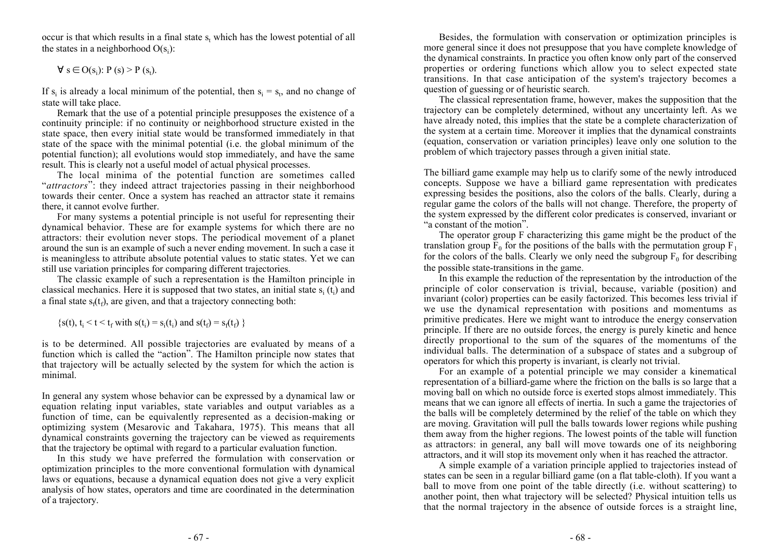occur is that which results in a final state s, which has the lowest potential of all the states in a neighborhood  $O(s_i)$ :

 $\forall s \in O(s_i)$ : P (s) > P (s<sub>t</sub>).

If s<sub>i</sub> is already a local minimum of the potential, then  $s_i = s_i$ , and no change of state will take place.

Remark that the use of a potential principle presupposes the existence of a continuity principle: if no continuity or neighborhood structure existed in the state space, then every initial state would be transformed immediately in that state of the space with the minimal potential (i.e. the global minimum of the potential function); all evolutions would stop immediately, and have the same result. This is clearly not a useful model of actual physical processes.

The local minima of the potential function are sometimes called "*attractors*": they indeed attract trajectories passing in their neighborhood towards their center. Once a system has reached an attractor state it remains there, it cannot evolve further.

For many systems a potential principle is not useful for representing their dynamical behavior. These are for example systems for which there are no attractors: their evolution never stops. The periodical movement of a planet around the sun is an example of such a never ending movement. In such a case it is meaningless to attribute absolute potential values to static states. Yet we can still use variation principles for comparing different trajectories.

The classic example of such a representation is the Hamilton principle in classical mechanics. Here it is supposed that two states, an initial state s<sub>i</sub>  $(t<sub>i</sub>)$  and a final state  $s(t<sub>i</sub>)$ , are given, and that a trajectory connecting both:

 $\{s(t), t_i \le t \le t_f \text{ with } s(t_i) = s_i(t_i) \text{ and } s(t_f) = s_f(t_f) \}$ 

is to be determined. All possible trajectories are evaluated by means of a function which is called the "action". The Hamilton principle now states that that trajectory will be actually selected by the system for which the action is minimal.

In general any system whose behavior can be expressed by a dynamical law or equation relating input variables, state variables and output variables as a function of time, can be equivalently represented as a decision-making or optimizing system (Mesarovic and Takahara, 1975). This means that all dynamical constraints governing the trajectory can be viewed as requirements that the trajectory be optimal with regard to a particular evaluation function.

In this study we have preferred the formulation with conservation or optimization principles to the more conventional formulation with dynamical laws or equations, because a dynamical equation does not give a very explicit analysis of how states, operators and time are coordinated in the determination of a trajectory.

Besides, the formulation with conservation or optimization principles is more general since it does not presuppose that you have complete knowledge of the dynamical constraints. In practice you often know only part of the conserved properties or ordering functions which allow you to select expected state transitions. In that case anticipation of the system's trajectory becomes a question of guessing or of heuristic search.

The classical representation frame, however, makes the supposition that the trajectory can be completely determined, without any uncertainty left. As we have already noted, this implies that the state be a complete characterization of the system at a certain time. Moreover it implies that the dynamical constraints (equation, conservation or variation principles) leave only one solution to the problem of which trajectory passes through a given initial state.

The billiard game example may help us to clarify some of the newly introduced concepts. Suppose we have a billiard game representation with predicates expressing besides the positions, also the colors of the balls. Clearly, during a regular game the colors of the balls will not change. Therefore, the property of the system expressed by the different color predicates is conserved, invariant or "a constant of the motion".

 The operator group F characterizing this game might be the product of the translation group  $\bar{F}_0$  for the positions of the balls with the permutation group  $F_1$ for the colors of the balls. Clearly we only need the subgroup  $F_0$  for describing the possible state-transitions in the game.

In this example the reduction of the representation by the introduction of the principle of color conservation is trivial, because, variable (position) and invariant (color) properties can be easily factorized. This becomes less trivial if we use the dynamical representation with positions and momentums as primitive predicates. Here we might want to introduce the energy conservation principle. If there are no outside forces, the energy is purely kinetic and hence directly proportional to the sum of the squares of the momentums of the individual balls. The determination of a subspace of states and a subgroup of operators for which this property is invariant, is clearly not trivial.

For an example of a potential principle we may consider a kinematical representation of a billiard-game where the friction on the balls is so large that a moving ball on which no outside force is exerted stops almost immediately. This means that we can ignore all effects of inertia. In such a game the trajectories of the balls will be completely determined by the relief of the table on which they are moving. Gravitation will pull the balls towards lower regions while pushing them away from the higher regions. The lowest points of the table will function as attractors: in general, any ball will move towards one of its neighboring attractors, and it will stop its movement only when it has reached the attractor.

A simple example of a variation principle applied to trajectories instead of states can be seen in a regular billiard game (on a flat table-cloth). If you want a ball to move from one point of the table directly (i.e. without scattering) to another point, then what trajectory will be selected? Physical intuition tells us that the normal trajectory in the absence of outside forces is a straight line,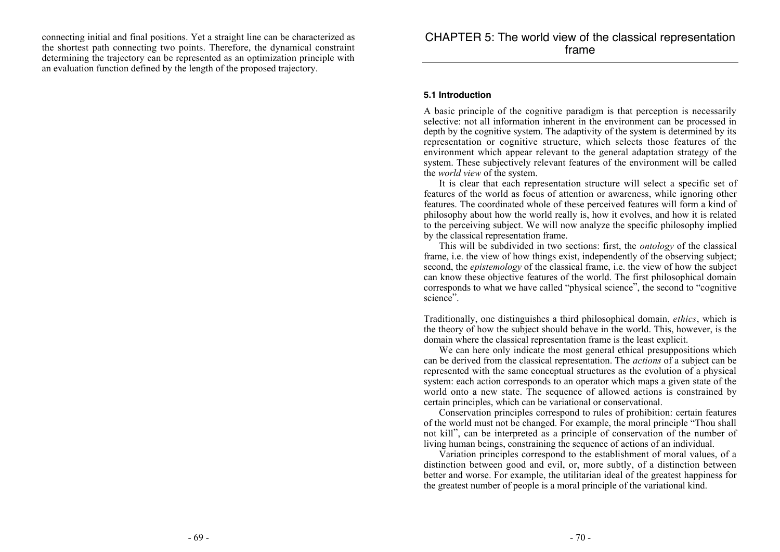connecting initial and final positions. Yet a straight line can be characterized as the shortest path connecting two points. Therefore, the dynamical constraint determining the trajectory can be represented as an optimization principle with an evaluation function defined by the length of the proposed trajectory.

#### **5.1 Introduction**

A basic principle of the cognitive paradigm is that perception is necessarily selective: not all information inherent in the environment can be processed in depth by the cognitive system. The adaptivity of the system is determined by its representation or cognitive structure, which selects those features of the environment which appear relevant to the general adaptation strategy of the system. These subjectively relevant features of the environment will be called the *world view* of the system.

It is clear that each representation structure will select a specific set of features of the world as focus of attention or awareness, while ignoring other features. The coordinated whole of these perceived features will form a kind of philosophy about how the world really is, how it evolves, and how it is related to the perceiving subject. We will now analyze the specific philosophy implied by the classical representation frame.

This will be subdivided in two sections: first, the *ontology* of the classical frame, i.e. the view of how things exist, independently of the observing subject; second, the *epistemology* of the classical frame, i.e. the view of how the subject can know these objective features of the world. The first philosophical domain corresponds to what we have called "physical science", the second to "cognitive science".

Traditionally, one distinguishes a third philosophical domain, *ethics*, which is the theory of how the subject should behave in the world. This, however, is the domain where the classical representation frame is the least explicit.

We can here only indicate the most general ethical presuppositions which can be derived from the classical representation. The *actions* of a subject can be represented with the same conceptual structures as the evolution of a physical system: each action corresponds to an operator which maps a given state of the world onto a new state. The sequence of allowed actions is constrained by certain principles, which can be variational or conservational.

Conservation principles correspond to rules of prohibition: certain features of the world must not be changed. For example, the moral principle "Thou shall not kill", can be interpreted as a principle of conservation of the number of living human beings, constraining the sequence of actions of an individual.

Variation principles correspond to the establishment of moral values, of a distinction between good and evil, or, more subtly, of a distinction between better and worse. For example, the utilitarian ideal of the greatest happiness for the greatest number of people is a moral principle of the variational kind.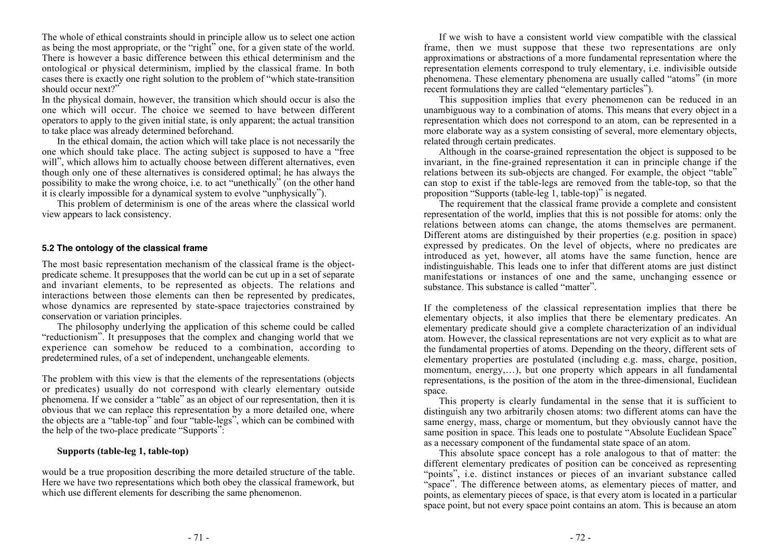The whole of ethical constraints should in principle allow us to select one action as being the most appropriate, or the "right" one, for a given state of the world. There is however a basic difference between this ethical determinism and the ontological or physical determinism, implied by the classical frame. In both cases there is exactly one right solution to the problem of "which state-transition should occur next?"

In the physical domain, however, the transition which should occur is also the one which will occur. The choice we seemed to have between different operators to apply to the given initial state, is only apparent; the actual transition to take place was already determined beforehand.

In the ethical domain, the action which will take place is not necessarily the one which should take place. The acting subject is supposed to have a "free will", which allows him to actually choose between different alternatives, even though only one of these alternatives is considered optimal; he has always the possibility to make the wrong choice, i.e. to act "unethically" (on the other hand it is clearly impossible for a dynamical system to evolve "unphysically").

This problem of determinism is one of the areas where the classical world view appears to lack consistency.

### **5.2 The ontology of the classical frame**

The most basic representation mechanism of the classical frame is the objectpredicate scheme. It presupposes that the world can be cut up in a set of separate and invariant elements, to be represented as objects. The relations and interactions between those elements can then be represented by predicates, whose dynamics are represented by state-space trajectories constrained by conservation or variation principles.

The philosophy underlying the application of this scheme could be called "reductionism". It presupposes that the complex and changing world that we experience can somehow be reduced to a combination, according to predetermined rules, of a set of independent, unchangeable elements.

The problem with this view is that the elements of the representations (objects or predicates) usually do not correspond with clearly elementary outside <sup>p</sup>henomena. If we consider a "table" as an object of our representation, then it is obvious that we can replace this representation by a more detailed one, where the objects are a "table-top" and four "table-legs", which can be combined with the help of the two-place predicate "Supports":

## **Supports (table-leg 1, table-top)**

would be a true proposition describing the more detailed structure of the table. Here we have two representations which both obey the classical framework, but which use different elements for describing the same phenomenon.

If we wish to have a consistent world view compatible with the classical frame, then we must suppose that these two representations are only approximations or abstractions of a more fundamental representation where the representation elements correspond to truly elementary, i.e. indivisible outside <sup>p</sup>henomena. These elementary phenomena are usually called "atoms" (in more recent formulations they are called "elementary particles").

This supposition implies that every phenomenon can be reduced in an unambiguous way to a combination of atoms. This means that every object in a representation which does not correspond to an atom, can be represented in a more elaborate way as a system consisting of several, more elementary objects, related through certain predicates.

Although in the coarse-grained representation the object is supposed to be invariant, in the fine-grained representation it can in principle change if the relations between its sub-objects are changed. For example, the object "table" can stop to exist if the table-legs are removed from the table-top, so that the proposition "Supports (table-leg 1, table-top)" is negated.

The requirement that the classical frame provide a complete and consistent representation of the world, implies that this is not possible for atoms: only the relations between atoms can change, the atoms themselves are permanent. Different atoms are distinguished by their properties (e.g. position in space) expressed by predicates. On the level of objects, where no predicates are introduced as yet, however, all atoms have the same function, hence are indistinguishable. This leads one to infer that different atoms are just distinct manifestations or instances of one and the same, unchanging essence or substance. This substance is called "matter".

If the completeness of the classical representation implies that there be elementary objects, it also implies that there be elementary predicates. An elementary predicate should give a complete characterization of an individual atom. However, the classical representations are not very explicit as to what are the fundamental properties of atoms. Depending on the theory, different sets of elementary properties are postulated (including e.g. mass, charge, position, momentum, energy,…), but one property which appears in all fundamental representations, is the position of the atom in the three-dimensional, Euclidean space.

This property is clearly fundamental in the sense that it is sufficient to distinguish any two arbitrarily chosen atoms: two different atoms can have the same energy, mass, charge or momentum, but they obviously cannot have the same position in space. This leads one to postulate "Absolute Euclidean Space" as a necessary component of the fundamental state space of an atom.

This absolute space concept has a role analogous to that of matter: the different elementary predicates of position can be conceived as representing "points", i.e. distinct instances or pieces of an invariant substance called "space". The difference between atoms, as elementary pieces of matter, and points, as elementary pieces of space, is that every atom is located in a particular space point, but not every space point contains an atom. This is because an atom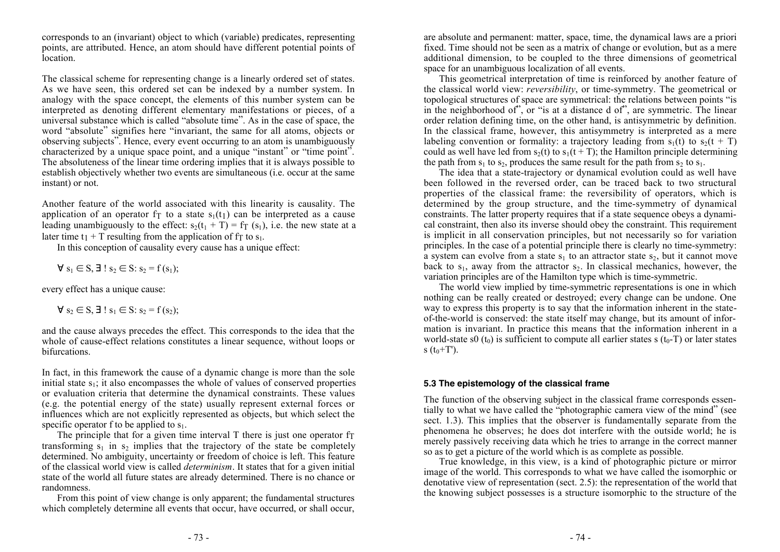corresponds to an (invariant) object to which (variable) predicates, representing points, are attributed. Hence, an atom should have different potential points of location.

The classical scheme for representing change is a linearly ordered set of states. As we have seen, this ordered set can be indexed by a number system. In analogy with the space concept, the elements of this number system can be interpreted as denoting different elementary manifestations or pieces, of a universal substance which is called "absolute time". As in the case of space, the word "absolute" signifies here "invariant, the same for all atoms, objects or observing subjects". Hence, every event occurring to an atom is unambiguously characterized by a unique space point, and a unique "instant" or "time point". The absoluteness of the linear time ordering implies that it is always possible to establish objectively whether two events are simultaneous (i.e. occur at the same instant) or not.

Another feature of the world associated with this linearity is causality. The application of an operator  $f_T$  to a state  $s_1(t_1)$  can be interpreted as a cause leading unambiguously to the effect:  $s_2(t_1 + T) = f_T(s_1)$ , i.e. the new state at a later time  $t_1$  + T resulting from the application of  $f_T$  to  $s_1$ .

In this conception of causality every cause has a unique effect:

 $\forall s_1 \in S, \exists : s_2 \in S: s_2 = f(s_1);$ 

every effect has a unique cause:

 $\forall s_2 \in S, \exists s_1 \in S: s_2 = f(s_2);$ 

and the cause always precedes the effect. This corresponds to the idea that the whole of cause-effect relations constitutes a linear sequence, without loops or bifurcations.

In fact, in this framework the cause of a dynamic change is more than the sole initial state  $s_1$ ; it also encompasses the whole of values of conserved properties or evaluation criteria that determine the dynamical constraints. These values (e.g. the potential energy of the state) usually represent external forces or influences which are not explicitly represented as objects, but which select the specific operator f to be applied to  $s_1$ .

The principle that for a given time interval T there is just one operator  $f_T$ transforming  $s_1$  in  $s_2$  implies that the trajectory of the state be completely determined. No ambiguity, uncertainty or freedom of choice is left. This feature of the classical world view is called *determinism*. It states that for a given initial state of the world all future states are already determined. There is no chance or randomness.

From this point of view change is only apparent; the fundamental structures which completely determine all events that occur, have occurred, or shall occur,

are absolute and permanent: matter, space, time, the dynamical laws are a priori fixed. Time should not be seen as a matrix of change or evolution, but as a mere additional dimension, to be coupled to the three dimensions of geometrical space for an unambiguous localization of all events.

This geometrical interpretation of time is reinforced by another feature of the classical world view: *reversibility*, or time-symmetry. The geometrical or topological structures of space are symmetrical: the relations between points "is in the neighborhood of", or "is at a distance d of", are symmetric. The linear order relation defining time, on the other hand, is antisymmetric by definition. In the classical frame, however, this antisymmetry is interpreted as a mere labeling convention or formality: a trajectory leading from  $s_1(t)$  to  $s_2(t + T)$ could as well have led from  $s_2(t)$  to  $s_1(t + T)$ ; the Hamilton principle determining the path from  $s_1$  to  $s_2$ , produces the same result for the path from  $s_2$  to  $s_1$ .

The idea that a state-trajectory or dynamical evolution could as well have been followed in the reversed order, can be traced back to two structural properties of the classical frame: the reversibility of operators, which is determined by the group structure, and the time-symmetry of dynamical constraints. The latter property requires that if a state sequence obeys a dynamical constraint, then also its inverse should obey the constraint. This requirement is implicit in all conservation principles, but not necessarily so for variation principles. In the case of a potential principle there is clearly no time-symmetry: a system can evolve from a state  $s_1$  to an attractor state  $s_2$ , but it cannot move back to  $s_1$ , away from the attractor  $s_2$ . In classical mechanics, however, the variation principles are of the Hamilton type which is time-symmetric.

The world view implied by time-symmetric representations is one in which nothing can be really created or destroyed; every change can be undone. One way to express this property is to say that the information inherent in the stateof-the-world is conserved: the state itself may change, but its amount of information is invariant. In practice this means that the information inherent in a world-state s0  $(t_0)$  is sufficient to compute all earlier states s  $(t_0-T)$  or later states s  $(t_0+T')$ .

## **5.3 The epistemology of the classical frame**

The function of the observing subject in the classical frame corresponds essentially to what we have called the "photographic camera view of the mind" (see sect. 1.3). This implies that the observer is fundamentally separate from the phenomena he observes; he does dot interfere with the outside world; he is merely passively receiving data which he tries to arrange in the correct manner so as to get a picture of the world which is as complete as possible.

True knowledge, in this view, is a kind of photographic picture or mirror image of the world. This corresponds to what we have called the isomorphic or denotative view of representation (sect. 2.5): the representation of the world that the knowing subject possesses is a structure isomorphic to the structure of the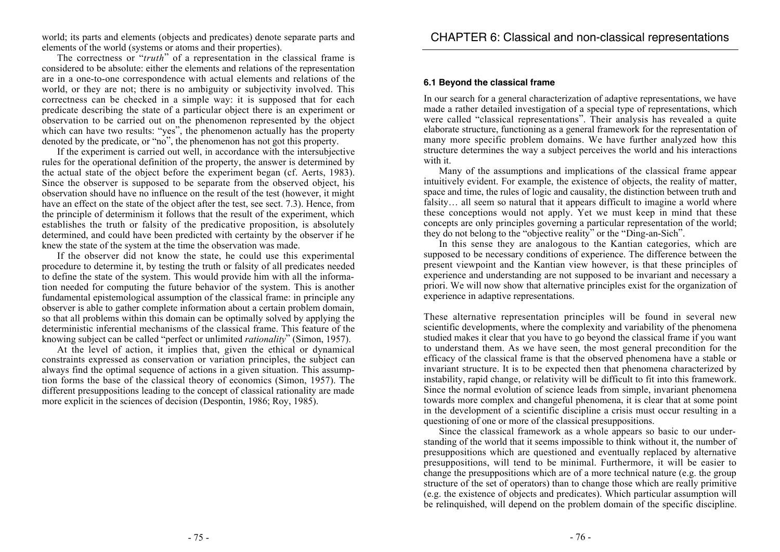At the level of action, it implies that, given the ethical or dynamical constraints expressed as conservation or variation principles, the subject can always find the optimal sequence of actions in a given situation. This assumption forms the base of the classical theory of economics (Simon, 1957). The different presuppositions leading to the concept of classical rationality are made more explicit in the sciences of decision (Despontin, 1986; Roy, 1985).

world; its parts and elements (objects and predicates) denote separate parts and elements of the world (systems or atoms and their properties).

The correctness or "*truth*" of a representation in the classical frame is considered to be absolute: either the elements and relations of the representation are in a one-to-one correspondence with actual elements and relations of the world, or they are not; there is no ambiguity or subjectivity involved. This correctness can be checked in a simple way: it is supposed that for each predicate describing the state of a particular object there is an experiment or observation to be carried out on the phenomenon represented by the object which can have two results: "yes", the phenomenon actually has the property denoted by the predicate, or "no", the phenomenon has not got this property.

If the experiment is carried out well, in accordance with the intersubjective rules for the operational definition of the property, the answer is determined by the actual state of the object before the experiment began (cf. Aerts, 1983). Since the observer is supposed to be separate from the observed object, his observation should have no influence on the result of the test (however, it might have an effect on the state of the object after the test, see sect. 7.3). Hence, from the principle of determinism it follows that the result of the experiment, which establishes the truth or falsity of the predicative proposition, is absolutely determined, and could have been predicted with certainty by the observer if he knew the state of the system at the time the observation was made.

If the observer did not know the state, he could use this experimental procedure to determine it, by testing the truth or falsity of all predicates needed to define the state of the system. This would provide him with all the information needed for computing the future behavior of the system. This is another fundamental epistemological assumption of the classical frame: in principle any observer is able to gather complete information about a certain problem domain, so that all problems within this domain can be optimally solved by applying the deterministic inferential mechanisms of the classical frame. This feature of the knowing subject can be called "perfect or unlimited *rationality*" (Simon, 1957).

#### **6.1 Beyond the classical frame**

In our search for a general characterization of adaptive representations, we have made a rather detailed investigation of a special type of representations, which were called "classical representations". Their analysis has revealed a quite elaborate structure, functioning as a general framework for the representation of many more specific problem domains. We have further analyzed how this structure determines the way a subject perceives the world and his interactions with it.

Many of the assumptions and implications of the classical frame appear intuitively evident. For example, the existence of objects, the reality of matter, space and time, the rules of logic and causality, the distinction between truth and falsity... all seem so natural that it appears difficult to imagine a world where these conceptions would not apply. Yet we must keep in mind that these concepts are only principles governing a particular representation of the world; they do not belong to the "objective reality" or the "Ding-an-Sich".

In this sense they are analogous to the Kantian categories, which are supposed to be necessary conditions of experience. The difference between the present viewpoint and the Kantian view however, is that these principles of experience and understanding are not supposed to be invariant and necessary a priori. We will now show that alternative principles exist for the organization of experience in adaptive representations.

These alternative representation principles will be found in several new scientific developments, where the complexity and variability of the phenomena studied makes it clear that you have to go beyond the classical frame if you want to understand them. As we have seen, the most general precondition for the efficacy of the classical frame is that the observed phenomena have a stable or invariant structure. It is to be expected then that phenomena characterized by instability, rapid change, or relativity will be difficult to fit into this framework. Since the normal evolution of science leads from simple, invariant phenomena towards more complex and changeful phenomena, it is clear that at some point in the development of a scientific discipline a crisis must occur resulting in a questioning of one or more of the classical presuppositions.

Since the classical framework as a whole appears so basic to our understanding of the world that it seems impossible to think without it, the number of presuppositions which are questioned and eventually replaced by alternative presuppositions, will tend to be minimal. Furthermore, it will be easier to change the presuppositions which are of a more technical nature (e.g. the group structure of the set of operators) than to change those which are really primitive (e.g. the existence of objects and predicates). Which particular assumption will be relinquished, will depend on the problem domain of the specific discipline.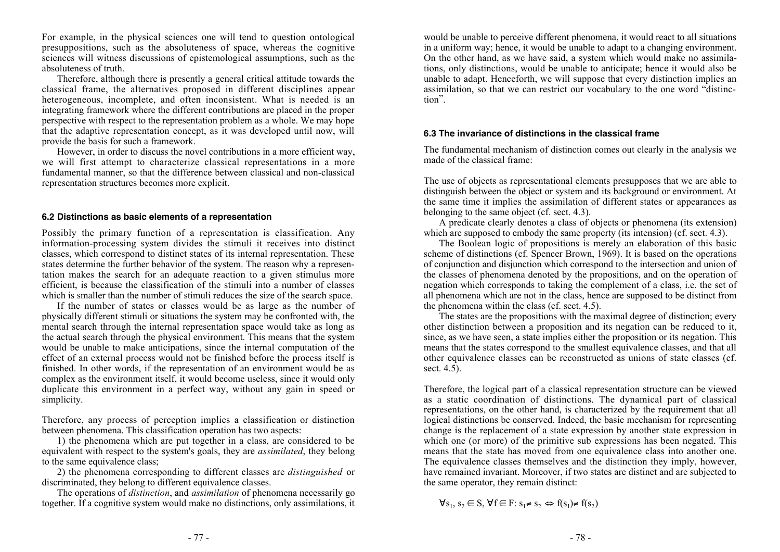For example, in the physical sciences one will tend to question ontological presuppositions, such as the absoluteness of space, whereas the cognitive sciences will witness discussions of epistemological assumptions, such as the absoluteness of truth.

Therefore, although there is presently a general critical attitude towards the classical frame, the alternatives proposed in different disciplines appear heterogeneous, incomplete, and often inconsistent. What is needed is an integrating framework where the different contributions are placed in the proper perspective with respect to the representation problem as a whole. We may hope that the adaptive representation concept, as it was developed until now, will provide the basis for such a framework.

However, in order to discuss the novel contributions in a more efficient way, we will first attempt to characterize classical representations in a more fundamental manner, so that the difference between classical and non-classical representation structures becomes more explicit.

#### **6.2 Distinctions as basic elements of a representation**

Possibly the primary function of a representation is classification. Any information-processing system divides the stimuli it receives into distinct classes, which correspond to distinct states of its internal representation. These states determine the further behavior of the system. The reason why a representation makes the search for an adequate reaction to a given stimulus more efficient, is because the classification of the stimuli into a number of classes which is smaller than the number of stimuli reduces the size of the search space.

If the number of states or classes would be as large as the number of physically different stimuli or situations the system may be confronted with, the mental search through the internal representation space would take as long as the actual search through the physical environment. This means that the system would be unable to make anticipations, since the internal computation of the effect of an external process would not be finished before the process itself is finished. In other words, if the representation of an environment would be as complex as the environment itself, it would become useless, since it would only duplicate this environment in a perfect way, without any gain in speed or simplicity.

Therefore, any process of perception implies a classification or distinction between phenomena. This classification operation has two aspects:

1) the phenomena which are put together in a class, are considered to be equivalent with respect to the system's goals, they are *assimilated*, they belong to the same equivalence class;

2) the phenomena corresponding to different classes are *distinguished* or discriminated, they belong to different equivalence classes.

The operations of *distinction*, and *assimilation* of phenomena necessarily go together. If a cognitive system would make no distinctions, only assimilations, it

would be unable to perceive different phenomena, it would react to all situations in a uniform way; hence, it would be unable to adapt to a changing environment. On the other hand, as we have said, a system which would make no assimilations, only distinctions, would be unable to anticipate; hence it would also be unable to adapt. Henceforth, we will suppose that every distinction implies an assimilation, so that we can restrict our vocabulary to the one word "distinction".

### **6.3 The invariance of distinctions in the classical frame**

The fundamental mechanism of distinction comes out clearly in the analysis we made of the classical frame:

The use of objects as representational elements presupposes that we are able to distinguish between the object or system and its background or environment. At the same time it implies the assimilation of different states or appearances as belonging to the same object (cf. sect. 4.3).

A predicate clearly denotes a class of objects or phenomena (its extension) which are supposed to embody the same property (its intension) (cf. sect. 4.3).

The Boolean logic of propositions is merely an elaboration of this basic scheme of distinctions (cf. Spencer Brown, 1969). It is based on the operations of conjunction and disjunction which correspond to the intersection and union of the classes of phenomena denoted by the propositions, and on the operation of negation which corresponds to taking the complement of a class, i.e. the set of all phenomena which are not in the class, hence are supposed to be distinct from the phenomena within the class (cf. sect. 4.5).

The states are the propositions with the maximal degree of distinction; every other distinction between a proposition and its negation can be reduced to it, since, as we have seen, a state implies either the proposition or its negation. This means that the states correspond to the smallest equivalence classes, and that all other equivalence classes can be reconstructed as unions of state classes (cf. sect. 4.5).

Therefore, the logical part of a classical representation structure can be viewed as a static coordination of distinctions. The dynamical part of classical representations, on the other hand, is characterized by the requirement that all logical distinctions be conserved. Indeed, the basic mechanism for representing change is the replacement of a state expression by another state expression in which one (or more) of the primitive sub expressions has been negated. This means that the state has moved from one equivalence class into another one. The equivalence classes themselves and the distinction they imply, however, have remained invariant. Moreover, if two states are distinct and are subjected to the same operator, they remain distinct:

$$
\forall s_1, s_2 \in S, \forall f \in F: s_1 \neq s_2 \Leftrightarrow f(s_1) \neq f(s_2)
$$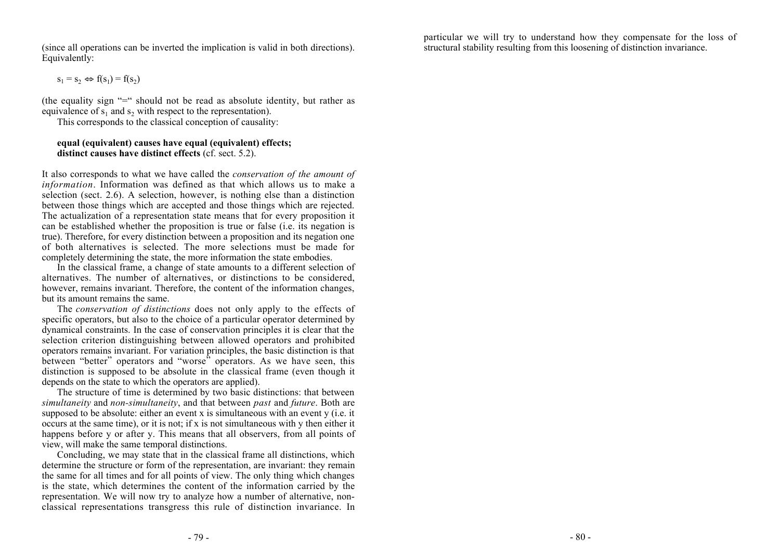(since all operations can be inverted the implication is valid in both directions). Equivalently:

 $s_1 = s_2 \Leftrightarrow f(s_1) = f(s_2)$ 

(the equality sign "=" should not be read as absolute identity, but rather as equivalence of  $s_1$  and  $s_2$  with respect to the representation).

This corresponds to the classical conception of causality:

### **equal (equivalent) causes have equal (equivalent) effects; distinct causes have distinct effects** (cf. sect. 5.2).

It also corresponds to what we have called the *conservation of the amount of information*. Information was defined as that which allows us to make a selection (sect. 2.6). A selection, however, is nothing else than a distinction between those things which are accepted and those things which are rejected. The actualization of a representation state means that for every proposition it can be established whether the proposition is true or false (i.e. its negation is true). Therefore, for every distinction between a proposition and its negation one of both alternatives is selected. The more selections must be made forcompletely determining the state, the more information the state embodies.

In the classical frame, a change of state amounts to a different selection of alternatives. The number of alternatives, or distinctions to be considered, however, remains invariant. Therefore, the content of the information changes, but its amount remains the same.

The *conservation of distinctions* does not only apply to the effects of specific operators, but also to the choice of a particular operator determined by dynamical constraints. In the case of conservation principles it is clear that the selection criterion distinguishing between allowed operators and prohibited operators remains invariant. For variation principles, the basic distinction is that between "better" operators and "worse" operators. As we have seen, this distinction is supposed to be absolute in the classical frame (even though it depends on the state to which the operators are applied).

The structure of time is determined by two basic distinctions: that between *simultaneity* and *non-simultaneity*, and that between *past* and *future*. Both are supposed to be absolute: either an event x is simultaneous with an event y (i.e. it occurs at the same time), or it is not; if x is not simultaneous with y then either it happens before y or after y. This means that all observers, from all points of view, will make the same temporal distinctions.

Concluding, we may state that in the classical frame all distinctions, which determine the structure or form of the representation, are invariant: they remain the same for all times and for all points of view. The only thing which changes is the state, which determines the content of the information carried by the representation. We will now try to analyze how a number of alternative, nonclassical representations transgress this rule of distinction invariance. In particular we will try to understand how they compensate for the loss of structural stability resulting from this loosening of distinction invariance.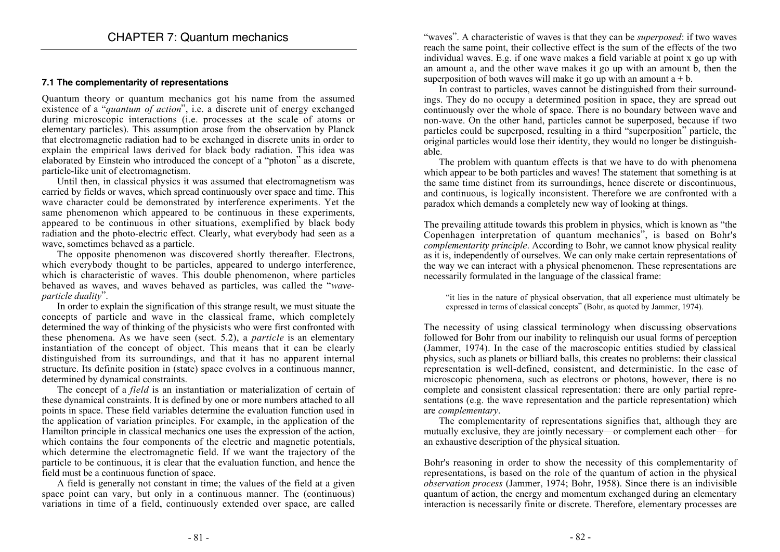## **7.1 The complementarity of representations**

Quantum theory or quantum mechanics got his name from the assumed existence of a "*quantum of action*", i.e. a discrete unit of energy exchanged during microscopic interactions (i.e. processes at the scale of atoms or elementary particles). This assumption arose from the observation by Planck that electromagnetic radiation had to be exchanged in discrete units in order to explain the empirical laws derived for black body radiation. This idea was elaborated by Einstein who introduced the concept of a "photon" as a discrete, particle-like unit of electromagnetism.

Until then, in classical physics it was assumed that electromagnetism was carried by fields or waves, which spread continuously over space and time. This wave character could be demonstrated by interference experiments. Yet the same phenomenon which appeared to be continuous in these experiments, appeared to be continuous in other situations, exemplified by black body radiation and the photo-electric effect. Clearly, what everybody had seen as a wave, sometimes behaved as a particle.

The opposite phenomenon was discovered shortly thereafter. Electrons, which everybody thought to be particles, appeared to undergo interference, which is characteristic of waves. This double phenomenon, where particles behaved as waves, and waves behaved as particles, was called the "*waveparticle duality*".

In order to explain the signification of this strange result, we must situate the concepts of particle and wave in the classical frame, which completely determined the way of thinking of the physicists who were first confronted with these phenomena. As we have seen (sect. 5.2), a *particle* is an elementary instantiation of the concept of object. This means that it can be clearly distinguished from its surroundings, and that it has no apparent internal structure. Its definite position in (state) space evolves in a continuous manner, determined by dynamical constraints.

The concept of a *field* is an instantiation or materialization of certain of these dynamical constraints. It is defined by one or more numbers attached to all points in space. These field variables determine the evaluation function used in the application of variation principles. For example, in the application of the Hamilton principle in classical mechanics one uses the expression of the action, which contains the four components of the electric and magnetic potentials, which determine the electromagnetic field. If we want the trajectory of the particle to be continuous, it is clear that the evaluation function, and hence the field must be a continuous function of space.

A field is generally not constant in time; the values of the field at a given space point can vary, but only in a continuous manner. The (continuous) variations in time of a field, continuously extended over space, are called

"waves". A characteristic of waves is that they can be *superposed*: if two waves reach the same point, their collective effect is the sum of the effects of the two individual waves. E.g. if one wave makes a field variable at point x go up with an amount a, and the other wave makes it go up with an amount b, then the superposition of both waves will make it go up with an amount  $a + b$ .

In contrast to particles, waves cannot be distinguished from their surroundings. They do no occupy a determined position in space, they are spread out continuously over the whole of space. There is no boundary between wave and non-wave. On the other hand, particles cannot be superposed, because if two particles could be superposed, resulting in a third "superposition" particle, the original particles would lose their identity, they would no longer be distinguishable.

The problem with quantum effects is that we have to do with phenomena which appear to be both particles and waves! The statement that something is at the same time distinct from its surroundings, hence discrete or discontinuous, and continuous, is logically inconsistent. Therefore we are confronted with a paradox which demands a completely new way of looking at things.

The prevailing attitude towards this problem in physics, which is known as "the Copenhagen interpretation of quantum mechanics", is based on Bohr's *complementarity principle*. According to Bohr, we cannot know physical reality as it is, independently of ourselves. We can only make certain representations of the way we can interact with a physical phenomenon. These representations are necessarily formulated in the language of the classical frame:

"it lies in the nature of physical observation, that all experience must ultimately be expressed in terms of classical concepts" (Bohr, as quoted by Jammer, 1974).

The necessity of using classical terminology when discussing observations followed for Bohr from our inability to relinquish our usual forms of perception (Jammer, 1974). In the case of the macroscopic entities studied by classical physics, such as planets or billiard balls, this creates no problems: their classical representation is well-defined, consistent, and deterministic. In the case of microscopic phenomena, such as electrons or photons, however, there is no complete and consistent classical representation: there are only partial representations (e.g. the wave representation and the particle representation) which are *complementary*.

The complementarity of representations signifies that, although they are mutually exclusive, they are jointly necessary—or complement each other—for an exhaustive description of the physical situation.

Bohr's reasoning in order to show the necessity of this complementarity of representations, is based on the role of the quantum of action in the physical *observation process* (Jammer, 1974; Bohr, 1958). Since there is an indivisible quantum of action, the energy and momentum exchanged during an elementary interaction is necessarily finite or discrete. Therefore, elementary processes are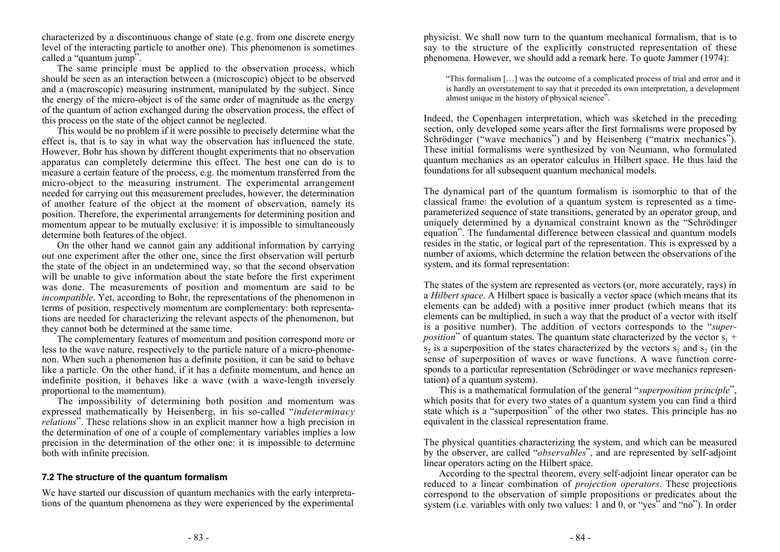characterized by a discontinuous change of state (e.g. from one discrete energy level of the interacting particle to another one). This phenomenon is sometimes called a "quantum jump".

The same principle must be applied to the observation process, which should be seen as an interaction between a (microscopic) object to be observed and a (macroscopic) measuring instrument, manipulated by the subject. Since the energy of the micro-object is of the same order of magnitude as the energy of the quantum of action exchanged during the observation process, the effect of this process on the state of the object cannot be neglected.

This would be no problem if it were possible to precisely determine what the effect is, that is to say in what way the observation has influenced the state. However, Bohr has shown by different thought experiments that no observation apparatus can completely determine this effect. The best one can do is to measure a certain feature of the process, e.g. the momentum transferred from the micro-object to the measuring instrument. The experimental arrangement needed for carrying out this measurement precludes, however, the determination of another feature of the object at the moment of observation, namely its position. Therefore, the experimental arrangements for determining position and momentum appear to be mutually exclusive: it is impossible to simultaneously determine both features of the object.

On the other hand we cannot gain any additional information by carrying out one experiment after the other one, since the first observation will perturb the state of the object in an undetermined way, so that the second observation will be unable to give information about the state before the first experiment was done. The measurements of position and momentum are said to be *incompatible*. Yet, according to Bohr, the representations of the phenomenon in terms of position, respectively momentum are complementary: both representations are needed for characterizing the relevant aspects of the phenomenon, but they cannot both be determined at the same time.

The complementary features of momentum and position correspond more or less to the wave nature, respectively to the particle nature of a micro-phenomenon. When such a phenomenon has a definite position, it can be said to behave like a particle. On the other hand, if it has a definite momentum, and hence an indefinite position, it behaves like a wave (with a wave-length inversely proportional to the momentum).

The impossibility of determining both position and momentum was expressed mathematically by Heisenberg, in his so-called "*indeterminacy relations*". These relations show in an explicit manner how a high precision in the determination of one of a couple of complementary variables implies a low precision in the determination of the other one: it is impossible to determine both with infinite precision.

## **7.2 The structure of the quantum formalism**

We have started our discussion of quantum mechanics with the early interpretations of the quantum phenomena as they were experienced by the experimental

physicist. We shall now turn to the quantum mechanical formalism, that is to say to the structure of the explicitly constructed representation of these phenomena. However, we should add a remark here. To quote Jammer (1974):

"This formalism […] was the outcome of a complicated process of trial and error and it is hardly an overstatement to say that it preceded its own interpretation, a development almost unique in the history of physical science".

Indeed, the Copenhagen interpretation, which was sketched in the preceding section, only developed some years after the first formalisms were proposed by Schrödinger ("wave mechanics") and by Heisenberg ("matrix mechanics"). These initial formalisms were synthesized by von Neumann, who formulated quantum mechanics as an operator calculus in Hilbert space. He thus laid the foundations for all subsequent quantum mechanical models.

The dynamical part of the quantum formalism is isomorphic to that of the classical frame: the evolution of a quantum system is represented as a timeparameterized sequence of state transitions, generated by an operator group, and uniquely determined by a dynamical constraint known as the "Schrödinger equation". The fundamental difference between classical and quantum models resides in the static, or logical part of the representation. This is expressed by a number of axioms, which determine the relation between the observations of the system, and its formal representation:

The states of the system are represented as vectors (or, more accurately, rays) in <sup>a</sup>*Hilbert space*. A Hilbert space is basically a vector space (which means that its elements can be added) with a positive inner product (which means that its elements can be multiplied, in such a way that the product of a vector with itself is a positive number). The addition of vectors corresponds to the "*superposition*" of quantum states. The quantum state characterized by the vector  $s_1$  +  $s<sub>2</sub>$  is a superposition of the states characterized by the vectors  $s<sub>1</sub>$  and  $s<sub>2</sub>$  (in the sense of superposition of waves or wave functions. A wave function corresponds to a particular representation (Schrödinger or wave mechanics representation) of a quantum system).

This is a mathematical formulation of the general "*superposition principle*", which posits that for every two states of a quantum system you can find a third state which is a "superposition" of the other two states. This principle has no equivalent in the classical representation frame.

The physical quantities characterizing the system, and which can be measured by the observer, are called "*observables*", and are represented by self-adjoint linear operators acting on the Hilbert space.

According to the spectral theorem, every self-adjoint linear operator can be reduced to a linear combination of *projection operators*. These projections correspond to the observation of simple propositions or predicates about the system (i.e. variables with only two values: 1 and 0, or "yes" and "no"). In order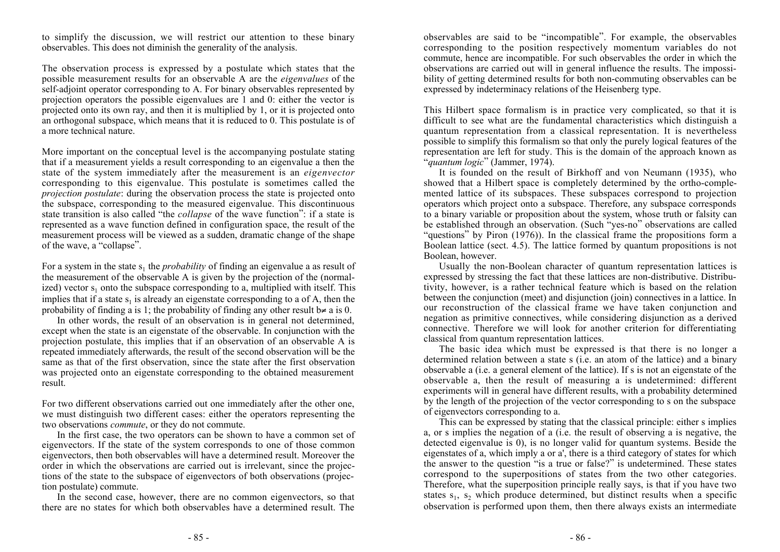to simplify the discussion, we will restrict our attention to these binary observables. This does not diminish the generality of the analysis.

The observation process is expressed by a postulate which states that the possible measurement results for an observable A are the *eigenvalues* of the self-adjoint operator corresponding to A. For binary observables represented by projection operators the possible eigenvalues are 1 and 0: either the vector is projected onto its own ray, and then it is multiplied by 1, or it is projected onto an orthogonal subspace, which means that it is reduced to 0. This postulate is of a more technical nature.

More important on the conceptual level is the accompanying postulate stating that if a measurement yields a result corresponding to an eigenvalue a then the state of the system immediately after the measurement is an *eigenvector* corresponding to this eigenvalue. This postulate is sometimes called the *projection postulate*: during the observation process the state is projected onto the subspace, corresponding to the measured eigenvalue. This discontinuous state transition is also called "the *collapse* of the wave function": if a state is represented as a wave function defined in configuration space, the result of the measurement process will be viewed as a sudden, dramatic change of the shape of the wave, a "collapse".

For a system in the state s<sub>1</sub> the *probability* of finding an eigenvalue a as result of the measurement of the observable A is given by the projection of the (normalized) vector  $s_1$  onto the subspace corresponding to a, multiplied with itself. This implies that if a state  $s_1$  is already an eigenstate corresponding to a of A, then the probability of finding a is 1; the probability of finding any other result  $b\neq a$  is 0.

In other words, the result of an observation is in general not determined, except when the state is an eigenstate of the observable. In conjunction with the projection postulate, this implies that if an observation of an observable A is repeated immediately afterwards, the result of the second observation will be the same as that of the first observation, since the state after the first observation was projected onto an eigenstate corresponding to the obtained measurement result.

For two different observations carried out one immediately after the other one, we must distinguish two different cases: either the operators representing the two observations *commute*, or they do not commute.

In the first case, the two operators can be shown to have a common set of eigenvectors. If the state of the system corresponds to one of those common eigenvectors, then both observables will have a determined result. Moreover the order in which the observations are carried out is irrelevant, since the projections of the state to the subspace of eigenvectors of both observations (projection postulate) commute.

In the second case, however, there are no common eigenvectors, so that there are no states for which both observables have a determined result. The

observables are said to be "incompatible". For example, the observables corresponding to the position respectively momentum variables do not commute, hence are incompatible. For such observables the order in which the observations are carried out will in general influence the results. The impossibility of getting determined results for both non-commuting observables can be expressed by indeterminacy relations of the Heisenberg type.

This Hilbert space formalism is in practice very complicated, so that it is difficult to see what are the fundamental characteristics which distinguish a quantum representation from a classical representation. It is nevertheless possible to simplify this formalism so that only the purely logical features of the representation are left for study. This is the domain of the approach known as "*quantum logic*" (Jammer, 1974).

It is founded on the result of Birkhoff and von Neumann (1935), who showed that a Hilbert space is completely determined by the ortho-complemented lattice of its subspaces. These subspaces correspond to projection operators which project onto a subspace. Therefore, any subspace corresponds to a binary variable or proposition about the system, whose truth or falsity can be established through an observation. (Such "yes-no" observations are called "questions" by Piron (1976)). In the classical frame the propositions form a Boolean lattice (sect. 4.5). The lattice formed by quantum propositions is not Boolean, however.

Usually the non-Boolean character of quantum representation lattices is expressed by stressing the fact that these lattices are non-distributive. Distributivity, however, is a rather technical feature which is based on the relation between the conjunction (meet) and disjunction (join) connectives in a lattice. In our reconstruction of the classical frame we have taken conjunction and negation as primitive connectives, while considering disjunction as a derived connective. Therefore we will look for another criterion for differentiating classical from quantum representation lattices.

The basic idea which must be expressed is that there is no longer a determined relation between a state s (i.e. an atom of the lattice) and a binary observable a (i.e. a general element of the lattice). If s is not an eigenstate of the observable a, then the result of measuring a is undetermined: different experiments will in general have different results, with a probability determined by the length of the projection of the vector corresponding to s on the subspace of eigenvectors corresponding to a.

This can be expressed by stating that the classical principle: either s implies a, or s implies the negation of a (i.e. the result of observing a is negative, the detected eigenvalue is 0), is no longer valid for quantum systems. Beside the eigenstates of a, which imply a or a', there is a third category of states for which the answer to the question "is a true or false?" is undetermined. These states correspond to the superpositions of states from the two other categories. Therefore, what the superposition principle really says, is that if you have two states  $s_1$ ,  $s_2$  which produce determined, but distinct results when a specific observation is performed upon them, then there always exists an intermediate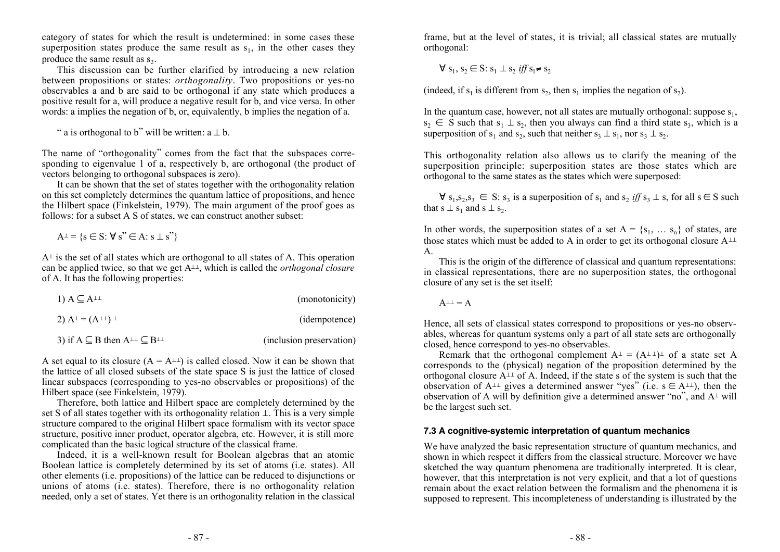category of states for which the result is undetermined: in some cases these superposition states produce the same result as  $s<sub>1</sub>$ , in the other cases they produce the same result as  $s<sub>2</sub>$ .

This discussion can be further clarified by introducing a new relation between propositions or states: *orthogonality*. Two propositions or yes-no observables a and b are said to be orthogonal if any state which produces a positive result for a, will produce a negative result for b, and vice versa. In other words: a implies the negation of b, or, equivalently, b implies the negation of a.

" a is orthogonal to b" will be written:  $a \perp b$ .

The name of "orthogonality" comes from the fact that the subspaces corresponding to eigenvalue 1 of a, respectively b, are orthogonal (the product of vectors belonging to orthogonal subspaces is zero).

It can be shown that the set of states together with the orthogonality relation on this set completely determines the quantum lattice of propositions, and hence the Hilbert space (Finkelstein, 1979). The main argument of the proof goes as follows: for a subset A S of states, we can construct another subset:

 $A^{\perp} = \{s \in S : \forall s" \in A : s \perp s"\}$ 

 $A^{\perp}$  is the set of all states which are orthogonal to all states of A. This operation can be applied twice, so that we get  $A^{\perp\perp}$ , which is called the *orthogonal closure* of A. It has the following properties:

| 1) $A \subseteq A^{\perp \perp}$                                     | (monotonicity)           |
|----------------------------------------------------------------------|--------------------------|
| 2) $A^{\perp} = (A^{\perp \perp})^{\perp}$                           | (idempotence)            |
| 3) if $A \subseteq B$ then $A^{\perp\perp} \subseteq B^{\perp\perp}$ | (inclusion preservation) |

A set equal to its closure  $(A = A^{\perp})$  is called closed. Now it can be shown that the lattice of all closed subsets of the state space S is just the lattice of closed linear subspaces (corresponding to yes-no observables or propositions) of the Hilbert space (see Finkelstein, 1979).

Therefore, both lattice and Hilbert space are completely determined by the set S of all states together with its orthogonality relation  $\perp$ . This is a very simple structure compared to the original Hilbert space formalism with its vector space structure, positive inner product, operator algebra, etc. However, it is still more complicated than the basic logical structure of the classical frame.

Indeed, it is a well-known result for Boolean algebras that an atomic Boolean lattice is completely determined by its set of atoms (i.e. states). All other elements (i.e. propositions) of the lattice can be reduced to disjunctions or unions of atoms (i.e. states). Therefore, there is no orthogonality relation needed, only a set of states. Yet there is an orthogonality relation in the classical frame, but at the level of states, it is trivial; all classical states are mutually orthogonal:

$$
\forall s_1, s_2 \in S: s_1 \perp s_2 \text{ iff } s_1 \neq s_2
$$

(indeed, if  $s_1$  is different from  $s_2$ , then  $s_1$  implies the negation of  $s_2$ ).

In the quantum case, however, not all states are mutually orthogonal: suppose  $s_1$ ,  $s_2 \in S$  such that  $s_1 \perp s_2$ , then you always can find a third state  $s_3$ , which is a superposition of s<sub>1</sub> and s<sub>2</sub>, such that neither s<sub>3</sub>  $\perp$  s<sub>1</sub>, nor s<sub>3</sub>  $\perp$  s<sub>2</sub>.

This orthogonality relation also allows us to clarify the meaning of the superposition principle: superposition states are those states which are orthogonal to the same states as the states which were superposed:

 $\forall s_1, s_2, s_3 \in S$ :  $s_3$  is a superposition of  $s_1$  and  $s_2$  *iff*  $s_3 \perp s$ , for all  $s \in S$  such that  $s \perp s_1$  and  $s \perp s_2$ .

In other words, the superposition states of a set  $A = \{s_1, \ldots, s_n\}$  of states, are those states which must be added to A in order to get its orthogonal closure  $A^{\perp\perp}$ A.

This is the origin of the difference of classical and quantum representations: in classical representations, there are no superposition states, the orthogonal closure of any set is the set itself:

 $\rm A^{\perp\perp}$  =  $\rm A$ 

Hence, all sets of classical states correspond to propositions or yes-no observables, whereas for quantum systems only a part of all state sets are orthogonally closed, hence correspond to yes-no observables.

Remark that the orthogonal complement  $A^{\perp} = (A^{\perp})^{\perp}$  of a state set A corresponds to the (physical) negation of the proposition determined by the orthogonal closure  $A^{\perp\perp}$  of A. Indeed, if the state s of the system is such that the observation of  $A^{\perp\perp}$  gives a determined answer "yes" (i.e.  $s \in A^{\perp\perp}$ ), then the observation of A will by definition give a determined answer "no", and  $A^{\perp}$  will be the largest such set.

## **7.3 A cognitive-systemic interpretation of quantum mechanics**

We have analyzed the basic representation structure of quantum mechanics, and shown in which respect it differs from the classical structure. Moreover we have sketched the way quantum phenomena are traditionally interpreted. It is clear, however, that this interpretation is not very explicit, and that a lot of questions remain about the exact relation between the formalism and the phenomena it is supposed to represent. This incompleteness of understanding is illustrated by the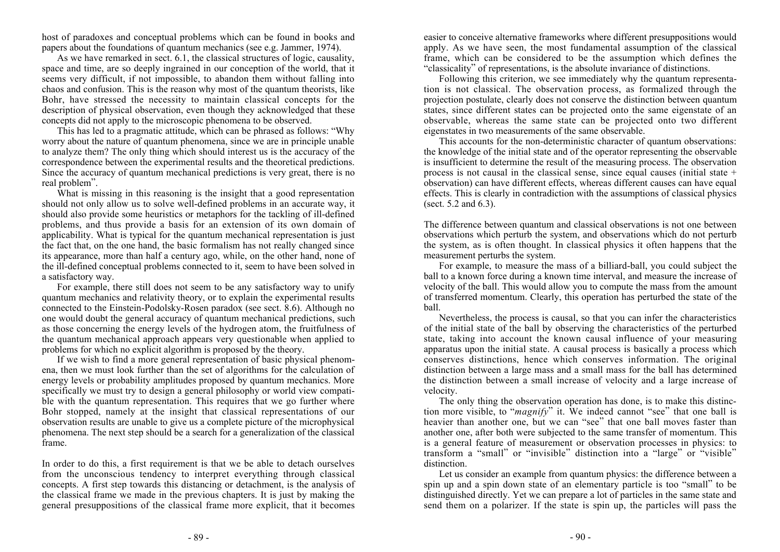host of paradoxes and conceptual problems which can be found in books and papers about the foundations of quantum mechanics (see e.g. Jammer, 1974).

As we have remarked in sect. 6.1, the classical structures of logic, causality, space and time, are so deeply ingrained in our conception of the world, that it seems very difficult, if not impossible, to abandon them without falling into chaos and confusion. This is the reason why most of the quantum theorists, like Bohr, have stressed the necessity to maintain classical concepts for the description of physical observation, even though they acknowledged that these concepts did not apply to the microscopic phenomena to be observed.

This has led to a pragmatic attitude, which can be phrased as follows: "Why worry about the nature of quantum phenomena, since we are in principle unable to analyze them? The only thing which should interest us is the accuracy of the correspondence between the experimental results and the theoretical predictions. Since the accuracy of quantum mechanical predictions is very great, there is no real problem".

What is missing in this reasoning is the insight that a good representation should not only allow us to solve well-defined problems in an accurate way, it should also provide some heuristics or metaphors for the tackling of ill-defined problems, and thus provide a basis for an extension of its own domain of applicability. What is typical for the quantum mechanical representation is just the fact that, on the one hand, the basic formalism has not really changed since its appearance, more than half a century ago, while, on the other hand, none of the ill-defined conceptual problems connected to it, seem to have been solved in a satisfactory way.

For example, there still does not seem to be any satisfactory way to unify quantum mechanics and relativity theory, or to explain the experimental results connected to the Einstein-Podolsky-Rosen paradox (see sect. 8.6). Although no one would doubt the general accuracy of quantum mechanical predictions, such as those concerning the energy levels of the hydrogen atom, the fruitfulness of the quantum mechanical approach appears very questionable when applied to problems for which no explicit algorithm is proposed by the theory.

If we wish to find a more general representation of basic physical phenomena, then we must look further than the set of algorithms for the calculation of energy levels or probability amplitudes proposed by quantum mechanics. More specifically we must try to design a general philosophy or world view compatible with the quantum representation. This requires that we go further where Bohr stopped, namely at the insight that classical representations of our observation results are unable to give us a complete picture of the microphysical phenomena. The next step should be a search for a generalization of the classical frame.

In order to do this, a first requirement is that we be able to detach ourselves from the unconscious tendency to interpret everything through classical concepts. A first step towards this distancing or detachment, is the analysis of the classical frame we made in the previous chapters. It is just by making the general presuppositions of the classical frame more explicit, that it becomes

easier to conceive alternative frameworks where different presuppositions would apply. As we have seen, the most fundamental assumption of the classical frame, which can be considered to be the assumption which defines the "classicality" of representations, is the absolute invariance of distinctions.

Following this criterion, we see immediately why the quantum representation is not classical. The observation process, as formalized through the projection postulate, clearly does not conserve the distinction between quantum states, since different states can be projected onto the same eigenstate of an observable, whereas the same state can be projected onto two different eigenstates in two measurements of the same observable.

This accounts for the non-deterministic character of quantum observations: the knowledge of the initial state and of the operator representing the observable is insufficient to determine the result of the measuring process. The observation process is not causal in the classical sense, since equal causes (initial state + observation) can have different effects, whereas different causes can have equal effects. This is clearly in contradiction with the assumptions of classical physics (sect. 5.2 and 6.3).

The difference between quantum and classical observations is not one between observations which perturb the system, and observations which do not perturb the system, as is often thought. In classical physics it often happens that the measurement perturbs the system.

For example, to measure the mass of a billiard-ball, you could subject the ball to a known force during a known time interval, and measure the increase of velocity of the ball. This would allow you to compute the mass from the amount of transferred momentum. Clearly, this operation has perturbed the state of the ball.

Nevertheless, the process is causal, so that you can infer the characteristics of the initial state of the ball by observing the characteristics of the perturbed state, taking into account the known causal influence of your measuring apparatus upon the initial state. A causal process is basically a process which conserves distinctions, hence which conserves information. The original distinction between a large mass and a small mass for the ball has determined the distinction between a small increase of velocity and a large increase of velocity.

The only thing the observation operation has done, is to make this distinction more visible, to "*magnify*" it. We indeed cannot "see" that one ball is heavier than another one, but we can "see" that one ball moves faster than another one, after both were subjected to the same transfer of momentum. This is a general feature of measurement or observation processes in physics: to transform a "small" or "invisible" distinction into a "large" or "visible" distinction.

Let us consider an example from quantum physics: the difference between a spin up and a spin down state of an elementary particle is too "small" to be distinguished directly. Yet we can prepare a lot of particles in the same state and send them on a polarizer. If the state is spin up, the particles will pass the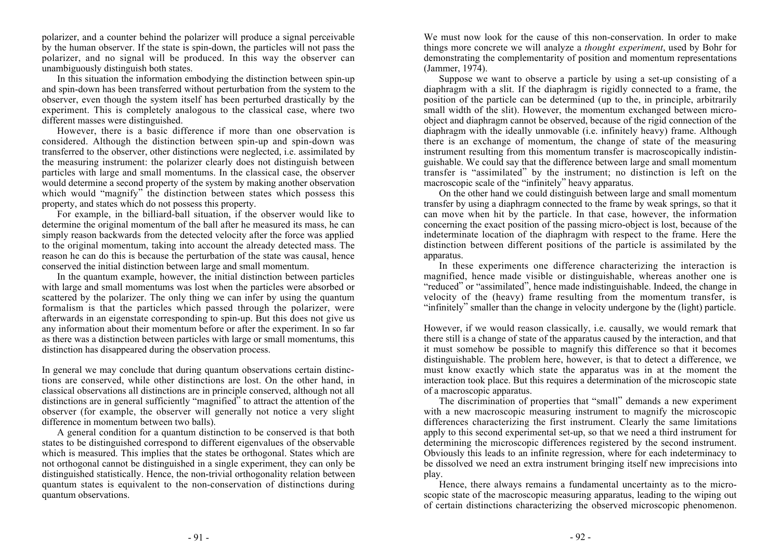polarizer, and a counter behind the polarizer will produce a signal perceivable by the human observer. If the state is spin-down, the particles will not pass the polarizer, and no signal will be produced. In this way the observer can unambiguously distinguish both states.

In this situation the information embodying the distinction between spin-up and spin-down has been transferred without perturbation from the system to the observer, even though the system itself has been perturbed drastically by the experiment. This is completely analogous to the classical case, where two different masses were distinguished.

However, there is a basic difference if more than one observation is considered. Although the distinction between spin-up and spin-down was transferred to the observer, other distinctions were neglected, i.e. assimilated by the measuring instrument: the polarizer clearly does not distinguish between particles with large and small momentums. In the classical case, the observer would determine a second property of the system by making another observation which would "magnify" the distinction between states which possess this property, and states which do not possess this property.

For example, in the billiard-ball situation, if the observer would like to determine the original momentum of the ball after he measured its mass, he can simply reason backwards from the detected velocity after the force was applied to the original momentum, taking into account the already detected mass. The reason he can do this is because the perturbation of the state was causal, hence conserved the initial distinction between large and small momentum.

In the quantum example, however, the initial distinction between particles with large and small momentums was lost when the particles were absorbed or scattered by the polarizer. The only thing we can infer by using the quantum formalism is that the particles which passed through the polarizer, were afterwards in an eigenstate corresponding to spin-up. But this does not give us any information about their momentum before or after the experiment. In so far as there was a distinction between particles with large or small momentums, this distinction has disappeared during the observation process.

In general we may conclude that during quantum observations certain distinctions are conserved, while other distinctions are lost. On the other hand, in classical observations all distinctions are in principle conserved, although not all distinctions are in general sufficiently "magnified" to attract the attention of the observer (for example, the observer will generally not notice a very slight difference in momentum between two balls).

A general condition for a quantum distinction to be conserved is that both states to be distinguished correspond to different eigenvalues of the observable which is measured. This implies that the states be orthogonal. States which are not orthogonal cannot be distinguished in a single experiment, they can only be distinguished statistically. Hence, the non-trivial orthogonality relation between quantum states is equivalent to the non-conservation of distinctions during quantum observations.

We must now look for the cause of this non-conservation. In order to makethings more concrete we will analyze a *thought experiment*, used by Bohr for demonstrating the complementarity of position and momentum representations (Jammer, 1974).

Suppose we want to observe a particle by using a set-up consisting of a diaphragm with a slit. If the diaphragm is rigidly connected to a frame, the position of the particle can be determined (up to the, in principle, arbitrarily small width of the slit). However, the momentum exchanged between microobject and diaphragm cannot be observed, because of the rigid connection of the diaphragm with the ideally unmovable (i.e. infinitely heavy) frame. Although there is an exchange of momentum, the change of state of the measuring instrument resulting from this momentum transfer is macroscopically indistinguishable. We could say that the difference between large and small momentum transfer is "assimilated" by the instrument; no distinction is left on the macroscopic scale of the "infinitely" heavy apparatus.

On the other hand we could distinguish between large and small momentum transfer by using a diaphragm connected to the frame by weak springs, so that it can move when hit by the particle. In that case, however, the information concerning the exact position of the passing micro-object is lost, because of the indeterminate location of the diaphragm with respect to the frame. Here the distinction between different positions of the particle is assimilated by the apparatus.

In these experiments one difference characterizing the interaction is magnified, hence made visible or distinguishable, whereas another one is "reduced" or "assimilated", hence made indistinguishable. Indeed, the change in velocity of the (heavy) frame resulting from the momentum transfer, is "infinitely" smaller than the change in velocity undergone by the (light) particle.

However, if we would reason classically, i.e. causally, we would remark that there still is a change of state of the apparatus caused by the interaction, and that it must somehow be possible to magnify this difference so that it becomes distinguishable. The problem here, however, is that to detect a difference, we must know exactly which state the apparatus was in at the moment the interaction took place. But this requires a determination of the microscopic state of a macroscopic apparatus.

The discrimination of properties that "small" demands a new experiment with a new macroscopic measuring instrument to magnify the microscopic differences characterizing the first instrument. Clearly the same limitations apply to this second experimental set-up, so that we need a third instrument for determining the microscopic differences registered by the second instrument. Obviously this leads to an infinite regression, where for each indeterminacy to be dissolved we need an extra instrument bringing itself new imprecisions into play.

Hence, there always remains a fundamental uncertainty as to the microscopic state of the macroscopic measuring apparatus, leading to the wiping out of certain distinctions characterizing the observed microscopic phenomenon.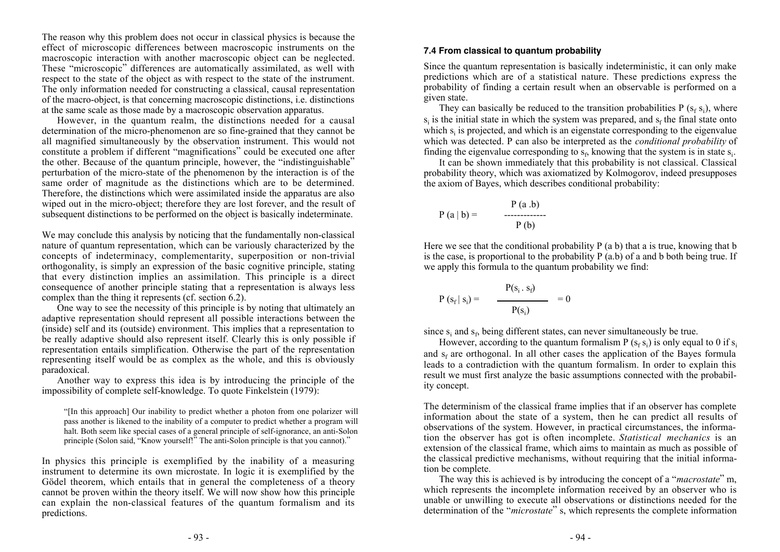The reason why this problem does not occur in classical physics is because the effect of microscopic differences between macroscopic instruments on the macroscopic interaction with another macroscopic object can be neglected. These "microscopic" differences are automatically assimilated, as well with respect to the state of the object as with respect to the state of the instrument. The only information needed for constructing a classical, causal representation of the macro-object, is that concerning macroscopic distinctions, i.e. distinctions at the same scale as those made by a macroscopic observation apparatus.

However, in the quantum realm, the distinctions needed for a causal determination of the micro-phenomenon are so fine-grained that they cannot be all magnified simultaneously by the observation instrument. This would not constitute a problem if different "magnifications" could be executed one after the other. Because of the quantum principle, however, the "indistinguishable" perturbation of the micro-state of the phenomenon by the interaction is of the same order of magnitude as the distinctions which are to be determined. Therefore, the distinctions which were assimilated inside the apparatus are also wiped out in the micro-object; therefore they are lost forever, and the result of subsequent distinctions to be performed on the object is basically indeterminate.

We may conclude this analysis by noticing that the fundamentally non-classical nature of quantum representation, which can be variously characterized by the concepts of indeterminacy, complementarity, superposition or non-trivial orthogonality, is simply an expression of the basic cognitive principle, stating that every distinction implies an assimilation. This principle is a direct consequence of another principle stating that a representation is always less complex than the thing it represents (cf. section 6.2).

One way to see the necessity of this principle is by noting that ultimately an adaptive representation should represent all possible interactions between the (inside) self and its (outside) environment. This implies that a representation to be really adaptive should also represent itself. Clearly this is only possible if representation entails simplification. Otherwise the part of the representation representing itself would be as complex as the whole, and this is obviously paradoxical.

Another way to express this idea is by introducing the principle of the impossibility of complete self-knowledge. To quote Finkelstein (1979):

"[In this approach] Our inability to predict whether a photon from one polarizer will pass another is likened to the inability of a computer to predict whether a program will halt. Both seem like special cases of a general principle of self-ignorance, an anti-Solon principle (Solon said, "Know yourself!" The anti-Solon principle is that you cannot)."

In physics this principle is exemplified by the inability of a measuring instrument to determine its own microstate. In logic it is exemplified by the Gödel theorem, which entails that in general the completeness of a theory cannot be proven within the theory itself. We will now show how this principle can explain the non-classical features of the quantum formalism and its predictions.

## **7.4 From classical to quantum probability**

Since the quantum representation is basically indeterministic, it can only make predictions which are of a statistical nature. These predictions express the probability of finding a certain result when an observable is performed on a given state.

They can basically be reduced to the transition probabilities  $P(s_f, s_i)$ , where s, is the initial state in which the system was prepared, and  $s_f$  the final state onto which s<sub>i</sub> is projected, and which is an eigenstate corresponding to the eigenvalue which was detected. P can also be interpreted as the *conditional probability* of finding the eigenvalue corresponding to  $s_f$ , knowing that the system is in state  $s_i$ .

 It can be shown immediately that this probability is not classical. Classical probability theory, which was axiomatized by Kolmogorov, indeed presupposes the axiom of Bayes, which describes conditional probability:

$$
P(a | b) =
$$
  
\n $P(b)$   
\n $P(b)$ 

Here we see that the conditional probability  $P(a b)$  that a is true, knowing that b is the case, is proportional to the probability  $P(a,b)$  of a and b both being true. If we apply this formula to the quantum probability we find:

$$
P(s_f | s_i) = \frac{P(s_i, s_f)}{P(s_i)} = 0
$$

since  $s_i$  and  $s_f$ , being different states, can never simultaneously be true.

However, according to the quantum formalism P  $(s_f s_i)$  is only equal to 0 if s. and  $s_f$  are orthogonal. In all other cases the application of the Bayes formula leads to a contradiction with the quantum formalism. In order to explain this result we must first analyze the basic assumptions connected with the probability concept.

The determinism of the classical frame implies that if an observer has complete information about the state of a system, then he can predict all results of observations of the system. However, in practical circumstances, the information the observer has got is often incomplete. *Statistical mechanics* is an extension of the classical frame, which aims to maintain as much as possible of the classical predictive mechanisms, without requiring that the initial information be complete.

The way this is achieved is by introducing the concept of a "*macrostate*" m, which represents the incomplete information received by an observer who is unable or unwilling to execute all observations or distinctions needed for the determination of the "*microstate*" s, which represents the complete information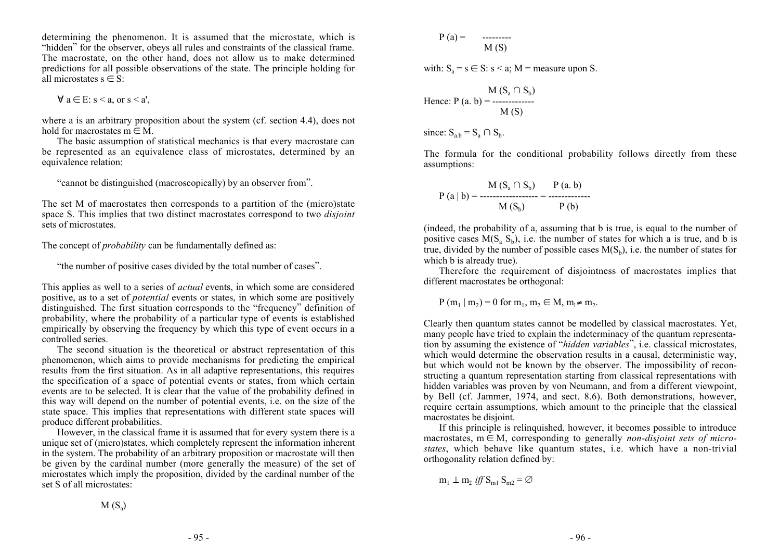determining the phenomenon. It is assumed that the microstate, which is "hidden" for the observer, obeys all rules and constraints of the classical frame. The macrostate, on the other hand, does not allow us to make determined predictions for all possible observations of the state. The principle holding for all microstates s  $\in$  S:

 $\forall$  a  $\in$  E: s < a, or s < a',

where a is an arbitrary proposition about the system (cf. section 4.4), does not hold for macrostates m  $\in$  M.

The basic assumption of statistical mechanics is that every macrostate can be represented as an equivalence class of microstates, determined by an equivalence relation:

"cannot be distinguished (macroscopically) by an observer from".

The set M of macrostates then corresponds to a partition of the (micro)state space S. This implies that two distinct macrostates correspond to two *disjoint* sets of microstates.

The concept of *probability* can be fundamentally defined as:

"the number of positive cases divided by the total number of cases".

This applies as well to a series of *actual* events, in which some are considered positive, as to a set of *potential* events or states, in which some are positively distinguished. The first situation corresponds to the "frequency" definition of probability, where the probability of a particular type of events is established empirically by observing the frequency by which this type of event occurs in a controlled series.

 The second situation is the theoretical or abstract representation of this phenomenon, which aims to provide mechanisms for predicting the empirical results from the first situation. As in all adaptive representations, this requires the specification of a space of potential events or states, from which certain events are to be selected. It is clear that the value of the probability defined in this way will depend on the number of potential events, i.e. on the size of the state space. This implies that representations with different state spaces will produce different probabilities.

However, in the classical frame it is assumed that for every system there is a unique set of (micro)states, which completely represent the information inherent in the system. The probability of an arbitrary proposition or macrostate will then be given by the cardinal number (more generally the measure) of the set of microstates which imply the proposition, divided by the cardinal number of the set S of all microstates:

$$
P(a) = \frac{1}{M(S)}
$$

with:  $S_a = s \in S$ :  $s < a$ ;  $M$  = measure upon S.

$$
M(S_a \cap S_b)
$$
  
Hence: P (a. b) = 3.44  
M (S)

since:  $S_{a,b} = S_a \cap S_b$ .

The formula for the conditional probability follows directly from these assumptions:

$$
P (a | b) = \frac{M (S_a \cap S_b)}{M (S_b)} = \frac{P (a, b)}{P (b)}
$$

(indeed, the probability of a, assuming that b is true, is equal to the number of positive cases  $M(S_a S_b)$ , i.e. the number of states for which a is true, and b is true, divided by the number of possible cases  $M(S_b)$ , i.e. the number of states for which **b** is already true).

Therefore the requirement of disjointness of macrostates implies that different macrostates be orthogonal:

$$
P(m_1 | m_2) = 0
$$
 for  $m_1, m_2 \in M, m_1 \neq m_2$ .

Clearly then quantum states cannot be modelled by classical macrostates. Yet, many people have tried to explain the indeterminacy of the quantum representation by assuming the existence of "*hidden variables*", i.e. classical microstates, which would determine the observation results in a causal, deterministic way, but which would not be known by the observer. The impossibility of reconstructing a quantum representation starting from classical representations with hidden variables was proven by von Neumann, and from a different viewpoint, by Bell (cf. Jammer, 1974, and sect. 8.6). Both demonstrations, however, require certain assumptions, which amount to the principle that the classical macrostates be disjoint.

If this principle is relinquished, however, it becomes possible to introduce macrostates, m∈M, corresponding to generally *non-disjoint sets of microstates*, which behave like quantum states, i.e. which have a non-trivial orthogonality relation defined by:

$$
m_1 \perp m_2 \; \text{iff } S_{m1} \; S_{m2} = \varnothing
$$

 $M(S_a)$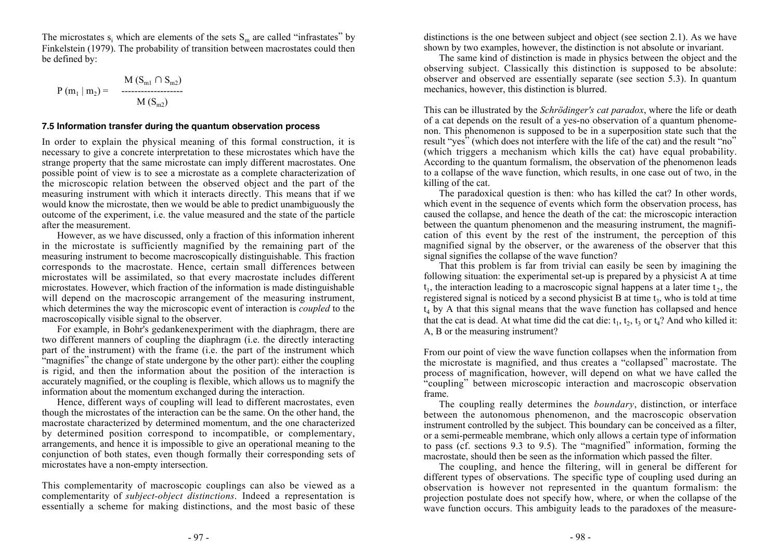The microstates  $s_i$  which are elements of the sets  $S_m$  are called "infrastates" by Finkelstein (1979). The probability of transition between macrostates could then be defined by:

$$
P (m_1 | m_2) = \begin{array}{c} M (S_{m1} \cap S_{m2}) \\ \cdots \\ M (S_{m2}) \end{array}
$$

### **7.5 Information transfer during the quantum observation process**

In order to explain the physical meaning of this formal construction, it is necessary to give a concrete interpretation to these microstates which have the strange property that the same microstate can imply different macrostates. One possible point of view is to see a microstate as a complete characterization of the microscopic relation between the observed object and the part of the measuring instrument with which it interacts directly. This means that if we would know the microstate, then we would be able to predict unambiguously the outcome of the experiment, i.e. the value measured and the state of the particle after the measurement.

However, as we have discussed, only a fraction of this information inherent in the microstate is sufficiently magnified by the remaining part of the measuring instrument to become macroscopically distinguishable. This fraction corresponds to the macrostate. Hence, certain small differences between microstates will be assimilated, so that every macrostate includes different microstates. However, which fraction of the information is made distinguishable will depend on the macroscopic arrangement of the measuring instrument, which determines the way the microscopic event of interaction is *coupled* to the macroscopically visible signal to the observer.

For example, in Bohr's gedankenexperiment with the diaphragm, there are two different manners of coupling the diaphragm (i.e. the directly interacting part of the instrument) with the frame (i.e. the part of the instrument which "magnifies" the change of state undergone by the other part): either the coupling is rigid, and then the information about the position of the interaction is accurately magnified, or the coupling is flexible, which allows us to magnify the information about the momentum exchanged during the interaction.

Hence, different ways of coupling will lead to different macrostates, even though the microstates of the interaction can be the same. On the other hand, the macrostate characterized by determined momentum, and the one characterized by determined position correspond to incompatible, or complementary, arrangements, and hence it is impossible to give an operational meaning to the conjunction of both states, even though formally their corresponding sets of microstates have a non-empty intersection.

This complementarity of macroscopic couplings can also be viewed as a complementarity of *subject-object distinctions*. Indeed a representation is essentially a scheme for making distinctions, and the most basic of these

distinctions is the one between subject and object (see section 2.1). As we have shown by two examples, however, the distinction is not absolute or invariant.

The same kind of distinction is made in physics between the object and the observing subject. Classically this distinction is supposed to be absolute: observer and observed are essentially separate (see section 5.3). In quantum mechanics, however, this distinction is blurred.

This can be illustrated by the *Schrödinger's cat paradox*, where the life or death of a cat depends on the result of a yes-no observation of a quantum phenomenon. This phenomenon is supposed to be in a superposition state such that the result "yes" (which does not interfere with the life of the cat) and the result "no" (which triggers a mechanism which kills the cat) have equal probability. According to the quantum formalism, the observation of the phenomenon leads to a collapse of the wave function, which results, in one case out of two, in the killing of the cat.

The paradoxical question is then: who has killed the cat? In other words, which event in the sequence of events which form the observation process, has caused the collapse, and hence the death of the cat: the microscopic interaction between the quantum phenomenon and the measuring instrument, the magnification of this event by the rest of the instrument, the perception of this magnified signal by the observer, or the awareness of the observer that this signal signifies the collapse of the wave function?

That this problem is far from trivial can easily be seen by imagining the following situation: the experimental set-up is prepared by a physicist A at time  $t_1$ , the interaction leading to a macroscopic signal happens at a later time  $t_2$ , the registered signal is noticed by a second physicist B at time  $t<sub>3</sub>$ , who is told at time  $t<sub>4</sub>$  by A that this signal means that the wave function has collapsed and hence that the cat is dead. At what time did the cat die:  $t_1$ ,  $t_2$ ,  $t_3$  or  $t_4$ ? And who killed it: A, B or the measuring instrument?

From our point of view the wave function collapses when the information from the microstate is magnified, and thus creates a "collapsed" macrostate. The process of magnification, however, will depend on what we have called the "coupling" between microscopic interaction and macroscopic observation frame.

The coupling really determines the *boundary*, distinction, or interface between the autonomous phenomenon, and the macroscopic observation instrument controlled by the subject. This boundary can be conceived as a filter, or a semi-permeable membrane, which only allows a certain type of information to pass (cf. sections 9.3 to 9.5). The "magnified" information, forming the macrostate, should then be seen as the information which passed the filter.

The coupling, and hence the filtering, will in general be different for different types of observations. The specific type of coupling used during an observation is however not represented in the quantum formalism: the projection postulate does not specify how, where, or when the collapse of the wave function occurs. This ambiguity leads to the paradoxes of the measure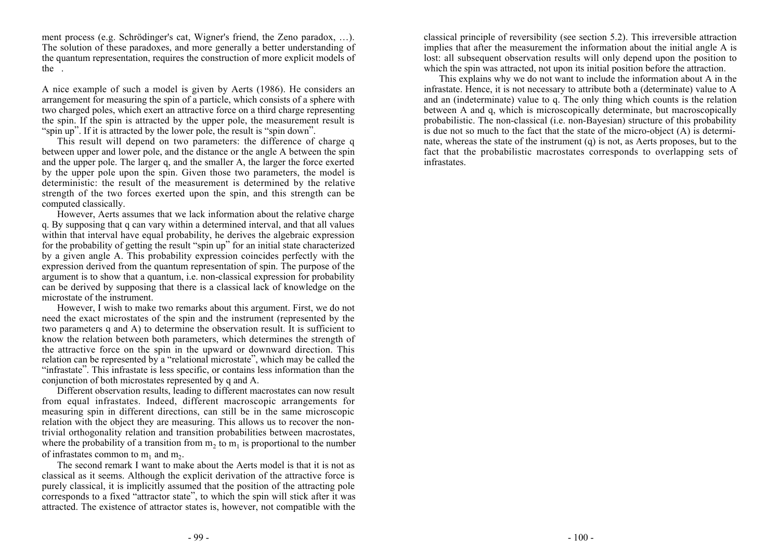ment process (e.g. Schrödinger's cat, Wigner's friend, the Zeno paradox, …). The solution of these paradoxes, and more generally a better understanding of the quantum representation, requires the construction of more explicit models of the .

A nice example of such a model is given by Aerts (1986). He considers an arrangement for measuring the spin of a particle, which consists of a sphere with two charged poles, which exert an attractive force on a third charge representing the spin. If the spin is attracted by the upper pole, the measurement result is "spin up". If it is attracted by the lower pole, the result is "spin down".

This result will depend on two parameters: the difference of charge q between upper and lower pole, and the distance or the angle A between the spin and the upper pole. The larger q, and the smaller A, the larger the force exerted by the upper pole upon the spin. Given those two parameters, the model is deterministic: the result of the measurement is determined by the relative strength of the two forces exerted upon the spin, and this strength can be computed classically.

However, Aerts assumes that we lack information about the relative charge q. By supposing that q can vary within a determined interval, and that all values within that interval have equal probability, he derives the algebraic expression for the probability of getting the result "spin up" for an initial state characterized by a given angle A. This probability expression coincides perfectly with the expression derived from the quantum representation of spin. The purpose of the argument is to show that a quantum, i.e. non-classical expression for probability can be derived by supposing that there is a classical lack of knowledge on the microstate of the instrument.

However, I wish to make two remarks about this argument. First, we do not need the exact microstates of the spin and the instrument (represented by the two parameters q and A) to determine the observation result. It is sufficient to know the relation between both parameters, which determines the strength of the attractive force on the spin in the upward or downward direction. This relation can be represented by a "relational microstate", which may be called the "infrastate". This infrastate is less specific, or contains less information than the conjunction of both microstates represented by q and A.

Different observation results, leading to different macrostates can now result from equal infrastates. Indeed, different macroscopic arrangements for measuring spin in different directions, can still be in the same microscopic relation with the object they are measuring. This allows us to recover the nontrivial orthogonality relation and transition probabilities between macrostates, where the probability of a transition from  $m_2$  to  $m_1$  is proportional to the number of infrastates common to  $m_1$  and  $m_2$ .

The second remark I want to make about the Aerts model is that it is not asclassical as it seems. Although the explicit derivation of the attractive force is purely classical, it is implicitly assumed that the position of the attracting pole corresponds to a fixed "attractor state", to which the spin will stick after it was attracted. The existence of attractor states is, however, not compatible with the classical principle of reversibility (see section 5.2). This irreversible attraction implies that after the measurement the information about the initial angle A is lost: all subsequent observation results will only depend upon the position to which the spin was attracted, not upon its initial position before the attraction.

This explains why we do not want to include the information about A in the infrastate. Hence, it is not necessary to attribute both a (determinate) value to A and an (indeterminate) value to q. The only thing which counts is the relation between A and q, which is microscopically determinate, but macroscopically probabilistic. The non-classical (i.e. non-Bayesian) structure of this probability is due not so much to the fact that the state of the micro-object (A) is determinate, whereas the state of the instrument (q) is not, as Aerts proposes, but to the fact that the probabilistic macrostates corresponds to overlapping sets of infrastates.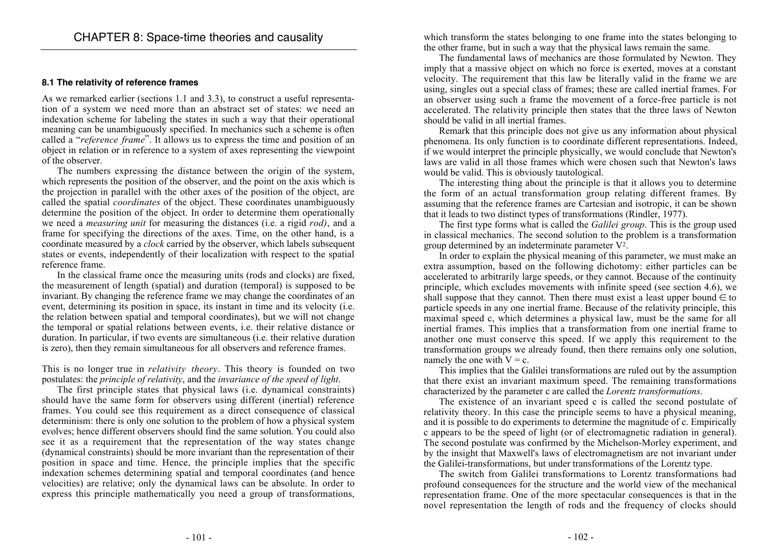### **8.1 The relativity of reference frames**

As we remarked earlier (sections 1.1 and 3.3), to construct a useful representation of a system we need more than an abstract set of states: we need an indexation scheme for labeling the states in such a way that their operational meaning can be unambiguously specified. In mechanics such a scheme is often called a "*reference frame*". It allows us to express the time and position of an object in relation or in reference to a system of axes representing the viewpoint of the observer.

The numbers expressing the distance between the origin of the system, which represents the position of the observer, and the point on the axis which is the projection in parallel with the other axes of the position of the object, are called the spatial *coordinates* of the object. These coordinates unambiguously determine the position of the object. In order to determine them operationally we need a *measuring unit* for measuring the distances (i.e. a rigid *rod)*, and a frame for specifying the directions of the axes. Time, on the other hand, is a coordinate measured by a *clock* carried by the observer, which labels subsequent states or events, independently of their localization with respect to the spatial reference frame.

In the classical frame once the measuring units (rods and clocks) are fixed, the measurement of length (spatial) and duration (temporal) is supposed to be invariant. By changing the reference frame we may change the coordinates of an event, determining its position in space, its instant in time and its velocity (i.e. the relation between spatial and temporal coordinates), but we will not change the temporal or spatial relations between events, i.e. their relative distance or duration. In particular, if two events are simultaneous (i.e. their relative duration is zero), then they remain simultaneous for all observers and reference frames.

This is no longer true in *relativity theory*. This theory is founded on two postulates: the *principle of relativity*, and the *invariance of the speed of light*.

The first principle states that physical laws (i.e. dynamical constraints) should have the same form for observers using different (inertial) reference frames. You could see this requirement as a direct consequence of classical determinism: there is only one solution to the problem of how a physical system evolves; hence different observers should find the same solution. You could also see it as a requirement that the representation of the way states change (dynamical constraints) should be more invariant than the representation of their position in space and time. Hence, the principle implies that the specific indexation schemes determining spatial and temporal coordinates (and hence velocities) are relative; only the dynamical laws can be absolute. In order to express this principle mathematically you need a group of transformations,

which transform the states belonging to one frame into the states belonging to the other frame, but in such a way that the physical laws remain the same.

The fundamental laws of mechanics are those formulated by Newton. They imply that a massive object on which no force is exerted, moves at a constant velocity. The requirement that this law be literally valid in the frame we are using, singles out a special class of frames; these are called inertial frames. For an observer using such a frame the movement of a force-free particle is not accelerated. The relativity principle then states that the three laws of Newton should be valid in all inertial frames.

Remark that this principle does not give us any information about physical phenomena. Its only function is to coordinate different representations. Indeed, if we would interpret the principle physically, we would conclude that Newton's laws are valid in all those frames which were chosen such that Newton's lawswould be valid. This is obviously tautological.

The interesting thing about the principle is that it allows you to determine the form of an actual transformation group relating different frames. By assuming that the reference frames are Cartesian and isotropic, it can be shown that it leads to two distinct types of transformations (Rindler, 1977).

The first type forms what is called the *Galilei group*. This is the group used in classical mechanics. The second solution to the problem is a transformation group determined by an indeterminate parameter V2.

In order to explain the physical meaning of this parameter, we must make an extra assumption, based on the following dichotomy: either particles can be accelerated to arbitrarily large speeds, or they cannot. Because of the continuity principle, which excludes movements with infinite speed (see section 4.6), we shall suppose that they cannot. Then there must exist a least upper bound  $\in$  to particle speeds in any one inertial frame. Because of the relativity principle, this maximal speed c, which determines a physical law, must be the same for all inertial frames. This implies that a transformation from one inertial frame to another one must conserve this speed. If we apply this requirement to the transformation groups we already found, then there remains only one solution, namely the one with  $V = c$ .

This implies that the Galilei transformations are ruled out by the assumption that there exist an invariant maximum speed. The remaining transformations characterized by the parameter c are called the *Lorentz transformations*.

The existence of an invariant speed c is called the second postulate of relativity theory. In this case the principle seems to have a physical meaning, and it is possible to do experiments to determine the magnitude of c. Empirically c appears to be the speed of light (or of electromagnetic radiation in general). The second postulate was confirmed by the Michelson-Morley experiment, and by the insight that Maxwell's laws of electromagnetism are not invariant under the Galilei-transformations, but under transformations of the Lorentz type.

The switch from Galilei transformations to Lorentz transformations had profound consequences for the structure and the world view of the mechanical representation frame. One of the more spectacular consequences is that in the novel representation the length of rods and the frequency of clocks should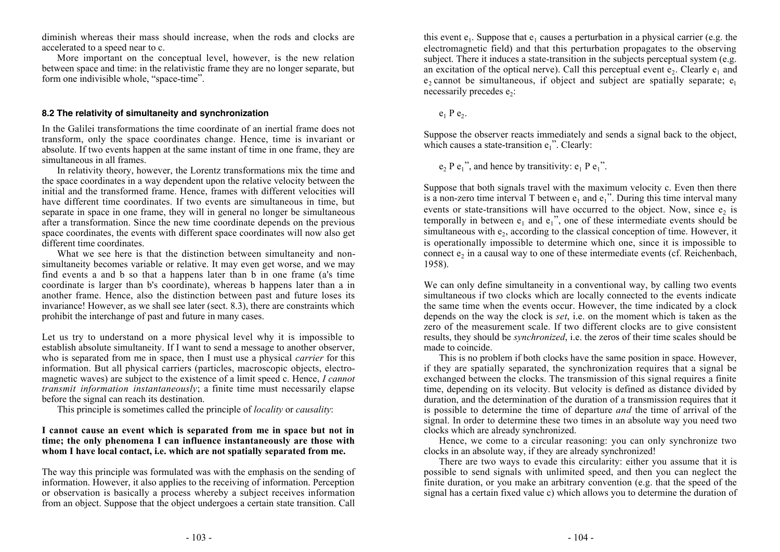diminish whereas their mass should increase, when the rods and clocks are accelerated to a speed near to c.

More important on the conceptual level, however, is the new relation between space and time: in the relativistic frame they are no longer separate, but form one indivisible whole, "space-time".

### **8.2 The relativity of simultaneity and synchronization**

In the Galilei transformations the time coordinate of an inertial frame does not transform, only the space coordinates change. Hence, time is invariant or absolute. If two events happen at the same instant of time in one frame, they are simultaneous in all frames.

In relativity theory, however, the Lorentz transformations mix the time and the space coordinates in a way dependent upon the relative velocity between the initial and the transformed frame. Hence, frames with different velocities will have different time coordinates. If two events are simultaneous in time, but separate in space in one frame, they will in general no longer be simultaneous after a transformation. Since the new time coordinate depends on the previous space coordinates, the events with different space coordinates will now also get different time coordinates.

What we see here is that the distinction between simultaneity and nonsimultaneity becomes variable or relative. It may even get worse, and we may find events a and b so that a happens later than b in one frame (a's time coordinate is larger than b's coordinate), whereas b happens later than a in another frame. Hence, also the distinction between past and future loses its invariance! However, as we shall see later (sect. 8.3), there are constraints which prohibit the interchange of past and future in many cases.

Let us try to understand on a more physical level why it is impossible to establish absolute simultaneity. If I want to send a message to another observer, who is separated from me in space, then I must use a physical *carrier* for this information. But all physical carriers (particles, macroscopic objects, electromagnetic waves) are subject to the existence of a limit speed c. Hence, *I cannot transmit information instantaneously*; a finite time must necessarily elapse before the signal can reach its destination.

This principle is sometimes called the principle of *locality* or *causality*:

### **I cannot cause an event which is separated from me in space but not in time; the only phenomena I can influence instantaneously are those with whom I have local contact, i.e. which are not spatially separated from me.**

The way this principle was formulated was with the emphasis on the sending of information. However, it also applies to the receiving of information. Perception or observation is basically a process whereby a subject receives information from an object. Suppose that the object undergoes a certain state transition. Call

this event  $e_1$ . Suppose that  $e_1$  causes a perturbation in a physical carrier (e.g. the electromagnetic field) and that this perturbation propagates to the observing subject. There it induces a state-transition in the subjects perceptual system (e.g. an excitation of the optical nerve). Call this perceptual event  $e_2$ . Clearly  $e_1$  and  $e_2$  cannot be simultaneous, if object and subject are spatially separate;  $e_1$ necessarily precedes  $e_2$ :

 $e_1$  P  $e_2$ .

Suppose the observer reacts immediately and sends a signal back to the object, which causes a state-transition  $e_1$ ". Clearly:

 $e_2$  P  $e_1$ ", and hence by transitivity:  $e_1$  P  $e_1$ ".

Suppose that both signals travel with the maximum velocity c. Even then there is a non-zero time interval T between  $e_1$  and  $e_1$ ". During this time interval many events or state-transitions will have occurred to the object. Now, since  $e_2$  is temporally in between  $e_1$  and  $e_1$ ", one of these intermediate events should be simultaneous with  $e_2$ , according to the classical conception of time. However, it is operationally impossible to determine which one, since it is impossible to connect  $e_2$  in a causal way to one of these intermediate events (cf. Reichenbach, 1958).

We can only define simultaneity in a conventional way, by calling two events simultaneous if two clocks which are locally connected to the events indicate the same time when the events occur. However, the time indicated by a clock depends on the way the clock is *set*, i.e. on the moment which is taken as the zero of the measurement scale. If two different clocks are to give consistent results, they should be *synchronized*, i.e. the zeros of their time scales should be made to coincide.

This is no problem if both clocks have the same position in space. However, if they are spatially separated, the synchronization requires that a signal be exchanged between the clocks. The transmission of this signal requires a finite time, depending on its velocity. But velocity is defined as distance divided by duration, and the determination of the duration of a transmission requires that it is possible to determine the time of departure *and* the time of arrival of the signal. In order to determine these two times in an absolute way you need two clocks which are already synchronized.

Hence, we come to a circular reasoning: you can only synchronize two clocks in an absolute way, if they are already synchronized!

There are two ways to evade this circularity: either you assume that it is possible to send signals with unlimited speed, and then you can neglect the finite duration, or you make an arbitrary convention (e.g. that the speed of the signal has a certain fixed value c) which allows you to determine the duration of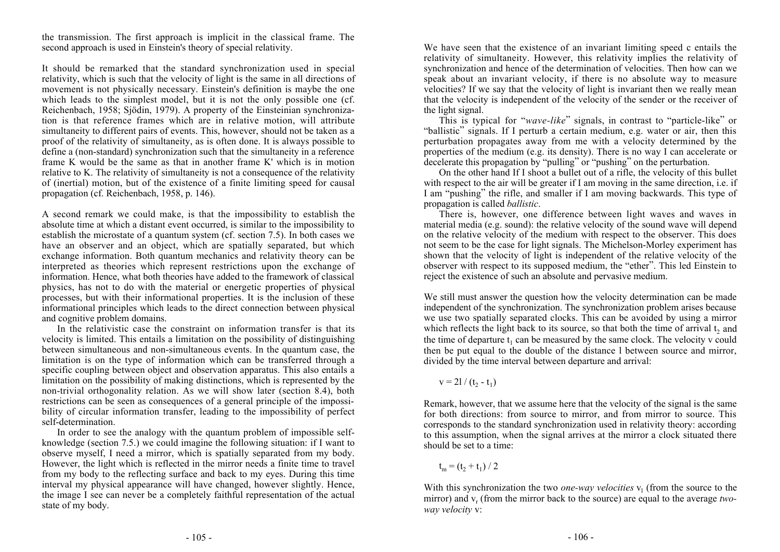the transmission. The first approach is implicit in the classical frame. The second approach is used in Einstein's theory of special relativity.

It should be remarked that the standard synchronization used in special relativity, which is such that the velocity of light is the same in all directions of movement is not physically necessary. Einstein's definition is maybe the one which leads to the simplest model, but it is not the only possible one (cf. Reichenbach, 1958; Sjödin, 1979). A property of the Einsteinian synchronization is that reference frames which are in relative motion, will attribute simultaneity to different pairs of events. This, however, should not be taken as a proof of the relativity of simultaneity, as is often done. It is always possible to define a (non-standard) synchronization such that the simultaneity in a reference frame K would be the same as that in another frame K' which is in motionrelative to K. The relativity of simultaneity is not a consequence of the relativity of (inertial) motion, but of the existence of a finite limiting speed for causal propagation (cf. Reichenbach, 1958, p. 146).

A second remark we could make, is that the impossibility to establish the absolute time at which a distant event occurred, is similar to the impossibility to establish the microstate of a quantum system (cf. section 7.5). In both cases we have an observer and an object, which are spatially separated, but which exchange information. Both quantum mechanics and relativity theory can be interpreted as theories which represent restrictions upon the exchange of information. Hence, what both theories have added to the framework of classical physics, has not to do with the material or energetic properties of physical processes, but with their informational properties. It is the inclusion of these informational principles which leads to the direct connection between physical and cognitive problem domains.

In the relativistic case the constraint on information transfer is that itsvelocity is limited. This entails a limitation on the possibility of distinguishing between simultaneous and non-simultaneous events. In the quantum case, the limitation is on the type of information which can be transferred through a specific coupling between object and observation apparatus. This also entails a limitation on the possibility of making distinctions, which is represented by the non-trivial orthogonality relation. As we will show later (section 8.4), both restrictions can be seen as consequences of a general principle of the impossibility of circular information transfer, leading to the impossibility of perfect self-determination.

In order to see the analogy with the quantum problem of impossible selfknowledge (section 7.5.) we could imagine the following situation: if I want to observe myself, I need a mirror, which is spatially separated from my body. However, the light which is reflected in the mirror needs a finite time to travel from my body to the reflecting surface and back to my eyes. During this time interval my physical appearance will have changed, however slightly. Hence, the image I see can never be a completely faithful representation of the actual state of my body.

We have seen that the existence of an invariant limiting speed c entails the relativity of simultaneity. However, this relativity implies the relativity of synchronization and hence of the determination of velocities. Then how can we speak about an invariant velocity, if there is no absolute way to measure velocities? If we say that the velocity of light is invariant then we really mean that the velocity is independent of the velocity of the sender or the receiver of the light signal.

This is typical for "*wave-like*" signals, in contrast to "particle-like" or "ballistic" signals. If I perturb a certain medium, e.g. water or air, then this perturbation propagates away from me with a velocity determined by the properties of the medium (e.g. its density). There is no way I can accelerate or decelerate this propagation by "pulling" or "pushing" on the perturbation.

On the other hand If I shoot a bullet out of a rifle, the velocity of this bullet with respect to the air will be greater if I am moving in the same direction, i.e. if I am "pushing" the rifle, and smaller if I am moving backwards. This type of propagation is called *ballistic*.

There is, however, one difference between light waves and waves in material media (e.g. sound): the relative velocity of the sound wave will depend on the relative velocity of the medium with respect to the observer. This does not seem to be the case for light signals. The Michelson-Morley experiment has shown that the velocity of light is independent of the relative velocity of the observer with respect to its supposed medium, the "ether". This led Einstein to reject the existence of such an absolute and pervasive medium.

We still must answer the question how the velocity determination can be made independent of the synchronization. The synchronization problem arises because we use two spatially separated clocks. This can be avoided by using a mirror which reflects the light back to its source, so that both the time of arrival  $t<sub>2</sub>$  and the time of departure  $t_1$  can be measured by the same clock. The velocity v could then be put equal to the double of the distance l between source and mirror, divided by the time interval between departure and arrival:

 $v = 2l / (t_2 - t_1)$ 

Remark, however, that we assume here that the velocity of the signal is the same for both directions: from source to mirror, and from mirror to source. This corresponds to the standard synchronization used in relativity theory: according to this assumption, when the signal arrives at the mirror a clock situated there should be set to a time:

 $t_m = (t_2 + t_1) / 2$ 

With this synchronization the two *one-way velocities*  $v_1$  (from the source to the mirror) and v<sub>r</sub> (from the mirror back to the source) are equal to the average *twoway velocity* v: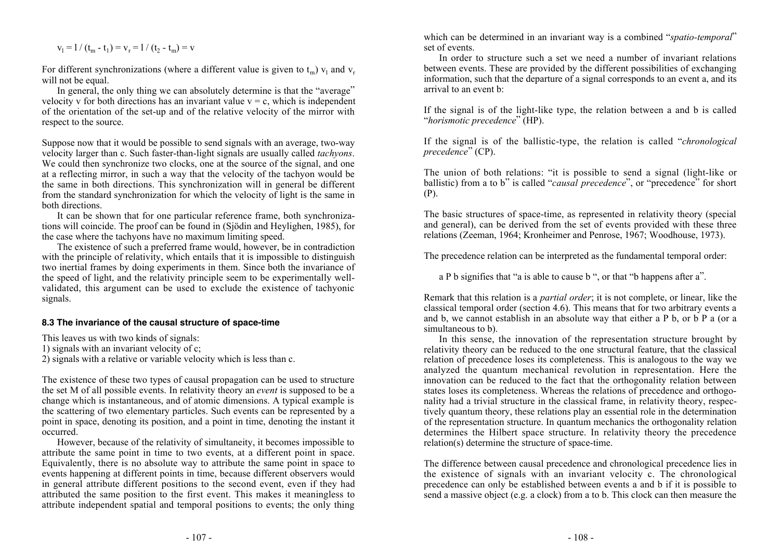$$
v_1 = 1 / (t_m - t_1) = v_r = 1 / (t_2 - t_m) = v
$$

For different synchronizations (where a different value is given to  $t_m$ )  $v_1$  and  $v_r$ will not be equal.

In general, the only thing we can absolutely determine is that the "average" velocity v for both directions has an invariant value  $v = c$ , which is independent of the orientation of the set-up and of the relative velocity of the mirror with respect to the source.

Suppose now that it would be possible to send signals with an average, two-way velocity larger than c. Such faster-than-light signals are usually called *tachyons*. We could then synchronize two clocks, one at the source of the signal, and one at a reflecting mirror, in such a way that the velocity of the tachyon would be the same in both directions. This synchronization will in general be different from the standard synchronization for which the velocity of light is the same in both directions.

It can be shown that for one particular reference frame, both synchronizations will coincide. The proof can be found in (Sjödin and Heylighen, 1985), for the case where the tachyons have no maximum limiting speed.

The existence of such a preferred frame would, however, be in contradiction with the principle of relativity, which entails that it is impossible to distinguish two inertial frames by doing experiments in them. Since both the invariance of the speed of light, and the relativity principle seem to be experimentally wellvalidated, this argument can be used to exclude the existence of tachyonic signals.

#### **8.3 The invariance of the causal structure of space-time**

This leaves us with two kinds of signals:

1) signals with an invariant velocity of c;

2) signals with a relative or variable velocity which is less than c.

The existence of these two types of causal propagation can be used to structure the set M of all possible events. In relativity theory an *event* is supposed to be a change which is instantaneous, and of atomic dimensions. A typical example is the scattering of two elementary particles. Such events can be represented by a point in space, denoting its position, and a point in time, denoting the instant it occurred.

However, because of the relativity of simultaneity, it becomes impossible to attribute the same point in time to two events, at a different point in space. Equivalently, there is no absolute way to attribute the same point in space to events happening at different points in time, because different observers would in general attribute different positions to the second event, even if they had attributed the same position to the first event. This makes it meaningless to attribute independent spatial and temporal positions to events; the only thing which can be determined in an invariant way is a combined "*spatio-temporal*" set of events.

In order to structure such a set we need a number of invariant relationsbetween events. These are provided by the different possibilities of exchanging information, such that the departure of a signal corresponds to an event a, and its arrival to an event b:

If the signal is of the light-like type, the relation between a and b is called "*horismotic precedence*" (HP).

If the signal is of the ballistic-type, the relation is called "*chronological precedence*" (CP).

The union of both relations: "it is possible to send a signal (light-like or ballistic) from a to b" is called "*causal precedence*", or "precedence" for short (P).

The basic structures of space-time, as represented in relativity theory (special and general), can be derived from the set of events provided with these three relations (Zeeman, 1964; Kronheimer and Penrose, 1967; Woodhouse, 1973).

The precedence relation can be interpreted as the fundamental temporal order:

a P b signifies that "a is able to cause b ", or that "b happens after a".

Remark that this relation is a *partial order*; it is not complete, or linear, like the classical temporal order (section 4.6). This means that for two arbitrary events a and b, we cannot establish in an absolute way that either a  $P$  b, or  $\overrightarrow{b}$   $\overrightarrow{P}$  a (or a simultaneous to b).

In this sense, the innovation of the representation structure brought by relativity theory can be reduced to the one structural feature, that the classical relation of precedence loses its completeness. This is analogous to the way we analyzed the quantum mechanical revolution in representation. Here the innovation can be reduced to the fact that the orthogonality relation between states loses its completeness. Whereas the relations of precedence and orthogonality had a trivial structure in the classical frame, in relativity theory, respectively quantum theory, these relations play an essential role in the determination of the representation structure. In quantum mechanics the orthogonality relation determines the Hilbert space structure. In relativity theory the precedence relation(s) determine the structure of space-time.

The difference between causal precedence and chronological precedence lies in the existence of signals with an invariant velocity c. The chronological precedence can only be established between events a and b if it is possible to send a massive object (e.g. a clock) from a to b. This clock can then measure the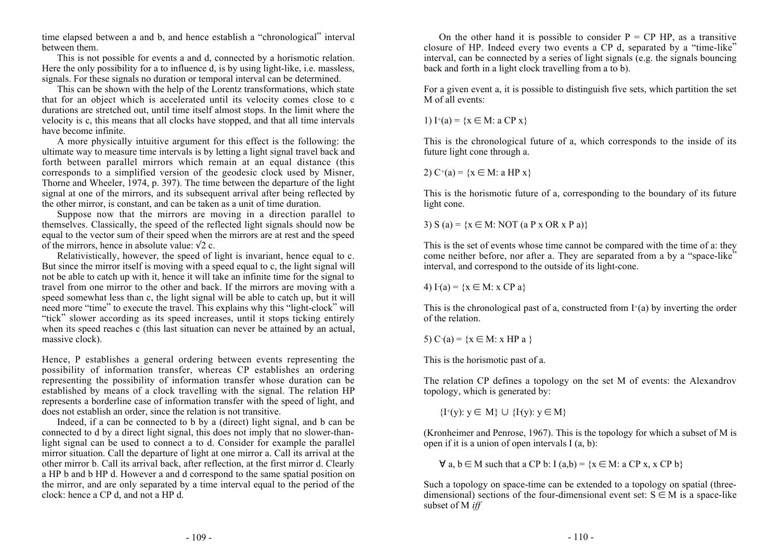time elapsed between a and b, and hence establish a "chronological" interval between them.

This is not possible for events a and d, connected by a horismotic relation. Here the only possibility for a to influence d, is by using light-like, i.e. massless, signals. For these signals no duration or temporal interval can be determined.

This can be shown with the help of the Lorentz transformations, which state that for an object which is accelerated until its velocity comes close to c durations are stretched out, until time itself almost stops. In the limit where the velocity is c, this means that all clocks have stopped, and that all time intervals have become infinite.

A more physically intuitive argument for this effect is the following: the ultimate way to measure time intervals is by letting a light signal travel back and forth between parallel mirrors which remain at an equal distance (this corresponds to a simplified version of the geodesic clock used by Misner, Thorne and Wheeler, 1974, p. 397). The time between the departure of the light signal at one of the mirrors, and its subsequent arrival after being reflected by the other mirror, is constant, and can be taken as a unit of time duration.

Suppose now that the mirrors are moving in a direction parallel to themselves. Classically, the speed of the reflected light signals should now be equal to the vector sum of their speed when the mirrors are at rest and the speed of the mirrors, hence in absolute value:  $\sqrt{2}$  c.

 Relativistically, however, the speed of light is invariant, hence equal to c. But since the mirror itself is moving with a speed equal to c, the light signal will not be able to catch up with it, hence it will take an infinite time for the signal to travel from one mirror to the other and back. If the mirrors are moving with a speed somewhat less than c, the light signal will be able to catch up, but it will need more "time" to execute the travel. This explains why this "light-clock" will "tick" slower according as its speed increases, until it stops ticking entirely when its speed reaches c (this last situation can never be attained by an actual, massive clock).

Hence, P establishes a general ordering between events representing the possibility of information transfer, whereas CP establishes an ordering representing the possibility of information transfer whose duration can be established by means of a clock travelling with the signal. The relation HP represents a borderline case of information transfer with the speed of light, and does not establish an order, since the relation is not transitive.

Indeed, if a can be connected to b by a (direct) light signal, and b can be connected to d by a direct light signal, this does not imply that no slower-thanlight signal can be used to connect a to d. Consider for example the parallel mirror situation. Call the departure of light at one mirror a. Call its arrival at the other mirror b. Call its arrival back, after reflection, at the first mirror d. Clearly a HP b and b HP d. However a and d correspond to the same spatial position on the mirror, and are only separated by a time interval equal to the period of the clock: hence a CP d, and not a HP d.

On the other hand it is possible to consider  $P = CP H P$ , as a transitive closure of HP. Indeed every two events a CP d, separated by a "time-like" interval, can be connected by a series of light signals (e.g. the signals bouncing back and forth in a light clock travelling from a to b).

For a given event a, it is possible to distinguish five sets, which partition the set M of all events:

1) I+(a) = { $x \in M$ : a CP  $x$ }

This is the chronological future of a, which corresponds to the inside of its future light cone through a.

2)  $C^+(a) = \{x \in M: a HP x\}$ 

This is the horismotic future of a, corresponding to the boundary of its future light cone.

3) S (a) =  $\{x \in M: NOT$  (a P x OR x P a)}

This is the set of events whose time cannot be compared with the time of a: they come neither before, nor after a. They are separated from a by a "space-like" interval, and correspond to the outside of its light-cone.

4) I-(a) =  $\{x \in M: x \text{ CP } a\}$ 

This is the chronological past of a, constructed from  $I^+(a)$  by inverting the order of the relation.

5) C-(a) = { $x \in M$ :  $x$  HP a }

This is the horismotic past of a.

The relation CP defines a topology on the set M of events: the Alexandrov topology, which is generated by:

 $\{I^+(y): y \in M\} \cup \{I(y): y \in M\}$ 

(Kronheimer and Penrose, 1967). This is the topology for which a subset of M is open if it is a union of open intervals I (a, b):

 $\forall$  a,  $b \in M$  such that a CP b: I (a,b) = { $x \in M$ : a CP x, x CP b}

Such a topology on space-time can be extended to a topology on spatial (threedimensional) sections of the four-dimensional event set:  $S \in M$  is a space-like subset of M *iff*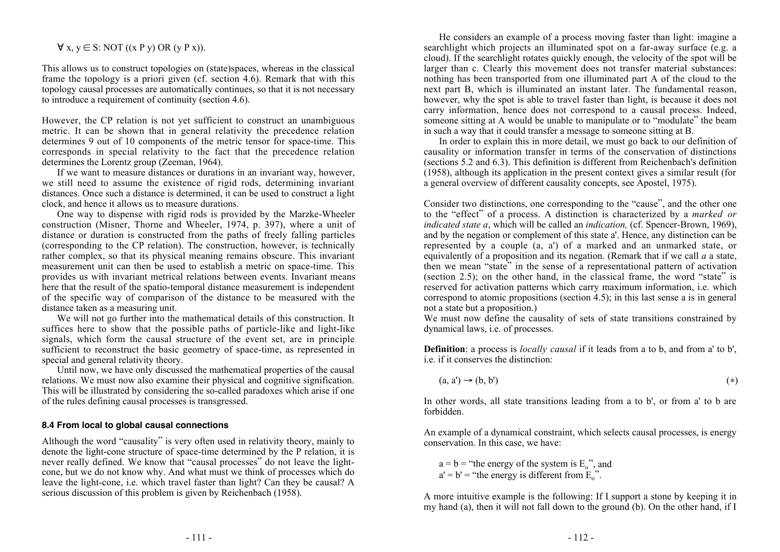# $\forall$  x,  $y \in S$ : NOT  $((x P y) \text{ OR } (y P x))$ .

This allows us to construct topologies on (state)spaces, whereas in the classical frame the topology is a priori given (cf. section 4.6). Remark that with this topology causal processes are automatically continues, so that it is not necessary to introduce a requirement of continuity (section 4.6).

However, the CP relation is not yet sufficient to construct an unambiguous metric. It can be shown that in general relativity the precedence relation determines 9 out of 10 components of the metric tensor for space-time. This corresponds in special relativity to the fact that the precedence relation determines the Lorentz group (Zeeman, 1964).

If we want to measure distances or durations in an invariant way, however, we still need to assume the existence of rigid rods, determining invariant distances. Once such a distance is determined, it can be used to construct a light clock, and hence it allows us to measure durations.

One way to dispense with rigid rods is provided by the Marzke-Wheeler construction (Misner, Thorne and Wheeler, 1974, p. 397), where a unit of distance or duration is constructed from the paths of freely falling particles (corresponding to the CP relation). The construction, however, is technically rather complex, so that its physical meaning remains obscure. This invariant measurement unit can then be used to establish a metric on space-time. This provides us with invariant metrical relations between events. Invariant means here that the result of the spatio-temporal distance measurement is independent of the specific way of comparison of the distance to be measured with the distance taken as a measuring unit.

We will not go further into the mathematical details of this construction. It suffices here to show that the possible paths of particle-like and light-like signals, which form the causal structure of the event set, are in principle sufficient to reconstruct the basic geometry of space-time, as represented in special and general relativity theory.

Until now, we have only discussed the mathematical properties of the causal relations. We must now also examine their physical and cognitive signification. This will be illustrated by considering the so-called paradoxes which arise if one of the rules defining causal processes is transgressed.

## **8.4 From local to global causal connections**

Although the word "causality" is very often used in relativity theory, mainly to denote the light-cone structure of space-time determined by the P relation, it is never really defined. We know that "causal processes" do not leave the lightcone, but we do not know why. And what must we think of processes which do leave the light-cone, i.e. which travel faster than light? Can they be causal? A serious discussion of this problem is given by Reichenbach (1958).

He considers an example of a process moving faster than light: imagine a searchlight which projects an illuminated spot on a far-away surface (e.g. a cloud). If the searchlight rotates quickly enough, the velocity of the spot will be larger than c. Clearly this movement does not transfer material substances: nothing has been transported from one illuminated part A of the cloud to the next part B, which is illuminated an instant later. The fundamental reason, however, why the spot is able to travel faster than light, is because it does not carry information, hence does not correspond to a causal process. Indeed, someone sitting at A would be unable to manipulate or to "modulate" the beam in such a way that it could transfer a message to someone sitting at B.

In order to explain this in more detail, we must go back to our definition of causality or information transfer in terms of the conservation of distinctions (sections 5.2 and 6.3). This definition is different from Reichenbach's definition (1958), although its application in the present context gives a similar result (for a general overview of different causality concepts, see Apostel, 1975).

Consider two distinctions, one corresponding to the "cause", and the other one to the "effect" of a process. A distinction is characterized by a *marked or indicated state a*, which will be called an *indication,* (cf. Spencer-Brown, 1969), and by the negation or complement of this state a'. Hence, any distinction can be represented by a couple (a, a') of a marked and an unmarked state, or equivalently of a proposition and its negation. (Remark that if we call *<sup>a</sup>* a state, then we mean "state" in the sense of a representational pattern of activation (section 2.5); on the other hand, in the classical frame, the word "state" is reserved for activation patterns which carry maximum information, i.e. which correspond to atomic propositions (section 4.5); in this last sense a is in general not a state but a proposition.)

We must now define the causality of sets of state transitions constrained by dynamical laws, i.e. of processes.

**Definition**: a process is *locally causal* if it leads from a to b, and from a' to b', i.e. if it conserves the distinction:

$$
(a, a') \rightarrow (b, b') \tag{*}
$$

In other words, all state transitions leading from a to b', or from a' to b are forbidden.

An example of a dynamical constraint, which selects causal processes, is energy conservation. In this case, we have:

 $a = b =$  "the energy of the system is  $E_0$ ", and  $a' = b' =$ "the energy is different from  $E_0$ ".

A more intuitive example is the following: If I support a stone by keeping it in my hand (a), then it will not fall down to the ground (b). On the other hand, if I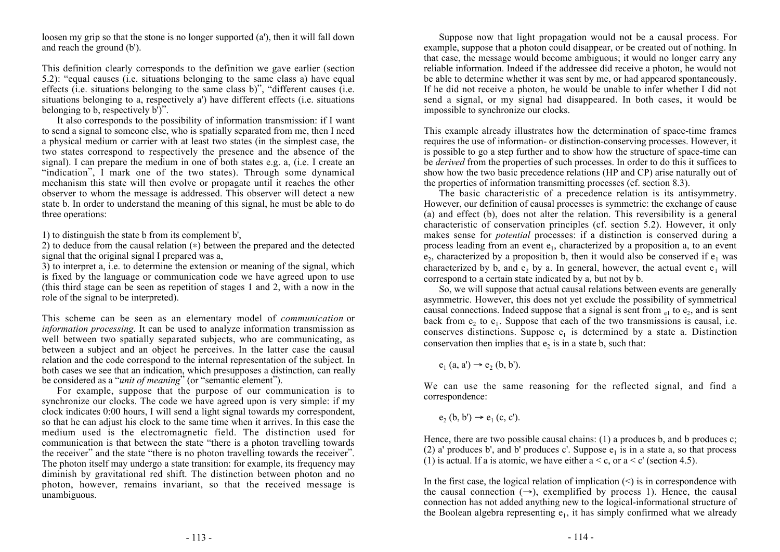loosen my grip so that the stone is no longer supported (a'), then it will fall down and reach the ground (b').

This definition clearly corresponds to the definition we gave earlier (section 5.2): "equal causes (i.e. situations belonging to the same class a) have equal effects (i.e. situations belonging to the same class b)", "different causes (i.e. situations belonging to a, respectively a') have different effects (i.e. situations belonging to b, respectively b')".

It also corresponds to the possibility of information transmission: if I want to send a signal to someone else, who is spatially separated from me, then I need a physical medium or carrier with at least two states (in the simplest case, the two states correspond to respectively the presence and the absence of the signal). I can prepare the medium in one of both states e.g. a, (i.e. I create an "indication", I mark one of the two states). Through some dynamical mechanism this state will then evolve or propagate until it reaches the other observer to whom the message is addressed. This observer will detect a new state b. In order to understand the meaning of this signal, he must be able to do three operations:

1) to distinguish the state b from its complement b',

2) to deduce from the causal relation  $(*)$  between the prepared and the detected signal that the original signal I prepared was a,

3) to interpret a, i.e. to determine the extension or meaning of the signal, which is fixed by the language or communication code we have agreed upon to use (this third stage can be seen as repetition of stages 1 and 2, with a now in the role of the signal to be interpreted).

This scheme can be seen as an elementary model of *communication* or *information processing*. It can be used to analyze information transmission as well between two spatially separated subjects, who are communicating, as between a subject and an object he perceives. In the latter case the causal relation and the code correspond to the internal representation of the subject. In both cases we see that an indication, which presupposes a distinction, can really be considered as a "*unit of meaning*" (or "semantic element").

For example, suppose that the purpose of our communication is to synchronize our clocks. The code we have agreed upon is very simple: if my clock indicates 0:00 hours, I will send a light signal towards my correspondent, so that he can adjust his clock to the same time when it arrives. In this case the medium used is the electromagnetic field. The distinction used for communication is that between the state "there is a photon travelling towards the receiver" and the state "there is no photon travelling towards the receiver". The photon itself may undergo a state transition: for example, its frequency may diminish by gravitational red shift. The distinction between photon and no photon, however, remains invariant, so that the received message is unambiguous.

Suppose now that light propagation would not be a causal process. For example, suppose that a photon could disappear, or be created out of nothing. In that case, the message would become ambiguous; it would no longer carry any reliable information. Indeed if the addressee did receive a photon, he would not be able to determine whether it was sent by me, or had appeared spontaneously. If he did not receive a photon, he would be unable to infer whether I did not send a signal, or my signal had disappeared. In both cases, it would be impossible to synchronize our clocks.

This example already illustrates how the determination of space-time frames requires the use of information- or distinction-conserving processes. However, it is possible to go a step further and to show how the structure of space-time can be *derived* from the properties of such processes. In order to do this it suffices to show how the two basic precedence relations (HP and CP) arise naturally out of the properties of information transmitting processes (cf. section 8.3).

The basic characteristic of a precedence relation is its antisymmetry. However, our definition of causal processes is symmetric: the exchange of cause (a) and effect (b), does not alter the relation. This reversibility is a general characteristic of conservation principles (cf. section 5.2). However, it only makes sense for *potential* processes: if a distinction is conserved during a process leading from an event e<sub>1</sub>, characterized by a proposition a, to an event  $e_2$ , characterized by a proposition b, then it would also be conserved if  $e_1$  was characterized by b, and  $e_2$  by a. In general, however, the actual event  $e_1$  will correspond to a certain state indicated by a, but not by b.

So, we will suppose that actual causal relations between events are generally asymmetric. However, this does not yet exclude the possibility of symmetrical causal connections. Indeed suppose that a signal is sent from  $_{e_1}$  to  $e_2$ , and is sent back from  $e_2$  to  $e_1$ . Suppose that each of the two transmissions is causal, i.e. conserves distinctions. Suppose  $e_1$  is determined by a state a. Distinction conservation then implies that  $e_2$  is in a state b, such that:

 $e_1$  (a, a')  $\rightarrow e_2$  (b, b').

We can use the same reasoning for the reflected signal, and find a correspondence:

 $e_2$  (b, b')  $\rightarrow e_1$  (c, c').

Hence, there are two possible causal chains: (1) a produces b, and b produces c; (2) a' produces b', and b' produces c'. Suppose  $e_1$  is in a state a, so that process (1) is actual. If a is atomic, we have either  $a < c$ , or  $a < c'$  (section 4.5).

In the first case, the logical relation of implication  $(\le)$  is in correspondence with the causal connection  $(\rightarrow)$ , exemplified by process 1). Hence, the causal connection has not added anything new to the logical-informational structure of the Boolean algebra representing  $e_1$ , it has simply confirmed what we already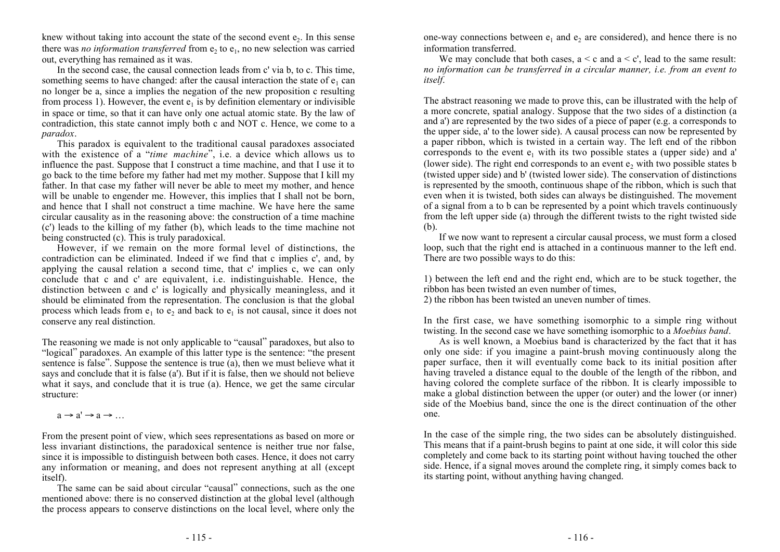knew without taking into account the state of the second event  $e_2$ . In this sense there was *no information transferred* from  $e_2$  to  $e_1$ , no new selection was carried out, everything has remained as it was.

In the second case, the causal connection leads from c' via b, to c. This time, something seems to have changed: after the causal interaction the state of  $e_1$  can no longer be a, since a implies the negation of the new proposition c resulting from process 1). However, the event  $e_1$  is by definition elementary or indivisible in space or time, so that it can have only one actual atomic state. By the law of contradiction, this state cannot imply both c and NOT c. Hence, we come to a *paradox*.

This paradox is equivalent to the traditional causal paradoxes associated with the existence of a "*time machine*", i.e. a device which allows us to influence the past. Suppose that I construct a time machine, and that I use it to go back to the time before my father had met my mother. Suppose that I kill my father. In that case my father will never be able to meet my mother, and hence will be unable to engender me. However, this implies that I shall not be born, and hence that I shall not construct a time machine. We have here the same circular causality as in the reasoning above: the construction of a time machine (c') leads to the killing of my father (b), which leads to the time machine not being constructed (c). This is truly paradoxical.

However, if we remain on the more formal level of distinctions, the contradiction can be eliminated. Indeed if we find that c implies c', and, by applying the causal relation a second time, that c' implies c, we can only conclude that c and c' are equivalent, i.e. indistinguishable. Hence, the distinction between c and c' is logically and physically meaningless, and it should be eliminated from the representation. The conclusion is that the global process which leads from  $e_1$  to  $e_2$  and back to  $e_1$  is not causal, since it does not conserve any real distinction.

The reasoning we made is not only applicable to "causal" paradoxes, but also to "logical" paradoxes. An example of this latter type is the sentence: "the present sentence is false". Suppose the sentence is true (a), then we must believe what it says and conclude that it is false (a'). But if it is false, then we should not believe what it says, and conclude that it is true (a). Hence, we get the same circular structure:

 $a \rightarrow a' \rightarrow a \rightarrow \dots$ 

From the present point of view, which sees representations as based on more or less invariant distinctions, the paradoxical sentence is neither true nor false, since it is impossible to distinguish between both cases. Hence, it does not carry any information or meaning, and does not represent anything at all (except itself).

The same can be said about circular "causal" connections, such as the one mentioned above: there is no conserved distinction at the global level (although the process appears to conserve distinctions on the local level, where only the

one-way connections between  $e_1$  and  $e_2$  are considered), and hence there is no information transferred.

We may conclude that both cases,  $a < c$  and  $a < c'$ , lead to the same result: *no information can be transferred in a circular manner, i.e. from an event to itself*.

The abstract reasoning we made to prove this, can be illustrated with the help of a more concrete, spatial analogy. Suppose that the two sides of a distinction (a and a') are represented by the two sides of a piece of paper (e.g. a corresponds to the upper side, a' to the lower side). A causal process can now be represented by a paper ribbon, which is twisted in a certain way. The left end of the ribbon corresponds to the event  $e_1$  with its two possible states a (upper side) and a' (lower side). The right end corresponds to an event  $e_2$  with two possible states b (twisted upper side) and b' (twisted lower side). The conservation of distinctions is represented by the smooth, continuous shape of the ribbon, which is such that even when it is twisted, both sides can always be distinguished. The movement of a signal from a to b can be represented by a point which travels continuously from the left upper side (a) through the different twists to the right twisted side (b).

If we now want to represent a circular causal process, we must form a closed loop, such that the right end is attached in a continuous manner to the left end. There are two possible ways to do this:

1) between the left end and the right end, which are to be stuck together, the ribbon has been twisted an even number of times,

2) the ribbon has been twisted an uneven number of times.

In the first case, we have something isomorphic to a simple ring without twisting. In the second case we have something isomorphic to a *Moebius band*.

As is well known, a Moebius band is characterized by the fact that it has only one side: if you imagine a paint-brush moving continuously along the paper surface, then it will eventually come back to its initial position after having traveled a distance equal to the double of the length of the ribbon, and having colored the complete surface of the ribbon. It is clearly impossible to make a global distinction between the upper (or outer) and the lower (or inner) side of the Moebius band, since the one is the direct continuation of the other one.

In the case of the simple ring, the two sides can be absolutely distinguished. This means that if a paint-brush begins to paint at one side, it will color this side completely and come back to its starting point without having touched the other side. Hence, if a signal moves around the complete ring, it simply comes back to its starting point, without anything having changed.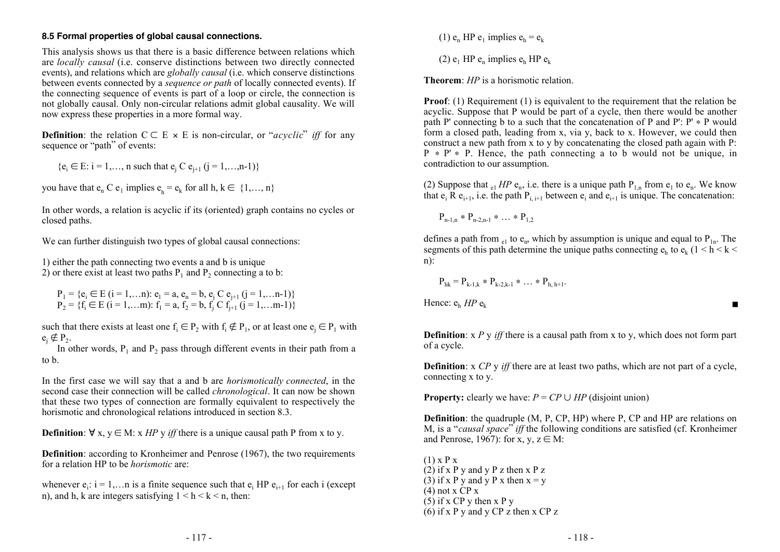## **8.5 Formal properties of global causal connections.**

This analysis shows us that there is a basic difference between relations which are *locally causal* (i.e. conserve distinctions between two directly connected events), and relations which are *globally causal* (i.e. which conserve distinctions between events connected by a *sequence or path* of locally connected events). If the connecting sequence of events is part of a loop or circle, the connection is not globally causal. Only non-circular relations admit global causality. We will now express these properties in a more formal way.

**Definition**: the relation  $C \subseteq E \times E$  is non-circular, or "*acyclic*" *iff* for any sequence or "path" of events:

 ${e_i \in E: i = 1, ..., n \text{ such that } e_j \subset e_{j+1} \ (j = 1, ..., n-1)}$ 

you have that  $e_n C e_1$  implies  $e_h = e_k$  for all  $h, k \in \{1, ..., n\}$ 

In other words, a relation is acyclic if its (oriented) graph contains no cycles or closed paths.

We can further distinguish two types of global causal connections:

1) either the path connecting two events a and b is unique 2) or there exist at least two paths  $P_1$  and  $P_2$  connecting a to b:

 $P_1 = \{e_i \in E \ (i = 1,...n): e_1 = a, e_n = b, e_j \ C \ e_{j+1} \ (j = 1,...n-1) \}$  $P_2 = \{f_i \in E \ (i = 1,...m) : f_1 = a, f_2 = b, f_j \ C \ f_{j+1} \ (j = 1,...m-1) \}$ 

such that there exists at least one  $f_i \in P_2$  with  $f_i \notin P_1$ , or at least one  $e_j \in P_1$  with  $e_i \notin P_2$ .

In other words,  $P_1$  and  $P_2$  pass through different events in their path from a to b.

In the first case we will say that a and b are *horismotically connected*, in the second case their connection will be called *chronological*. It can now be shown that these two types of connection are formally equivalent to respectively the horismotic and chronological relations introduced in section 8.3.

**Definition**:  $\forall$  x,  $y \in M$ : x *HP* y *iff* there is a unique causal path P from x to y.

**Definition**: according to Kronheimer and Penrose (1967), the two requirements for a relation HP to be *horismotic* are:

whenever  $e_i$ :  $i = 1,...n$  is a finite sequence such that  $e_i$  HP  $e_{i+1}$  for each i (except n), and h, k are integers satisfying  $1 \le h \le k \le n$ , then:

(1) e<sub>n</sub> HP e<sub>1</sub> implies  $e_k = e_k$ 

(2)  $e_1$  HP  $e_n$  implies  $e_h$  HP  $e_k$ 

**Theorem**: *HP* is a horismotic relation.

**Proof**: (1) Requirement (1) is equivalent to the requirement that the relation be acyclic. Suppose that P would be part of a cycle, then there would be another path P' connecting b to a such that the concatenation of P and P':  $P' * P$  would form a closed path, leading from x, via y, back to x. However, we could then construct a new path from x to y by concatenating the closed path again with P:  $P * P' * P$ . Hence, the path connecting a to b would not be unique, in contradiction to our assumption.

(2) Suppose that  $_{el}$  *HP*  $e_n$ , i.e. there is a unique path  $P_{1,n}$  from  $e_1$  to  $e_n$ . We know that  $e_i$  R  $e_{i+1}$ , i.e. the path  $P_{i,i+1}$  between  $e_i$  and  $e_{i+1}$  is unique. The concatenation:

 $P_{n-1,n} * P_{n-2,n-1} * ... * P_{1,2}$ 

defines a path from  $_{e1}$  to  $e_n$ , which by assumption is unique and equal to  $P_{1n}$ . The segments of this path determine the unique paths connecting  $e_h$  to  $e_k$  (1 < h < k < n):

$$
P_{hk} = P_{k-1,k} * P_{k-2,k-1} * \ldots * P_{h,\,h+1}.
$$

Hence:  $e_h$  HP  $e_b$  $_H$  *HP*  $e_k$ 

**Definition**: x *P* y *iff* there is a causal path from x to y, which does not form part of a cycle.

**Definition**: x *CP* y *iff* there are at least two paths, which are not part of a cycle, connecting x to y.

**Property:** clearly we have:  $P = CP \cup HP$  (disjoint union)

**Definition**: the quadruple (M, P, CP, HP) where P, CP and HP are relations on M, is a "*causal space*" *iff* the following conditions are satisfied (cf. Kronheimer and Penrose, 1967): for x, y,  $z \in M$ :

 $(1)$  x P x (2) if  $x P y$  and  $y P z$  then  $x P z$  $(3)$  if x P y and y P x then  $x = y$  $(4)$  not x  $CP x$  $(5)$  if x CP y then x P y  $(6)$  if x P y and y CP z then x CP z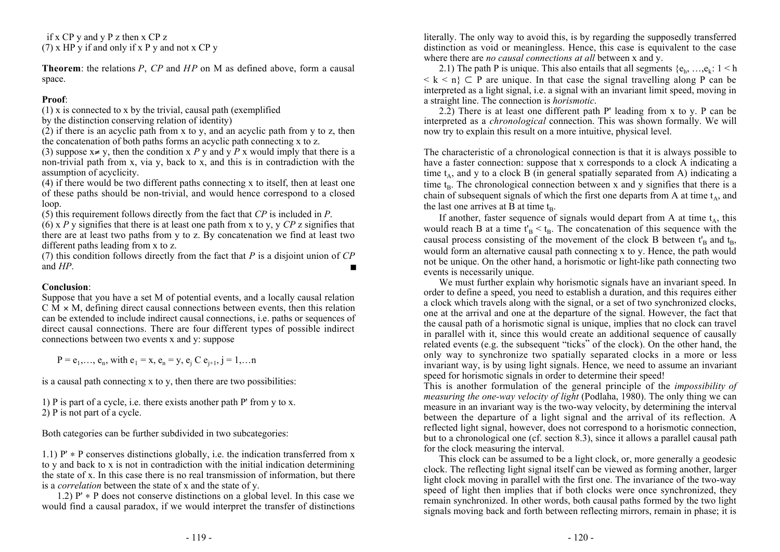if x  $CPv$  and  $vPz$  then x  $CPz$ (7) x HP y if and only if x P y and not x CP y

**Theorem**: the relations *P*, *CP* and *HP* on M as defined above, form a causal space.

## **Proof**:

(1) x is connected to x by the trivial, causal path (exemplified

by the distinction conserving relation of identity)

 $(2)$  if there is an acyclic path from x to y, and an acyclic path from y to z, then the concatenation of both paths forms an acyclic path connecting x to z.

(3) suppose  $x \neq y$ , then the condition x P y and y P x would imply that there is a non-trivial path from x, via y, back to x, and this is in contradiction with the assumption of acyclicity.

(4) if there would be two different paths connecting x to itself, then at least one of these paths should be non-trivial, and would hence correspond to a closed loop.

(5) this requirement follows directly from the fact that *CP* is included in *P*.

(6) x *P* y signifies that there is at least one path from x to y, y *CP* z signifies that there are at least two paths from y to z. By concatenation we find at least two different paths leading from x to z.

(7) this condition follows directly from the fact that *P* is a disjoint union of *CP* and *HP*.→ The Control of the Control of the Control of the Control of the Control of the Control of the Control of the

# **Conclusion**:

Suppose that you have a set M of potential events, and a locally causal relation  $C M \times M$ , defining direct causal connections between events, then this relation can be extended to include indirect causal connections, i.e. paths or sequences of direct causal connections. There are four different types of possible indirect connections between two events x and y: suppose

 $P = e_1, \ldots, e_n$ , with  $e_1 = x, e_n = y, e_i \cdot C e_{i+1}, j = 1, \ldots n$ 

is a causal path connecting  $x$  to  $y$ , then there are two possibilities:

1) P is part of a cycle, i.e. there exists another path P' from y to x. 2) P is not part of a cycle.

Both categories can be further subdivided in two subcategories:

1.1)  $P' * P$  conserves distinctions globally, i.e. the indication transferred from x to y and back to x is not in contradiction with the initial indication determining the state of x. In this case there is no real transmission of information, but there is a *correlation* between the state of x and the state of y.

1.2) P' \* P does not conserve distinctions on a global level. In this case we would find a causal paradox, if we would interpret the transfer of distinctions literally. The only way to avoid this, is by regarding the supposedly transferred distinction as void or meaningless. Hence, this case is equivalent to the case where there are *no causal connections at all* between x and y.

2.1) The path P is unique. This also entails that all segments  ${e_h, ..., e_k : 1 \le h}$  $\{k \leq n\} \subset P$  are unique. In that case the signal travelling along P can be interpreted as a light signal, i.e. a signal with an invariant limit speed, moving in a straight line. The connection is *horismotic*.

2.2) There is at least one different path P' leading from x to y. P can be interpreted as a *chronological* connection. This was shown formally. We will now try to explain this result on a more intuitive, physical level.

The characteristic of a chronological connection is that it is always possible to have a faster connection: suppose that x corresponds to a clock A indicating a time  $t_A$ , and y to a clock B (in general spatially separated from A) indicating a time  $t_B$ . The chronological connection between x and y signifies that there is a chain of subsequent signals of which the first one departs from A at time  $t_A$ , and the last one arrives at B at time  $t_B$ .

If another, faster sequence of signals would depart from A at time  $t_A$ , this would reach B at a time  $t_B < t_B$ . The concatenation of this sequence with the causal process consisting of the movement of the clock B between  $t_B$  and  $t_B$ , would form an alternative causal path connecting x to y. Hence, the path would not be unique. On the other hand, a horismotic or light-like path connecting two events is necessarily unique.

We must further explain why horismotic signals have an invariant speed. In order to define a speed, you need to establish a duration, and this requires either a clock which travels along with the signal, or a set of two synchronized clocks, one at the arrival and one at the departure of the signal. However, the fact that the causal path of a horismotic signal is unique, implies that no clock can travel in parallel with it, since this would create an additional sequence of causally related events (e.g. the subsequent "ticks" of the clock). On the other hand, the only way to synchronize two spatially separated clocks in a more or less invariant way, is by using light signals. Hence, we need to assume an invariant speed for horismotic signals in order to determine their speed!

This is another formulation of the general principle of the *impossibility of measuring the one-way velocity of light* (Podlaha, 1980). The only thing we can measure in an invariant way is the two-way velocity, by determining the interval between the departure of a light signal and the arrival of its reflection. A reflected light signal, however, does not correspond to a horismotic connection, but to a chronological one (cf. section 8.3), since it allows a parallel causal path for the clock measuring the interval.

This clock can be assumed to be a light clock, or, more generally a geodesic clock. The reflecting light signal itself can be viewed as forming another, larger light clock moving in parallel with the first one. The invariance of the two-way speed of light then implies that if both clocks were once synchronized, they remain synchronized. In other words, both causal paths formed by the two light signals moving back and forth between reflecting mirrors, remain in phase; it is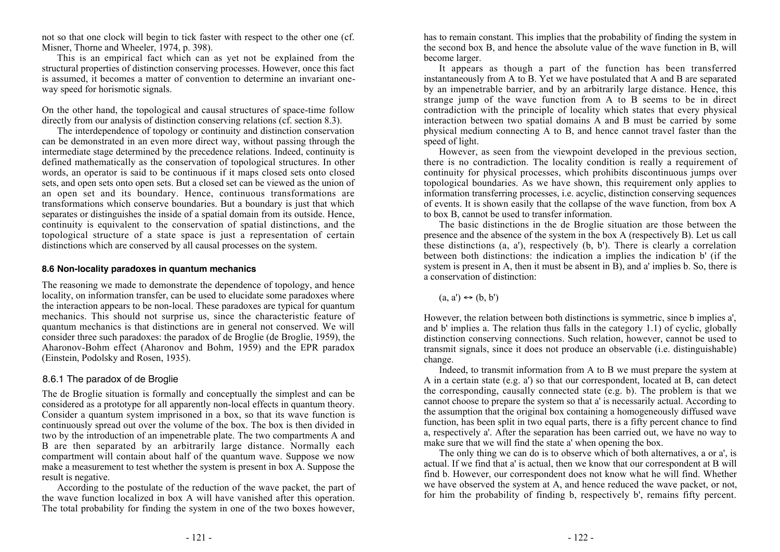not so that one clock will begin to tick faster with respect to the other one (cf. Misner, Thorne and Wheeler, 1974, p. 398).

This is an empirical fact which can as yet not be explained from the structural properties of distinction conserving processes. However, once this fact is assumed, it becomes a matter of convention to determine an invariant oneway speed for horismotic signals.

On the other hand, the topological and causal structures of space-time follow directly from our analysis of distinction conserving relations (cf. section 8.3).

The interdependence of topology or continuity and distinction conservation can be demonstrated in an even more direct way, without passing through the intermediate stage determined by the precedence relations. Indeed, continuity is defined mathematically as the conservation of topological structures. In other words, an operator is said to be continuous if it maps closed sets onto closed sets, and open sets onto open sets. But a closed set can be viewed as the union of an open set and its boundary. Hence, continuous transformations are transformations which conserve boundaries. But a boundary is just that which separates or distinguishes the inside of a spatial domain from its outside. Hence, continuity is equivalent to the conservation of spatial distinctions, and the topological structure of a state space is just a representation of certain distinctions which are conserved by all causal processes on the system.

#### **8.6 Non-locality paradoxes in quantum mechanics**

The reasoning we made to demonstrate the dependence of topology, and hence locality, on information transfer, can be used to elucidate some paradoxes where the interaction appears to be non-local. These paradoxes are typical for quantum mechanics. This should not surprise us, since the characteristic feature of quantum mechanics is that distinctions are in general not conserved. We will consider three such paradoxes: the paradox of de Broglie (de Broglie, 1959), the Aharonov-Bohm effect (Aharonov and Bohm, 1959) and the EPR paradox (Einstein, Podolsky and Rosen, 1935).

## 8.6.1 The paradox of de Broglie

The de Broglie situation is formally and conceptually the simplest and can be considered as a prototype for all apparently non-local effects in quantum theory. Consider a quantum system imprisoned in a box, so that its wave function is continuously spread out over the volume of the box. The box is then divided in two by the introduction of an impenetrable plate. The two compartments A and B are then separated by an arbitrarily large distance. Normally each compartment will contain about half of the quantum wave. Suppose we now make a measurement to test whether the system is present in box A. Suppose the result is negative.

According to the postulate of the reduction of the wave packet, the part of the wave function localized in box A will have vanished after this operation. The total probability for finding the system in one of the two boxes however,

has to remain constant. This implies that the probability of finding the system in the second box B, and hence the absolute value of the wave function in B, will become larger.

It appears as though a part of the function has been transferred instantaneously from A to B. Yet we have postulated that A and B are separated by an impenetrable barrier, and by an arbitrarily large distance. Hence, this strange jump of the wave function from A to B seems to be in direct contradiction with the principle of locality which states that every physical interaction between two spatial domains A and B must be carried by some physical medium connecting A to B, and hence cannot travel faster than the speed of light.

However, as seen from the viewpoint developed in the previous section, there is no contradiction. The locality condition is really a requirement of continuity for physical processes, which prohibits discontinuous jumps over topological boundaries. As we have shown, this requirement only applies to information transferring processes, i.e. acyclic, distinction conserving sequences of events. It is shown easily that the collapse of the wave function, from box A to box B, cannot be used to transfer information.

The basic distinctions in the de Broglie situation are those between the presence and the absence of the system in the box A (respectively B). Let us call these distinctions (a, a'), respectively (b, b'). There is clearly a correlation between both distinctions: the indication a implies the indication b' (if the system is present in A, then it must be absent in  $\overrightarrow{B}$ ), and a' implies b. So, there is a conservation of distinction:

 $(a, a') \leftrightarrow (b, b')$ 

However, the relation between both distinctions is symmetric, since b implies a', and b' implies a. The relation thus falls in the category  $1.1$ ) of cyclic, globally distinction conserving connections. Such relation, however, cannot be used to transmit signals, since it does not produce an observable (i.e. distinguishable) change.

Indeed, to transmit information from A to B we must prepare the system at A in a certain state (e.g. a') so that our correspondent, located at B, can detect the corresponding, causally connected state (e.g. b). The problem is that we cannot choose to prepare the system so that a' is necessarily actual. According to the assumption that the original box containing a homogeneously diffused wave function, has been split in two equal parts, there is a fifty percent chance to find a, respectively a'. After the separation has been carried out, we have no way to make sure that we will find the state a' when opening the box.

The only thing we can do is to observe which of both alternatives, a or a', is actual. If we find that a' is actual, then we know that our correspondent at B will find b. However, our correspondent does not know what he will find. Whether we have observed the system at A, and hence reduced the wave packet, or not, for him the probability of finding b, respectively b', remains fifty percent.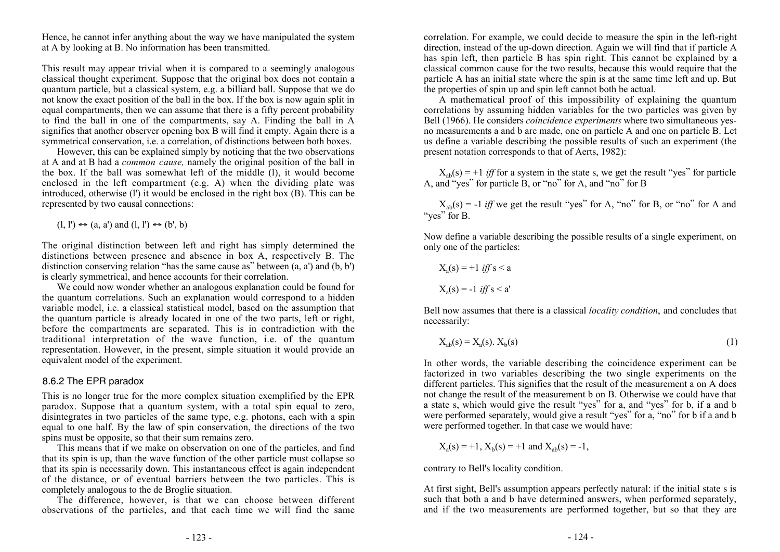Hence, he cannot infer anything about the way we have manipulated the system at A by looking at B. No information has been transmitted.

This result may appear trivial when it is compared to a seemingly analogous classical thought experiment. Suppose that the original box does not contain a quantum particle, but a classical system, e.g. a billiard ball. Suppose that we do not know the exact position of the ball in the box. If the box is now again split in equal compartments, then we can assume that there is a fifty percent probability to find the ball in one of the compartments, say A. Finding the ball in A signifies that another observer opening box B will find it empty. Again there is a symmetrical conservation, i.e. a correlation, of distinctions between both boxes.

However, this can be explained simply by noticing that the two observations at A and at B had a *common cause,* namely the original position of the ball in the box. If the ball was somewhat left of the middle (l), it would become enclosed in the left compartment (e.g. A) when the dividing plate was introduced, otherwise (l') it would be enclosed in the right box (B). This can be represented by two causal connections:

 $(l, l') \leftrightarrow (a, a')$  and  $(l, l') \leftrightarrow (b', b)$ 

The original distinction between left and right has simply determined the distinctions between presence and absence in box A, respectively B. The distinction conserving relation "has the same cause as" between (a, a') and (b, b') is clearly symmetrical, and hence accounts for their correlation.

We could now wonder whether an analogous explanation could be found for the quantum correlations. Such an explanation would correspond to a hidden variable model, i.e. a classical statistical model, based on the assumption that the quantum particle is already located in one of the two parts, left or right, before the compartments are separated. This is in contradiction with the traditional interpretation of the wave function, i.e. of the quantum representation. However, in the present, simple situation it would provide an equivalent model of the experiment.

## 8.6.2 The EPR paradox

This is no longer true for the more complex situation exemplified by the EPR paradox. Suppose that a quantum system, with a total spin equal to zero, disintegrates in two particles of the same type, e.g. photons, each with a spin equal to one half. By the law of spin conservation, the directions of the two spins must be opposite, so that their sum remains zero.

This means that if we make on observation on one of the particles, and find that its spin is up, than the wave function of the other particle must collapse so that its spin is necessarily down. This instantaneous effect is again independent of the distance, or of eventual barriers between the two particles. This is completely analogous to the de Broglie situation.

The difference, however, is that we can choose between different observations of the particles, and that each time we will find the same correlation. For example, we could decide to measure the spin in the left-right direction, instead of the up-down direction. Again we will find that if particle A has spin left, then particle B has spin right. This cannot be explained by a classical common cause for the two results, because this would require that the particle A has an initial state where the spin is at the same time left and up. But the properties of spin up and spin left cannot both be actual.

A mathematical proof of this impossibility of explaining the quantum correlations by assuming hidden variables for the two particles was given by Bell (1966). He considers *coincidence experiments* where two simultaneous yesno measurements a and b are made, one on particle A and one on particle B. Let us define a variable describing the possible results of such an experiment (the present notation corresponds to that of Aerts, 1982):

 $X_{ab}(s) = +1$  *iff* for a system in the state s, we get the result "yes" for particle A, and "yes" for particle B, or "no" for A, and "no" for B

 $X_{ab}(s) = -1$  *iff* we get the result "yes" for A, "no" for B, or "no" for A and "ves" for B.

Now define a variable describing the possible results of a single experiment, on only one of the particles:

$$
X_a(s) = +1 \text{ iff } s < a
$$
\n
$$
X_a(s) = -1 \text{ iff } s < a'
$$

Bell now assumes that there is a classical *locality condition*, and concludes that necessarily:

$$
X_{ab}(s) = X_a(s). X_b(s)
$$
 (1)

In other words, the variable describing the coincidence experiment can be factorized in two variables describing the two single experiments on the different particles. This signifies that the result of the measurement a on A does not change the result of the measurement b on B. Otherwise we could have that a state s, which would give the result "yes" for a, and "yes" for b, if a and b were performed separately, would give a result "yes" for a, "no" for b if a and b were performed together. In that case we would have:

$$
X_a(s) = +1
$$
,  $X_b(s) = +1$  and  $X_{ab}(s) = -1$ ,

contrary to Bell's locality condition.

At first sight, Bell's assumption appears perfectly natural: if the initial state s is such that both a and b have determined answers, when performed separately, and if the two measurements are performed together, but so that they are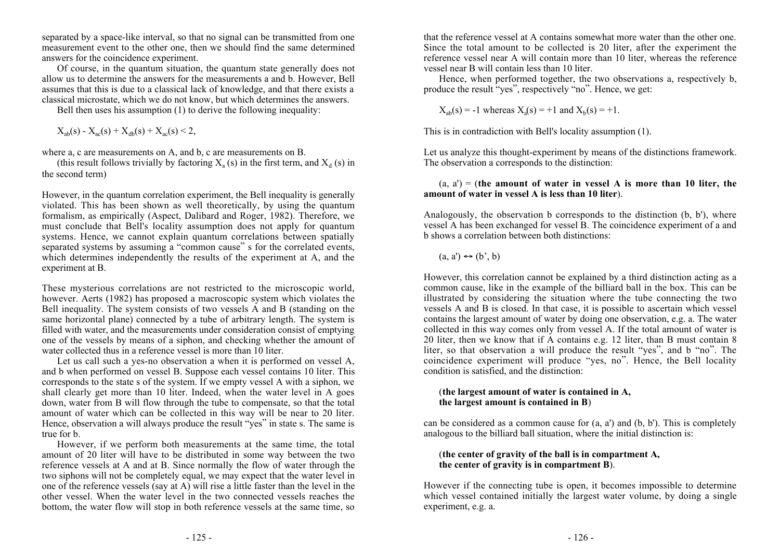separated by a space-like interval, so that no signal can be transmitted from one measurement event to the other one, then we should find the same determined answers for the coincidence experiment.

Of course, in the quantum situation, the quantum state generally does not allow us to determine the answers for the measurements a and b. However, Bell assumes that this is due to a classical lack of knowledge, and that there exists a classical microstate, which we do not know, but which determines the answers.

Bell then uses his assumption (1) to derive the following inequality:

 $X_{ab}(s) - X_{ac}(s) + X_{db}(s) + X_{ac}(s) \leq 2$ 

where a, c are measurements on A, and b, c are measurements on B.

(this result follows trivially by factoring  $X<sub>a</sub>$  (s) in the first term, and  $X<sub>d</sub>$  (s) in the second term)

However, in the quantum correlation experiment, the Bell inequality is generally violated. This has been shown as well theoretically, by using the quantum formalism, as empirically (Aspect, Dalibard and Roger, 1982). Therefore, we must conclude that Bell's locality assumption does not apply for quantum systems. Hence, we cannot explain quantum correlations between spatially separated systems by assuming a "common cause" s for the correlated events, which determines independently the results of the experiment at A, and the experiment at B.

These mysterious correlations are not restricted to the microscopic world, however. Aerts (1982) has proposed a macroscopic system which violates the Bell inequality. The system consists of two vessels A and B (standing on the same horizontal plane) connected by a tube of arbitrary length. The system is filled with water, and the measurements under consideration consist of emptying one of the vessels by means of a siphon, and checking whether the amount of water collected thus in a reference vessel is more than 10 liter.

Let us call such a yes-no observation a when it is performed on vessel A, and b when performed on vessel B. Suppose each vessel contains 10 liter. This corresponds to the state s of the system. If we empty vessel A with a siphon, we shall clearly get more than 10 liter. Indeed, when the water level in A goes down, water from B will flow through the tube to compensate, so that the total amount of water which can be collected in this way will be near to 20 liter. Hence, observation a will always produce the result "yes" in state s. The same is true for b.

However, if we perform both measurements at the same time, the total amount of 20 liter will have to be distributed in some way between the two reference vessels at A and at B. Since normally the flow of water through the two siphons will not be completely equal, we may expect that the water level in one of the reference vessels (say at A) will rise a little faster than the level in the other vessel. When the water level in the two connected vessels reaches thebottom, the water flow will stop in both reference vessels at the same time, so

that the reference vessel at A contains somewhat more water than the other one.Since the total amount to be collected is 20 liter, after the experiment the reference vessel near A will contain more than 10 liter, whereas the reference vessel near B will contain less than 10 liter.

Hence, when performed together, the two observations a, respectively b, produce the result "yes", respectively "no". Hence, we get:

 $X_{ab}(s) = -1$  whereas  $X_{a}(s) = +1$  and  $X_{b}(s) = +1$ .

This is in contradiction with Bell's locality assumption (1).

Let us analyze this thought-experiment by means of the distinctions framework. The observation a corresponds to the distinction:

(a, a') = (**the amount of water in vessel A is more than 10 liter, the amount of water in vessel A is less than 10 liter**).

Analogously, the observation b corresponds to the distinction (b, b'), where vessel A has been exchanged for vessel B. The coincidence experiment of a and b shows a correlation between both distinctions:

 $(a, a') \leftrightarrow (b', b)$ 

However, this correlation cannot be explained by a third distinction acting as a common cause, like in the example of the billiard ball in the box. This can be illustrated by considering the situation where the tube connecting the two vessels A and B is closed. In that case, it is possible to ascertain which vessel contains the largest amount of water by doing one observation, e.g. a. The water collected in this way comes only from vessel A. If the total amount of water is 20 liter, then we know that if A contains e.g. 12 liter, than B must contain 8 liter, so that observation a will produce the result "yes", and b "no". The coincidence experiment will produce "yes, no". Hence, the Bell locality condition is satisfied, and the distinction:

## (**the largest amount of water is contained in A, the largest amount is contained in B**)

can be considered as a common cause for (a, a') and (b, b'). This is completely analogous to the billiard ball situation, where the initial distinction is:

## (**the center of gravity of the ball is in compartment A, the center of gravity is in compartment B**).

However if the connecting tube is open, it becomes impossible to determine which vessel contained initially the largest water volume, by doing a single experiment, e.g. a.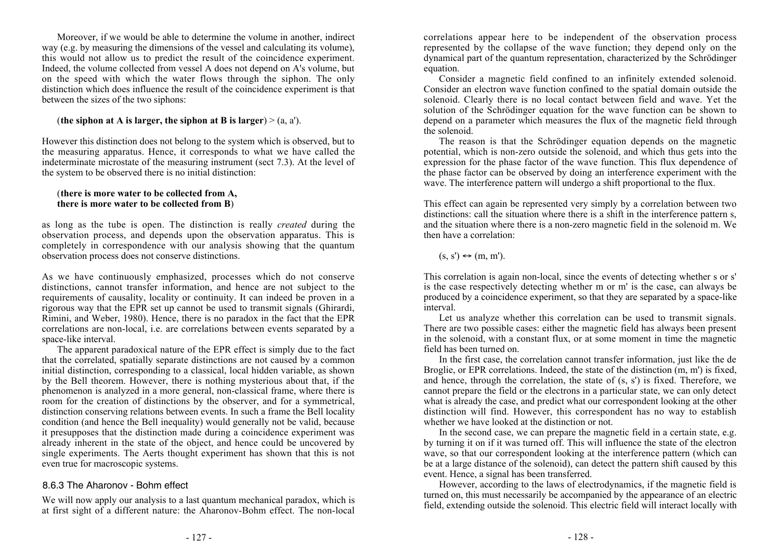Moreover, if we would be able to determine the volume in another, indirect way (e.g. by measuring the dimensions of the vessel and calculating its volume), this would not allow us to predict the result of the coincidence experiment. Indeed, the volume collected from vessel A does not depend on A's volume, but on the speed with which the water flows through the siphon. The only distinction which does influence the result of the coincidence experiment is that between the sizes of the two siphons:

## (**the siphon at A is larger, the siphon at B is larger**)  $>(a, a')$ .

However this distinction does not belong to the system which is observed, but to the measuring apparatus. Hence, it corresponds to what we have called the indeterminate microstate of the measuring instrument (sect 7.3). At the level of the system to be observed there is no initial distinction:

### (**there is more water to be collected from A, there is more water to be collected from B**)

as long as the tube is open. The distinction is really *created* during the observation process, and depends upon the observation apparatus. This is completely in correspondence with our analysis showing that the quantum observation process does not conserve distinctions.

As we have continuously emphasized, processes which do not conserve distinctions, cannot transfer information, and hence are not subject to the requirements of causality, locality or continuity. It can indeed be proven in a rigorous way that the EPR set up cannot be used to transmit signals (Ghirardi, Rimini, and Weber, 1980). Hence, there is no paradox in the fact that the EPR correlations are non-local, i.e. are correlations between events separated by a space-like interval.

The apparent paradoxical nature of the EPR effect is simply due to the fact that the correlated, spatially separate distinctions are not caused by a common initial distinction, corresponding to a classical, local hidden variable, as shown by the Bell theorem. However, there is nothing mysterious about that, if the phenomenon is analyzed in a more general, non-classical frame, where there is room for the creation of distinctions by the observer, and for a symmetrical, distinction conserving relations between events. In such a frame the Bell locality condition (and hence the Bell inequality) would generally not be valid, because it presupposes that the distinction made during a coincidence experiment was already inherent in the state of the object, and hence could be uncovered by single experiments. The Aerts thought experiment has shown that this is not even true for macroscopic systems.

## 8.6.3 The Aharonov - Bohm effect

We will now apply our analysis to a last quantum mechanical paradox, which is at first sight of a different nature: the Aharonov-Bohm effect. The non-local

correlations appear here to be independent of the observation process represented by the collapse of the wave function; they depend only on the dynamical part of the quantum representation, characterized by the Schrödinger equation.

Consider a magnetic field confined to an infinitely extended solenoid. Consider an electron wave function confined to the spatial domain outside the solenoid. Clearly there is no local contact between field and wave. Yet the solution of the Schrödinger equation for the wave function can be shown to depend on a parameter which measures the flux of the magnetic field through the solenoid.

The reason is that the Schrödinger equation depends on the magnetic potential, which is non-zero outside the solenoid, and which thus gets into the expression for the phase factor of the wave function. This flux dependence of the phase factor can be observed by doing an interference experiment with the wave. The interference pattern will undergo a shift proportional to the flux.

This effect can again be represented very simply by a correlation between two distinctions: call the situation where there is a shift in the interference pattern s, and the situation where there is a non-zero magnetic field in the solenoid m. We then have a correlation:

 $(s, s') \leftrightarrow (m, m')$ .

This correlation is again non-local, since the events of detecting whether s or s' is the case respectively detecting whether m or m' is the case, can always be produced by a coincidence experiment, so that they are separated by a space-like interval.

Let us analyze whether this correlation can be used to transmit signals. There are two possible cases: either the magnetic field has always been present in the solenoid, with a constant flux, or at some moment in time the magnetic field has been turned on.

In the first case, the correlation cannot transfer information, just like the de Broglie, or EPR correlations. Indeed, the state of the distinction (m, m') is fixed, and hence, through the correlation, the state of (s, s') is fixed. Therefore, we cannot prepare the field or the electrons in a particular state, we can only detect what is already the case, and predict what our correspondent looking at the other distinction will find. However, this correspondent has no way to establish whether we have looked at the distinction or not.

In the second case, we can prepare the magnetic field in a certain state, e.g. by turning it on if it was turned off. This will influence the state of the electron wave, so that our correspondent looking at the interference pattern (which can be at a large distance of the solenoid), can detect the pattern shift caused by this event. Hence, a signal has been transferred.

However, according to the laws of electrodynamics, if the magnetic field is turned on, this must necessarily be accompanied by the appearance of an electric field, extending outside the solenoid. This electric field will interact locally with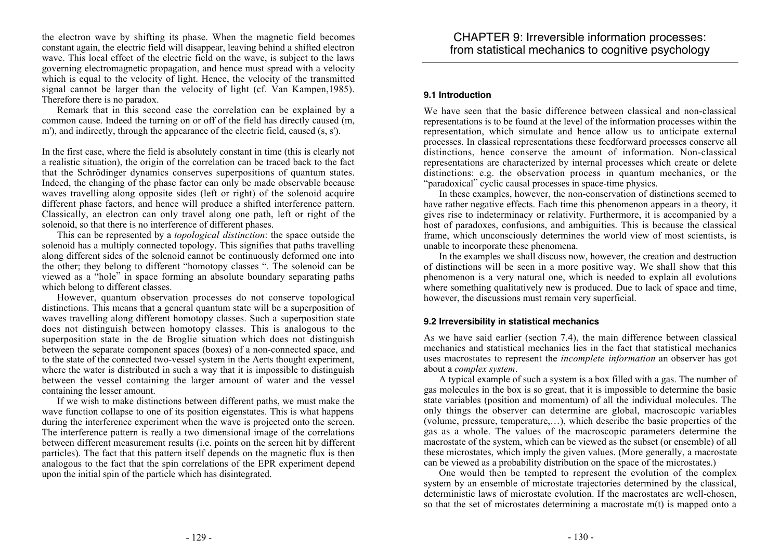the electron wave by shifting its phase. When the magnetic field becomes constant again, the electric field will disappear, leaving behind a shifted electron wave. This local effect of the electric field on the wave, is subject to the laws governing electromagnetic propagation, and hence must spread with a velocity which is equal to the velocity of light. Hence, the velocity of the transmitted signal cannot be larger than the velocity of light (cf. Van Kampen,1985). Therefore there is no paradox.

Remark that in this second case the correlation can be explained by a common cause. Indeed the turning on or off of the field has directly caused (m, <sup>m</sup>'), and indirectly, through the appearance of the electric field, caused (s, s').

In the first case, where the field is absolutely constant in time (this is clearly not a realistic situation), the origin of the correlation can be traced back to the fact that the Schrödinger dynamics conserves superpositions of quantum states. Indeed, the changing of the phase factor can only be made observable because waves travelling along opposite sides (left or right) of the solenoid acquire different phase factors, and hence will produce a shifted interference pattern. Classically, an electron can only travel along one path, left or right of the solenoid, so that there is no interference of different phases.

This can be represented by a *topological distinction*: the space outside the solenoid has a multiply connected topology. This signifies that paths travelling along different sides of the solenoid cannot be continuously deformed one into the other; they belong to different "homotopy classes ". The solenoid can be viewed as a "hole" in space forming an absolute boundary separating paths which belong to different classes.

However, quantum observation processes do not conserve topological distinctions. This means that a general quantum state will be a superposition of waves travelling along different homotopy classes. Such a superposition state does not distinguish between homotopy classes. This is analogous to the superposition state in the de Broglie situation which does not distinguish between the separate component spaces (boxes) of a non-connected space, and to the state of the connected two-vessel system in the Aerts thought experiment, where the water is distributed in such a way that it is impossible to distinguish between the vessel containing the larger amount of water and the vessel containing the lesser amount.

If we wish to make distinctions between different paths, we must make the wave function collapse to one of its position eigenstates. This is what happens during the interference experiment when the wave is projected onto the screen. The interference pattern is really a two dimensional image of the correlations between different measurement results (i.e. points on the screen hit by different particles). The fact that this pattern itself depends on the magnetic flux is then analogous to the fact that the spin correlations of the EPR experiment depend upon the initial spin of the particle which has disintegrated.

### **9.1 Introduction**

We have seen that the basic difference between classical and non-classicalrepresentations is to be found at the level of the information processes within the representation, which simulate and hence allow us to anticipate external processes. In classical representations these feedforward processes conserve all distinctions, hence conserve the amount of information. Non-classical representations are characterized by internal processes which create or delete distinctions: e.g. the observation process in quantum mechanics, or the "paradoxical" cyclic causal processes in space-time physics.

In these examples, however, the non-conservation of distinctions seemed to have rather negative effects. Each time this phenomenon appears in a theory, it gives rise to indeterminacy or relativity. Furthermore, it is accompanied by a host of paradoxes, confusions, and ambiguities. This is because the classical frame, which unconsciously determines the world view of most scientists, is unable to incorporate these phenomena.

In the examples we shall discuss now, however, the creation and destruction of distinctions will be seen in a more positive way. We shall show that this phenomenon is a very natural one, which is needed to explain all evolutions where something qualitatively new is produced. Due to lack of space and time, however, the discussions must remain very superficial.

## **9.2 Irreversibility in statistical mechanics**

As we have said earlier (section 7.4), the main difference between classical mechanics and statistical mechanics lies in the fact that statistical mechanics uses macrostates to represent the *incomplete information* an observer has got about a *complex system*.

A typical example of such a system is a box filled with a gas. The number of gas molecules in the box is so great, that it is impossible to determine the basic state variables (position and momentum) of all the individual molecules. The only things the observer can determine are global, macroscopic variables (volume, pressure, temperature,…), which describe the basic properties of the gas as a whole. The values of the macroscopic parameters determine the macrostate of the system, which can be viewed as the subset (or ensemble) of all these microstates, which imply the given values. (More generally, a macrostate can be viewed as a probability distribution on the space of the microstates.)

One would then be tempted to represent the evolution of the complex system by an ensemble of microstate trajectories determined by the classical, deterministic laws of microstate evolution. If the macrostates are well-chosen, so that the set of microstates determining a macrostate m(t) is mapped onto a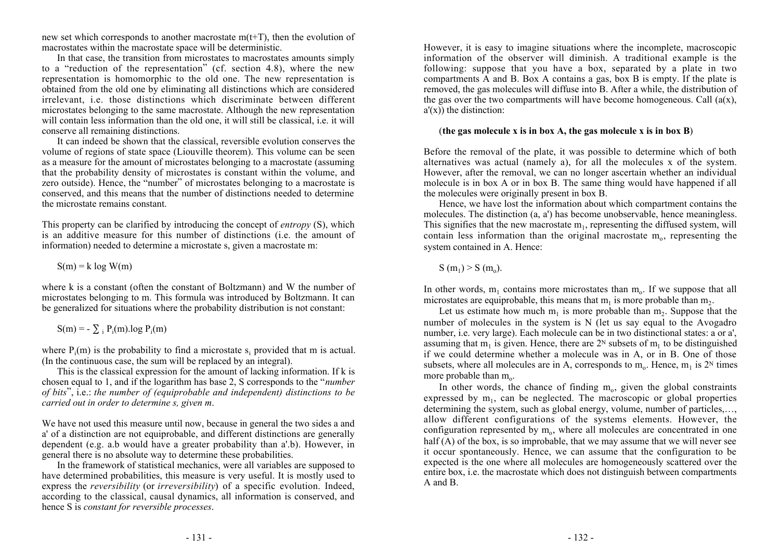new set which corresponds to another macrostate  $m(t+T)$ , then the evolution of macrostates within the macrostate space will be deterministic.

In that case, the transition from microstates to macrostates amounts simply to a "reduction of the representation" (cf. section 4.8), where the new representation is homomorphic to the old one. The new representation is obtained from the old one by eliminating all distinctions which are considered irrelevant, i.e. those distinctions which discriminate between different microstates belonging to the same macrostate. Although the new representation will contain less information than the old one, it will still be classical, *i.e.* it will conserve all remaining distinctions.

It can indeed be shown that the classical, reversible evolution conserves the volume of regions of state space (Liouville theorem). This volume can be seen as a measure for the amount of microstates belonging to a macrostate (assuming that the probability density of microstates is constant within the volume, and zero outside). Hence, the "number" of microstates belonging to a macrostate is conserved, and this means that the number of distinctions needed to determine the microstate remains constant.

This property can be clarified by introducing the concept of *entropy* (S), which is an additive measure for this number of distinctions (i.e. the amount of information) needed to determine a microstate s, given a macrostate m:

 $S(m) = k \log W(m)$ 

where k is a constant (often the constant of Boltzmann) and W the number of microstates belonging to m. This formula was introduced by Boltzmann. It can be generalized for situations where the probability distribution is not constant:

 $S(m)$  =  $-\sum_i P_i(m) \log P_i(m)$ 

where  $P_i(m)$  is the probability to find a microstate s<sub>i</sub> provided that m is actual. (In the continuous case, the sum will be replaced by an integral).

This is the classical expression for the amount of lacking information. If k is chosen equal to 1, and if the logarithm has base 2, S corresponds to the "*number of bits*", i.e.: *the number of (equiprobable and independent) distinctions to be carried out in order to determine s, given m*.

We have not used this measure until now, because in general the two sides a and <sup>a</sup>' of a distinction are not equiprobable, and different distinctions are generally dependent (e.g. a.b would have a greater probability than a'.b). However, in general there is no absolute way to determine these probabilities.

In the framework of statistical mechanics, were all variables are supposed to have determined probabilities, this measure is very useful. It is mostly used to express the *reversibility* (or *irreversibility*) of a specific evolution. Indeed, according to the classical, causal dynamics, all information is conserved, and hence S is *constant for reversible processes*.

However, it is easy to imagine situations where the incomplete, macroscopic information of the observer will diminish. A traditional example is the following: suppose that you have a box, separated by a plate in two compartments A and B. Box A contains a gas, box B is empty. If the plate is removed, the gas molecules will diffuse into B. After a while, the distribution of the gas over the two compartments will have become homogeneous. Call  $(a(x))$ ,  $a'(x)$  the distinction:

## (**the gas molecule x is in box A, the gas molecule x is in box B**)

Before the removal of the plate, it was possible to determine which of both alternatives was actual (namely a), for all the molecules x of the system. However, after the removal, we can no longer ascertain whether an individual molecule is in box A or in box B. The same thing would have happened if all the molecules were originally present in box B.

Hence, we have lost the information about which compartment contains the molecules. The distinction (a, a') has become unobservable, hence meaningless. This signifies that the new macrostate  $m_1$ , representing the diffused system, will contain less information than the original macrostate  $m<sub>o</sub>$ , representing the system contained in A. Hence:

 $S(m_1) > S(m_0)$ .

In other words,  $m_1$  contains more microstates than  $m_0$ . If we suppose that all microstates are equiprobable, this means that  $m_1$  is more probable than  $m_2$ .

Let us estimate how much  $m_1$  is more probable than  $m_2$ . Suppose that the number of molecules in the system is N (let us say equal to the Avogadro number, i.e. very large). Each molecule can be in two distinctional states: a or a', assuming that  $m_1$  is given. Hence, there are  $2^N$  subsets of  $m_1$  to be distinguished if we could determine whether a molecule was in A, or in B. One of those subsets, where all molecules are in A, corresponds to  $m_0$ . Hence,  $m_1$  is  $2^N$  times more probable than  $m_{\text{o}}$ .

In other words, the chance of finding  $m<sub>o</sub>$ , given the global constraints expressed by  $m_1$ , can be neglected. The macroscopic or global properties determining the system, such as global energy, volume, number of particles,…, allow different configurations of the systems elements. However, the configuration represented by  $m<sub>o</sub>$ , where all molecules are concentrated in one half (A) of the box, is so improbable, that we may assume that we will never see it occur spontaneously. Hence, we can assume that the configuration to be expected is the one where all molecules are homogeneously scattered over the entire box, i.e. the macrostate which does not distinguish between compartments A and B.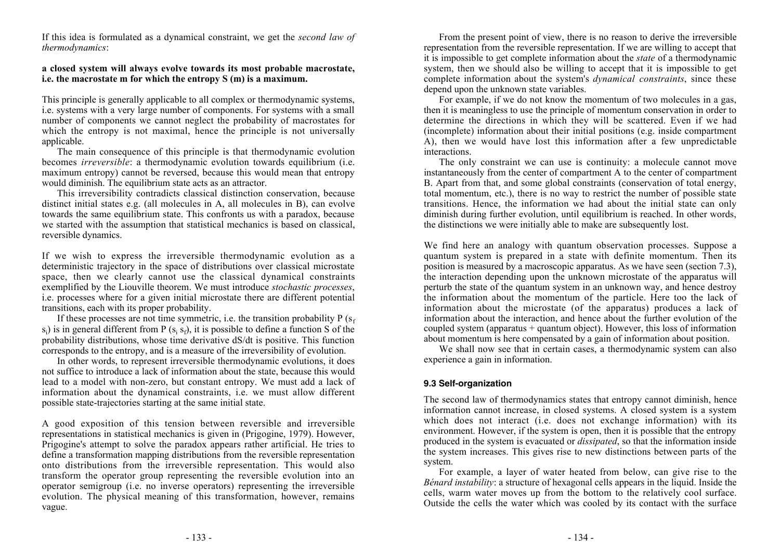If this idea is formulated as a dynamical constraint, we get the *second law of thermodynamics*:

### **a closed system will always evolve towards its most probable macrostate, i.e. the macrostate m for which the entropy S (m) is a maximum.**

This principle is generally applicable to all complex or thermodynamic systems, i.e. systems with a very large number of components. For systems with a small number of components we cannot neglect the probability of macrostates for which the entropy is not maximal, hence the principle is not universally applicable.

The main consequence of this principle is that thermodynamic evolution becomes *irreversible*: a thermodynamic evolution towards equilibrium (i.e. maximum entropy) cannot be reversed, because this would mean that entropy would diminish. The equilibrium state acts as an attractor.

This irreversibility contradicts classical distinction conservation, because distinct initial states e.g. (all molecules in A, all molecules in B), can evolve towards the same equilibrium state. This confronts us with a paradox, because we started with the assumption that statistical mechanics is based on classical, reversible dynamics.

If we wish to express the irreversible thermodynamic evolution as a deterministic trajectory in the space of distributions over classical microstate space, then we clearly cannot use the classical dynamical constraints exemplified by the Liouville theorem. We must introduce *stochastic processes*, i.e. processes where for a given initial microstate there are different potential transitions, each with its proper probability.

If these processes are not time symmetric, i.e. the transition probability P ( $s_f$ )  $s_i$ ) is in general different from P ( $s_i$   $s_f$ ), it is possible to define a function S of the probability distributions, whose time derivative dS/dt is positive. This function corresponds to the entropy, and is a measure of the irreversibility of evolution.

In other words, to represent irreversible thermodynamic evolutions, it does not suffice to introduce a lack of information about the state, because this would lead to a model with non-zero, but constant entropy. We must add a lack of information about the dynamical constraints, i.e. we must allow different possible state-trajectories starting at the same initial state.

A good exposition of this tension between reversible and irreversible representations in statistical mechanics is given in (Prigogine, 1979). However, Prigogine's attempt to solve the paradox appears rather artificial. He tries to define a transformation mapping distributions from the reversible representation onto distributions from the irreversible representation. This would also transform the operator group representing the reversible evolution into an operator semigroup (i.e. no inverse operators) representing the irreversible evolution. The physical meaning of this transformation, however, remains vague.

From the present point of view, there is no reason to derive the irreversible representation from the reversible representation. If we are willing to accept that it is impossible to get complete information about the *state* of a thermodynamic system, then we should also be willing to accept that it is impossible to get complete information about the system's *dynamical constraints*, since these depend upon the unknown state variables.

For example, if we do not know the momentum of two molecules in a gas, then it is meaningless to use the principle of momentum conservation in order to determine the directions in which they will be scattered. Even if we had (incomplete) information about their initial positions (e.g. inside compartment A), then we would have lost this information after a few unpredictable interactions.

The only constraint we can use is continuity: a molecule cannot move instantaneously from the center of compartment A to the center of compartment B. Apart from that, and some global constraints (conservation of total energy, total momentum, etc.), there is no way to restrict the number of possible state transitions. Hence, the information we had about the initial state can only diminish during further evolution, until equilibrium is reached. In other words, the distinctions we were initially able to make are subsequently lost.

We find here an analogy with quantum observation processes. Suppose a quantum system is prepared in a state with definite momentum. Then its position is measured by a macroscopic apparatus. As we have seen (section 7.3), the interaction depending upon the unknown microstate of the apparatus will perturb the state of the quantum system in an unknown way, and hence destroy the information about the momentum of the particle. Here too the lack of information about the microstate (of the apparatus) produces a lack of information about the interaction, and hence about the further evolution of the coupled system (apparatus + quantum object). However, this loss of information about momentum is here compensated by a gain of information about position.

We shall now see that in certain cases, a thermodynamic system can also experience a gain in information.

## **9.3 Self-organization**

The second law of thermodynamics states that entropy cannot diminish, hence information cannot increase, in closed systems. A closed system is a system which does not interact (i.e. does not exchange information) with its environment. However, if the system is open, then it is possible that the entropy produced in the system is evacuated or *dissipated*, so that the information inside the system increases. This gives rise to new distinctions between parts of the system.

For example, a layer of water heated from below, can give rise to the *Bénard instability*: a structure of hexagonal cells appears in the liquid. Inside the cells, warm water moves up from the bottom to the relatively cool surface. Outside the cells the water which was cooled by its contact with the surface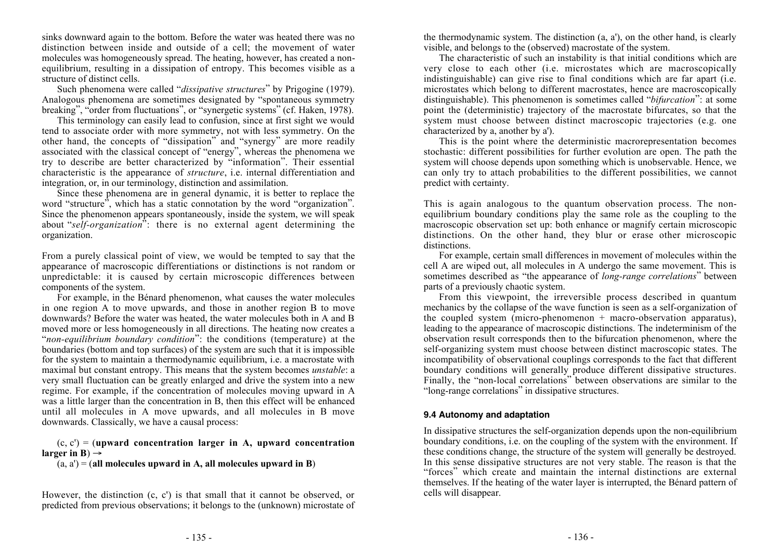sinks downward again to the bottom. Before the water was heated there was no distinction between inside and outside of a cell; the movement of water molecules was homogeneously spread. The heating, however, has created a nonequilibrium, resulting in a dissipation of entropy. This becomes visible as a structure of distinct cells.

Such phenomena were called "*dissipative structures*" by Prigogine (1979). Analogous phenomena are sometimes designated by "spontaneous symmetry breaking", "order from fluctuations", or "synergetic systems" (cf. Haken, 1978).

This terminology can easily lead to confusion, since at first sight we would tend to associate order with more symmetry, not with less symmetry. On the other hand, the concepts of "dissipation" and "synergy" are more readily associated with the classical concept of "energy", whereas the phenomena we try to describe are better characterized by "information". Their essential characteristic is the appearance of *structure*, i.e. internal differentiation and integration, or, in our terminology, distinction and assimilation.

Since these phenomena are in general dynamic, it is better to replace the word "structure", which has a static connotation by the word "organization". Since the phenomenon appears spontaneously, inside the system, we will speak about "*self-organization*": there is no external agent determining the organization.

From a purely classical point of view, we would be tempted to say that the appearance of macroscopic differentiations or distinctions is not random or unpredictable: it is caused by certain microscopic differences between components of the system.

For example, in the Bénard phenomenon, what causes the water molecules in one region A to move upwards, and those in another region B to move downwards? Before the water was heated, the water molecules both in A and B moved more or less homogeneously in all directions. The heating now creates a "*non-equilibrium boundary condition*": the conditions (temperature) at the boundaries (bottom and top surfaces) of the system are such that it is impossible for the system to maintain a thermodynamic equilibrium, i.e. a macrostate with maximal but constant entropy. This means that the system becomes *unstable*: a very small fluctuation can be greatly enlarged and drive the system into a new regime. For example, if the concentration of molecules moving upward in A was a little larger than the concentration in B, then this effect will be enhanced until all molecules in A move upwards, and all molecules in B move downwards. Classically, we have a causal process:

## (c, c') = (**upward concentration larger in A, upward concentration larger in B**)  $\rightarrow$

(a, a') = (**all molecules upward in A, all molecules upward in B**)

However, the distinction (c, c') is that small that it cannot be observed, or predicted from previous observations; it belongs to the (unknown) microstate of the thermodynamic system. The distinction (a, a'), on the other hand, is clearly visible, and belongs to the (observed) macrostate of the system.

The characteristic of such an instability is that initial conditions which are very close to each other (i.e. microstates which are macroscopically indistinguishable) can give rise to final conditions which are far apart (i.e. microstates which belong to different macrostates, hence are macroscopically distinguishable). This phenomenon is sometimes called "*bifurcation*": at some point the (deterministic) trajectory of the macrostate bifurcates, so that the system must choose between distinct macroscopic trajectories (e.g. one characterized by a, another by a').

This is the point where the deterministic macrorepresentation becomes stochastic: different possibilities for further evolution are open. The path the system will choose depends upon something which is unobservable. Hence, we can only try to attach probabilities to the different possibilities, we cannot predict with certainty.

This is again analogous to the quantum observation process. The nonequilibrium boundary conditions play the same role as the coupling to the macroscopic observation set up: both enhance or magnify certain microscopic distinctions. On the other hand, they blur or erase other microscopic distinctions.

For example, certain small differences in movement of molecules within the cell A are wiped out, all molecules in A undergo the same movement. This is sometimes described as "the appearance of *long-range correlations*" between parts of a previously chaotic system.

From this viewpoint, the irreversible process described in quantum mechanics by the collapse of the wave function is seen as a self-organization of the coupled system (micro-phenomenon + macro-observation apparatus), leading to the appearance of macroscopic distinctions. The indeterminism of the observation result corresponds then to the bifurcation phenomenon, where the self-organizing system must choose between distinct macroscopic states. The incompatibility of observational couplings corresponds to the fact that different boundary conditions will generally produce different dissipative structures. Finally, the "non-local correlations" between observations are similar to the "long-range correlations" in dissipative structures.

## **9.4 Autonomy and adaptation**

In dissipative structures the self-organization depends upon the non-equilibrium boundary conditions, i.e. on the coupling of the system with the environment. If these conditions change, the structure of the system will generally be destroyed. In this sense dissipative structures are not very stable. The reason is that the "forces" which create and maintain the internal distinctions are externalthemselves. If the heating of the water layer is interrupted, the Bénard pattern of cells will disappear.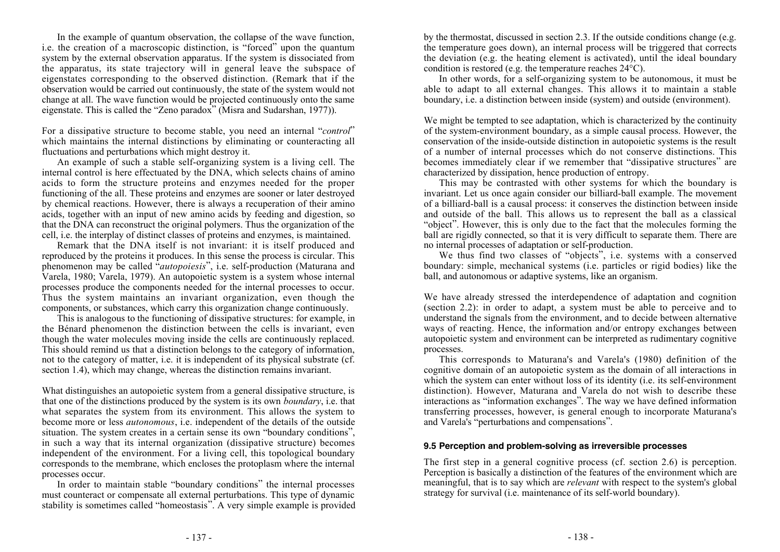In the example of quantum observation, the collapse of the wave function, i.e. the creation of a macroscopic distinction, is "forced" upon the quantum system by the external observation apparatus. If the system is dissociated from the apparatus, its state trajectory will in general leave the subspace of eigenstates corresponding to the observed distinction. (Remark that if the observation would be carried out continuously, the state of the system would not change at all. The wave function would be projected continuously onto the same eigenstate. This is called the "Zeno paradox" (Misra and Sudarshan, 1977)).

For a dissipative structure to become stable, you need an internal "*control*" which maintains the internal distinctions by eliminating or counteracting all fluctuations and perturbations which might destroy it.

An example of such a stable self-organizing system is a living cell. The internal control is here effectuated by the DNA, which selects chains of amino acids to form the structure proteins and enzymes needed for the proper functioning of the all. These proteins and enzymes are sooner or later destroyed by chemical reactions. However, there is always a recuperation of their amino acids, together with an input of new amino acids by feeding and digestion, so that the DNA can reconstruct the original polymers. Thus the organization of the cell, i.e. the interplay of distinct classes of proteins and enzymes, is maintained.

Remark that the DNA itself is not invariant: it is itself produced and reproduced by the proteins it produces. In this sense the process is circular. This <sup>p</sup>henomenon may be called "*autopoiesis*", i.e. self-production (Maturana and Varela, 1980; Varela, 1979). An autopoietic system is a system whose internal processes produce the components needed for the internal processes to occur. Thus the system maintains an invariant organization, even though the components, or substances, which carry this organization change continuously.

This is analogous to the functioning of dissipative structures: for example, in the Bénard phenomenon the distinction between the cells is invariant, even though the water molecules moving inside the cells are continuously replaced. This should remind us that a distinction belongs to the category of information, not to the category of matter, i.e. it is independent of its physical substrate (cf. section 1.4), which may change, whereas the distinction remains invariant.

What distinguishes an autopoietic system from a general dissipative structure, is that one of the distinctions produced by the system is its own *boundary*, i.e. that what separates the system from its environment. This allows the system to become more or less *autonomous*, i.e. independent of the details of the outside situation. The system creates in a certain sense its own "boundary conditions", in such a way that its internal organization (dissipative structure) becomes independent of the environment. For a living cell, this topological boundary corresponds to the membrane, which encloses the protoplasm where the internal processes occur.

In order to maintain stable "boundary conditions" the internal processes must counteract or compensate all external perturbations. This type of dynamic stability is sometimes called "homeostasis". A very simple example is provided

by the thermostat, discussed in section 2.3. If the outside conditions change (e.g. the temperature goes down), an internal process will be triggered that corrects the deviation (e.g. the heating element is activated), until the ideal boundary condition is restored (e.g. the temperature reaches 24°C).

In other words, for a self-organizing system to be autonomous, it must be able to adapt to all external changes. This allows it to maintain a stable boundary, i.e. a distinction between inside (system) and outside (environment).

We might be tempted to see adaptation, which is characterized by the continuity of the system-environment boundary, as a simple causal process. However, the conservation of the inside-outside distinction in autopoietic systems is the result of a number of internal processes which do not conserve distinctions. This becomes immediately clear if we remember that "dissipative structures" are characterized by dissipation, hence production of entropy.

This may be contrasted with other systems for which the boundary is invariant. Let us once again consider our billiard-ball example. The movement of a billiard-ball is a causal process: it conserves the distinction between inside and outside of the ball. This allows us to represent the ball as a classical "object". However, this is only due to the fact that the molecules forming the ball are rigidly connected, so that it is very difficult to separate them. There are no internal processes of adaptation or self-production.

We thus find two classes of "objects", i.e. systems with a conserved boundary: simple, mechanical systems (i.e. particles or rigid bodies) like the ball, and autonomous or adaptive systems, like an organism.

We have already stressed the interdependence of adaptation and cognition (section 2.2): in order to adapt, a system must be able to perceive and to understand the signals from the environment, and to decide between alternative ways of reacting. Hence, the information and/or entropy exchanges between autopoietic system and environment can be interpreted as rudimentary cognitive processes.

This corresponds to Maturana's and Varela's (1980) definition of the cognitive domain of an autopoietic system as the domain of all interactions in which the system can enter without loss of its identity (i.e. its self-environment distinction). However, Maturana and Varela do not wish to describe these interactions as "information exchanges". The way we have defined information transferring processes, however, is general enough to incorporate Maturana's and Varela's "perturbations and compensations".

## **9.5 Perception and problem-solving as irreversible processes**

The first step in a general cognitive process (cf. section 2.6) is perception. Perception is basically a distinction of the features of the environment which are meaningful, that is to say which are *relevant* with respect to the system's global strategy for survival (i.e. maintenance of its self-world boundary).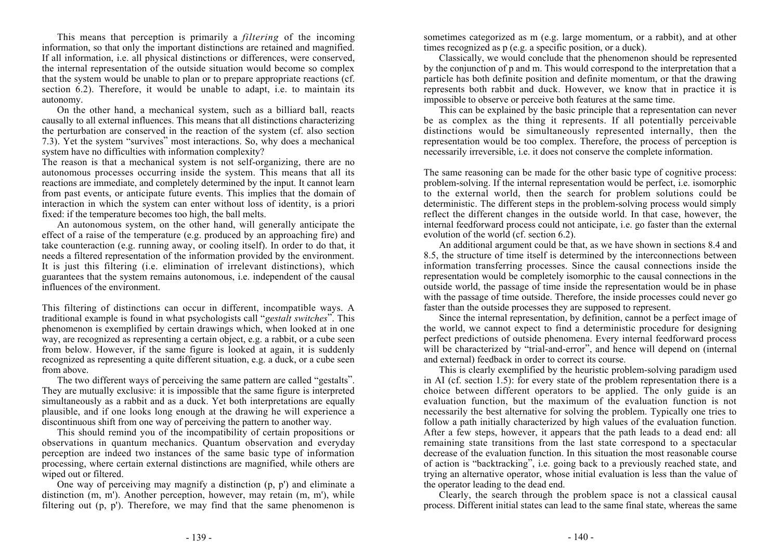This means that perception is primarily a *filtering* of the incoming information, so that only the important distinctions are retained and magnified. If all information, i.e. all physical distinctions or differences, were conserved, the internal representation of the outside situation would become so complex that the system would be unable to plan or to prepare appropriate reactions (cf. section 6.2). Therefore, it would be unable to adapt, i.e. to maintain its autonomy.

On the other hand, a mechanical system, such as a billiard ball, reacts causally to all external influences. This means that all distinctions characterizing the perturbation are conserved in the reaction of the system (cf. also section 7.3). Yet the system "survives" most interactions. So, why does a mechanical system have no difficulties with information complexity?

The reason is that a mechanical system is not self-organizing, there are no autonomous processes occurring inside the system. This means that all its reactions are immediate, and completely determined by the input. It cannot learn from past events, or anticipate future events. This implies that the domain of interaction in which the system can enter without loss of identity, is a priori fixed: if the temperature becomes too high, the ball melts.

An autonomous system, on the other hand, will generally anticipate the effect of a raise of the temperature (e.g. produced by an approaching fire) and take counteraction (e.g. running away, or cooling itself). In order to do that, it needs a filtered representation of the information provided by the environment. It is just this filtering (i.e. elimination of irrelevant distinctions), which guarantees that the system remains autonomous, i.e. independent of the causal influences of the environment.

This filtering of distinctions can occur in different, incompatible ways. A traditional example is found in what psychologists call "*gestalt switches*". This phenomenon is exemplified by certain drawings which, when looked at in one way, are recognized as representing a certain object, e.g. a rabbit, or a cube seen from below. However, if the same figure is looked at again, it is suddenly recognized as representing a quite different situation, e.g. a duck, or a cube seen from above.

The two different ways of perceiving the same pattern are called "gestalts". They are mutually exclusive: it is impossible that the same figure is interpreted simultaneously as a rabbit and as a duck. Yet both interpretations are equally plausible, and if one looks long enough at the drawing he will experience a discontinuous shift from one way of perceiving the pattern to another way.

This should remind you of the incompatibility of certain propositions or observations in quantum mechanics. Quantum observation and everyday perception are indeed two instances of the same basic type of information processing, where certain external distinctions are magnified, while others are wiped out or filtered.

One way of perceiving may magnify a distinction (p, p') and eliminate a distinction (m, m'). Another perception, however, may retain (m, m'), while filtering out (p, p'). Therefore, we may find that the same phenomenon is

sometimes categorized as m (e.g. large momentum, or a rabbit), and at other times recognized as p (e.g. a specific position, or a duck).

Classically, we would conclude that the phenomenon should be represented by the conjunction of p and m. This would correspond to the interpretation that a particle has both definite position and definite momentum, or that the drawing represents both rabbit and duck. However, we know that in practice it is impossible to observe or perceive both features at the same time.

This can be explained by the basic principle that a representation can never be as complex as the thing it represents. If all potentially perceivable distinctions would be simultaneously represented internally, then the representation would be too complex. Therefore, the process of perception is necessarily irreversible, i.e. it does not conserve the complete information.

The same reasoning can be made for the other basic type of cognitive process: problem-solving. If the internal representation would be perfect, i.e. isomorphic to the external world, then the search for problem solutions could be deterministic. The different steps in the problem-solving process would simply reflect the different changes in the outside world. In that case, however, the internal feedforward process could not anticipate, i.e. go faster than the external evolution of the world (cf. section 6.2).

An additional argument could be that, as we have shown in sections 8.4 and 8.5, the structure of time itself is determined by the interconnections between information transferring processes. Since the causal connections inside the representation would be completely isomorphic to the causal connections in the outside world, the passage of time inside the representation would be in phase with the passage of time outside. Therefore, the inside processes could never go faster than the outside processes they are supposed to represent.

Since the internal representation, by definition, cannot be a perfect image of the world, we cannot expect to find a deterministic procedure for designing perfect predictions of outside phenomena. Every internal feedforward process will be characterized by "trial-and-error", and hence will depend on (internal and external) feedback in order to correct its course.

This is clearly exemplified by the heuristic problem-solving paradigm used in AI (cf. section 1.5): for every state of the problem representation there is a choice between different operators to be applied. The only guide is an evaluation function, but the maximum of the evaluation function is not necessarily the best alternative for solving the problem. Typically one tries to follow a path initially characterized by high values of the evaluation function. After a few steps, however, it appears that the path leads to a dead end: all remaining state transitions from the last state correspond to a spectacular decrease of the evaluation function. In this situation the most reasonable courseof action is "backtracking", i.e. going back to a previously reached state, and trying an alternative operator, whose initial evaluation is less than the value of the operator leading to the dead end.

Clearly, the search through the problem space is not a classical causal process. Different initial states can lead to the same final state, whereas the same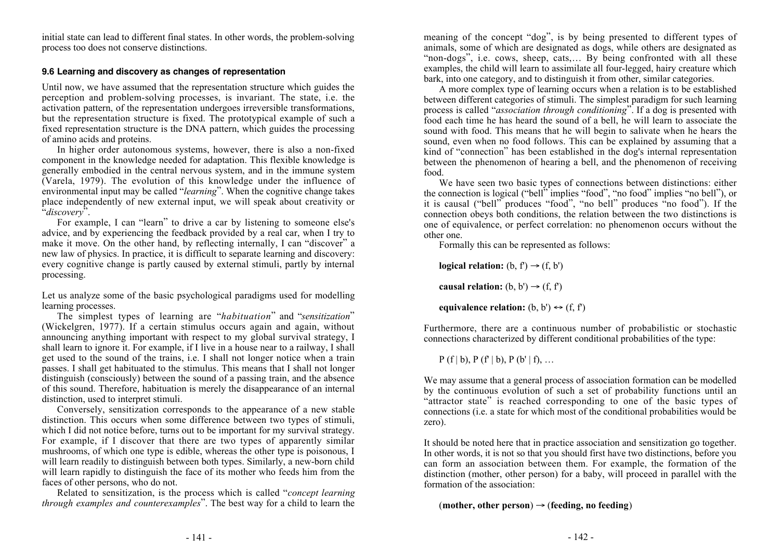initial state can lead to different final states. In other words, the problem-solving process too does not conserve distinctions.

#### **9.6 Learning and discovery as changes of representation**

Until now, we have assumed that the representation structure which guides the perception and problem-solving processes, is invariant. The state, i.e. the activation pattern, of the representation undergoes irreversible transformations, but the representation structure is fixed. The prototypical example of such a fixed representation structure is the DNA pattern, which guides the processing of amino acids and proteins.

In higher order autonomous systems, however, there is also a non-fixed component in the knowledge needed for adaptation. This flexible knowledge is generally embodied in the central nervous system, and in the immune system (Varela, 1979). The evolution of this knowledge under the influence of environmental input may be called "*learning*". When the cognitive change takes place independently of new external input, we will speak about creativity or "*discovery*".

For example, I can "learn" to drive a car by listening to someone else's advice, and by experiencing the feedback provided by a real car, when I try to make it move. On the other hand, by reflecting internally, I can "discover" a new law of physics. In practice, it is difficult to separate learning and discovery: every cognitive change is partly caused by external stimuli, partly by internal processing.

Let us analyze some of the basic psychological paradigms used for modelling learning processes.

The simplest types of learning are "*habituation*" and "*sensitization*" (Wickelgren, 1977). If a certain stimulus occurs again and again, without announcing anything important with respect to my global survival strategy, I shall learn to ignore it. For example, if I live in a house near to a railway, I shall get used to the sound of the trains, i.e. I shall not longer notice when a train passes. I shall get habituated to the stimulus. This means that I shall not longer distinguish (consciously) between the sound of a passing train, and the absence of this sound. Therefore, habituation is merely the disappearance of an internal distinction, used to interpret stimuli.

Conversely, sensitization corresponds to the appearance of a new stable distinction. This occurs when some difference between two types of stimuli, which I did not notice before, turns out to be important for my survival strategy. For example, if I discover that there are two types of apparently similar mushrooms, of which one type is edible, whereas the other type is poisonous, I will learn readily to distinguish between both types. Similarly, a new-born child will learn rapidly to distinguish the face of its mother who feeds him from the faces of other persons, who do not.

Related to sensitization, is the process which is called "*concept learning through examples and counterexamples*". The best way for a child to learn the meaning of the concept "dog", is by being presented to different types of animals, some of which are designated as dogs, while others are designated as "non-dogs", i.e. cows, sheep, cats,… By being confronted with all these examples, the child will learn to assimilate all four-legged, hairy creature which bark, into one category, and to distinguish it from other, similar categories.

A more complex type of learning occurs when a relation is to be established between different categories of stimuli. The simplest paradigm for such learning process is called "*association through conditioning*". If a dog is presented with food each time he has heard the sound of a bell, he will learn to associate the sound with food. This means that he will begin to salivate when he hears the sound, even when no food follows. This can be explained by assuming that a kind of "connection" has been established in the dog's internal representation between the phenomenon of hearing a bell, and the phenomenon of receiving food.

We have seen two basic types of connections between distinctions: either the connection is logical ("bell" implies "food", "no food" implies "no bell"), or it is causal ("bell" produces "food", "no bell" produces "no food"). If the connection obeys both conditions, the relation between the two distinctions is one of equivalence, or perfect correlation: no phenomenon occurs without the other one.

Formally this can be represented as follows:

**logical relation:** (b, f)  $\rightarrow$  (f, b')

**causal relation:** (b, b')  $\rightarrow$  (f, f')

**equivalence relation:** (b, b')  $\leftrightarrow$  (f, f')

Furthermore, there are a continuous number of probabilistic or stochastic connections characterized by different conditional probabilities of the type:

 $P(f | b), P(f' | b), P(b' | f), ...$ 

We may assume that a general process of association formation can be modelled by the continuous evolution of such a set of probability functions until an "attractor state" is reached corresponding to one of the basic types of connections (i.e. a state for which most of the conditional probabilities would be zero).

It should be noted here that in practice association and sensitization go together. In other words, it is not so that you should first have two distinctions, before you can form an association between them. For example, the formation of the distinction (mother, other person) for a baby, will proceed in parallel with the formation of the association:

```
(mother, other person) \rightarrow (feedback, no feeding)
```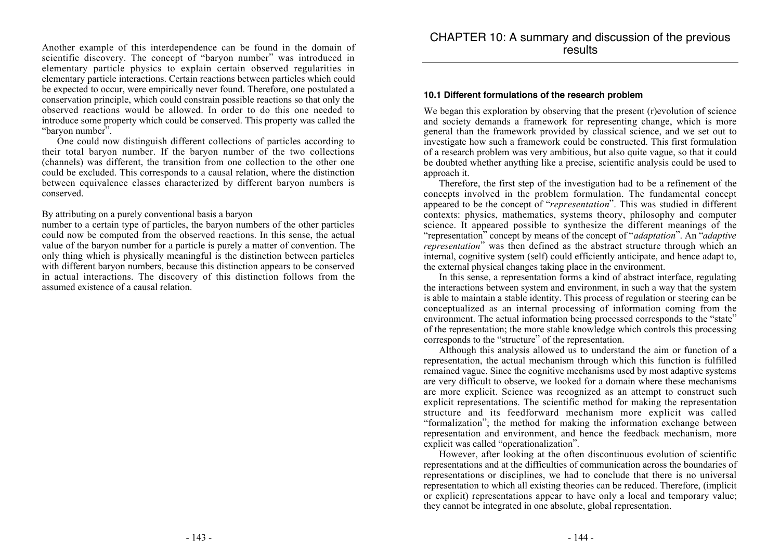Another example of this interdependence can be found in the domain of scientific discovery. The concept of "baryon number" was introduced in elementary particle physics to explain certain observed regularities in elementary particle interactions. Certain reactions between particles which could be expected to occur, were empirically never found. Therefore, one postulated a conservation principle, which could constrain possible reactions so that only the observed reactions would be allowed. In order to do this one needed to introduce some property which could be conserved. This property was called the "baryon number".

One could now distinguish different collections of particles according to their total baryon number. If the baryon number of the two collections (channels) was different, the transition from one collection to the other one could be excluded. This corresponds to a causal relation, where the distinction between equivalence classes characterized by different baryon numbers is conserved.

By attributing on a purely conventional basis a baryon

number to a certain type of particles, the baryon numbers of the other particles could now be computed from the observed reactions. In this sense, the actual value of the baryon number for a particle is purely a matter of convention. The only thing which is physically meaningful is the distinction between particles with different baryon numbers, because this distinction appears to be conserved in actual interactions. The discovery of this distinction follows from the assumed existence of a causal relation.

#### **10.1 Different formulations of the research problem**

We began this exploration by observing that the present (r)evolution of science and society demands a framework for representing change, which is more general than the framework provided by classical science, and we set out to investigate how such a framework could be constructed. This first formulation of a research problem was very ambitious, but also quite vague, so that it could be doubted whether anything like a precise, scientific analysis could be used to approach it.

Therefore, the first step of the investigation had to be a refinement of the concepts involved in the problem formulation. The fundamental concept appeared to be the concept of "*representation*". This was studied in different contexts: physics, mathematics, systems theory, philosophy and computer science. It appeared possible to synthesize the different meanings of the "representation" concept by means of the concept of "*adaptation*". An "*adaptive representation*" was then defined as the abstract structure through which an internal, cognitive system (self) could efficiently anticipate, and hence adapt to, the external physical changes taking place in the environment.

In this sense, a representation forms a kind of abstract interface, regulating the interactions between system and environment, in such a way that the system is able to maintain a stable identity. This process of regulation or steering can be conceptualized as an internal processing of information coming from the environment. The actual information being processed corresponds to the "state" of the representation; the more stable knowledge which controls this processing corresponds to the "structure" of the representation.

Although this analysis allowed us to understand the aim or function of a representation, the actual mechanism through which this function is fulfilled remained vague. Since the cognitive mechanisms used by most adaptive systems are very difficult to observe, we looked for a domain where these mechanisms are more explicit. Science was recognized as an attempt to construct such explicit representations. The scientific method for making the representation structure and its feedforward mechanism more explicit was called "formalization"; the method for making the information exchange between representation and environment, and hence the feedback mechanism, more explicit was called "operationalization".

However, after looking at the often discontinuous evolution of scientific representations and at the difficulties of communication across the boundaries of representations or disciplines, we had to conclude that there is no universal representation to which all existing theories can be reduced. Therefore, (implicit or explicit) representations appear to have only a local and temporary value; they cannot be integrated in one absolute, global representation.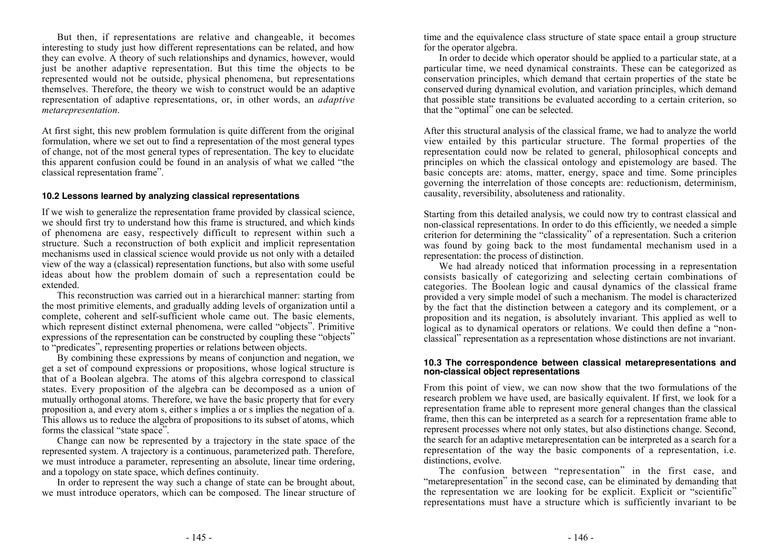But then, if representations are relative and changeable, it becomes interesting to study just how different representations can be related, and how they can evolve. A theory of such relationships and dynamics, however, would just be another adaptive representation. But this time the objects to be represented would not be outside, physical phenomena, but representations themselves. Therefore, the theory we wish to construct would be an adaptive representation of adaptive representations, or, in other words, an *adaptive metarepresentation*.

At first sight, this new problem formulation is quite different from the original formulation, where we set out to find a representation of the most general types of change, not of the most general types of representation. The key to elucidate this apparent confusion could be found in an analysis of what we called "the classical representation frame".

#### **10.2 Lessons learned by analyzing classical representations**

If we wish to generalize the representation frame provided by classical science, we should first try to understand how this frame is structured, and which kinds of phenomena are easy, respectively difficult to represent within such a structure. Such a reconstruction of both explicit and implicit representation mechanisms used in classical science would provide us not only with a detailed view of the way a (classical) representation functions, but also with some useful ideas about how the problem domain of such a representation could be extended.

This reconstruction was carried out in a hierarchical manner: starting from the most primitive elements, and gradually adding levels of organization until a complete, coherent and self-sufficient whole came out. The basic elements, which represent distinct external phenomena, were called "objects". Primitive expressions of the representation can be constructed by coupling these "objects" to "predicates", representing properties or relations between objects.

By combining these expressions by means of conjunction and negation, we get a set of compound expressions or propositions, whose logical structure is that of a Boolean algebra. The atoms of this algebra correspond to classical states. Every proposition of the algebra can be decomposed as a union of mutually orthogonal atoms. Therefore, we have the basic property that for every proposition a, and every atom s, either s implies a or s implies the negation of a. This allows us to reduce the algebra of propositions to its subset of atoms, which forms the classical "state space".

Change can now be represented by a trajectory in the state space of the represented system. A trajectory is a continuous, parameterized path. Therefore, we must introduce a parameter, representing an absolute, linear time ordering, and a topology on state space, which defines continuity.

In order to represent the way such a change of state can be brought about, we must introduce operators, which can be composed. The linear structure of

time and the equivalence class structure of state space entail a group structure for the operator algebra.

In order to decide which operator should be applied to a particular state, at a particular time, we need dynamical constraints. These can be categorized as conservation principles, which demand that certain properties of the state be conserved during dynamical evolution, and variation principles, which demand that possible state transitions be evaluated according to a certain criterion, so that the "optimal" one can be selected.

After this structural analysis of the classical frame, we had to analyze the world view entailed by this particular structure. The formal properties of the representation could now be related to general, philosophical concepts and principles on which the classical ontology and epistemology are based. The basic concepts are: atoms, matter, energy, space and time. Some principles governing the interrelation of those concepts are: reductionism, determinism, causality, reversibility, absoluteness and rationality.

Starting from this detailed analysis, we could now try to contrast classical and non-classical representations. In order to do this efficiently, we needed a simple criterion for determining the "classicality" of a representation. Such a criterion was found by going back to the most fundamental mechanism used in a representation: the process of distinction.

We had already noticed that information processing in a representation consists basically of categorizing and selecting certain combinations of categories. The Boolean logic and causal dynamics of the classical frame provided a very simple model of such a mechanism. The model is characterized by the fact that the distinction between a category and its complement, or a proposition and its negation, is absolutely invariant. This applied as well to logical as to dynamical operators or relations. We could then define a "nonclassical" representation as a representation whose distinctions are not invariant.

#### **10.3 The correspondence between classical metarepresentations and non-classical object representations**

From this point of view, we can now show that the two formulations of the research problem we have used, are basically equivalent. If first, we look for a representation frame able to represent more general changes than the classical frame, then this can be interpreted as a search for a representation frame able to represent processes where not only states, but also distinctions change. Second, the search for an adaptive metarepresentation can be interpreted as a search for a representation of the way the basic components of a representation, i.e. distinctions, evolve.

The confusion between "representation" in the first case, and "metarepresentation" in the second case, can be eliminated by demanding that the representation we are looking for be explicit. Explicit or "scientific" representations must have a structure which is sufficiently invariant to be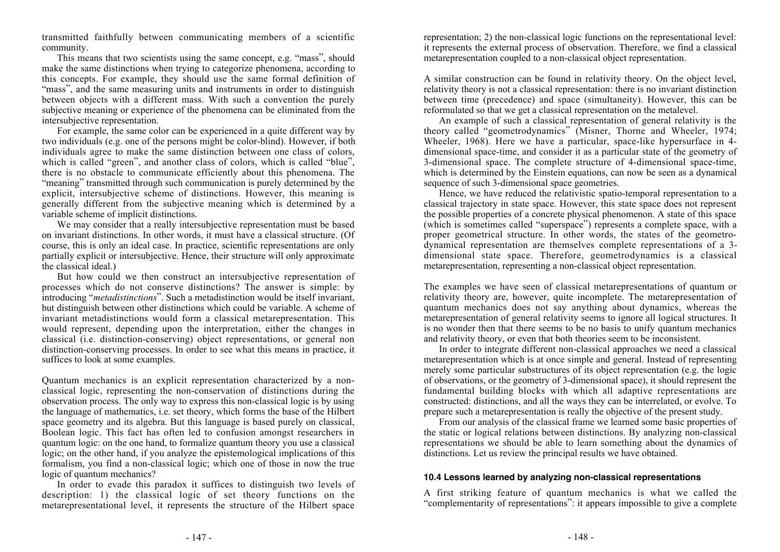transmitted faithfully between communicating members of a scientific community.

This means that two scientists using the same concept, e.g. "mass", should make the same distinctions when trying to categorize phenomena, according to this concepts. For example, they should use the same formal definition of "mass", and the same measuring units and instruments in order to distinguish between objects with a different mass. With such a convention the purely subjective meaning or experience of the phenomena can be eliminated from the intersubjective representation.

For example, the same color can be experienced in a quite different way by two individuals (e.g. one of the persons might be color-blind). However, if both individuals agree to make the same distinction between one class of colors, which is called "green", and another class of colors, which is called "blue", there is no obstacle to communicate efficiently about this phenomena. The "meaning" transmitted through such communication is purely determined by the explicit, intersubjective scheme of distinctions. However, this meaning is generally different from the subjective meaning which is determined by a variable scheme of implicit distinctions.

We may consider that a really intersubjective representation must be based on invariant distinctions. In other words, it must have a classical structure. (Of course, this is only an ideal case. In practice, scientific representations are only partially explicit or intersubjective. Hence, their structure will only approximate the classical ideal.)

But how could we then construct an intersubjective representation of processes which do not conserve distinctions? The answer is simple: by introducing "*metadistinctions*". Such a metadistinction would be itself invariant, but distinguish between other distinctions which could be variable. A scheme of invariant metadistinctions would form a classical metarepresentation. This would represent, depending upon the interpretation, either the changes in classical (i.e. distinction-conserving) object representations, or general non distinction-conserving processes. In order to see what this means in practice, it suffices to look at some examples.

Quantum mechanics is an explicit representation characterized by a nonclassical logic, representing the non-conservation of distinctions during the observation process. The only way to express this non-classical logic is by using the language of mathematics, i.e. set theory, which forms the base of the Hilbert space geometry and its algebra. But this language is based purely on classical, Boolean logic. This fact has often led to confusion amongst researchers in quantum logic: on the one hand, to formalize quantum theory you use a classical logic; on the other hand, if you analyze the epistemological implications of this formalism, you find a non-classical logic; which one of those in now the true logic of quantum mechanics?

In order to evade this paradox it suffices to distinguish two levels of description: 1) the classical logic of set theory functions on the metarepresentational level, it represents the structure of the Hilbert space

representation; 2) the non-classical logic functions on the representational level: it represents the external process of observation. Therefore, we find a classical metarepresentation coupled to a non-classical object representation.

A similar construction can be found in relativity theory. On the object level, relativity theory is not a classical representation: there is no invariant distinction between time (precedence) and space (simultaneity). However, this can be reformulated so that we get a classical representation on the metalevel.

An example of such a classical representation of general relativity is the theory called "geometrodynamics" (Misner, Thorne and Wheeler, 1974; Wheeler, 1968). Here we have a particular, space-like hypersurface in 4 dimensional space-time, and consider it as a particular state of the geometry of 3-dimensional space. The complete structure of 4-dimensional space-time, which is determined by the Einstein equations, can now be seen as a dynamical sequence of such 3-dimensional space geometries.

Hence, we have reduced the relativistic spatio-temporal representation to a classical trajectory in state space. However, this state space does not represent the possible properties of a concrete physical phenomenon. A state of this space (which is sometimes called "superspace") represents a complete space, with a proper geometrical structure. In other words, the states of the geometrodynamical representation are themselves complete representations of a 3 dimensional state space. Therefore, geometrodynamics is a classical metarepresentation, representing a non-classical object representation.

The examples we have seen of classical metarepresentations of quantum or relativity theory are, however, quite incomplete. The metarepresentation of quantum mechanics does not say anything about dynamics, whereas the metarepresentation of general relativity seems to ignore all logical structures. It is no wonder then that there seems to be no basis to unify quantum mechanics and relativity theory, or even that both theories seem to be inconsistent.

In order to integrate different non-classical approaches we need a classical metarepresentation which is at once simple and general. Instead of representing merely some particular substructures of its object representation (e.g. the logic of observations, or the geometry of 3-dimensional space), it should represent the fundamental building blocks with which all adaptive representations are constructed: distinctions, and all the ways they can be interrelated, or evolve. To prepare such a metarepresentation is really the objective of the present study.

From our analysis of the classical frame we learned some basic properties of the static or logical relations between distinctions. By analyzing non-classical representations we should be able to learn something about the dynamics of distinctions. Let us review the principal results we have obtained.

#### **10.4 Lessons learned by analyzing non-classical representations**

A first striking feature of quantum mechanics is what we called the "complementarity of representations": it appears impossible to give a complete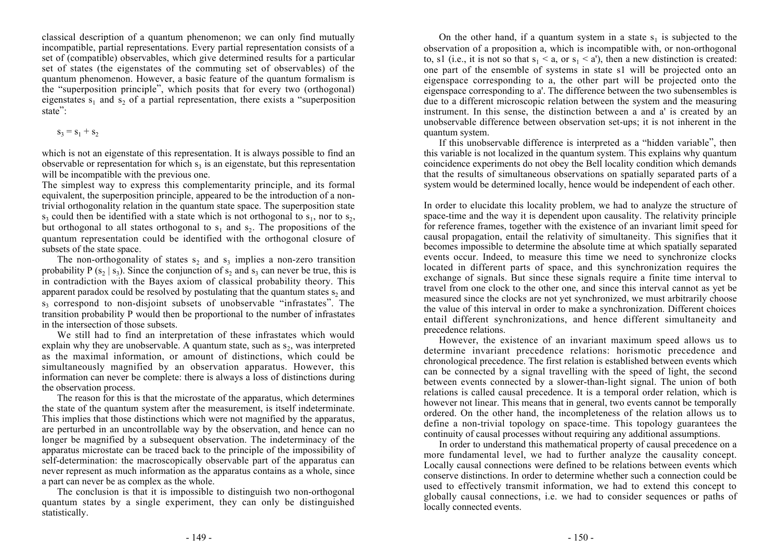classical description of a quantum phenomenon; we can only find mutually incompatible, partial representations. Every partial representation consists of a set of (compatible) observables, which give determined results for a particular set of states (the eigenstates of the commuting set of observables) of the quantum phenomenon. However, a basic feature of the quantum formalism is the "superposition principle", which posits that for every two (orthogonal) eigenstates  $s_1$  and  $s_2$  of a partial representation, there exists a "superposition" state":

 $s_3 = s_1 + s_2$ 

which is not an eigenstate of this representation. It is always possible to find an observable or representation for which  $s<sub>3</sub>$  is an eigenstate, but this representation will be incompatible with the previous one.

The simplest way to express this complementarity principle, and its formal equivalent, the superposition principle, appeared to be the introduction of a nontrivial orthogonality relation in the quantum state space. The superposition state  $s_3$  could then be identified with a state which is not orthogonal to  $s_1$ , nor to  $s_2$ , but orthogonal to all states orthogonal to  $s_1$  and  $s_2$ . The propositions of the quantum representation could be identified with the orthogonal closure of subsets of the state space.

The non-orthogonality of states  $s_2$  and  $s_3$  implies a non-zero transition probability P  $(s_2 | s_3)$ . Since the conjunction of s<sub>2</sub> and s<sub>3</sub> can never be true, this is in contradiction with the Bayes axiom of classical probability theory. This apparent paradox could be resolved by postulating that the quantum states  $s_2$  and  $s<sub>3</sub>$  correspond to non-disjoint subsets of unobservable "infrastates". The transition probability P would then be proportional to the number of infrastates in the intersection of those subsets.

We still had to find an interpretation of these infrastates which would explain why they are unobservable. A quantum state, such as  $s<sub>2</sub>$ , was interpreted as the maximal information, or amount of distinctions, which could be simultaneously magnified by an observation apparatus. However, this information can never be complete: there is always a loss of distinctions during the observation process.

The reason for this is that the microstate of the apparatus, which determines the state of the quantum system after the measurement, is itself indeterminate. This implies that those distinctions which were not magnified by the apparatus, are perturbed in an uncontrollable way by the observation, and hence can no longer be magnified by a subsequent observation. The indeterminacy of the apparatus microstate can be traced back to the principle of the impossibility of self-determination: the macroscopically observable part of the apparatus can never represent as much information as the apparatus contains as a whole, since a part can never be as complex as the whole.

The conclusion is that it is impossible to distinguish two non-orthogonal quantum states by a single experiment, they can only be distinguished statistically.

On the other hand, if a quantum system in a state  $s_1$  is subjected to the observation of a proposition a, which is incompatible with, or non-orthogonal to, s1 (i.e., it is not so that  $s_1 < a$ , or  $s_1 < a'$ ), then a new distinction is created: one part of the ensemble of systems in state s1 will be projected onto an eigenspace corresponding to a, the other part will be projected onto the eigenspace corresponding to a'. The difference between the two subensembles is due to a different microscopic relation between the system and the measuring instrument. In this sense, the distinction between a and a' is created by an unobservable difference between observation set-ups; it is not inherent in the quantum system.

If this unobservable difference is interpreted as a "hidden variable", then this variable is not localized in the quantum system. This explains why quantum coincidence experiments do not obey the Bell locality condition which demands that the results of simultaneous observations on spatially separated parts of a system would be determined locally, hence would be independent of each other.

In order to elucidate this locality problem, we had to analyze the structure of space-time and the way it is dependent upon causality. The relativity principle for reference frames, together with the existence of an invariant limit speed for causal propagation, entail the relativity of simultaneity. This signifies that it becomes impossible to determine the absolute time at which spatially separated events occur. Indeed, to measure this time we need to synchronize clocks located in different parts of space, and this synchronization requires the exchange of signals. But since these signals require a finite time interval to travel from one clock to the other one, and since this interval cannot as yet be measured since the clocks are not yet synchronized, we must arbitrarily choose the value of this interval in order to make a synchronization. Different choices entail different synchronizations, and hence different simultaneity and precedence relations.

However, the existence of an invariant maximum speed allows us to determine invariant precedence relations: horismotic precedence and chronological precedence. The first relation is established between events which can be connected by a signal travelling with the speed of light, the second between events connected by a slower-than-light signal. The union of both relations is called causal precedence. It is a temporal order relation, which is however not linear. This means that in general, two events cannot be temporally ordered. On the other hand, the incompleteness of the relation allows us to define a non-trivial topology on space-time. This topology guarantees the continuity of causal processes without requiring any additional assumptions.

In order to understand this mathematical property of causal precedence on a more fundamental level, we had to further analyze the causality concept. Locally causal connections were defined to be relations between events which conserve distinctions. In order to determine whether such a connection could be used to effectively transmit information, we had to extend this concept to globally causal connections, i.e. we had to consider sequences or paths of locally connected events.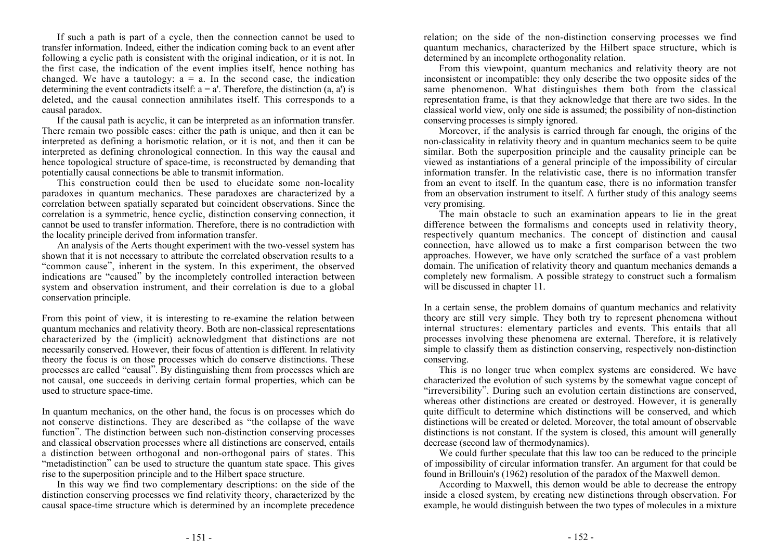If such a path is part of a cycle, then the connection cannot be used to transfer information. Indeed, either the indication coming back to an event after following a cyclic path is consistent with the original indication, or it is not. In the first case, the indication of the event implies itself, hence nothing has changed. We have a tautology:  $a = a$ . In the second case, the indication determining the event contradicts itself:  $a = a'$ . Therefore, the distinction  $(a, a')$  is deleted, and the causal connection annihilates itself. This corresponds to a causal paradox.

If the causal path is acyclic, it can be interpreted as an information transfer. There remain two possible cases: either the path is unique, and then it can be interpreted as defining a horismotic relation, or it is not, and then it can be interpreted as defining chronological connection. In this way the causal and hence topological structure of space-time, is reconstructed by demanding that potentially causal connections be able to transmit information.

This construction could then be used to elucidate some non-locality paradoxes in quantum mechanics. These paradoxes are characterized by a correlation between spatially separated but coincident observations. Since the correlation is a symmetric, hence cyclic, distinction conserving connection, it cannot be used to transfer information. Therefore, there is no contradiction with the locality principle derived from information transfer.

An analysis of the Aerts thought experiment with the two-vessel system has shown that it is not necessary to attribute the correlated observation results to a "common cause", inherent in the system. In this experiment, the observed indications are "caused" by the incompletely controlled interaction between system and observation instrument, and their correlation is due to a global conservation principle.

From this point of view, it is interesting to re-examine the relation between quantum mechanics and relativity theory. Both are non-classical representations characterized by the (implicit) acknowledgment that distinctions are not necessarily conserved. However, their focus of attention is different. In relativity theory the focus is on those processes which do conserve distinctions. These processes are called "causal". By distinguishing them from processes which are not causal, one succeeds in deriving certain formal properties, which can be used to structure space-time.

In quantum mechanics, on the other hand, the focus is on processes which do not conserve distinctions. They are described as "the collapse of the wave function". The distinction between such non-distinction conserving processes and classical observation processes where all distinctions are conserved, entails a distinction between orthogonal and non-orthogonal pairs of states. This "metadistinction" can be used to structure the quantum state space. This gives rise to the superposition principle and to the Hilbert space structure.

In this way we find two complementary descriptions: on the side of the distinction conserving processes we find relativity theory, characterized by the causal space-time structure which is determined by an incomplete precedence

relation; on the side of the non-distinction conserving processes we find quantum mechanics, characterized by the Hilbert space structure, which is determined by an incomplete orthogonality relation.

From this viewpoint, quantum mechanics and relativity theory are not inconsistent or incompatible: they only describe the two opposite sides of the same phenomenon. What distinguishes them both from the classical representation frame, is that they acknowledge that there are two sides. In the classical world view, only one side is assumed; the possibility of non-distinction conserving processes is simply ignored.

Moreover, if the analysis is carried through far enough, the origins of the non-classicality in relativity theory and in quantum mechanics seem to be quite similar. Both the superposition principle and the causality principle can be viewed as instantiations of a general principle of the impossibility of circular information transfer. In the relativistic case, there is no information transfer from an event to itself. In the quantum case, there is no information transfer from an observation instrument to itself. A further study of this analogy seems very promising.

The main obstacle to such an examination appears to lie in the great difference between the formalisms and concepts used in relativity theory, respectively quantum mechanics. The concept of distinction and causal connection, have allowed us to make a first comparison between the two approaches. However, we have only scratched the surface of a vast problem domain. The unification of relativity theory and quantum mechanics demands a completely new formalism. A possible strategy to construct such a formalism will be discussed in chapter 11.

In a certain sense, the problem domains of quantum mechanics and relativity theory are still very simple. They both try to represent phenomena without internal structures: elementary particles and events. This entails that all processes involving these phenomena are external. Therefore, it is relatively simple to classify them as distinction conserving, respectively non-distinction conserving.

This is no longer true when complex systems are considered. We have characterized the evolution of such systems by the somewhat vague concept of "irreversibility". During such an evolution certain distinctions are conserved, whereas other distinctions are created or destroyed. However, it is generally quite difficult to determine which distinctions will be conserved, and which distinctions will be created or deleted. Moreover, the total amount of observable distinctions is not constant. If the system is closed, this amount will generally decrease (second law of thermodynamics).

We could further speculate that this law too can be reduced to the principle of impossibility of circular information transfer. An argument for that could be found in Brillouin's (1962) resolution of the paradox of the Maxwell demon.

According to Maxwell, this demon would be able to decrease the entropy inside a closed system, by creating new distinctions through observation. For example, he would distinguish between the two types of molecules in a mixture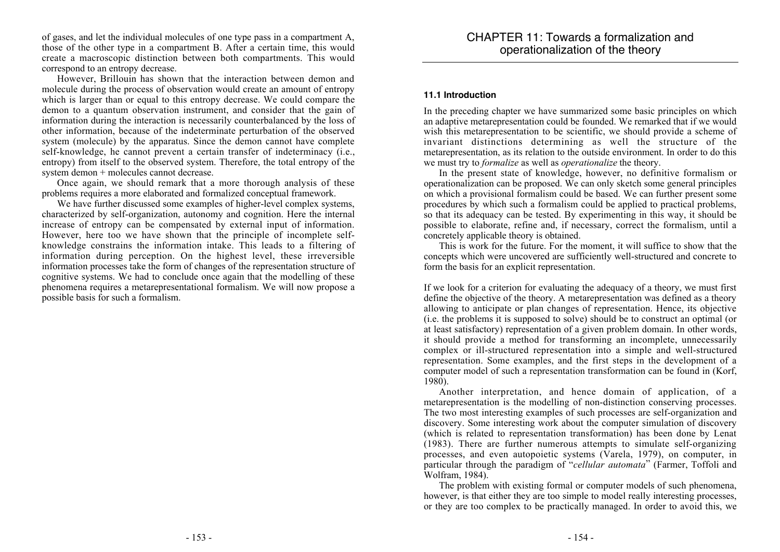of gases, and let the individual molecules of one type pass in a compartment A, those of the other type in a compartment B. After a certain time, this would create a macroscopic distinction between both compartments. This would correspond to an entropy decrease.

However, Brillouin has shown that the interaction between demon and molecule during the process of observation would create an amount of entropy which is larger than or equal to this entropy decrease. We could compare the demon to a quantum observation instrument, and consider that the gain of information during the interaction is necessarily counterbalanced by the loss of other information, because of the indeterminate perturbation of the observed system (molecule) by the apparatus. Since the demon cannot have complete self-knowledge, he cannot prevent a certain transfer of indeterminacy (i.e., entropy) from itself to the observed system. Therefore, the total entropy of the system demon + molecules cannot decrease.

Once again, we should remark that a more thorough analysis of these problems requires a more elaborated and formalized conceptual framework.

We have further discussed some examples of higher-level complex systems, characterized by self-organization, autonomy and cognition. Here the internal increase of entropy can be compensated by external input of information. However, here too we have shown that the principle of incomplete selfknowledge constrains the information intake. This leads to a filtering of information during perception. On the highest level, these irreversible information processes take the form of changes of the representation structure of cognitive systems. We had to conclude once again that the modelling of these phenomena requires a metarepresentational formalism. We will now propose a possible basis for such a formalism.

#### **11.1 Introduction**

In the preceding chapter we have summarized some basic principles on which an adaptive metarepresentation could be founded. We remarked that if we would wish this metarepresentation to be scientific, we should provide a scheme of invariant distinctions determining as well the structure of the metarepresentation, as its relation to the outside environment. In order to do this we must try to *formalize* as well as *operationalize* the theory.

In the present state of knowledge, however, no definitive formalism or operationalization can be proposed. We can only sketch some general principles on which a provisional formalism could be based. We can further present some procedures by which such a formalism could be applied to practical problems, so that its adequacy can be tested. By experimenting in this way, it should be possible to elaborate, refine and, if necessary, correct the formalism, until a concretely applicable theory is obtained.

This is work for the future. For the moment, it will suffice to show that the concepts which were uncovered are sufficiently well-structured and concrete to form the basis for an explicit representation.

If we look for a criterion for evaluating the adequacy of a theory, we must first define the objective of the theory. A metarepresentation was defined as a theory allowing to anticipate or plan changes of representation. Hence, its objective (i.e. the problems it is supposed to solve) should be to construct an optimal (or at least satisfactory) representation of a given problem domain. In other words, it should provide a method for transforming an incomplete, unnecessarily complex or ill-structured representation into a simple and well-structured representation. Some examples, and the first steps in the development of a computer model of such a representation transformation can be found in (Korf, 1980).

Another interpretation, and hence domain of application, of a metarepresentation is the modelling of non-distinction conserving processes. The two most interesting examples of such processes are self-organization and discovery. Some interesting work about the computer simulation of discovery (which is related to representation transformation) has been done by Lenat (1983). There are further numerous attempts to simulate self-organizing processes, and even autopoietic systems (Varela, 1979), on computer, in particular through the paradigm of "*cellular automata*" (Farmer, Toffoli and Wolfram, 1984).

The problem with existing formal or computer models of such phenomena, however, is that either they are too simple to model really interesting processes, or they are too complex to be practically managed. In order to avoid this, we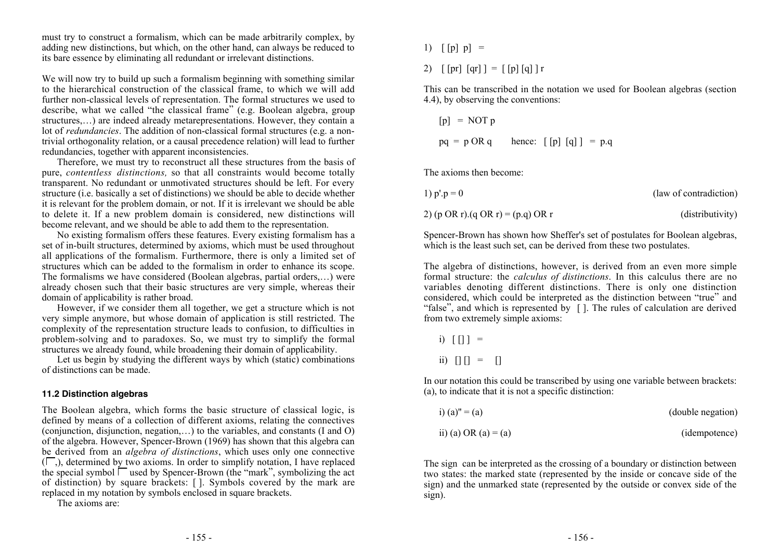must try to construct a formalism, which can be made arbitrarily complex, by adding new distinctions, but which, on the other hand, can always be reduced to its bare essence by eliminating all redundant or irrelevant distinctions.

We will now try to build up such a formalism beginning with something similar to the hierarchical construction of the classical frame, to which we will add further non-classical levels of representation. The formal structures we used to describe, what we called "the classical frame" (e.g. Boolean algebra, group structures,…) are indeed already metarepresentations. However, they contain a lot of *redundancies*. The addition of non-classical formal structures (e.g. a nontrivial orthogonality relation, or a causal precedence relation) will lead to further redundancies, together with apparent inconsistencies.

Therefore, we must try to reconstruct all these structures from the basis of pure, *contentless distinctions,* so that all constraints would become totally transparent. No redundant or unmotivated structures should be left. For every structure (i.e. basically a set of distinctions) we should be able to decide whether it is relevant for the problem domain, or not. If it is irrelevant we should be able to delete it. If a new problem domain is considered, new distinctions will become relevant, and we should be able to add them to the representation.

No existing formalism offers these features. Every existing formalism has a set of in-built structures, determined by axioms, which must be used throughout all applications of the formalism. Furthermore, there is only a limited set of structures which can be added to the formalism in order to enhance its scope. The formalisms we have considered (Boolean algebras, partial orders,…) were already chosen such that their basic structures are very simple, whereas their domain of applicability is rather broad.

However, if we consider them all together, we get a structure which is not very simple anymore, but whose domain of application is still restricted. The complexity of the representation structure leads to confusion, to difficulties in problem-solving and to paradoxes. So, we must try to simplify the formal structures we already found, while broadening their domain of applicability.

Let us begin by studying the different ways by which (static) combinations of distinctions can be made.

#### **11.2 Distinction algebras**

The Boolean algebra, which forms the basic structure of classical logic, is defined by means of a collection of different axioms, relating the connectives (conjunction, disjunction, negation,…) to the variables, and constants (I and O) of the algebra. However, Spencer-Brown (1969) has shown that this algebra can be derived from an *algebra of distinctions*, which uses only one connective  $(\square)$ , determined by two axioms. In order to simplify notation, I have replaced the special symbol  $\Box$  used by Spencer-Brown (the "mark", symbolizing the act of distinction) by square brackets: [ ]. Symbols covered by the mark are replaced in my notation by symbols enclosed in square brackets.

The axioms are:

- 1)  $[ [p] p] =$
- 2)  $\lceil \lceil pr \rceil \lceil qr \rceil = \lceil \lceil p \rceil \lceil q \rceil \rceil r$

This can be transcribed in the notation we used for Boolean algebras (section 4.4), by observing the conventions:

$$
[p] = NOT p
$$
  
pq = p OR q hence: 
$$
[p] [q] ] = p.q
$$

The axioms then become:

| 1) $p'.p = 0$                     | (law of contradiction) |  |
|-----------------------------------|------------------------|--|
| 2) (p OR r).(q OR r) = (p.q) OR r | (distributivity)       |  |

Spencer-Brown has shown how Sheffer's set of postulates for Boolean algebras, which is the least such set, can be derived from these two postulates.

The algebra of distinctions, however, is derived from an even more simple formal structure: the *calculus of distinctions*. In this calculus there are no variables denoting different distinctions. There is only one distinction considered, which could be interpreted as the distinction between "true" and "false", and which is represented by [ ]. The rules of calculation are derived from two extremely simple axioms:

| i) $[[]] =$                                                                                                                             |  |
|-----------------------------------------------------------------------------------------------------------------------------------------|--|
| ii) $\begin{bmatrix} \phantom{-} \end{bmatrix}$ $\begin{bmatrix} \phantom{-} \end{bmatrix}$ $\begin{bmatrix} \phantom{-} \end{bmatrix}$ |  |

In our notation this could be transcribed by using one variable between brackets: (a), to indicate that it is not a specific distinction:

| i) (a)" = (a)        | (double negation) |  |
|----------------------|-------------------|--|
| ii) (a) OR (a) = (a) | (idempotence)     |  |

The sign can be interpreted as the crossing of a boundary or distinction between two states: the marked state (represented by the inside or concave side of the sign) and the unmarked state (represented by the outside or convex side of the sign).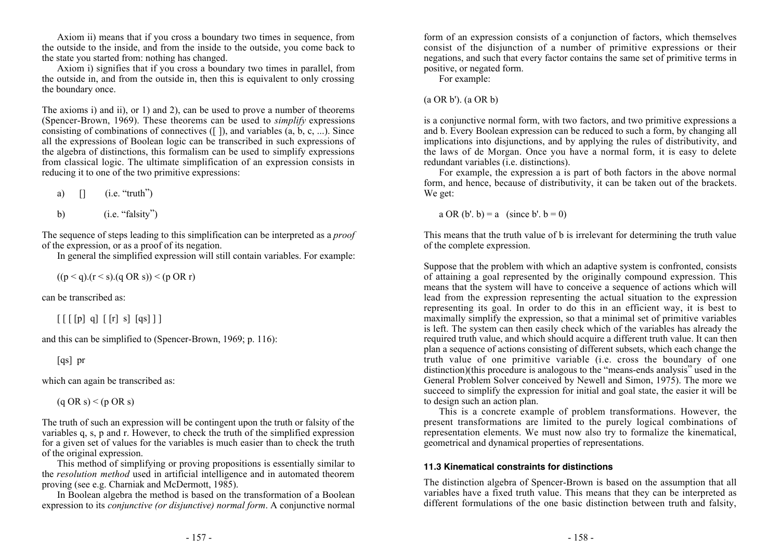Axiom ii) means that if you cross a boundary two times in sequence, from the outside to the inside, and from the inside to the outside, you come back to the state you started from: nothing has changed.

Axiom i) signifies that if you cross a boundary two times in parallel, from the outside in, and from the outside in, then this is equivalent to only crossing the boundary once.

The axioms i) and ii), or 1) and 2), can be used to prove a number of theorems (Spencer-Brown, 1969). These theorems can be used to *simplify* expressions consisting of combinations of connectives  $( [ ] )$ , and variables  $( a, b, c, ... )$ . Since all the expressions of Boolean logic can be transcribed in such expressions of the algebra of distinctions, this formalism can be used to simplify expressions from classical logic. The ultimate simplification of an expression consists in reducing it to one of the two primitive expressions:

- a)  $\lceil \cdot \rceil$  (i.e. "truth")
- b)  $(i.e. "falsity")$

The sequence of steps leading to this simplification can be interpreted as a *proof* of the expression, or as a proof of its negation.

In general the simplified expression will still contain variables. For example:

 $((p < q)$ . $(r < s)$ . $(q \text{ OR } s)$ )  $\leq (p \text{ OR } r)$ 

can be transcribed as:

 $\left[ \begin{array}{ccc} \begin{bmatrix} \n\end{bmatrix} \begin{bmatrix} \n\end{bmatrix} \begin{bmatrix} \n\end{bmatrix} \begin{bmatrix} \n\end{bmatrix} \begin{bmatrix} \n\end{bmatrix} \begin{bmatrix} \n\end{bmatrix} \begin{bmatrix} \n\end{bmatrix} \begin{bmatrix} \n\end{bmatrix} \begin{bmatrix} \n\end{bmatrix} \begin{bmatrix} \n\end{bmatrix} \begin{bmatrix} \n\end{bmatrix} \begin{bmatrix} \n\end{bmatrix} \begin{bmatrix} \n\end{bmatrix} \begin{bmatrix} \n\end{bmatrix} \begin{bmatrix} \n\end{bmatrix}$ 

and this can be simplified to (Spencer-Brown, 1969; p. 116):

[qs] pr

which can again be transcribed as:

 $(q \text{ OR } s)$  <  $(p \text{ OR } s)$ 

The truth of such an expression will be contingent upon the truth or falsity of the variables q, s, p and r. However, to check the truth of the simplified expression for a given set of values for the variables is much easier than to check the truth of the original expression.

This method of simplifying or proving propositions is essentially similar to the *resolution method* used in artificial intelligence and in automated theorem proving (see e.g. Charniak and McDermott, 1985).

In Boolean algebra the method is based on the transformation of a Boolean expression to its *conjunctive (or disjunctive) normal form*. A conjunctive normal form of an expression consists of a conjunction of factors, which themselves consist of the disjunction of a number of primitive expressions or their negations, and such that every factor contains the same set of primitive terms in positive, or negated form.

For example:

(a OR b'). (a OR b)

is a conjunctive normal form, with two factors, and two primitive expressions a and b. Every Boolean expression can be reduced to such a form, by changing all implications into disjunctions, and by applying the rules of distributivity, and the laws of de Morgan. Once you have a normal form, it is easy to delete redundant variables (i.e. distinctions).

For example, the expression a is part of both factors in the above normal form, and hence, because of distributivity, it can be taken out of the brackets. We get:

a OR (b'. b) = a (since b'. b = 0)

This means that the truth value of b is irrelevant for determining the truth value of the complete expression.

Suppose that the problem with which an adaptive system is confronted, consists of attaining a goal represented by the originally compound expression. This means that the system will have to conceive a sequence of actions which will lead from the expression representing the actual situation to the expression representing its goal. In order to do this in an efficient way, it is best to maximally simplify the expression, so that a minimal set of primitive variables is left. The system can then easily check which of the variables has already the required truth value, and which should acquire a different truth value. It can then plan a sequence of actions consisting of different subsets, which each change the truth value of one primitive variable (i.e. cross the boundary of one distinction)(this procedure is analogous to the "means-ends analysis" used in the General Problem Solver conceived by Newell and Simon, 1975). The more we succeed to simplify the expression for initial and goal state, the easier it will be to design such an action plan.

This is a concrete example of problem transformations. However, the present transformations are limited to the purely logical combinations of representation elements. We must now also try to formalize the kinematical, geometrical and dynamical properties of representations.

## **11.3 Kinematical constraints for distinctions**

The distinction algebra of Spencer-Brown is based on the assumption that all variables have a fixed truth value. This means that they can be interpreted as different formulations of the one basic distinction between truth and falsity,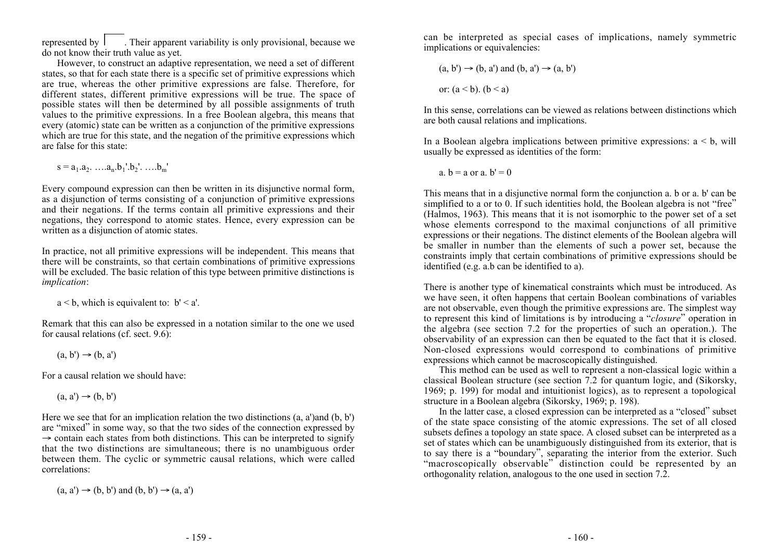represented by  $\parallel$ . Their apparent variability is only provisional, because we do not know their truth value as yet.

However, to construct an adaptive representation, we need a set of different states, so that for each state there is a specific set of primitive expressions which are true, whereas the other primitive expressions are false. Therefore, for different states, different primitive expressions will be true. The space of possible states will then be determined by all possible assignments of truth values to the primitive expressions. In a free Boolean algebra, this means that every (atomic) state can be written as a conjunction of the primitive expressions which are true for this state, and the negation of the primitive expressions which are false for this state:

 $s = a_1.a_2.\dots.a_n.b_1'.b_2'.\dots.b_m'$ 

Every compound expression can then be written in its disjunctive normal form, as a disjunction of terms consisting of a conjunction of primitive expressions and their negations. If the terms contain all primitive expressions and their negations, they correspond to atomic states. Hence, every expression can be written as a disjunction of atomic states.

In practice, not all primitive expressions will be independent. This means that there will be constraints, so that certain combinations of primitive expressions will be excluded. The basic relation of this type between primitive distinctions is *implication*:

 $a < b$ , which is equivalent to:  $b' < a'$ .

Remark that this can also be expressed in a notation similar to the one we used for causal relations (cf. sect. 9.6):

$$
(a, b') \rightarrow (b, a')
$$

For a causal relation we should have:

 $(a, a') \rightarrow (b, b')$ 

Here we see that for an implication relation the two distinctions (a, a')and (b, b') are "mixed" in some way, so that the two sides of the connection expressed by  $\rightarrow$  contain each states from both distinctions. This can be interpreted to signify that the two distinctions are simultaneous; there is no unambiguous order between them. The cyclic or symmetric causal relations, which were called correlations:

$$
(a, a') \rightarrow (b, b')
$$
 and  $(b, b') \rightarrow (a, a')$ 

can be interpreted as special cases of implications, namely symmetric implications or equivalencies:

$$
(a, b') \rightarrow (b, a')
$$
 and  $(b, a') \rightarrow (a, b')$ 

or: 
$$
(a < b)
$$
.  $(b < a)$ 

In this sense, correlations can be viewed as relations between distinctions which are both causal relations and implications.

In a Boolean algebra implications between primitive expressions:  $a < b$ , will usually be expressed as identities of the form:

a.  $b = a$  or a.  $b' = 0$ .

This means that in a disjunctive normal form the conjunction a. b or a. b' can be simplified to a or to 0. If such identities hold, the Boolean algebra is not "free" (Halmos, 1963). This means that it is not isomorphic to the power set of a set whose elements correspond to the maximal conjunctions of all primitive expressions or their negations. The distinct elements of the Boolean algebra will be smaller in number than the elements of such a power set, because the constraints imply that certain combinations of primitive expressions should be identified (e.g. a.b can be identified to a).

There is another type of kinematical constraints which must be introduced. As we have seen, it often happens that certain Boolean combinations of variables are not observable, even though the primitive expressions are. The simplest way to represent this kind of limitations is by introducing a "*closure*" operation in the algebra (see section 7.2 for the properties of such an operation.). The observability of an expression can then be equated to the fact that it is closed. Non-closed expressions would correspond to combinations of primitive expressions which cannot be macroscopically distinguished.

This method can be used as well to represent a non-classical logic within a classical Boolean structure (see section 7.2 for quantum logic, and (Sikorsky, 1969; p. 199) for modal and intuitionist logics), as to represent a topological structure in a Boolean algebra (Sikorsky, 1969; p. 198).

In the latter case, a closed expression can be interpreted as a "closed" subset of the state space consisting of the atomic expressions. The set of all closed subsets defines a topology an state space. A closed subset can be interpreted as a set of states which can be unambiguously distinguished from its exterior, that is to say there is a "boundary", separating the interior from the exterior. Such "macroscopically observable" distinction could be represented by an orthogonality relation, analogous to the one used in section 7.2.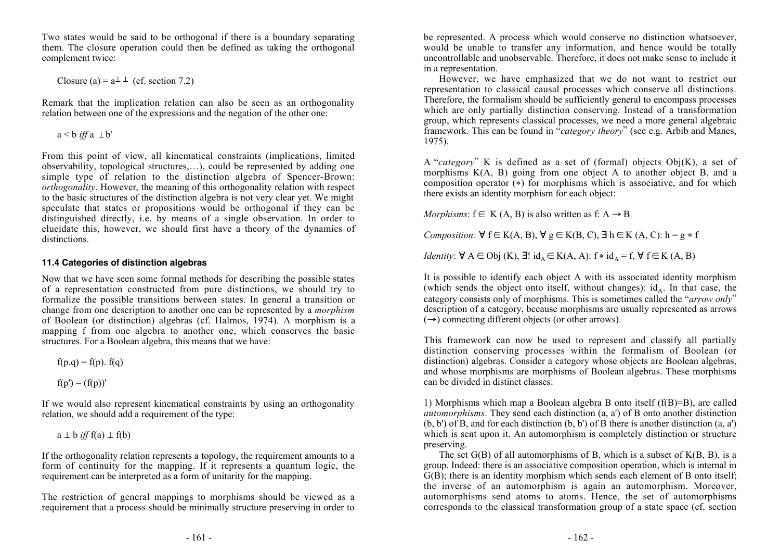Two states would be said to be orthogonal if there is a boundary separating them. The closure operation could then be defined as taking the orthogonal complement twice:

Closure (a) =  $a^{\perp}$  (cf. section 7.2)

Remark that the implication relation can also be seen as an orthogonality relation between one of the expressions and the negation of the other one:

a < b *iff* a ⊥b'

From this point of view, all kinematical constraints (implications, limited observability, topological structures,…), could be represented by adding one simple type of relation to the distinction algebra of Spencer-Brown: *orthogonality*. However, the meaning of this orthogonality relation with respect to the basic structures of the distinction algebra is not very clear yet. We might speculate that states or propositions would be orthogonal if they can be distinguished directly, i.e. by means of a single observation. In order to elucidate this, however, we should first have a theory of the dynamics of distinctions.

# **11.4 Categories of distinction algebras**

Now that we have seen some formal methods for describing the possible states of a representation constructed from pure distinctions, we should try to formalize the possible transitions between states. In general a transition or change from one description to another one can be represented by a *morphism* of Boolean (or distinction) algebras (cf. Halmos, 1974). A morphism is a mapping f from one algebra to another one, which conserves the basic structures. For a Boolean algebra, this means that we have:

 $f(p,q) = f(p)$ ,  $f(q)$ 

 $f(p') = (f(p))'$ 

If we would also represent kinematical constraints by using an orthogonality relation, we should add a requirement of the type:

 $a \perp b$  *iff* f(a)  $\perp$  f(b)

If the orthogonality relation represents a topology, the requirement amounts to a form of continuity for the mapping. If it represents a quantum logic, the requirement can be interpreted as a form of unitarity for the mapping.

The restriction of general mappings to morphisms should be viewed as a requirement that a process should be minimally structure preserving in order to

be represented. A process which would conserve no distinction whatsoever, would be unable to transfer any information, and hence would be totally uncontrollable and unobservable. Therefore, it does not make sense to include it in a representation.

However, we have emphasized that we do not want to restrict our representation to classical causal processes which conserve all distinctions. Therefore, the formalism should be sufficiently general to encompass processes which are only partially distinction conserving. Instead of a transformation group, which represents classical processes, we need a more general algebraic framework. This can be found in "*category theory*" (see e.g. Arbib and Manes, 1975).

A "*category*" K is defined as a set of (formal) objects Obj(K), a set of morphisms K(A, B) going from one object A to another object B, and a composition operator  $(*)$  for morphisms which is associative, and for which there exists an identity morphism for each object:

*Morphisms*:  $f \in K(A, B)$  is also written as f:  $A \rightarrow B$ 

*Composition*:  $\forall$   $f \in K(A, B)$ ,  $\forall$   $g \in K(B, C)$ ,  $\exists$   $h \in K(A, C)$ :  $h = g * f$ 

*Identity*:  $\forall A \in Obj(K), \exists! \text{ id}_A \in K(A, A)$ :  $f * id_A = f, \forall f \in K(A, B)$ 

It is possible to identify each object A with its associated identity morphism (which sends the object onto itself, without changes):  $\mathrm{id}_{A}$ . In that case, the category consists only of morphisms. This is sometimes called the "*arrow only*" description of a category, because morphisms are usually represented as arrows  $(\rightarrow)$  connecting different objects (or other arrows).

This framework can now be used to represent and classify all partially distinction conserving processes within the formalism of Boolean (or distinction) algebras. Consider a category whose objects are Boolean algebras, and whose morphisms are morphisms of Boolean algebras. These morphisms can be divided in distinct classes:

1) Morphisms which map a Boolean algebra B onto itself (f(B)=B), are called *automorphisms*. They send each distinction (a, a') of B onto another distinction  $(b, b')$  of B, and for each distinction  $(b, b')$  of B there is another distinction  $(a, a')$ which is sent upon it. An automorphism is completely distinction or structure preserving.

The set  $G(B)$  of all automorphisms of B, which is a subset of  $K(B, B)$ , is a group. Indeed: there is an associative composition operation, which is internal in  $\overline{G(B)}$ ; there is an identity morphism which sends each element of B onto itself; the inverse of an automorphism is again an automorphism. Moreover, automorphisms send atoms to atoms. Hence, the set of automorphisms corresponds to the classical transformation group of a state space (cf. section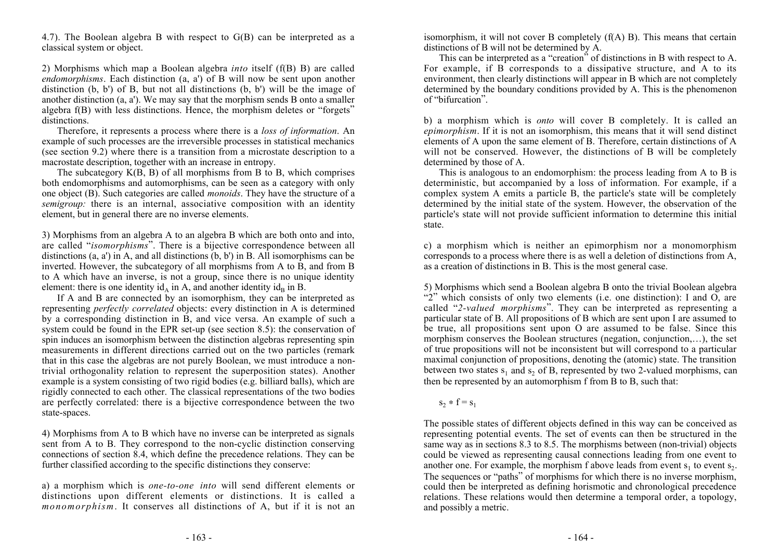4.7). The Boolean algebra B with respect to G(B) can be interpreted as a classical system or object.

2) Morphisms which map a Boolean algebra *into* itself (f(B) B) are called *endomorphisms*. Each distinction (a, a') of B will now be sent upon another distinction (b, b') of B, but not all distinctions (b, b') will be the image of another distinction (a, a'). We may say that the morphism sends B onto a smaller algebra f(B) with less distinctions. Hence, the morphism deletes or "forgets" distinctions.

Therefore, it represents a process where there is a *loss of information*. An example of such processes are the irreversible processes in statistical mechanics (see section 9.2) where there is a transition from a microstate description to a macrostate description, together with an increase in entropy.

The subcategory  $K(B, B)$  of all morphisms from B to B, which comprises both endomorphisms and automorphisms, can be seen as a category with only one object (B). Such categories are called *monoids*. They have the structure of a *semigroup:* there is an internal, associative composition with an identity element, but in general there are no inverse elements.

3) Morphisms from an algebra A to an algebra B which are both onto and into, are called "*isomorphisms*". There is a bijective correspondence between all distinctions (a, a') in A, and all distinctions (b, b') in B. All isomorphisms can be inverted. However, the subcategory of all morphisms from A to  $\hat{B}$ , and from B to A which have an inverse, is not a group, since there is no unique identity element: there is one identity id<sub>A</sub> in A, and another identity id<sub>B</sub> in B.

If A and B are connected by an isomorphism, they can be interpreted as representing *perfectly correlated* objects: every distinction in A is determined by a corresponding distinction in B, and vice versa. An example of such a system could be found in the EPR set-up (see section 8.5): the conservation of spin induces an isomorphism between the distinction algebras representing spin measurements in different directions carried out on the two particles (remark that in this case the algebras are not purely Boolean, we must introduce a nontrivial orthogonality relation to represent the superposition states). Another example is a system consisting of two rigid bodies (e.g. billiard balls), which are rigidly connected to each other. The classical representations of the two bodies are perfectly correlated: there is a bijective correspondence between the two state-spaces.

4) Morphisms from A to B which have no inverse can be interpreted as signals sent from A to B. They correspond to the non-cyclic distinction conserving connections of section 8.4, which define the precedence relations. They can be further classified according to the specific distinctions they conserve:

a) a morphism which is *one-to-one into* will send different elements or distinctions upon different elements or distinctions. It is called a *monomorphism*. It conserves all distinctions of A, but if it is not an isomorphism, it will not cover B completely (f(A) B). This means that certain distinctions of B will not be determined by A.

This can be interpreted as a "creation" of distinctions in B with respect to A. For example, if B corresponds to a dissipative structure, and A to its environment, then clearly distinctions will appear in B which are not completely determined by the boundary conditions provided by A. This is the phenomenon of "bifurcation".

b) a morphism which is *onto* will cover B completely. It is called an *epimorphism*. If it is not an isomorphism, this means that it will send distinct elements of A upon the same element of B. Therefore, certain distinctions of A will not be conserved. However, the distinctions of B will be completely determined by those of A.

This is analogous to an endomorphism: the process leading from A to B is deterministic, but accompanied by a loss of information. For example, if a complex system A emits a particle B, the particle's state will be completely determined by the initial state of the system. However, the observation of the particle's state will not provide sufficient information to determine this initial state.

c) a morphism which is neither an epimorphism nor a monomorphism corresponds to a process where there is as well a deletion of distinctions from A, as a creation of distinctions in B. This is the most general case.

5) Morphisms which send a Boolean algebra B onto the trivial Boolean algebra " $2$ " which consists of only two elements (i.e. one distinction): I and  $\overline{O}$ , are called "*2-valued morphisms*". They can be interpreted as representing a particular state of B. All propositions of B which are sent upon I are assumed to be true, all propositions sent upon O are assumed to be false. Since this morphism conserves the Boolean structures (negation, conjunction,…), the set of true propositions will not be inconsistent but will correspond to a particular maximal conjunction of propositions, denoting the (atomic) state. The transition between two states  $s_1$  and  $s_2$  of B, represented by two 2-valued morphisms, can then be represented by an automorphism f from B to B, such that:

 $s_2 * f = s_1$ 

The possible states of different objects defined in this way can be conceived as representing potential events. The set of events can then be structured in the same way as in sections 8.3 to 8.5. The morphisms between (non-trivial) objects could be viewed as representing causal connections leading from one event to another one. For example, the morphism f above leads from event  $s_1$  to event  $s_2$ . The sequences or "paths" of morphisms for which there is no inverse morphism, could then be interpreted as defining horismotic and chronological precedence relations. These relations would then determine a temporal order, a topology, and possibly a metric.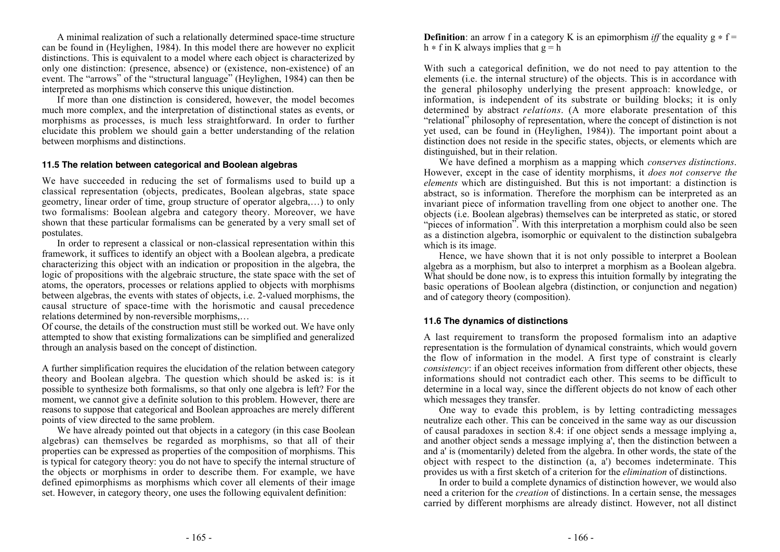A minimal realization of such a relationally determined space-time structure can be found in (Heylighen, 1984). In this model there are however no explicit distinctions. This is equivalent to a model where each object is characterized by only one distinction: (presence, absence) or (existence, non-existence) of an event. The "arrows" of the "structural language" (Heylighen, 1984) can then be interpreted as morphisms which conserve this unique distinction.

If more than one distinction is considered, however, the model becomes much more complex, and the interpretation of distinctional states as events, or morphisms as processes, is much less straightforward. In order to further elucidate this problem we should gain a better understanding of the relation between morphisms and distinctions.

#### **11.5 The relation between categorical and Boolean algebras**

We have succeeded in reducing the set of formalisms used to build up a classical representation (objects, predicates, Boolean algebras, state space geometry, linear order of time, group structure of operator algebra,…) to only two formalisms: Boolean algebra and category theory. Moreover, we have shown that these particular formalisms can be generated by a very small set of postulates.

In order to represent a classical or non-classical representation within this framework, it suffices to identify an object with a Boolean algebra, a predicate characterizing this object with an indication or proposition in the algebra, the logic of propositions with the algebraic structure, the state space with the set of atoms, the operators, processes or relations applied to objects with morphisms between algebras, the events with states of objects, i.e. 2-valued morphisms, the causal structure of space-time with the horismotic and causal precedence relations determined by non-reversible morphisms,…

Of course, the details of the construction must still be worked out. We have only attempted to show that existing formalizations can be simplified and generalized through an analysis based on the concept of distinction.

A further simplification requires the elucidation of the relation between category theory and Boolean algebra. The question which should be asked is: is it possible to synthesize both formalisms, so that only one algebra is left? For the moment, we cannot give a definite solution to this problem. However, there are reasons to suppose that categorical and Boolean approaches are merely different points of view directed to the same problem.

We have already pointed out that objects in a category (in this case Boolean algebras) can themselves be regarded as morphisms, so that all of their properties can be expressed as properties of the composition of morphisms. This is typical for category theory: you do not have to specify the internal structure of the objects or morphisms in order to describe them. For example, we have defined epimorphisms as morphisms which cover all elements of their image set. However, in category theory, one uses the following equivalent definition:

**Definition**: an arrow f in a category K is an epimorphism *iff* the equality  $g * f =$ h  $\ast$  f in K always implies that  $g = h$ 

With such a categorical definition, we do not need to pay attention to the elements (i.e. the internal structure) of the objects. This is in accordance with the general philosophy underlying the present approach: knowledge, or information, is independent of its substrate or building blocks; it is only determined by abstract *relations*. (A more elaborate presentation of this "relational" philosophy of representation, where the concept of distinction is not yet used, can be found in (Heylighen, 1984)). The important point about a distinction does not reside in the specific states, objects, or elements which are distinguished, but in their relation.

We have defined a morphism as a mapping which *conserves distinctions*. However, except in the case of identity morphisms, it *does not conserve the elements* which are distinguished. But this is not important: a distinction is abstract, so is information. Therefore the morphism can be interpreted as an invariant piece of information travelling from one object to another one. The objects (i.e. Boolean algebras) themselves can be interpreted as static, or stored "pieces of information". With this interpretation a morphism could also be seen as a distinction algebra, isomorphic or equivalent to the distinction subalgebra which is its image.

Hence, we have shown that it is not only possible to interpret a Boolean algebra as a morphism, but also to interpret a morphism as a Boolean algebra. What should be done now, is to express this intuition formally by integrating the basic operations of Boolean algebra (distinction, or conjunction and negation) and of category theory (composition).

#### **11.6 The dynamics of distinctions**

A last requirement to transform the proposed formalism into an adaptive representation is the formulation of dynamical constraints, which would govern the flow of information in the model. A first type of constraint is clearly *consistency*: if an object receives information from different other objects, these informations should not contradict each other. This seems to be difficult todetermine in a local way, since the different objects do not know of each other which messages they transfer.

One way to evade this problem, is by letting contradicting messages neutralize each other. This can be conceived in the same way as our discussion of causal paradoxes in section 8.4: if one object sends a message implying a, and another object sends a message implying a', then the distinction between a and a' is (momentarily) deleted from the algebra. In other words, the state of the object with respect to the distinction (a, a') becomes indeterminate. This provides us with a first sketch of a criterion for the *elimination* of distinctions.

In order to build a complete dynamics of distinction however, we would also need a criterion for the *creation* of distinctions. In a certain sense, the messages carried by different morphisms are already distinct. However, not all distinct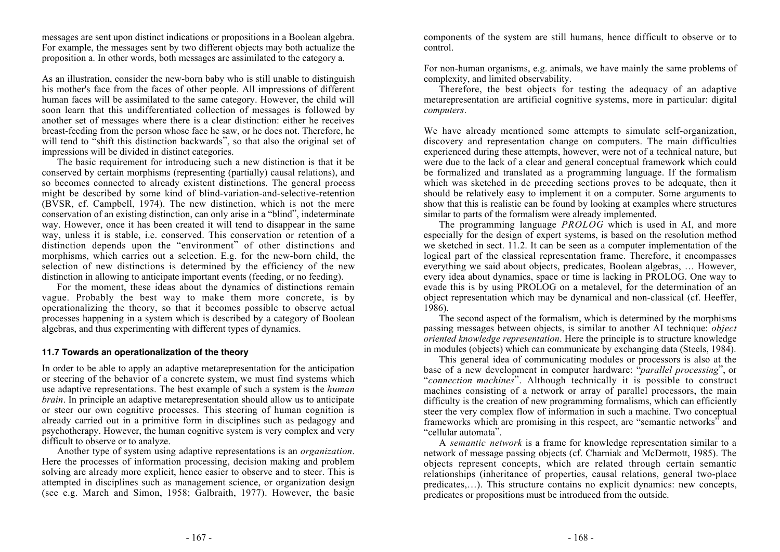messages are sent upon distinct indications or propositions in a Boolean algebra. For example, the messages sent by two different objects may both actualize the proposition a. In other words, both messages are assimilated to the category a.

As an illustration, consider the new-born baby who is still unable to distinguish his mother's face from the faces of other people. All impressions of different human faces will be assimilated to the same category. However, the child will soon learn that this undifferentiated collection of messages is followed by another set of messages where there is a clear distinction: either he receives breast-feeding from the person whose face he saw, or he does not. Therefore, he will tend to "shift this distinction backwards", so that also the original set of impressions will be divided in distinct categories.

The basic requirement for introducing such a new distinction is that it be conserved by certain morphisms (representing (partially) causal relations), and so becomes connected to already existent distinctions. The general process might be described by some kind of blind-variation-and-selective-retention (BVSR, cf. Campbell, 1974). The new distinction, which is not the mere conservation of an existing distinction, can only arise in a "blind", indeterminate way. However, once it has been created it will tend to disappear in the same way, unless it is stable, i.e. conserved. This conservation or retention of a distinction depends upon the "environment" of other distinctions and morphisms, which carries out a selection. E.g. for the new-born child, the selection of new distinctions is determined by the efficiency of the new distinction in allowing to anticipate important events (feeding, or no feeding).

For the moment, these ideas about the dynamics of distinctions remain vague. Probably the best way to make them more concrete, is by operationalizing the theory, so that it becomes possible to observe actual processes happening in a system which is described by a category of Boolean algebras, and thus experimenting with different types of dynamics.

#### **11.7 Towards an operationalization of the theory**

In order to be able to apply an adaptive metarepresentation for the anticipation or steering of the behavior of a concrete system, we must find systems which use adaptive representations. The best example of such a system is the *human brain*. In principle an adaptive metarepresentation should allow us to anticipate or steer our own cognitive processes. This steering of human cognition is already carried out in a primitive form in disciplines such as pedagogy and psychotherapy. However, the human cognitive system is very complex and very difficult to observe or to analyze.

Another type of system using adaptive representations is an *organization*. Here the processes of information processing, decision making and problem solving are already more explicit, hence easier to observe and to steer. This is attempted in disciplines such as management science, or organization design (see e.g. March and Simon, 1958; Galbraith, 1977). However, the basic

components of the system are still humans, hence difficult to observe or to control.

For non-human organisms, e.g. animals, we have mainly the same problems of complexity, and limited observability.

Therefore, the best objects for testing the adequacy of an adaptive metarepresentation are artificial cognitive systems, more in particular: digital *computers*.

We have already mentioned some attempts to simulate self-organization, discovery and representation change on computers. The main difficulties experienced during these attempts, however, were not of a technical nature, but were due to the lack of a clear and general conceptual framework which could be formalized and translated as a programming language. If the formalism which was sketched in de preceding sections proves to be adequate, then it should be relatively easy to implement it on a computer. Some arguments to show that this is realistic can be found by looking at examples where structures similar to parts of the formalism were already implemented.

The programming language *PROLOG* which is used in AI, and more especially for the design of expert systems, is based on the resolution method we sketched in sect. 11.2. It can be seen as a computer implementation of the logical part of the classical representation frame. Therefore, it encompasses everything we said about objects, predicates, Boolean algebras, … However, every idea about dynamics, space or time is lacking in PROLOG. One way to evade this is by using PROLOG on a metalevel, for the determination of an object representation which may be dynamical and non-classical (cf. Heeffer, 1986).

The second aspect of the formalism, which is determined by the morphisms passing messages between objects, is similar to another AI technique: *object oriented knowledge representation*. Here the principle is to structure knowledge in modules (objects) which can communicate by exchanging data (Steels, 1984).

This general idea of communicating modules or processors is also at the base of a new development in computer hardware: "*parallel processing*", or "*connection machines*". Although technically it is possible to construct machines consisting of a network or array of parallel processors, the main difficulty is the creation of new programming formalisms, which can efficiently steer the very complex flow of information in such a machine. Two conceptual frameworks which are promising in this respect, are "semantic networks" and "cellular automata".

A *semantic network* is a frame for knowledge representation similar to a network of message passing objects (cf. Charniak and McDermott, 1985). The objects represent concepts, which are related through certain semantic relationships (inheritance of properties, causal relations, general two-place predicates,…). This structure contains no explicit dynamics: new concepts, predicates or propositions must be introduced from the outside.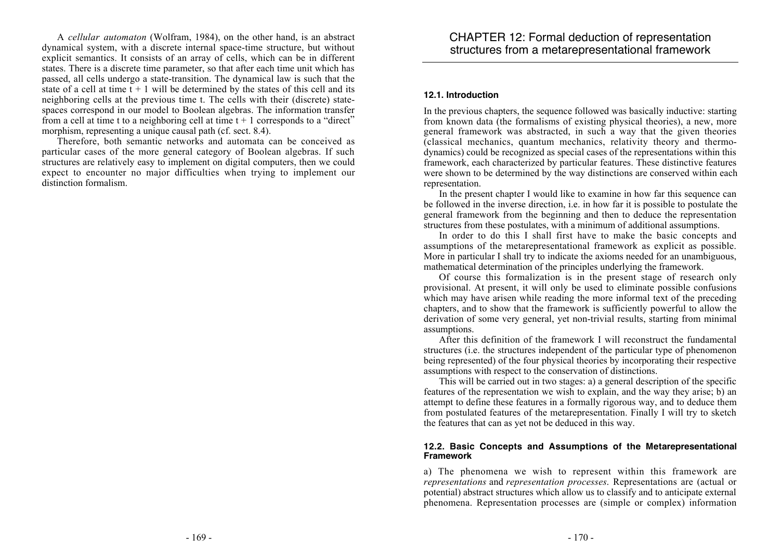A *cellular automaton* (Wolfram, 1984), on the other hand, is an abstract dynamical system, with a discrete internal space-time structure, but without explicit semantics. It consists of an array of cells, which can be in different states. There is a discrete time parameter, so that after each time unit which has passed, all cells undergo a state-transition. The dynamical law is such that the state of a cell at time  $t + 1$  will be determined by the states of this cell and its neighboring cells at the previous time t. The cells with their (discrete) statespaces correspond in our model to Boolean algebras. The information transfer from a cell at time t to a neighboring cell at time  $t + 1$  corresponds to a "direct" morphism, representing a unique causal path (cf. sect. 8.4).

Therefore, both semantic networks and automata can be conceived as particular cases of the more general category of Boolean algebras. If such structures are relatively easy to implement on digital computers, then we could expect to encounter no major difficulties when trying to implement our distinction formalism.

#### **12.1. Introduction**

In the previous chapters, the sequence followed was basically inductive: starting from known data (the formalisms of existing physical theories), a new, more general framework was abstracted, in such a way that the given theories (classical mechanics, quantum mechanics, relativity theory and thermodynamics) could be recognized as special cases of the representations within this framework, each characterized by particular features. These distinctive features were shown to be determined by the way distinctions are conserved within each representation.

In the present chapter I would like to examine in how far this sequence can be followed in the inverse direction, i.e. in how far it is possible to postulate the general framework from the beginning and then to deduce the representation structures from these postulates, with a minimum of additional assumptions.

In order to do this I shall first have to make the basic concepts and assumptions of the metarepresentational framework as explicit as possible. More in particular I shall try to indicate the axioms needed for an unambiguous, mathematical determination of the principles underlying the framework.

Of course this formalization is in the present stage of research only provisional. At present, it will only be used to eliminate possible confusions which may have arisen while reading the more informal text of the preceding chapters, and to show that the framework is sufficiently powerful to allow the derivation of some very general, yet non-trivial results, starting from minimal assumptions.

After this definition of the framework I will reconstruct the fundamentalstructures (i.e. the structures independent of the particular type of phenomenon being represented) of the four physical theories by incorporating their respective assumptions with respect to the conservation of distinctions.

This will be carried out in two stages: a) a general description of the specific features of the representation we wish to explain, and the way they arise; b) an attempt to define these features in a formally rigorous way, and to deduce them from postulated features of the metarepresentation. Finally I will try to sketch the features that can as yet not be deduced in this way.

#### **12.2. Basic Concepts and Assumptions of the Metarepresentational Framework**

a) The phenomena we wish to represent within this framework are *representations* and *representation processes*. Representations are (actual or potential) abstract structures which allow us to classify and to anticipate external phenomena. Representation processes are (simple or complex) information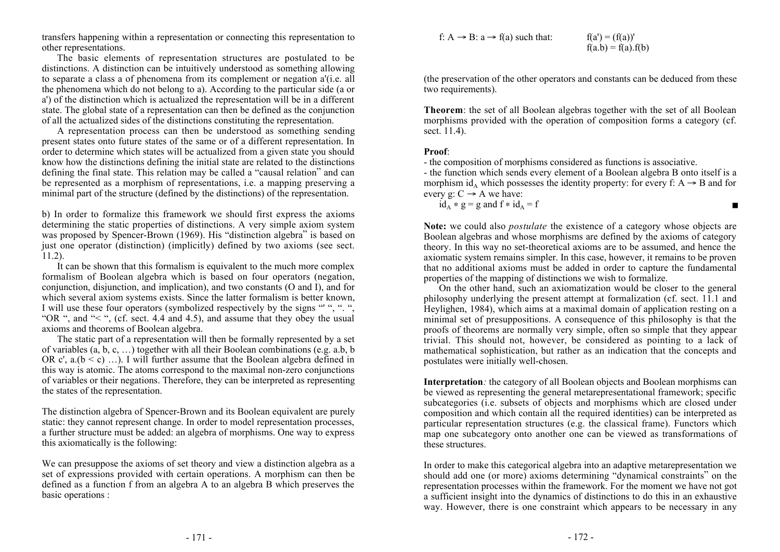transfers happening within a representation or connecting this representation to other representations.

The basic elements of representation structures are postulated to be distinctions. A distinction can be intuitively understood as something allowing to separate a class a of phenomena from its complement or negation a'(i.e. all the phenomena which do not belong to a). According to the particular side (a or <sup>a</sup>') of the distinction which is actualized the representation will be in a different state. The global state of a representation can then be defined as the conjunction of all the actualized sides of the distinctions constituting the representation.

A representation process can then be understood as something sending present states onto future states of the same or of a different representation. In order to determine which states will be actualized from a given state you should know how the distinctions defining the initial state are related to the distinctions defining the final state. This relation may be called a "causal relation" and can be represented as a morphism of representations, i.e. a mapping preserving a minimal part of the structure (defined by the distinctions) of the representation.

b) In order to formalize this framework we should first express the axioms determining the static properties of distinctions. A very simple axiom system was proposed by Spencer-Brown (1969). His "distinction algebra" is based on just one operator (distinction) (implicitly) defined by two axioms (see sect.  $11.2$ 

It can be shown that this formalism is equivalent to the much more complex formalism of Boolean algebra which is based on four operators (negation, conjunction, disjunction, and implication), and two constants (O and I), and for which several axiom systems exists. Since the latter formalism is better known, I will use these four operators (symbolized respectively by the signs "', ", ", ", ", ", "OR ", and "< ", (cf. sect. 4.4 and 4.5), and assume that they obey the usual axioms and theorems of Boolean algebra.

The static part of a representation will then be formally represented by a set of variables (a, b, c, …) together with all their Boolean combinations (e.g. a.b, b OR c',  $a.(b \le c)$  ...). I will further assume that the Boolean algebra defined in this way is atomic. The atoms correspond to the maximal non-zero conjunctions of variables or their negations. Therefore, they can be interpreted as representing the states of the representation.

The distinction algebra of Spencer-Brown and its Boolean equivalent are purely static: they cannot represent change. In order to model representation processes, a further structure must be added: an algebra of morphisms. One way to express this axiomatically is the following:

We can presuppose the axioms of set theory and view a distinction algebra as a set of expressions provided with certain operations. A morphism can then be defined as a function f from an algebra A to an algebra B which preserves the basic operations :

f: A 
$$
\rightarrow
$$
 B: a  $\rightarrow$  f(a) such that:  $f(a') = (f(a))'$   
f(a.b) = f(a).f(b)

(the preservation of the other operators and constants can be deduced from these two requirements).

**Theorem**: the set of all Boolean algebras together with the set of all Boolean morphisms provided with the operation of composition forms a category (cf. sect. 11.4).

#### **Proof**:

- the composition of morphisms considered as functions is associative.

- the function which sends every element of a Boolean algebra B onto itself is a morphism id<sub>A</sub> which possesses the identity property: for every f: A  $\rightarrow$  B and for every g:  $C \rightarrow A$  we have:

 $id_A * g = g$  and  $f * id_A = f$ ■

**Note:** we could also *postulate* the existence of a category whose objects are Boolean algebras and whose morphisms are defined by the axioms of category theory. In this way no set-theoretical axioms are to be assumed, and hence the axiomatic system remains simpler. In this case, however, it remains to be proven that no additional axioms must be added in order to capture the fundamental properties of the mapping of distinctions we wish to formalize.

On the other hand, such an axiomatization would be closer to the general philosophy underlying the present attempt at formalization (cf. sect. 11.1 and Heylighen, 1984), which aims at a maximal domain of application resting on a minimal set of presuppositions. A consequence of this philosophy is that the proofs of theorems are normally very simple, often so simple that they appear trivial. This should not, however, be considered as pointing to a lack of mathematical sophistication, but rather as an indication that the concepts and postulates were initially well-chosen.

**Interpretation**: the category of all Boolean objects and Boolean morphisms can be viewed as representing the general metarepresentational framework; specific subcategories (i.e. subsets of objects and morphisms which are closed under composition and which contain all the required identities) can be interpreted as particular representation structures (e.g. the classical frame). Functors which map one subcategory onto another one can be viewed as transformations of these structures.

In order to make this categorical algebra into an adaptive metarepresentation we should add one (or more) axioms determining "dynamical constraints" on the representation processes within the framework. For the moment we have not got a sufficient insight into the dynamics of distinctions to do this in an exhaustive way. However, there is one constraint which appears to be necessary in any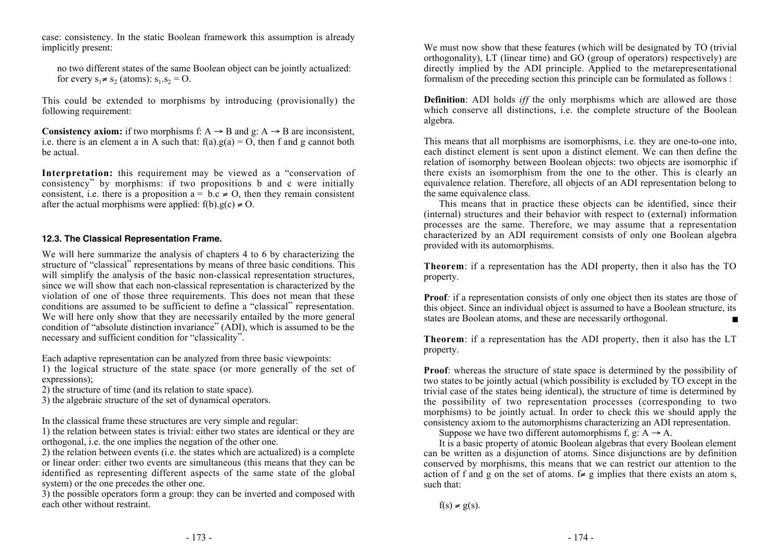case: consistency. In the static Boolean framework this assumption is already implicitly present:

no two different states of the same Boolean object can be jointly actualized: for every  $s_1 \neq s_2$  (atoms):  $s_1 \cdot s_2 = 0$ .

This could be extended to morphisms by introducing (provisionally) the following requirement:

**Consistency axiom:** if two morphisms f:  $A \rightarrow B$  and g:  $A \rightarrow B$  are inconsistent, i.e. there is an element a in A such that:  $f(a)g(a) = 0$ , then f and g cannot both be actual.

**Interpretation:** this requirement may be viewed as a "conservation of consistency" by morphisms: if two propositions b and c were initially consistent, i.e. there is a proposition  $a = b.c \neq O$ , then they remain consistent after the actual morphisms were applied:  $f(b).g(c) \neq O$ .

#### **12.3. The Classical Representation Frame.**

We will here summarize the analysis of chapters 4 to 6 by characterizing the structure of "classical" representations by means of three basic conditions. This will simplify the analysis of the basic non-classical representation structures. since we will show that each non-classical representation is characterized by the violation of one of those three requirements. This does not mean that these conditions are assumed to be sufficient to define a "classical" representation. We will here only show that they are necessarily entailed by the more general condition of "absolute distinction invariance" (ADI), which is assumed to be the necessary and sufficient condition for "classicality".

Each adaptive representation can be analyzed from three basic viewpoints:

1) the logical structure of the state space (or more generally of the set of expressions);

2) the structure of time (and its relation to state space).

3) the algebraic structure of the set of dynamical operators.

In the classical frame these structures are very simple and regular:

1) the relation between states is trivial: either two states are identical or they are orthogonal, i.e. the one implies the negation of the other one.

2) the relation between events (i.e. the states which are actualized) is a complete or linear order: either two events are simultaneous (this means that they can be identified as representing different aspects of the same state of the global system) or the one precedes the other one.

3) the possible operators form a group: they can be inverted and composed with each other without restraint.

We must now show that these features (which will be designated by TO (trivial orthogonality), LT (linear time) and GO (group of operators) respectively) are directly implied by the ADI principle. Applied to the metarepresentational formalism of the preceding section this principle can be formulated as follows :

**Definition**: ADI holds *iff* the only morphisms which are allowed are those which conserve all distinctions, i.e. the complete structure of the Boolean algebra.

This means that all morphisms are isomorphisms, i.e. they are one-to-one into, each distinct element is sent upon a distinct element. We can then define the relation of isomorphy between Boolean objects: two objects are isomorphic if there exists an isomorphism from the one to the other. This is clearly an equivalence relation. Therefore, all objects of an ADI representation belong to the same equivalence class.

This means that in practice these objects can be identified, since their (internal) structures and their behavior with respect to (external) information processes are the same. Therefore, we may assume that a representation characterized by an ADI requirement consists of only one Boolean algebra provided with its automorphisms.

**Theorem**: if a representation has the ADI property, then it also has the TO property.

**Proof**: if a representation consists of only one object then its states are those of this object. Since an individual object is assumed to have a Boolean structure, its states are Boolean atoms, and these are necessarily orthogonal.

**Theorem**: if a representation has the ADI property, then it also has the LT property.

**Proof**: whereas the structure of state space is determined by the possibility of two states to be jointly actual (which possibility is excluded by TO except in the trivial case of the states being identical), the structure of time is determined by the possibility of two representation processes (corresponding to two morphisms) to be jointly actual. In order to check this we should apply the consistency axiom to the automorphisms characterizing an ADI representation.

Suppose we have two different automorphisms f, g:  $A \rightarrow A$ .

It is a basic property of atomic Boolean algebras that every Boolean element can be written as a disjunction of atoms. Since disjunctions are by definition conserved by morphisms, this means that we can restrict our attention to the action of f and g on the set of atoms.  $f \neq g$  implies that there exists an atom s, such that:

 $f(s) \neq g(s)$ .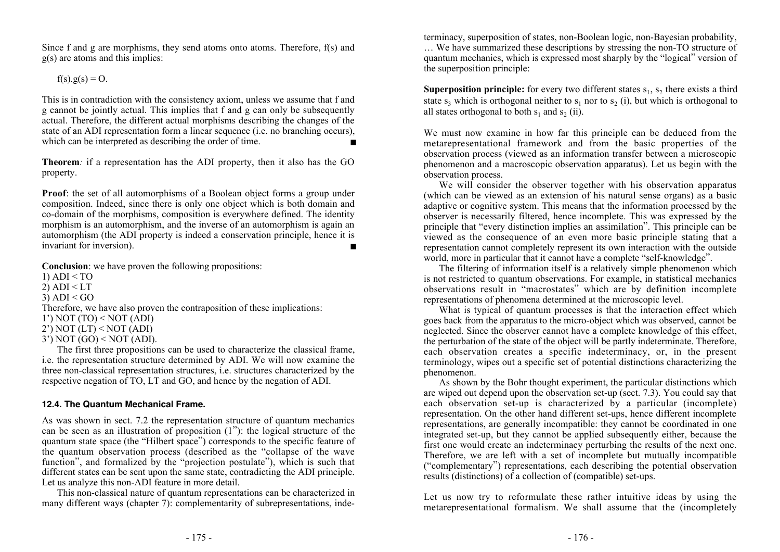Since f and g are morphisms, they send atoms onto atoms. Therefore, f(s) and g(s) are atoms and this implies:

 $f(s).g(s) = O.$ 

This is in contradiction with the consistency axiom, unless we assume that f and g cannot be jointly actual. This implies that f and g can only be subsequently actual. Therefore, the different actual morphisms describing the changes of the state of an ADI representation form a linear sequence (i.e. no branching occurs), which can be interpreted as describing the order of time. ■

**Theorem***:* if a representation has the ADI property, then it also has the GO property.

**Proof**: the set of all automorphisms of a Boolean object forms a group under composition. Indeed, since there is only one object which is both domain and co-domain of the morphisms, composition is everywhere defined. The identity morphism is an automorphism, and the inverse of an automorphism is again an automorphism (the ADI property is indeed a conservation principle, hence it is invariant for inversion). ■

**Conclusion**: we have proven the following propositions:

1) ADI  $<$  TO  $2)$  ADI  $\leq$  LT  $3)$  ADI < GO Therefore, we have also proven the contraposition of these implications: 1') NOT  $(TO) <$  NOT  $(\overline{ADI})$ 

- $2'$ ) NOT  $(LT)$  < NOT  $(ADI)$
- $3'$ ) NOT  $(GO)$  < NOT  $(ADI)$ .

The first three propositions can be used to characterize the classical frame, i.e. the representation structure determined by ADI. We will now examine the three non-classical representation structures, i.e. structures characterized by the respective negation of TO, LT and GO, and hence by the negation of ADI.

## **12.4. The Quantum Mechanical Frame.**

As was shown in sect. 7.2 the representation structure of quantum mechanics can be seen as an illustration of proposition (1"): the logical structure of the quantum state space (the "Hilbert space") corresponds to the specific feature of the quantum observation process (described as the "collapse of the wave function", and formalized by the "projection postulate"), which is such that different states can be sent upon the same state, contradicting the ADI principle. Let us analyze this non-ADI feature in more detail.

This non-classical nature of quantum representations can be characterized in many different ways (chapter 7): complementarity of subrepresentations, indeterminacy, superposition of states, non-Boolean logic, non-Bayesian probability, … We have summarized these descriptions by stressing the non-TO structure of quantum mechanics, which is expressed most sharply by the "logical" version of the superposition principle:

**Superposition principle:** for every two different states  $s_1$ ,  $s_2$  there exists a third state s<sub>3</sub> which is orthogonal neither to s<sub>1</sub> nor to s<sub>2</sub> (i), but which is orthogonal to all states orthogonal to both  $s_1$  and  $s_2$  (ii).

We must now examine in how far this principle can be deduced from the metarepresentational framework and from the basic properties of the observation process (viewed as an information transfer between a microscopic phenomenon and a macroscopic observation apparatus). Let us begin with the observation process.

We will consider the observer together with his observation apparatus (which can be viewed as an extension of his natural sense organs) as a basic adaptive or cognitive system. This means that the information processed by the observer is necessarily filtered, hence incomplete. This was expressed by the principle that "every distinction implies an assimilation". This principle can be viewed as the consequence of an even more basic principle stating that a representation cannot completely represent its own interaction with the outside world, more in particular that it cannot have a complete "self-knowledge".

The filtering of information itself is a relatively simple phenomenon which is not restricted to quantum observations. For example, in statistical mechanics observations result in "macrostates" which are by definition incomplete representations of phenomena determined at the microscopic level.

What is typical of quantum processes is that the interaction effect which goes back from the apparatus to the micro-object which was observed, cannot be neglected. Since the observer cannot have a complete knowledge of this effect, the perturbation of the state of the object will be partly indeterminate. Therefore, each observation creates a specific indeterminacy, or, in the present terminology, wipes out a specific set of potential distinctions characterizing the phenomenon.

As shown by the Bohr thought experiment, the particular distinctions which are wiped out depend upon the observation set-up (sect. 7.3). You could say that each observation set-up is characterized by a particular (incomplete) representation. On the other hand different set-ups, hence different incomplete representations, are generally incompatible: they cannot be coordinated in one integrated set-up, but they cannot be applied subsequently either, because the first one would create an indeterminacy perturbing the results of the next one. Therefore, we are left with a set of incomplete but mutually incompatible ("complementary") representations, each describing the potential observation results (distinctions) of a collection of (compatible) set-ups.

Let us now try to reformulate these rather intuitive ideas by using the metarepresentational formalism. We shall assume that the (incompletely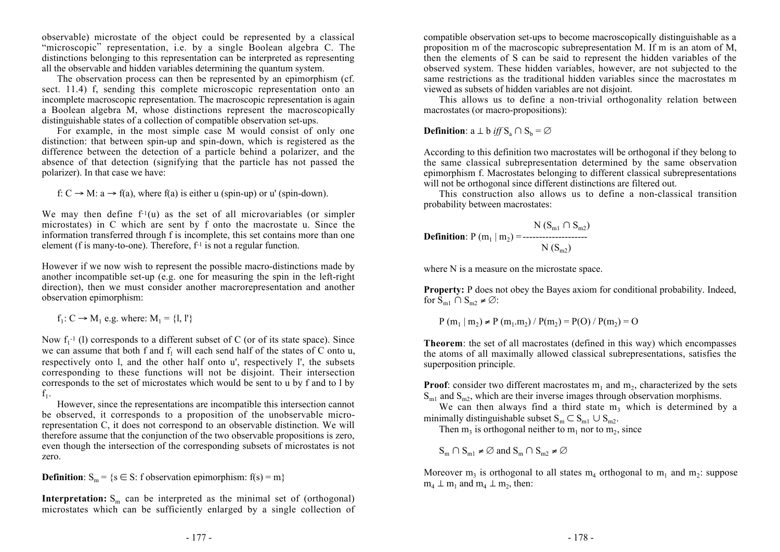observable) microstate of the object could be represented by a classical "microscopic" representation, i.e. by a single Boolean algebra C. The distinctions belonging to this representation can be interpreted as representing all the observable and hidden variables determining the quantum system.

The observation process can then be represented by an epimorphism (cf. sect. 11.4) f, sending this complete microscopic representation onto an incomplete macroscopic representation. The macroscopic representation is again a Boolean algebra M, whose distinctions represent the macroscopically distinguishable states of a collection of compatible observation set-ups.

For example, in the most simple case M would consist of only one distinction: that between spin-up and spin-down, which is registered as the difference between the detection of a particle behind a polarizer, and the absence of that detection (signifying that the particle has not passed the polarizer). In that case we have:

f:  $C \rightarrow M$ :  $a \rightarrow f(a)$ , where f(a) is either u (spin-up) or u' (spin-down).

We may then define  $f^{-1}(u)$  as the set of all microvariables (or simpler microstates) in C which are sent by f onto the macrostate u. Since the information transferred through f is incomplete, this set contains more than one element (f is many-to-one). Therefore, f-1 is not a regular function.

However if we now wish to represent the possible macro-distinctions made by another incompatible set-up (e.g. one for measuring the spin in the left-right direction), then we must consider another macrorepresentation and another observation epimorphism:

 $f_1: C \rightarrow M_1$  e.g. where:  $M_1 = \{1, 1\}$ 

Now  $f_1$ <sup>-1</sup> (1) corresponds to a different subset of C (or of its state space). Since we can assume that both f and  $f_1$  will each send half of the states of C onto u, respectively onto l, and the other half onto u', respectively l', the subsets corresponding to these functions will not be disjoint. Their intersection corresponds to the set of microstates which would be sent to u by f and to l by  $f_1$ .

However, since the representations are incompatible this intersection cannot be observed, it corresponds to a proposition of the unobservable microrepresentation C, it does not correspond to an observable distinction. We will therefore assume that the conjunction of the two observable propositions is zero, even though the intersection of the corresponding subsets of microstates is not zero.

**Definition**:  $S_m = \{s \in S : f$  observation epimorphism:  $f(s) = m\}$ 

**Interpretation:** S<sub>m</sub> can be interpreted as the minimal set of (orthogonal) microstates which can be sufficiently enlarged by a single collection of compatible observation set-ups to become macroscopically distinguishable as a proposition m of the macroscopic subrepresentation M. If m is an atom of M, then the elements of S can be said to represent the hidden variables of the observed system. These hidden variables, however, are not subjected to the same restrictions as the traditional hidden variables since the macrostates mviewed as subsets of hidden variables are not disjoint.

This allows us to define a non-trivial orthogonality relation between macrostates (or macro-propositions):

**Definition**:  $a \perp b$  *iff*  $S_a \cap S_b = \varnothing$ 

According to this definition two macrostates will be orthogonal if they belong to the same classical subrepresentation determined by the same observation epimorphism f. Macrostates belonging to different classical subrepresentations will not be orthogonal since different distinctions are filtered out.

This construction also allows us to define a non-classical transitionprobability between macrostates:

 N (Sm1 Ç Sm2) **Definition**: P (m1 | m2) = -------------------- N (Sm2)

where N is a measure on the microstate space.

**Property:** P does not obey the Bayes axiom for conditional probability. Indeed, for  $S_{m1} \cap S_{m2} \neq \emptyset$ :

 $P(m_1 | m_2) \neq P(m_1, m_2) / P(m_2) = P(O) / P(m_2) = O$ 

**Theorem**: the set of all macrostates (defined in this way) which encompasses the atoms of all maximally allowed classical subrepresentations, satisfies the superposition principle.

**Proof**: consider two different macrostates  $m_1$  and  $m_2$ , characterized by the sets  $S<sub>m1</sub>$  and  $S<sub>m2</sub>$ , which are their inverse images through observation morphisms.

We can then always find a third state  $m_3$  which is determined by a minimally distinguishable subset  $S_m \subset S_{m1} \cup S_{m2}$ .

Then  $m_3$  is orthogonal neither to  $m_1$  nor to  $m_2$ , since

 $S_m \cap S_{m1} \neq \emptyset$  and  $S_m \cap S_{m2} \neq \emptyset$ 

Moreover  $m_3$  is orthogonal to all states  $m_4$  orthogonal to  $m_1$  and  $m_2$ : suppose  $m_4 \perp m_1$  and  $m_4 \perp m_2$ , then: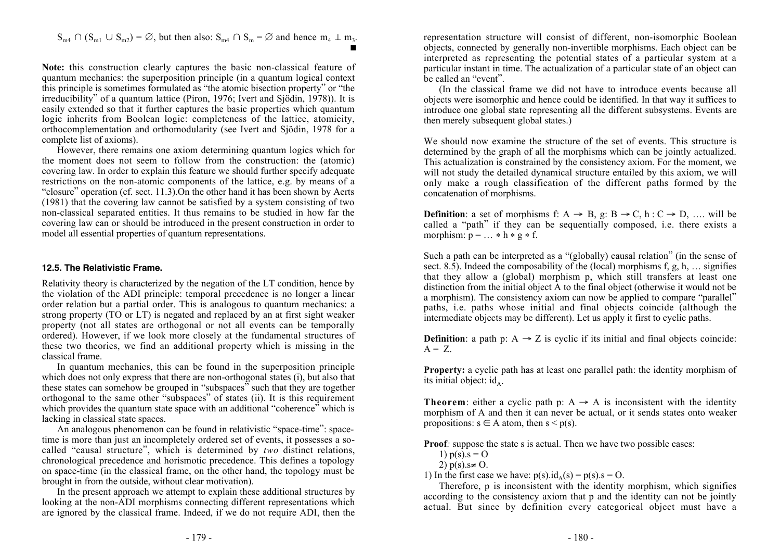$S_{m4} \cap (S_{m1} \cup S_{m2}) = \emptyset$ , but then also:  $S_{m4} \cap S_m = \emptyset$  and hence  $m_4 \perp m_3$ . ■

**Note:** this construction clearly captures the basic non-classical feature of quantum mechanics: the superposition principle (in a quantum logical context this principle is sometimes formulated as "the atomic bisection property" or "the irreducibility" of a quantum lattice (Piron, 1976; Ivert and Sjödin, 1978)). It is easily extended so that it further captures the basic properties which quantum logic inherits from Boolean logic: completeness of the lattice, atomicity, orthocomplementation and orthomodularity (see Ivert and Sjödin, 1978 for a complete list of axioms).

However, there remains one axiom determining quantum logics which for the moment does not seem to follow from the construction: the (atomic) covering law. In order to explain this feature we should further specify adequate restrictions on the non-atomic components of the lattice, e.g. by means of a "closure" operation (cf. sect. 11.3).On the other hand it has been shown by Aerts (1981) that the covering law cannot be satisfied by a system consisting of two non-classical separated entities. It thus remains to be studied in how far the covering law can or should be introduced in the present construction in order to model all essential properties of quantum representations.

#### **12.5. The Relativistic Frame.**

Relativity theory is characterized by the negation of the LT condition, hence by the violation of the ADI principle: temporal precedence is no longer a linear order relation but a partial order. This is analogous to quantum mechanics: a strong property (TO or LT) is negated and replaced by an at first sight weaker property (not all states are orthogonal or not all events can be temporally ordered). However, if we look more closely at the fundamental structures of these two theories, we find an additional property which is missing in the classical frame.

In quantum mechanics, this can be found in the superposition principle which does not only express that there are non-orthogonal states (i), but also that these states can somehow be grouped in "subspaces" such that they are together orthogonal to the same other "subspaces" of states (ii). It is this requirement which provides the quantum state space with an additional "coherence" which is lacking in classical state spaces.

An analogous phenomenon can be found in relativistic "space-time": spacetime is more than just an incompletely ordered set of events, it possesses a socalled "causal structure", which is determined by *two* distinct relations, chronological precedence and horismotic precedence. This defines a topology on space-time (in the classical frame, on the other hand, the topology must be brought in from the outside, without clear motivation).

In the present approach we attempt to explain these additional structures by looking at the non-ADI morphisms connecting different representations which are ignored by the classical frame. Indeed, if we do not require ADI, then the representation structure will consist of different, non-isomorphic Boolean objects, connected by generally non-invertible morphisms. Each object can be interpreted as representing the potential states of a particular system at a particular instant in time. The actualization of a particular state of an object can be called an "event".

(In the classical frame we did not have to introduce events because all objects were isomorphic and hence could be identified. In that way it suffices to introduce one global state representing all the different subsystems. Events are then merely subsequent global states.)

We should now examine the structure of the set of events. This structure is determined by the graph of all the morphisms which can be jointly actualized. This actualization is constrained by the consistency axiom. For the moment, we will not study the detailed dynamical structure entailed by this axiom, we will only make a rough classification of the different paths formed by the concatenation of morphisms.

**Definition**: a set of morphisms f:  $A \rightarrow B$ , g:  $B \rightarrow C$ , h :  $C \rightarrow D$ , .... will be called a "path" if they can be sequentially composed, i.e. there exists a morphism:  $p = \ldots * h * g * f$ .

Such a path can be interpreted as a "(globally) causal relation" (in the sense of sect. 8.5). Indeed the composability of the (local) morphisms f, g, h, ... signifies that they allow a (global) morphism p, which still transfers at least one distinction from the initial object  $\overline{A}$  to the final object (otherwise it would not be a morphism). The consistency axiom can now be applied to compare "parallel" paths, i.e. paths whose initial and final objects coincide (although the intermediate objects may be different). Let us apply it first to cyclic paths.

**Definition**: a path p:  $A \rightarrow Z$  is cyclic if its initial and final objects coincide:  $A = Z$ .

**Property:** a cyclic path has at least one parallel path: the identity morphism of its initial object: id A.

**Theorem**: either a cyclic path p:  $A \rightarrow A$  is inconsistent with the identity morphism of A and then it can never be actual, or it sends states onto weaker propositions:  $s \in A$  atom, then  $s < p(s)$ .

**Proof**: suppose the state s is actual. Then we have two possible cases:

- 1)  $p(s)$ . $s = 0$
- 2) p(s).s≠ O.

1) In the first case we have:  $p(s).id_A(s) = p(s).s = O$ .

Therefore, p is inconsistent with the identity morphism, which signifies according to the consistency axiom that p and the identity can not be jointly actual. But since by definition every categorical object must have a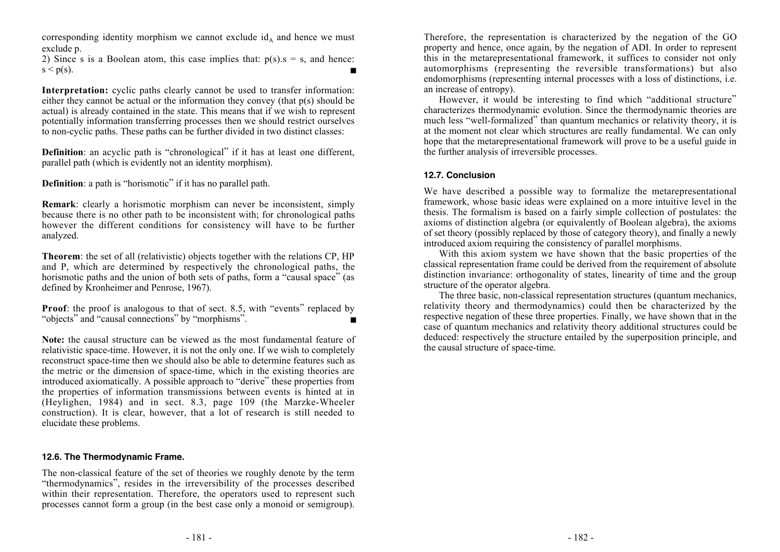corresponding identity morphism we cannot exclude  $id_A$  and hence we must exclude p.

2) Since s is a Boolean atom, this case implies that:  $p(s)$ .  $s = s$ , and hence:  $s < p(s)$ . ■

**Interpretation:** cyclic paths clearly cannot be used to transfer information: either they cannot be actual or the information they convey (that p(s) should be actual) is already contained in the state. This means that if we wish to represent potentially information transferring processes then we should restrict ourselves to non-cyclic paths. These paths can be further divided in two distinct classes:

**Definition**: an acyclic path is "chronological" if it has at least one different, parallel path (which is evidently not an identity morphism).

**Definition**: a path is "horismotic" if it has no parallel path.

**Remark**: clearly a horismotic morphism can never be inconsistent, simply because there is no other path to be inconsistent with; for chronological paths however the different conditions for consistency will have to be further analyzed.

**Theorem**: the set of all (relativistic) objects together with the relations CP, HP and P, which are determined by respectively the chronological paths, the horismotic paths and the union of both sets of paths, form a "causal space" (as defined by Kronheimer and Penrose, 1967).

**Proof**: the proof is analogous to that of sect. 8.5, with "events" replaced by "objects" and "causal connections" by "morphisms". ■

**Note:** the causal structure can be viewed as the most fundamental feature ofrelativistic space-time. However, it is not the only one. If we wish to completely reconstruct space-time then we should also be able to determine features such as the metric or the dimension of space-time, which in the existing theories are introduced axiomatically. A possible approach to "derive" these properties from the properties of information transmissions between events is hinted at in (Heylighen, 1984) and in sect. 8.3, page 109 (the Marzke-Wheeler construction). It is clear, however, that a lot of research is still needed to elucidate these problems.

## **12.6. The Thermodynamic Frame.**

The non-classical feature of the set of theories we roughly denote by the term "thermodynamics", resides in the irreversibility of the processes described within their representation. Therefore, the operators used to represent such processes cannot form a group (in the best case only a monoid or semigroup).

Therefore, the representation is characterized by the negation of the GO property and hence, once again, by the negation of ADI. In order to represent this in the metarepresentational framework, it suffices to consider not only automorphisms (representing the reversible transformations) but also endomorphisms (representing internal processes with a loss of distinctions, i.e. an increase of entropy).

However, it would be interesting to find which "additional structure" characterizes thermodynamic evolution. Since the thermodynamic theories are much less "well-formalized" than quantum mechanics or relativity theory, it is at the moment not clear which structures are really fundamental. We can only hope that the metarepresentational framework will prove to be a useful guide in the further analysis of irreversible processes.

## **12.7. Conclusion**

We have described a possible way to formalize the metarepresentational framework, whose basic ideas were explained on a more intuitive level in the thesis. The formalism is based on a fairly simple collection of postulates: the axioms of distinction algebra (or equivalently of Boolean algebra), the axioms of set theory (possibly replaced by those of category theory), and finally a newly introduced axiom requiring the consistency of parallel morphisms.

With this axiom system we have shown that the basic properties of the classical representation frame could be derived from the requirement of absolute distinction invariance: orthogonality of states, linearity of time and the group structure of the operator algebra.

The three basic, non-classical representation structures (quantum mechanics, relativity theory and thermodynamics) could then be characterized by the respective negation of these three properties. Finally, we have shown that in the case of quantum mechanics and relativity theory additional structures could be deduced: respectively the structure entailed by the superposition principle, and the causal structure of space-time.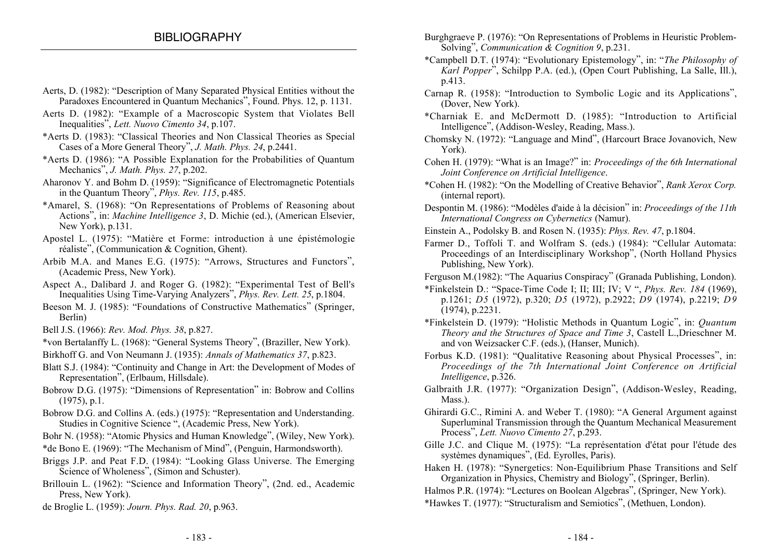# **BIBLIOGRAPHY**

- Aerts, D. (1982): "Description of Many Separated Physical Entities without the Paradoxes Encountered in Quantum Mechanics", Found. Phys. 12, p. 1131.
- Aerts D. (1982): "Example of a Macroscopic System that Violates Bell Inequalities", *Lett. Nuovo Cimento 34*, p.107.
- \*Aerts D. (1983): "Classical Theories and Non Classical Theories as Special Cases of a More General Theory", *J. Math. Phys. 24*, p.2441.
- \*Aerts D. (1986): "A Possible Explanation for the Probabilities of Quantum Mechanics", *J. Math. Phys. 27*, p.202.
- Aharonov Y. and Bohm D. (1959): "Significance of Electromagnetic Potentials in the Quantum Theory", *Phys. Rev. 115*, p.485.
- \*Amarel, S. (1968): "On Representations of Problems of Reasoning about Actions", in: *Machine Intelligence 3*, D. Michie (ed.), (American Elsevier, New York), p.131.
- Apostel L. (1975): "Matière et Forme: introduction à une épistémologie réaliste", (Communication & Cognition, Ghent).
- Arbib M.A. and Manes E.G. (1975): "Arrows, Structures and Functors", (Academic Press, New York).
- Aspect A., Dalibard J. and Roger G. (1982): "Experimental Test of Bell's Inequalities Using Time-Varying Analyzers", *Phys. Rev. Lett. 25*, p.1804.
- Beeson M. J. (1985): "Foundations of Constructive Mathematics" (Springer, Berlin)
- Bell J.S. (1966): *Rev. Mod. Phys. 38*, p.827.
- \*von Bertalanffy L. (1968): "General Systems Theory", (Braziller, New York).
- Birkhoff G. and Von Neumann J. (1935): *Annals of Mathematics 37*, p.823.
- Blatt S.J. (1984): "Continuity and Change in Art: the Development of Modes of Representation", (Erlbaum, Hillsdale).
- Bobrow D.G. (1975): "Dimensions of Representation" in: Bobrow and Collins (1975), p.1.
- Bobrow D.G. and Collins A. (eds.) (1975): "Representation and Understanding. Studies in Cognitive Science ", (Academic Press, New York).
- Bohr N. (1958): "Atomic Physics and Human Knowledge", (Wiley, New York).
- \*de Bono E. (1969): "The Mechanism of Mind", (Penguin, Harmondsworth).
- Briggs J.P. and Peat F.D. (1984): "Looking Glass Universe. The Emerging Science of Wholeness", (Simon and Schuster).
- Brillouin L. (1962): "Science and Information Theory", (2nd. ed., Academic Press, New York).
- de Broglie L. (1959): *Journ. Phys. Rad. 20*, p.963.
- Burghgraeve P. (1976): "On Representations of Problems in Heuristic Problem-Solving", *Communication & Cognition 9*, p.231.
- \*Campbell D.T. (1974): "Evolutionary Epistemology", in: "*The Philosophy of Karl Popper*", Schilpp P.A. (ed.), (Open Court Publishing, La Salle, Ill.), p.413.
- Carnap R. (1958): "Introduction to Symbolic Logic and its Applications", (Dover, New York).
- \*Charniak E. and McDermott D. (1985): "Introduction to Artificial Intelligence", (Addison-Wesley, Reading, Mass.).
- Chomsky N. (1972): "Language and Mind", (Harcourt Brace Jovanovich, New York).
- Cohen H. (1979): "What is an Image?" in: *Proceedings of the 6th International Joint Conference on Artificial Intelligence*.
- \*Cohen H. (1982): "On the Modelling of Creative Behavior", *Rank Xerox Corp.* (internal report).
- Despontin M. (1986): "Modèles d'aide à la décision" in: *Proceedings of the 11th International Congress on Cybernetics* (Namur).
- Einstein A., Podolsky B. and Rosen N. (1935): *Phys. Rev. 47*, p.1804.
- Farmer D., Toffoli T. and Wolfram S. (eds.) (1984): "Cellular Automata: Proceedings of an Interdisciplinary Workshop", (North Holland Physics Publishing, New York).
- Ferguson M.(1982): "The Aquarius Conspiracy" (Granada Publishing, London).
- \*Finkelstein D.: "Space-Time Code I; II; III; IV; V ", *Phys. Rev. 184* (1969), p.1261; *D5* (1972), p.320; *D5* (1972), p.2922; *D9* (1974), p.2219; *D9* (1974), p.2231.
- \*Finkelstein D. (1979): "Holistic Methods in Quantum Logic", in: *Quantum Theory and the Structures of Space and Time 3*, Castell L.,Drieschner M. and von Weizsacker C.F. (eds.), (Hanser, Munich).
- Forbus K.D. (1981): "Qualitative Reasoning about Physical Processes", in: *Proceedings of the 7th International Joint Conference on Artificial Intelligence*, p.326.
- Galbraith J.R. (1977): "Organization Design", (Addison-Wesley, Reading, Mass.).
- Ghirardi G.C., Rimini A. and Weber T. (1980): "A General Argument against Superluminal Transmission through the Quantum Mechanical Measurement Process", *Lett. Nuovo Cimento 27*, p.293.
- Gille J.C. and Clique M. (1975): "La représentation d'état pour l'étude des systèmes dynamiques", (Ed. Eyrolles, Paris).
- Haken H. (1978): "Synergetics: Non-Equilibrium Phase Transitions and Self Organization in Physics, Chemistry and Biology", (Springer, Berlin).
- Halmos P.R. (1974): "Lectures on Boolean Algebras", (Springer, New York).
- \*Hawkes T. (1977): "Structuralism and Semiotics", (Methuen, London).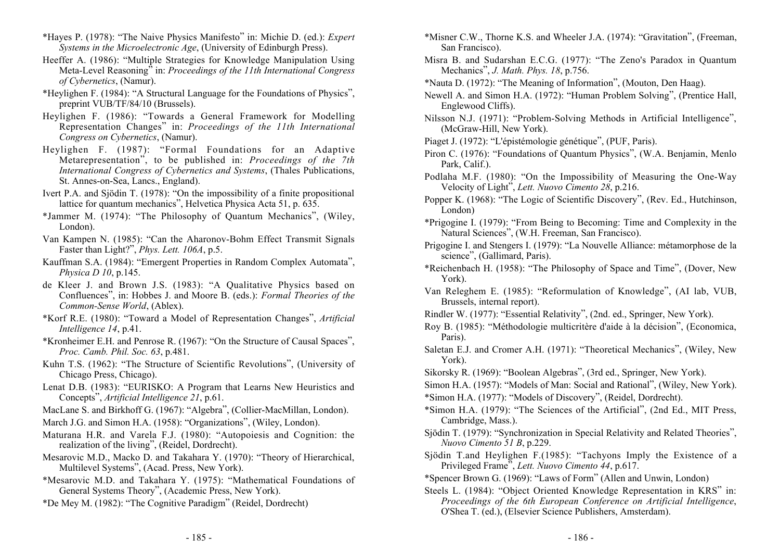- \*Hayes P. (1978): "The Naive Physics Manifesto" in: Michie D. (ed.): *Expert Systems in the Microelectronic Age*, (University of Edinburgh Press).
- Heeffer A. (1986): "Multiple Strategies for Knowledge Manipulation Using Meta-Level Reasoning" in: *Proceedings of the 11th International Congress of Cybernetics*, (Namur).
- \*Heylighen F. (1984): "A Structural Language for the Foundations of Physics", preprint VUB/TF/84/10 (Brussels).
- Heylighen F. (1986): "Towards a General Framework for Modelling Representation Changes" in: *Proceedings of the 11th International Congress on Cybernetics*, (Namur).
- Heylighen F. (1987): "Formal Foundations for an Adaptive Metarepresentation", to be published in: *Proceedings of the 7th International Congress of Cybernetics and Systems*, (Thales Publications, St. Annes-on-Sea, Lancs., England).
- Ivert P.A. and Sjödin T. (1978): "On the impossibility of a finite propositional lattice for quantum mechanics", Helvetica Physica Acta 51, p. 635.
- \*Jammer M. (1974): "The Philosophy of Quantum Mechanics", (Wiley, London).
- Van Kampen N. (1985): "Can the Aharonov-Bohm Effect Transmit Signals Faster than Light?", *Phys. Lett. 106A*, p.5.
- Kauffman S.A. (1984): "Emergent Properties in Random Complex Automata", *Physica D 10*, p.145.
- de Kleer J. and Brown J.S. (1983): "A Qualitative Physics based on Confluences", in: Hobbes J. and Moore B. (eds.): *Formal Theories of the Common-Sense World*, (Ablex).
- \*Korf R.E. (1980): "Toward a Model of Representation Changes", *Artificial Intelligence 14*, p.41.
- \*Kronheimer E.H. and Penrose R. (1967): "On the Structure of Causal Spaces", *Proc. Camb. Phil. Soc. 63*, p.481.
- Kuhn T.S. (1962): "The Structure of Scientific Revolutions", (University of Chicago Press, Chicago).
- Lenat D.B. (1983): "EURISKO: A Program that Learns New Heuristics and Concepts", *Artificial Intelligence 21*, p.61.
- MacLane S. and Birkhoff G. (1967): "Algebra", (Collier-MacMillan, London).
- March J.G. and Simon H.A. (1958): "Organizations", (Wiley, London).
- Maturana H.R. and Varela F.J. (1980): "Autopoiesis and Cognition: the realization of the living", (Reidel, Dordrecht).
- Mesarovic M.D., Macko D. and Takahara Y. (1970): "Theory of Hierarchical, Multilevel Systems", (Acad. Press, New York).
- \*Mesarovic M.D. and Takahara Y. (1975): "Mathematical Foundations of General Systems Theory", (Academic Press, New York).
- \*De Mey M. (1982): "The Cognitive Paradigm" (Reidel, Dordrecht)
- \*Misner C.W., Thorne K.S. and Wheeler J.A. (1974): "Gravitation", (Freeman, San Francisco).
- Misra B. and Sudarshan E.C.G. (1977): "The Zeno's Paradox in Quantum Mechanics", *J. Math. Phys. 18*, p.756.
- \*Nauta D. (1972): "The Meaning of Information", (Mouton, Den Haag).
- Newell A. and Simon H.A. (1972): "Human Problem Solving", (Prentice Hall, Englewood Cliffs).
- Nilsson N.J. (1971): "Problem-Solving Methods in Artificial Intelligence", (McGraw-Hill, New York).
- Piaget J. (1972): "L'épistémologie génétique", (PUF, Paris).
- Piron C. (1976): "Foundations of Quantum Physics", (W.A. Benjamin, Menlo Park, Calif.).
- Podlaha M.F. (1980): "On the Impossibility of Measuring the One-Way Velocity of Light", *Lett. Nuovo Cimento 28*, p.216.
- Popper K. (1968): "The Logic of Scientific Discovery", (Rev. Ed., Hutchinson, London)
- \*Prigogine I. (1979): "From Being to Becoming: Time and Complexity in the Natural Sciences", (W.H. Freeman, San Francisco).
- Prigogine I. and Stengers I. (1979): "La Nouvelle Alliance: métamorphose de la science", (Gallimard, Paris).
- \*Reichenbach H. (1958): "The Philosophy of Space and Time", (Dover, New York).
- Van Releghem E. (1985): "Reformulation of Knowledge", (AI lab, VUB, Brussels, internal report).
- Rindler W. (1977): "Essential Relativity", (2nd. ed., Springer, New York).
- Roy B. (1985): "Méthodologie multicritère d'aide à la décision", (Economica, Paris).
- Saletan E.J. and Cromer A.H. (1971): "Theoretical Mechanics", (Wiley, New York).
- Sikorsky R. (1969): "Boolean Algebras", (3rd ed., Springer, New York).
- Simon H.A. (1957): "Models of Man: Social and Rational", (Wiley, New York).
- \*Simon H.A. (1977): "Models of Discovery", (Reidel, Dordrecht).
- \*Simon H.A. (1979): "The Sciences of the Artificial", (2nd Ed., MIT Press, Cambridge, Mass.).
- Sjödin T. (1979): "Synchronization in Special Relativity and Related Theories", *Nuovo Cimento 51 B*, p.229.
- Sjödin T.and Heylighen F.(1985): "Tachyons Imply the Existence of a Privileged Frame", *Lett. Nuovo Cimento 44*, p.617.
- \*Spencer Brown G. (1969): "Laws of Form" (Allen and Unwin, London)
- Steels L. (1984): "Object Oriented Knowledge Representation in KRS" in: *Proceedings of the 6th European Conference on Artificial Intelligence*, O'Shea T. (ed.), (Elsevier Science Publishers, Amsterdam).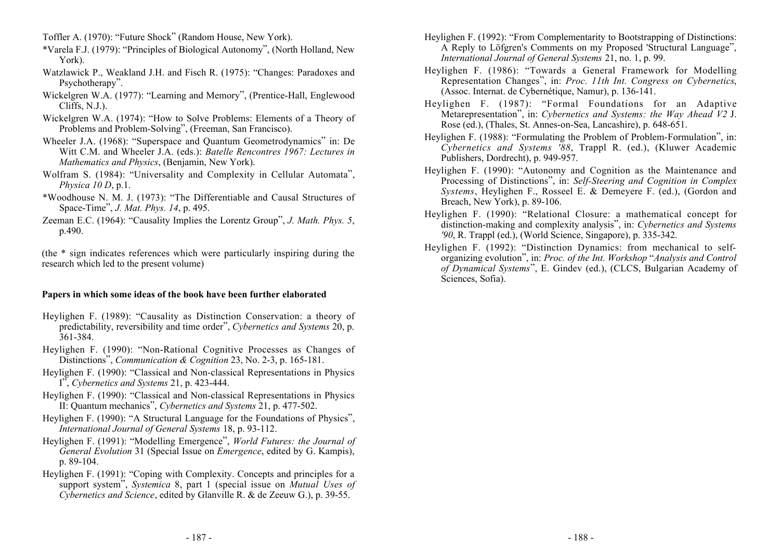- Toffler A. (1970): "Future Shock" (Random House, New York).
- \*Varela F.J. (1979): "Principles of Biological Autonomy", (North Holland, New York).
- Watzlawick P., Weakland J.H. and Fisch R. (1975): "Changes: Paradoxes and Psychotherapy".
- Wickelgren W.A. (1977): "Learning and Memory", (Prentice-Hall, Englewood Cliffs, N.J.).
- Wickelgren W.A. (1974): "How to Solve Problems: Elements of a Theory of Problems and Problem-Solving", (Freeman, San Francisco).
- Wheeler J.A. (1968): "Superspace and Quantum Geometrodynamics" in: De Witt C.M. and Wheeler J.A. (eds.): *Batelle Rencontres 1967: Lectures in Mathematics and Physics*, (Benjamin, New York).
- Wolfram S. (1984): "Universality and Complexity in Cellular Automata", *Physica 10 D*, p.1.
- \*Woodhouse N. M. J. (1973): "The Differentiable and Causal Structures of Space-Time", *J. Mat. Phys. 14*, p. 495.
- Zeeman E.C. (1964): "Causality Implies the Lorentz Group", *J. Math. Phys. 5*, p.490.

(the \* sign indicates references which were particularly inspiring during the research which led to the present volume)

## **Papers in which some ideas of the book have been further elaborated**

- Heylighen F. (1989): "Causality as Distinction Conservation: a theory of predictability, reversibility and time order", *Cybernetics and Systems* 20, p. 361-384.
- Heylighen F. (1990): "Non-Rational Cognitive Processes as Changes of Distinctions", *Communication & Cognition* 23, No. 2-3, p. 165-181.
- Heylighen F. (1990): "Classical and Non-classical Representations in Physics <sup>I</sup>", *Cybernetics and Systems* 21, p. 423-444.
- Heylighen F. (1990): "Classical and Non-classical Representations in Physics II: Quantum mechanics", *Cybernetics and Systems* 21, p. 477-502.
- Heylighen F. (1990): "A Structural Language for the Foundations of Physics", *International Journal of General Systems* 18, p. 93-112.
- Heylighen F. (1991): "Modelling Emergence", *World Futures: the Journal of General Evolution* 31 (Special Issue on *Emergence*, edited by G. Kampis), p. 89-104.
- Heylighen F. (1991): "Coping with Complexity. Concepts and principles for a support system", *Systemica* 8, part 1 (special issue on *Mutual Uses of Cybernetics and Science*, edited by Glanville R. & de Zeeuw G.), p. 39-55.
- Heylighen F. (1992): "From Complementarity to Bootstrapping of Distinctions: A Reply to Löfgren's Comments on my Proposed 'Structural Language", *International Journal of General Systems* 21, no. 1, p. 99.
- Heylighen F. (1986): "Towards a General Framework for Modelling Representation Changes", in: *Proc. 11th Int. Congress on Cybernetics*, (Assoc. Internat. de Cybernétique, Namur), p. 136-141.
- Heylighen F. (1987): "Formal Foundations for an Adaptive Metarepresentation", in: *Cybernetics and Systems: the Way Ahead V2* J. Rose (ed.), (Thales, St. Annes-on-Sea, Lancashire), p. 648-651.
- Heylighen F. (1988): "Formulating the Problem of Problem-Formulation", in: *Cybernetics and Systems '88*, Trappl R. (ed.), (Kluwer Academic Publishers, Dordrecht), p. 949-957.
- Heylighen F. (1990): "Autonomy and Cognition as the Maintenance and Processing of Distinctions", in: *Self-Steering and Cognition in Complex Systems*, Heylighen F., Rosseel E. & Demeyere F. (ed.), (Gordon and Breach, New York), p. 89-106.
- Heylighen F. (1990): "Relational Closure: a mathematical concept for distinction-making and complexity analysis", in: *Cybernetics and Systems '90*, R. Trappl (ed.), (World Science, Singapore), p. 335-342.
- Heylighen F. (1992): "Distinction Dynamics: from mechanical to selforganizing evolution", in: *Proc. of the Int. Workshop* "*Analysis and Control of Dynamical Systems*", E. Gindev (ed.), (CLCS, Bulgarian Academy of Sciences, Sofia).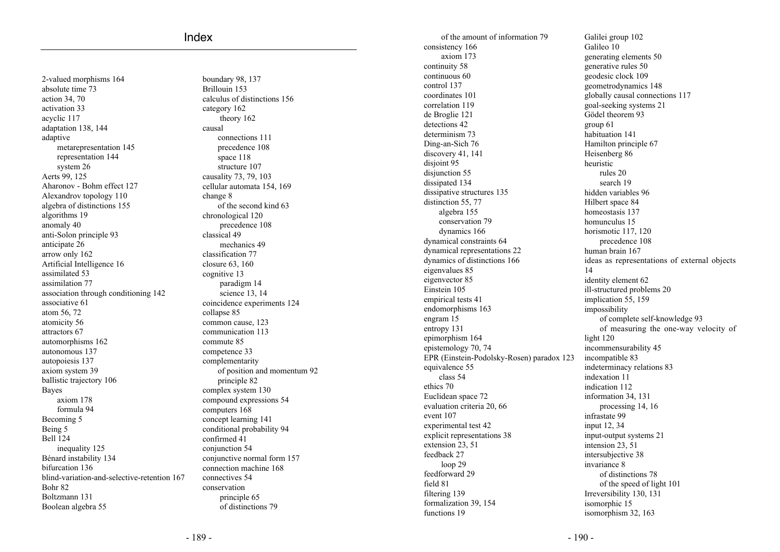## Index

2-valued morphisms 164 absolute time 73action 34, 70 activation 33acyclic 117 adaptation 138, 144 adaptive metarepresentation 145 representation 144 system 26 Aerts 99, 125 Aharonov - Bohm effect 127Alexandrov topology 110 algebra of distinctions 155 algorithms 19 anomaly 40 anti-Solon principle 93 anticipate 26 arrow only 162 Artificial Intelligence 16 assimilated 53assimilation 77association through conditioning 142 associative 61atom 56, 72 atomicity 56 attractors 67automorphisms 162 autonomous 137autopoiesis 137 axiom system 39 ballistic trajectory 106 Bayes axiom 178formula 94Becoming 5 Being 5 Bell 124inequality 125 Bénard instability 134 bifurcation 136blind-variation-and-selective-retention 167Bohr 82Boltzmann 131Boolean algebra 55

boundary 98, 137 Brillouin 153calculus of distinctions 156category 162 theory 162 causalconnections 111precedence 108 space 118 structure 107causality 73, 79, 103 cellular automata 154, 169 change 8 of the second kind 63chronological 120 precedence 108 classical 49 mechanics 49classification 77closure 63, 160 cognitive 13 paradigm 14 science 13, 14 coincidence experiments 124 collapse 85 common cause, 123 communication 113commute 85competence 33 complementarity of position and momentum 92 principle 82 complex system 130 compound expressions 54 computers 168 concept learning 141 conditional probability 94 confirmed 41conjunction 54 conjunctive normal form 157 connection machine 168connectives 54conservation principle 65 of distinctions 79

 of the amount of information 79consistency 166 axiom 173continuity 58 continuous 60control 137coordinates 101correlation 119de Broglie 121 detections 42determinism 73Ding-an-Sich 76 discovery 41, 141 disjoint 95 disjunction 55 dissipated 134 dissipative structures 135 distinction 55, 77 algebra 155 conservation 79dynamics 166 dynamical constraints 64 dynamical representations 22 dynamics of distinctions 166 eigenvalues 85 eigenvector 85 Einstein 105empirical tests 41 endomorphisms 163 engram 15 entropy 131 epimorphism 164 epistemology 70, 74 EPR (Einstein-Podolsky-Rosen) paradox 123 equivalence 55 class 54ethics 70Euclidean space 72 evaluation criteria 20, 66 event 107experimental test 42 explicit representations 38 extension 23, 51 feedback 27 loop 29 feedforward 29field 81filtering 139 formalization 39, 154 functions 19

Galilei group 102 Galileo 10generating elements 50 generative rules 50 geodesic clock 109 geometrodynamics 148 globally causal connections 117 goal-seeking systems 21 Gödel theorem 93group 61 habituation 141Hamilton principle 67 Heisenberg 86 heuristicrules 20search 19hidden variables 96Hilbert space 84 homeostasis 137homunculus 15horismotic 117, 120 precedence 108 human brain 167ideas as representations of external objects 14identity element 62 ill-structured problems 20 implication 55, 159 impossibility of complete self-knowledge 93 of measuring the one-way velocity of light 120 incommensurability 45 incompatible 83 indeterminacy relations 83 indexation 11indication 112information 34, 131 processing 14, 16 infrastate 99input 12, 34 input-output systems 21 intension 23, 51 intersubjective 38 invariance 8of distinctions 78of the speed of light 101 Irreversibility 130, 131 isomorphic 15 isomorphism 32, 163